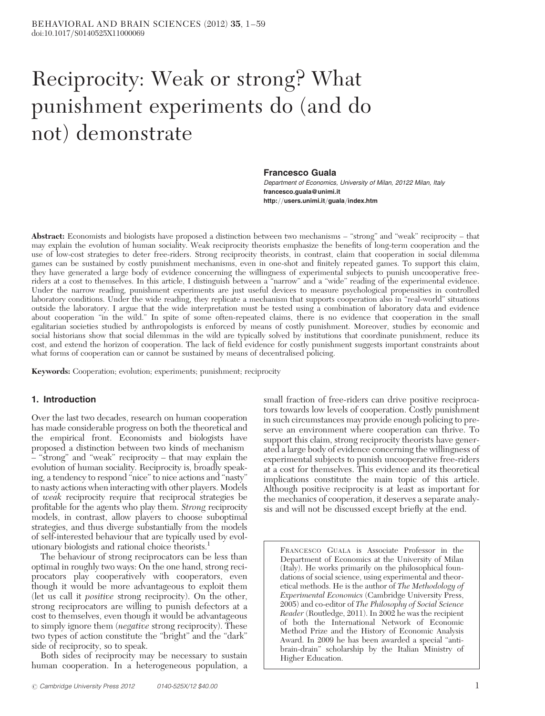# Reciprocity: Weak or strong? What punishment experiments do (and do not) demonstrate

#### Francesco Guala

Department of Economics, University of Milan, 20122 Milan, Italy francesco.guala@unimi.it http://users.unimi.it/guala/index.htm

Abstract: Economists and biologists have proposed a distinction between two mechanisms – "strong" and "weak" reciprocity – that may explain the evolution of human sociality. Weak reciprocity theorists emphasize the benefits of long-term cooperation and the use of low-cost strategies to deter free-riders. Strong reciprocity theorists, in contrast, claim that cooperation in social dilemma games can be sustained by costly punishment mechanisms, even in one-shot and finitely repeated games. To support this claim, they have generated a large body of evidence concerning the willingness of experimental subjects to punish uncooperative freeriders at a cost to themselves. In this article, I distinguish between a "narrow" and a "wide" reading of the experimental evidence. Under the narrow reading, punishment experiments are just useful devices to measure psychological propensities in controlled laboratory conditions. Under the wide reading, they replicate a mechanism that supports cooperation also in "real-world" situations outside the laboratory. I argue that the wide interpretation must be tested using a combination of laboratory data and evidence about cooperation "in the wild." In spite of some often-repeated claims, there is no evidence that cooperation in the small egalitarian societies studied by anthropologists is enforced by means of costly punishment. Moreover, studies by economic and social historians show that social dilemmas in the wild are typically solved by institutions that coordinate punishment, reduce its cost, and extend the horizon of cooperation. The lack of field evidence for costly punishment suggests important constraints about what forms of cooperation can or cannot be sustained by means of decentralised policing.

Keywords: Cooperation; evolution; experiments; punishment; reciprocity

## 1. Introduction

Over the last two decades, research on human cooperation has made considerable progress on both the theoretical and the empirical front. Economists and biologists have proposed a distinction between two kinds of mechanism – "strong" and "weak" reciprocity – that may explain the evolution of human sociality. Reciprocity is, broadly speaking, a tendency to respond "nice" to nice actions and "nasty" to nasty actions when interacting with other players. Models of weak reciprocity require that reciprocal strategies be profitable for the agents who play them. Strong reciprocity models, in contrast, allow players to choose suboptimal strategies, and thus diverge substantially from the models of self-interested behaviour that are typically used by evolutionary biologists and rational choice theorists.<sup>1</sup>

The behaviour of strong reciprocators can be less than optimal in roughly two ways: On the one hand, strong reciprocators play cooperatively with cooperators, even though it would be more advantageous to exploit them (let us call it positive strong reciprocity). On the other, strong reciprocators are willing to punish defectors at a cost to themselves, even though it would be advantageous to simply ignore them (negative strong reciprocity). These two types of action constitute the "bright" and the "dark" side of reciprocity, so to speak.

Both sides of reciprocity may be necessary to sustain human cooperation. In a heterogeneous population, a

 $\odot$  Cambridge University Press 2012 0140-525X/12 \$40.00  $1$ 

small fraction of free-riders can drive positive reciprocators towards low levels of cooperation. Costly punishment in such circumstances may provide enough policing to preserve an environment where cooperation can thrive. To support this claim, strong reciprocity theorists have generated a large body of evidence concerning the willingness of experimental subjects to punish uncooperative free-riders at a cost for themselves. This evidence and its theoretical implications constitute the main topic of this article. Although positive reciprocity is at least as important for the mechanics of cooperation, it deserves a separate analysis and will not be discussed except briefly at the end.

FRANCESCO GUALA is Associate Professor in the Department of Economics at the University of Milan (Italy). He works primarily on the philosophical foundations of social science, using experimental and theoretical methods. He is the author of The Methodology of Experimental Economics (Cambridge University Press, 2005) and co-editor of The Philosophy of Social Science Reader (Routledge, 2011). In 2002 he was the recipient of both the International Network of Economic Method Prize and the History of Economic Analysis Award. In 2009 he has been awarded a special "antibrain-drain" scholarship by the Italian Ministry of Higher Education.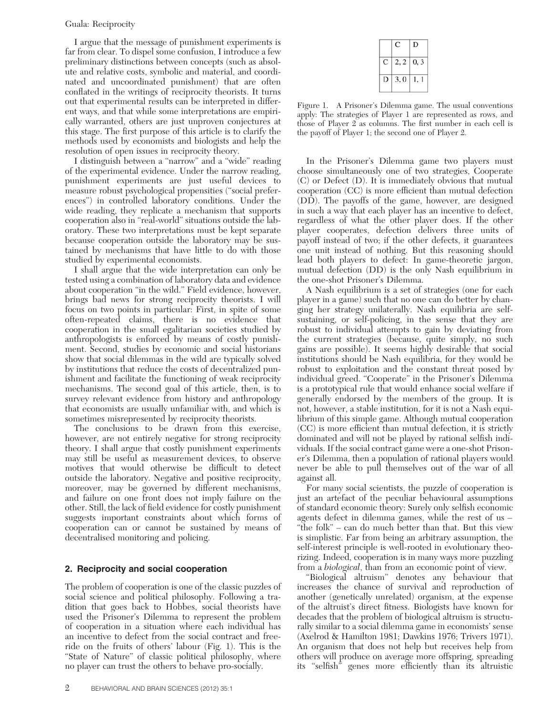## Guala: Reciprocity

I argue that the message of punishment experiments is far from clear. To dispel some confusion, I introduce a few preliminary distinctions between concepts (such as absolute and relative costs, symbolic and material, and coordinated and uncoordinated punishment) that are often conflated in the writings of reciprocity theorists. It turns out that experimental results can be interpreted in different ways, and that while some interpretations are empirically warranted, others are just unproven conjectures at this stage. The first purpose of this article is to clarify the methods used by economists and biologists and help the resolution of open issues in reciprocity theory.

I distinguish between a "narrow" and a "wide" reading of the experimental evidence. Under the narrow reading, punishment experiments are just useful devices to measure robust psychological propensities ("social preferences") in controlled laboratory conditions. Under the wide reading, they replicate a mechanism that supports cooperation also in "real-world" situations outside the laboratory. These two interpretations must be kept separate because cooperation outside the laboratory may be sustained by mechanisms that have little to do with those studied by experimental economists.

I shall argue that the wide interpretation can only be tested using a combination of laboratory data and evidence about cooperation "in the wild." Field evidence, however, brings bad news for strong reciprocity theorists. I will focus on two points in particular: First, in spite of some often-repeated claims, there is no evidence that cooperation in the small egalitarian societies studied by anthropologists is enforced by means of costly punishment. Second, studies by economic and social historians show that social dilemmas in the wild are typically solved by institutions that reduce the costs of decentralized punishment and facilitate the functioning of weak reciprocity mechanisms. The second goal of this article, then, is to survey relevant evidence from history and anthropology that economists are usually unfamiliar with, and which is sometimes misrepresented by reciprocity theorists.

The conclusions to be drawn from this exercise, however, are not entirely negative for strong reciprocity theory. I shall argue that costly punishment experiments may still be useful as measurement devices, to observe motives that would otherwise be difficult to detect outside the laboratory. Negative and positive reciprocity, moreover, may be governed by different mechanisms, and failure on one front does not imply failure on the other. Still, the lack of field evidence for costly punishment suggests important constraints about which forms of cooperation can or cannot be sustained by means of decentralised monitoring and policing.

## 2. Reciprocity and social cooperation

The problem of cooperation is one of the classic puzzles of social science and political philosophy. Following a tradition that goes back to Hobbes, social theorists have used the Prisoner's Dilemma to represent the problem of cooperation in a situation where each individual has an incentive to defect from the social contract and freeride on the fruits of others' labour (Fig. 1). This is the "State of Nature" of classic political philosophy, where no player can trust the others to behave pro-socially.

|   | C    | D    |
|---|------|------|
| C | 2.2  | 0, 3 |
| D | 3, 0 | 1, 1 |

Figure 1. A Prisoner's Dilemma game. The usual conventions apply: The strategies of Player 1 are represented as rows, and those of Player 2 as columns. The first number in each cell is the payoff of Player 1; the second one of Player 2.

In the Prisoner's Dilemma game two players must choose simultaneously one of two strategies, Cooperate (C) or Defect (D). It is immediately obvious that mutual cooperation (CC) is more efficient than mutual defection (DD). The payoffs of the game, however, are designed in such a way that each player has an incentive to defect, regardless of what the other player does. If the other player cooperates, defection delivers three units of payoff instead of two; if the other defects, it guarantees one unit instead of nothing. But this reasoning should lead both players to defect: In game-theoretic jargon, mutual defection (DD) is the only Nash equilibrium in the one-shot Prisoner's Dilemma.

A Nash equilibrium is a set of strategies (one for each player in a game) such that no one can do better by changing her strategy unilaterally. Nash equilibria are selfsustaining, or self-policing, in the sense that they are robust to individual attempts to gain by deviating from the current strategies (because, quite simply, no such gains are possible). It seems highly desirable that social institutions should be Nash equilibria, for they would be robust to exploitation and the constant threat posed by individual greed. "Cooperate" in the Prisoner's Dilemma is a prototypical rule that would enhance social welfare if generally endorsed by the members of the group. It is not, however, a stable institution, for it is not a Nash equilibrium of this simple game. Although mutual cooperation (CC) is more efficient than mutual defection, it is strictly dominated and will not be played by rational selfish individuals. If the social contract game were a one-shot Prisoner's Dilemma, then a population of rational players would never be able to pull themselves out of the war of all against all.

For many social scientists, the puzzle of cooperation is just an artefact of the peculiar behavioural assumptions of standard economic theory: Surely only selfish economic agents defect in dilemma games, while the rest of us – "the folk" – can do much better than that. But this view is simplistic. Far from being an arbitrary assumption, the self-interest principle is well-rooted in evolutionary theorizing. Indeed, cooperation is in many ways more puzzling from a *biological*, than from an economic point of view.

"Biological altruism" denotes any behaviour that increases the chance of survival and reproduction of another (genetically unrelated) organism, at the expense of the altruist's direct fitness. Biologists have known for decades that the problem of biological altruism is structurally similar to a social dilemma game in economists' sense (Axelrod & Hamilton 1981; Dawkins 1976; Trivers 1971). An organism that does not help but receives help from others will produce on average more offspring, spreading its "selfish" genes more efficiently than its altruistic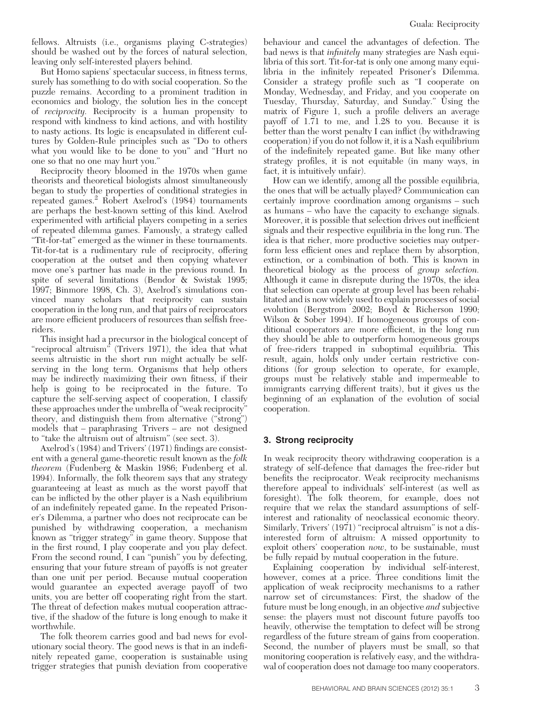fellows. Altruists (i.e., organisms playing C-strategies) should be washed out by the forces of natural selection, leaving only self-interested players behind.

But Homo sapiens' spectacular success, in fitness terms, surely has something to do with social cooperation. So the puzzle remains. According to a prominent tradition in economics and biology, the solution lies in the concept of reciprocity. Reciprocity is a human propensity to respond with kindness to kind actions, and with hostility to nasty actions. Its logic is encapsulated in different cultures by Golden-Rule principles such as "Do to others what you would like to be done to you" and "Hurt no one so that no one may hurt you."

Reciprocity theory bloomed in the 1970s when game theorists and theoretical biologists almost simultaneously began to study the properties of conditional strategies in repeated games.<sup>2</sup> Robert Axelrod's (1984) tournaments are perhaps the best-known setting of this kind. Axelrod experimented with artificial players competing in a series of repeated dilemma games. Famously, a strategy called "Tit-for-tat" emerged as the winner in these tournaments. Tit-for-tat is a rudimentary rule of reciprocity, offering cooperation at the outset and then copying whatever move one's partner has made in the previous round. In spite of several limitations (Bendor & Swistak 1995; 1997; Binmore 1998, Ch. 3), Axelrod's simulations convinced many scholars that reciprocity can sustain cooperation in the long run, and that pairs of reciprocators are more efficient producers of resources than selfish freeriders.

This insight had a precursor in the biological concept of "reciprocal altruism" (Trivers 1971), the idea that what seems altruistic in the short run might actually be selfserving in the long term. Organisms that help others may be indirectly maximizing their own fitness, if their help is going to be reciprocated in the future. To capture the self-serving aspect of cooperation, I classify these approaches under the umbrella of "weak reciprocity" theory, and distinguish them from alternative ("strong") models that – paraphrasing Trivers – are not designed to "take the altruism out of altruism" (see sect. 3).

Axelrod's (1984) and Trivers' (1971) findings are consistent with a general game-theoretic result known as the folk theorem (Fudenberg & Maskin 1986; Fudenberg et al. 1994). Informally, the folk theorem says that any strategy guaranteeing at least as much as the worst payoff that can be inflicted by the other player is a Nash equilibrium of an indefinitely repeated game. In the repeated Prisoner's Dilemma, a partner who does not reciprocate can be punished by withdrawing cooperation, a mechanism known as "trigger strategy" in game theory. Suppose that in the first round, I play cooperate and you play defect. From the second round, I can "punish" you by defecting, ensuring that your future stream of payoffs is not greater than one unit per period. Because mutual cooperation would guarantee an expected average payoff of two units, you are better off cooperating right from the start. The threat of defection makes mutual cooperation attractive, if the shadow of the future is long enough to make it worthwhile.

The folk theorem carries good and bad news for evolutionary social theory. The good news is that in an indefinitely repeated game, cooperation is sustainable using trigger strategies that punish deviation from cooperative

behaviour and cancel the advantages of defection. The bad news is that infinitely many strategies are Nash equilibria of this sort. Tit-for-tat is only one among many equilibria in the infinitely repeated Prisoner's Dilemma. Consider a strategy profile such as "I cooperate on Monday, Wednesday, and Friday, and you cooperate on Tuesday, Thursday, Saturday, and Sunday." Using the matrix of Figure 1, such a profile delivers an average payoff of  $1.71$  to me, and  $\overline{1.28}$  to you. Because it is better than the worst penalty I can inflict (by withdrawing cooperation) if you do not follow it, it is a Nash equilibrium of the indefinitely repeated game. But like many other strategy profiles, it is not equitable (in many ways, in fact, it is intuitively unfair).

How can we identify, among all the possible equilibria, the ones that will be actually played? Communication can certainly improve coordination among organisms – such as humans – who have the capacity to exchange signals. Moreover, it is possible that selection drives out inefficient signals and their respective equilibria in the long run. The idea is that richer, more productive societies may outperform less efficient ones and replace them by absorption, extinction, or a combination of both. This is known in theoretical biology as the process of group selection. Although it came in disrepute during the 1970s, the idea that selection can operate at group level has been rehabilitated and is now widely used to explain processes of social evolution (Bergstrom 2002; Boyd & Richerson 1990; Wilson & Sober 1994). If homogeneous groups of conditional cooperators are more efficient, in the long run they should be able to outperform homogeneous groups of free-riders trapped in suboptimal equilibria. This result, again, holds only under certain restrictive conditions (for group selection to operate, for example, groups must be relatively stable and impermeable to immigrants carrying different traits), but it gives us the beginning of an explanation of the evolution of social cooperation.

## 3. Strong reciprocity

In weak reciprocity theory withdrawing cooperation is a strategy of self-defence that damages the free-rider but benefits the reciprocator. Weak reciprocity mechanisms therefore appeal to individuals' self-interest (as well as foresight). The folk theorem, for example, does not require that we relax the standard assumptions of selfinterest and rationality of neoclassical economic theory. Similarly, Trivers' (1971) "reciprocal altruism" is not a disinterested form of altruism: A missed opportunity to exploit others' cooperation now, to be sustainable, must be fully repaid by mutual cooperation in the future.

Explaining cooperation by individual self-interest, however, comes at a price. Three conditions limit the application of weak reciprocity mechanisms to a rather narrow set of circumstances: First, the shadow of the future must be long enough, in an objective and subjective sense: the players must not discount future payoffs too heavily, otherwise the temptation to defect will be strong regardless of the future stream of gains from cooperation. Second, the number of players must be small, so that monitoring cooperation is relatively easy, and the withdrawal of cooperation does not damage too many cooperators.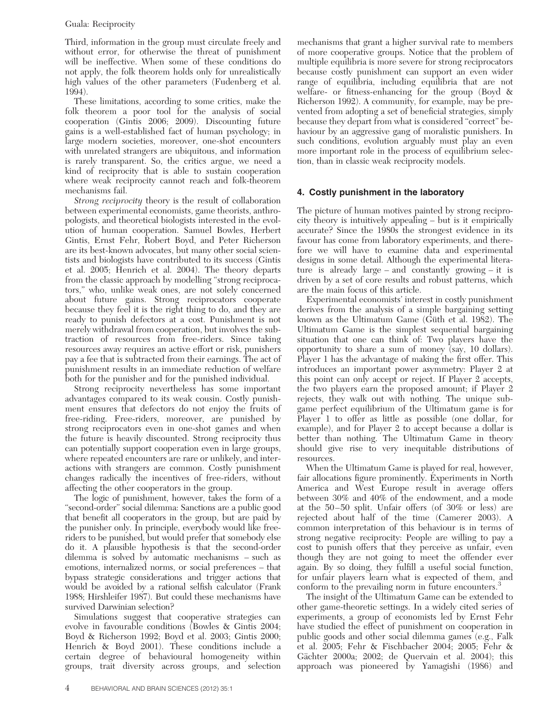Third, information in the group must circulate freely and without error, for otherwise the threat of punishment will be ineffective. When some of these conditions do not apply, the folk theorem holds only for unrealistically high values of the other parameters (Fudenberg et al. 1994).

These limitations, according to some critics, make the folk theorem a poor tool for the analysis of social cooperation (Gintis 2006; 2009). Discounting future gains is a well-established fact of human psychology; in large modern societies, moreover, one-shot encounters with unrelated strangers are ubiquitous, and information is rarely transparent. So, the critics argue, we need a kind of reciprocity that is able to sustain cooperation where weak reciprocity cannot reach and folk-theorem mechanisms fail.

Strong reciprocity theory is the result of collaboration between experimental economists, game theorists, anthropologists, and theoretical biologists interested in the evolution of human cooperation. Samuel Bowles, Herbert Gintis, Ernst Fehr, Robert Boyd, and Peter Richerson are its best-known advocates, but many other social scientists and biologists have contributed to its success (Gintis et al. 2005; Henrich et al. 2004). The theory departs from the classic approach by modelling "strong reciprocators," who, unlike weak ones, are not solely concerned about future gains. Strong reciprocators cooperate because they feel it is the right thing to do, and they are ready to punish defectors at a cost. Punishment is not merely withdrawal from cooperation, but involves the subtraction of resources from free-riders. Since taking resources away requires an active effort or risk, punishers pay a fee that is subtracted from their earnings. The act of punishment results in an immediate reduction of welfare both for the punisher and for the punished individual.

Strong reciprocity nevertheless has some important advantages compared to its weak cousin. Costly punishment ensures that defectors do not enjoy the fruits of free-riding. Free-riders, moreover, are punished by strong reciprocators even in one-shot games and when the future is heavily discounted. Strong reciprocity thus can potentially support cooperation even in large groups, where repeated encounters are rare or unlikely, and interactions with strangers are common. Costly punishment changes radically the incentives of free-riders, without affecting the other cooperators in the group.

The logic of punishment, however, takes the form of a "second-order" social dilemma: Sanctions are a public good that benefit all cooperators in the group, but are paid by the punisher only. In principle, everybody would like freeriders to be punished, but would prefer that somebody else do it. A plausible hypothesis is that the second-order dilemma is solved by automatic mechanisms – such as emotions, internalized norms, or social preferences – that bypass strategic considerations and trigger actions that would be avoided by a rational selfish calculator (Frank 1988; Hirshleifer 1987). But could these mechanisms have survived Darwinian selection?

Simulations suggest that cooperative strategies can evolve in favourable conditions (Bowles & Gintis 2004; Boyd & Richerson 1992; Boyd et al. 2003; Gintis 2000; Henrich & Boyd 2001). These conditions include a certain degree of behavioural homogeneity within groups, trait diversity across groups, and selection

mechanisms that grant a higher survival rate to members of more cooperative groups. Notice that the problem of multiple equilibria is more severe for strong reciprocators because costly punishment can support an even wider range of equilibria, including equilibria that are not welfare- or fitness-enhancing for the group (Boyd & Richerson 1992). A community, for example, may be prevented from adopting a set of beneficial strategies, simply because they depart from what is considered "correct" behaviour by an aggressive gang of moralistic punishers. In such conditions, evolution arguably must play an even more important role in the process of equilibrium selection, than in classic weak reciprocity models.

## 4. Costly punishment in the laboratory

The picture of human motives painted by strong reciprocity theory is intuitively appealing – but is it empirically accurate? Since the 1980s the strongest evidence in its favour has come from laboratory experiments, and therefore we will have to examine data and experimental designs in some detail. Although the experimental literature is already large – and constantly growing – it is driven by a set of core results and robust patterns, which are the main focus of this article.

Experimental economists' interest in costly punishment derives from the analysis of a simple bargaining setting known as the Ultimatum Game (Güth et al. 1982). The Ultimatum Game is the simplest sequential bargaining situation that one can think of: Two players have the opportunity to share a sum of money (say, 10 dollars). Player 1 has the advantage of making the first offer. This introduces an important power asymmetry: Player 2 at this point can only accept or reject. If Player 2 accepts, the two players earn the proposed amount; if Player 2 rejects, they walk out with nothing. The unique subgame perfect equilibrium of the Ultimatum game is for Player 1 to offer as little as possible (one dollar, for example), and for Player 2 to accept because a dollar is better than nothing. The Ultimatum Game in theory should give rise to very inequitable distributions of resources.

When the Ultimatum Game is played for real, however, fair allocations figure prominently. Experiments in North America and West Europe result in average offers between 30% and 40% of the endowment, and a mode at the 50–50 split. Unfair offers (of 30% or less) are rejected about half of the time (Camerer 2003). A common interpretation of this behaviour is in terms of strong negative reciprocity: People are willing to pay a cost to punish offers that they perceive as unfair, even though they are not going to meet the offender ever again. By so doing, they fulfill a useful social function, for unfair players learn what is expected of them, and conform to the prevailing norm in future encounters.<sup>3</sup>

The insight of the Ultimatum Game can be extended to other game-theoretic settings. In a widely cited series of experiments, a group of economists led by Ernst Fehr have studied the effect of punishment on cooperation in public goods and other social dilemma games (e.g., Falk et al. 2005; Fehr & Fischbacher 2004; 2005; Fehr & Gächter 2000a; 2002; de Quervain et al. 2004); this approach was pioneered by Yamagishi (1986) and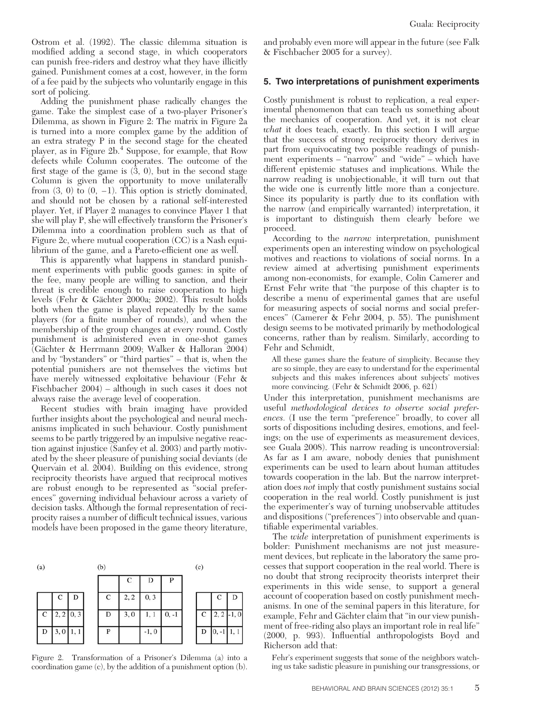Ostrom et al. (1992). The classic dilemma situation is modified adding a second stage, in which cooperators can punish free-riders and destroy what they have illicitly gained. Punishment comes at a cost, however, in the form of a fee paid by the subjects who voluntarily engage in this sort of policing.

Adding the punishment phase radically changes the game. Take the simplest case of a two-player Prisoner's Dilemma, as shown in Figure 2: The matrix in Figure 2a is turned into a more complex game by the addition of an extra strategy P in the second stage for the cheated player, as in Figure 2b.<sup>4</sup> Suppose, for example, that Row defects while Column cooperates. The outcome of the first stage of the game is  $(\bar{3}, 0)$ , but in the second stage Column is given the opportunity to move unilaterally from  $(3, 0)$  to  $(0, -1)$ . This option is strictly dominated, and should not be chosen by a rational self-interested player. Yet, if Player 2 manages to convince Player 1 that she will play P, she will effectively transform the Prisoner's Dilemma into a coordination problem such as that of Figure 2c, where mutual cooperation (CC) is a Nash equilibrium of the game, and a Pareto-efficient one as well.

This is apparently what happens in standard punishment experiments with public goods games: in spite of the fee, many people are willing to sanction, and their threat is credible enough to raise cooperation to high levels (Fehr & Gächter 2000a; 2002). This result holds both when the game is played repeatedly by the same players (for a finite number of rounds), and when the membership of the group changes at every round. Costly punishment is administered even in one-shot games  $\bar{C}$ Gächter & Herrmann 2009; Walker & Halloran 2004) and by "bystanders" or "third parties" – that is, when the potential punishers are not themselves the victims but have merely witnessed exploitative behaviour (Fehr & Fischbacher 2004) – although in such cases it does not always raise the average level of cooperation.

Recent studies with brain imaging have provided further insights about the psychological and neural mechanisms implicated in such behaviour. Costly punishment seems to be partly triggered by an impulsive negative reaction against injustice (Sanfey et al. 2003) and partly motivated by the sheer pleasure of punishing social deviants (de Quervain et al. 2004). Building on this evidence, strong reciprocity theorists have argued that reciprocal motives are robust enough to be represented as "social preferences" governing individual behaviour across a variety of decision tasks. Although the formal representation of reciprocity raises a number of difficult technical issues, various models have been proposed in the game theory literature,



Figure 2. Transformation of a Prisoner's Dilemma (a) into a coordination game (c), by the addition of a punishment option (b).

and probably even more will appear in the future (see Falk & Fischbacher 2005 for a survey).

## 5. Two interpretations of punishment experiments

Costly punishment is robust to replication, a real experimental phenomenon that can teach us something about the mechanics of cooperation. And yet, it is not clear what it does teach, exactly. In this section I will argue that the success of strong reciprocity theory derives in part from equivocating two possible readings of punishment experiments – "narrow" and "wide" – which have different epistemic statuses and implications. While the narrow reading is unobjectionable, it will turn out that the wide one is currently little more than a conjecture. Since its popularity is partly due to its conflation with the narrow (and empirically warranted) interpretation, it is important to distinguish them clearly before we proceed.

According to the narrow interpretation, punishment experiments open an interesting window on psychological motives and reactions to violations of social norms. In a review aimed at advertising punishment experiments among non-economists, for example, Colin Camerer and Ernst Fehr write that "the purpose of this chapter is to describe a menu of experimental games that are useful for measuring aspects of social norms and social preferences" (Camerer & Fehr 2004, p. 55). The punishment design seems to be motivated primarily by methodological concerns, rather than by realism. Similarly, according to Fehr and Schmidt,

All these games share the feature of simplicity. Because they are so simple, they are easy to understand for the experimental subjects and this makes inferences about subjects' motives more convincing. (Fehr & Schmidt 2006, p. 621)

Under this interpretation, punishment mechanisms are useful methodological devices to observe social preferences. (I use the term "preference" broadly, to cover all sorts of dispositions including desires, emotions, and feelings; on the use of experiments as measurement devices, see Guala 2008). This narrow reading is uncontroversial: As far as I am aware, nobody denies that punishment experiments can be used to learn about human attitudes towards cooperation in the lab. But the narrow interpretation does not imply that costly punishment sustains social cooperation in the real world. Costly punishment is just the experimenter's way of turning unobservable attitudes and dispositions ("preferences") into observable and quantifiable experimental variables.

The *wide* interpretation of punishment experiments is bolder: Punishment mechanisms are not just measurement devices, but replicate in the laboratory the same processes that support cooperation in the real world. There is no doubt that strong reciprocity theorists interpret their experiments in this wide sense, to support a general account of cooperation based on costly punishment mechanisms. In one of the seminal papers in this literature, for example, Fehr and Gächter claim that "in our view punishment of free-riding also plays an important role in real life" (2000, p. 993). Influential anthropologists Boyd and Richerson add that:

Fehr's experiment suggests that some of the neighbors watching us take sadistic pleasure in punishing our transgressions, or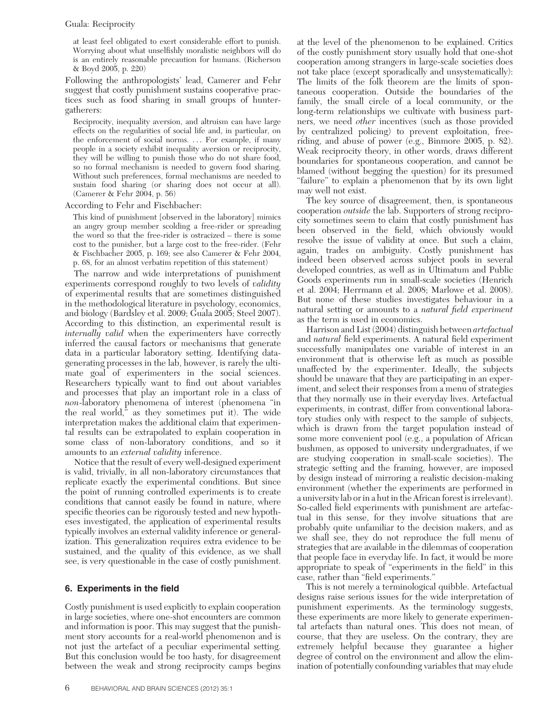at least feel obligated to exert considerable effort to punish. Worrying about what unselfishly moralistic neighbors will do is an entirely reasonable precaution for humans. (Richerson & Boyd 2005, p. 220)

Following the anthropologists' lead, Camerer and Fehr suggest that costly punishment sustains cooperative practices such as food sharing in small groups of huntergatherers:

Reciprocity, inequality aversion, and altruism can have large effects on the regularities of social life and, in particular, on the enforcement of social norms. ... For example, if many people in a society exhibit inequality aversion or reciprocity, they will be willing to punish those who do not share food, so no formal mechanism is needed to govern food sharing. Without such preferences, formal mechanisms are needed to sustain food sharing (or sharing does not occur at all). (Camerer & Fehr 2004, p. 56)

#### According to Fehr and Fischbacher:

This kind of punishment [observed in the laboratory] mimics an angry group member scolding a free-rider or spreading the word so that the free-rider is ostracized – there is some cost to the punisher, but a large cost to the free-rider. (Fehr & Fischbacher 2005, p. 169; see also Camerer & Fehr 2004, p. 68, for an almost verbatim repetition of this statement)

The narrow and wide interpretations of punishment experiments correspond roughly to two levels of validity of experimental results that are sometimes distinguished in the methodological literature in psychology, economics, and biology (Bardsley et al. 2009; Guala 2005; Steel 2007). According to this distinction, an experimental result is internally valid when the experimenters have correctly inferred the causal factors or mechanisms that generate data in a particular laboratory setting. Identifying datagenerating processes in the lab, however, is rarely the ultimate goal of experimenters in the social sciences. Researchers typically want to find out about variables and processes that play an important role in a class of non-laboratory phenomena of interest (phenomena "in the real world," as they sometimes put it). The wide interpretation makes the additional claim that experimental results can be extrapolated to explain cooperation in some class of non-laboratory conditions, and so it amounts to an external validity inference.

Notice that the result of every well-designed experiment is valid, trivially, in all non-laboratory circumstances that replicate exactly the experimental conditions. But since the point of running controlled experiments is to create conditions that cannot easily be found in nature, where specific theories can be rigorously tested and new hypotheses investigated, the application of experimental results typically involves an external validity inference or generalization. This generalization requires extra evidence to be sustained, and the quality of this evidence, as we shall see, is very questionable in the case of costly punishment.

## 6. Experiments in the field

Costly punishment is used explicitly to explain cooperation in large societies, where one-shot encounters are common and information is poor. This may suggest that the punishment story accounts for a real-world phenomenon and is not just the artefact of a peculiar experimental setting. But this conclusion would be too hasty, for disagreement between the weak and strong reciprocity camps begins

at the level of the phenomenon to be explained. Critics of the costly punishment story usually hold that one-shot cooperation among strangers in large-scale societies does not take place (except sporadically and unsystematically): The limits of the folk theorem are the limits of spontaneous cooperation. Outside the boundaries of the family, the small circle of a local community, or the long-term relationships we cultivate with business partners, we need other incentives (such as those provided by centralized policing) to prevent exploitation, freeriding, and abuse of power (e.g., Binmore 2005, p. 82). Weak reciprocity theory, in other words, draws different boundaries for spontaneous cooperation, and cannot be blamed (without begging the question) for its presumed "failure" to explain a phenomenon that by its own light may well not exist.

The key source of disagreement, then, is spontaneous cooperation outside the lab. Supporters of strong reciprocity sometimes seem to claim that costly punishment has been observed in the field, which obviously would resolve the issue of validity at once. But such a claim, again, trades on ambiguity. Costly punishment has indeed been observed across subject pools in several developed countries, as well as in Ultimatum and Public Goods experiments run in small-scale societies (Henrich et al. 2004; Herrmann et al. 2008; Marlowe et al. 2008). But none of these studies investigates behaviour in a natural setting or amounts to a *natural field experiment* as the term is used in economics.

Harrison and List (2004) distinguish between artefactual and natural field experiments. A natural field experiment successfully manipulates one variable of interest in an environment that is otherwise left as much as possible unaffected by the experimenter. Ideally, the subjects should be unaware that they are participating in an experiment, and select their responses from a menu of strategies that they normally use in their everyday lives. Artefactual experiments, in contrast, differ from conventional laboratory studies only with respect to the sample of subjects, which is drawn from the target population instead of some more convenient pool (e.g., a population of African bushmen, as opposed to university undergraduates, if we are studying cooperation in small-scale societies). The strategic setting and the framing, however, are imposed by design instead of mirroring a realistic decision-making environment (whether the experiments are performed in a university lab or in a hut in the African forest is irrelevant). So-called field experiments with punishment are artefactual in this sense, for they involve situations that are probably quite unfamiliar to the decision makers, and as we shall see, they do not reproduce the full menu of strategies that are available in the dilemmas of cooperation that people face in everyday life. In fact, it would be more appropriate to speak of "experiments in the field" in this case, rather than "field experiments."

This is not merely a terminological quibble. Artefactual designs raise serious issues for the wide interpretation of punishment experiments. As the terminology suggests, these experiments are more likely to generate experimental artefacts than natural ones. This does not mean, of course, that they are useless. On the contrary, they are extremely helpful because they guarantee a higher degree of control on the environment and allow the elimination of potentially confounding variables that may elude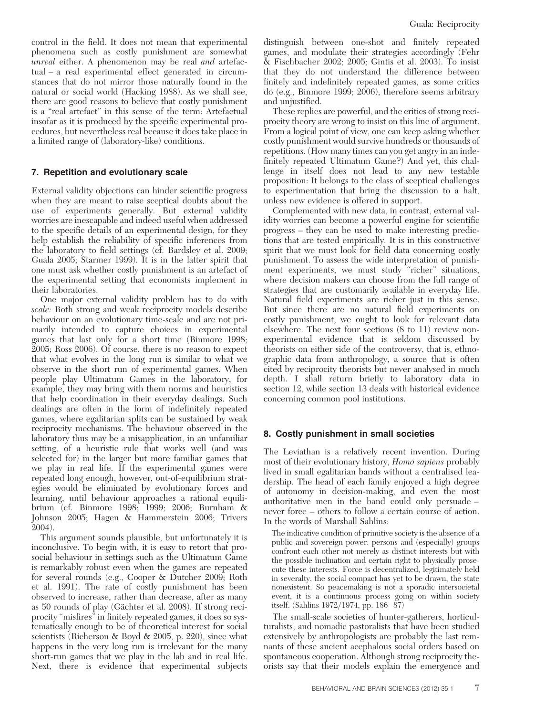control in the field. It does not mean that experimental phenomena such as costly punishment are somewhat unreal either. A phenomenon may be real and artefactual – a real experimental effect generated in circumstances that do not mirror those naturally found in the natural or social world (Hacking 1988). As we shall see, there are good reasons to believe that costly punishment is a "real artefact" in this sense of the term: Artefactual insofar as it is produced by the specific experimental procedures, but nevertheless real because it does take place in a limited range of (laboratory-like) conditions.

## 7. Repetition and evolutionary scale

External validity objections can hinder scientific progress when they are meant to raise sceptical doubts about the use of experiments generally. But external validity worries are inescapable and indeed useful when addressed to the specific details of an experimental design, for they help establish the reliability of specific inferences from the laboratory to field settings (cf. Bardsley et al. 2009; Guala 2005; Starmer 1999). It is in the latter spirit that one must ask whether costly punishment is an artefact of the experimental setting that economists implement in their laboratories.

One major external validity problem has to do with scale: Both strong and weak reciprocity models describe behaviour on an evolutionary time-scale and are not primarily intended to capture choices in experimental games that last only for a short time (Binmore 1998; 2005; Ross 2006). Of course, there is no reason to expect that what evolves in the long run is similar to what we observe in the short run of experimental games. When people play Ultimatum Games in the laboratory, for example, they may bring with them norms and heuristics that help coordination in their everyday dealings. Such dealings are often in the form of indefinitely repeated games, where egalitarian splits can be sustained by weak reciprocity mechanisms. The behaviour observed in the laboratory thus may be a misapplication, in an unfamiliar setting, of a heuristic rule that works well (and was selected for) in the larger but more familiar games that we play in real life. If the experimental games were repeated long enough, however, out-of-equilibrium strategies would be eliminated by evolutionary forces and learning, until behaviour approaches a rational equilibrium (cf. Binmore 1998; 1999; 2006; Burnham & Johnson 2005; Hagen & Hammerstein 2006; Trivers 2004).

This argument sounds plausible, but unfortunately it is inconclusive. To begin with, it is easy to retort that prosocial behaviour in settings such as the Ultimatum Game is remarkably robust even when the games are repeated for several rounds (e.g., Cooper & Dutcher 2009; Roth et al. 1991). The rate of costly punishment has been observed to increase, rather than decrease, after as many as 50 rounds of play (Gächter et al. 2008). If strong reciprocity "misfires" in finitely repeated games, it does so systematically enough to be of theoretical interest for social scientists (Richerson & Boyd & 2005, p. 220), since what happens in the very long run is irrelevant for the many short-run games that we play in the lab and in real life. Next, there is evidence that experimental subjects

distinguish between one-shot and finitely repeated games, and modulate their strategies accordingly (Fehr & Fischbacher 2002; 2005; Gintis et al. 2003). To insist that they do not understand the difference between finitely and indefinitely repeated games, as some critics do (e.g., Binmore 1999; 2006), therefore seems arbitrary and unjustified.

These replies are powerful, and the critics of strong reciprocity theory are wrong to insist on this line of argument. From a logical point of view, one can keep asking whether costly punishment would survive hundreds or thousands of repetitions. (How many times can you get angry in an indefinitely repeated Ultimatum Game?) And yet, this challenge in itself does not lead to any new testable proposition: It belongs to the class of sceptical challenges to experimentation that bring the discussion to a halt, unless new evidence is offered in support.

Complemented with new data, in contrast, external validity worries can become a powerful engine for scientific progress – they can be used to make interesting predictions that are tested empirically. It is in this constructive spirit that we must look for field data concerning costly punishment. To assess the wide interpretation of punishment experiments, we must study "richer" situations, where decision makers can choose from the full range of strategies that are customarily available in everyday life. Natural field experiments are richer just in this sense. But since there are no natural field experiments on costly punishment, we ought to look for relevant data elsewhere. The next four sections (8 to 11) review nonexperimental evidence that is seldom discussed by theorists on either side of the controversy, that is, ethnographic data from anthropology, a source that is often cited by reciprocity theorists but never analysed in much depth. I shall return briefly to laboratory data in section 12, while section 13 deals with historical evidence concerning common pool institutions.

## 8. Costly punishment in small societies

The Leviathan is a relatively recent invention. During most of their evolutionary history, Homo sapiens probably lived in small egalitarian bands without a centralised leadership. The head of each family enjoyed a high degree of autonomy in decision-making, and even the most authoritative men in the band could only persuade – never force – others to follow a certain course of action. In the words of Marshall Sahlins:

The indicative condition of primitive society is the absence of a public and sovereign power: persons and (especially) groups confront each other not merely as distinct interests but with the possible inclination and certain right to physically prosecute these interests. Force is decentralized, legitimately held in severalty, the social compact has yet to be drawn, the state nonexistent. So peacemaking is not a sporadic intersocietal event, it is a continuous process going on within society itself. (Sahlins 1972/1974, pp. 186–87)

The small-scale societies of hunter-gatherers, horticulturalists, and nomadic pastoralists that have been studied extensively by anthropologists are probably the last remnants of these ancient acephalous social orders based on spontaneous cooperation. Although strong reciprocity theorists say that their models explain the emergence and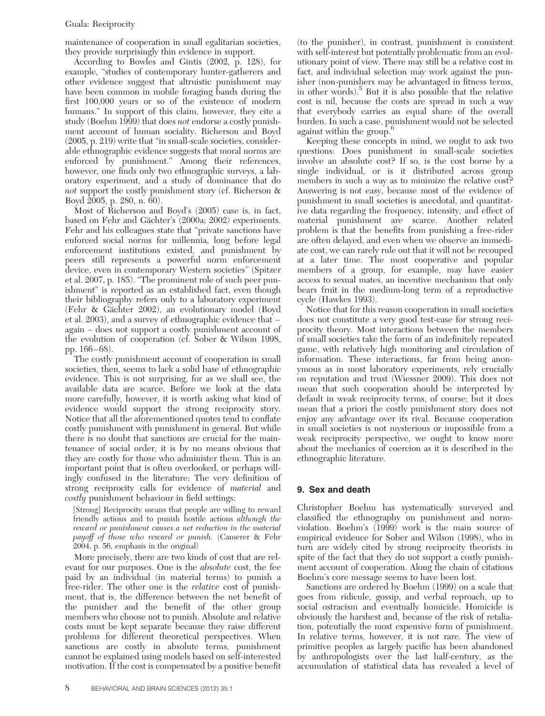maintenance of cooperation in small egalitarian societies, they provide surprisingly thin evidence in support.

According to Bowles and Gintis (2002, p. 128), for example, "studies of contemporary hunter-gatherers and other evidence suggest that altruistic punishment may have been common in mobile foraging bands during the first 100,000 years or so of the existence of modern humans." In support of this claim, however, they cite a study (Boehm 1999) that does *not* endorse a costly punishment account of human sociality. Richerson and Boyd (2005, p. 219) write that "in small-scale societies, considerable ethnographic evidence suggests that moral norms are enforced by punishment." Among their references, however, one finds only two ethnographic surveys, a laboratory experiment, and a study of dominance that do not support the costly punishment story (cf. Richerson & Boyd 2005, p. 280, n. 60).

Most of Richerson and Boyd's (2005) case is, in fact, based on Fehr and Gächter's (2000a; 2002) experiments. Fehr and his colleagues state that "private sanctions have enforced social norms for millennia, long before legal enforcement institutions existed, and punishment by peers still represents a powerful norm enforcement device, even in contemporary Western societies" (Spitzer et al. 2007, p. 185). "The prominent role of such peer punishment" is reported as an established fact, even though their bibliography refers only to a laboratory experiment (Fehr  $\&$  Gächter 2002), an evolutionary model (Boyd) et al. 2003), and a survey of ethnographic evidence that – again – does not support a costly punishment account of the evolution of cooperation (cf. Sober & Wilson 1998, pp. 166–68).

The costly punishment account of cooperation in small societies, then, seems to lack a solid base of ethnographic evidence. This is not surprising, for as we shall see, the available data are scarce. Before we look at the data more carefully, however, it is worth asking what kind of evidence would support the strong reciprocity story. Notice that all the aforementioned quotes tend to conflate costly punishment with punishment in general. But while there is no doubt that sanctions are crucial for the maintenance of social order, it is by no means obvious that they are costly for those who administer them. This is an important point that is often overlooked, or perhaps willingly confused in the literature: The very definition of strong reciprocity calls for evidence of *material* and costly punishment behaviour in field settings:

[Strong] Reciprocity means that people are willing to reward friendly actions and to punish hostile actions although the reward or punishment causes a net reduction in the material payoff of those who reward or punish. (Camerer & Fehr 2004, p. 56, emphasis in the original)

More precisely, there are two kinds of cost that are relevant for our purposes. One is the *absolute* cost, the fee paid by an individual (in material terms) to punish a free-rider. The other one is the *relative* cost of punishment, that is, the difference between the net benefit of the punisher and the benefit of the other group members who choose not to punish. Absolute and relative costs must be kept separate because they raise different problems for different theoretical perspectives. When sanctions are costly in absolute terms, punishment cannot be explained using models based on self-interested motivation. If the cost is compensated by a positive benefit

(to the punisher), in contrast, punishment is consistent with self-interest but potentially problematic from an evolutionary point of view. There may still be a relative cost in fact, and individual selection may work against the punisher (non-punishers may be advantaged in fitness terms, in other words). $5$  But it is also possible that the relative cost is nil, because the costs are spread in such a way that everybody carries an equal share of the overall burden. In such a case, punishment would not be selected against within the group.<sup>6</sup>

Keeping these concepts in mind, we ought to ask two questions: Does punishment in small-scale societies involve an absolute cost? If so, is the cost borne by a single individual, or is it distributed across group members in such a way as to minimize the relative cost? Answering is not easy, because most of the evidence of punishment in small societies is anecdotal, and quantitative data regarding the frequency, intensity, and effect of material punishment are scarce. Another related problem is that the benefits from punishing a free-rider are often delayed, and even when we observe an immediate cost, we can rarely rule out that it will not be recouped at a later time. The most cooperative and popular members of a group, for example, may have easier access to sexual mates, an incentive mechanism that only bears fruit in the medium-long term of a reproductive cycle (Hawkes 1993).

Notice that for this reason cooperation in small societies does not constitute a very good test-case for strong reciprocity theory. Most interactions between the members of small societies take the form of an indefinitely repeated game, with relatively high monitoring and circulation of information. These interactions, far from being anonymous as in most laboratory experiments, rely crucially on reputation and trust (Wiessner 2009). This does not mean that such cooperation should be interpreted by default in weak reciprocity terms, of course; but it does mean that a priori the costly punishment story does not enjoy any advantage over its rival. Because cooperation in small societies is not mysterious or impossible from a weak reciprocity perspective, we ought to know more about the mechanics of coercion as it is described in the ethnographic literature.

## 9. Sex and death

Christopher Boehm has systematically surveyed and classified the ethnography on punishment and normviolation. Boehm's (1999) work is the main source of empirical evidence for Sober and Wilson (1998), who in turn are widely cited by strong reciprocity theorists in spite of the fact that they do not support a costly punishment account of cooperation. Along the chain of citations Boehm's core message seems to have been lost.

Sanctions are ordered by Boehm (1999) on a scale that goes from ridicule, gossip, and verbal reproach, up to social ostracism and eventually homicide. Homicide is obviously the harshest and, because of the risk of retaliation, potentially the most expensive form of punishment. In relative terms, however, it is not rare. The view of primitive peoples as largely pacific has been abandoned by anthropologists over the last half-century, as the accumulation of statistical data has revealed a level of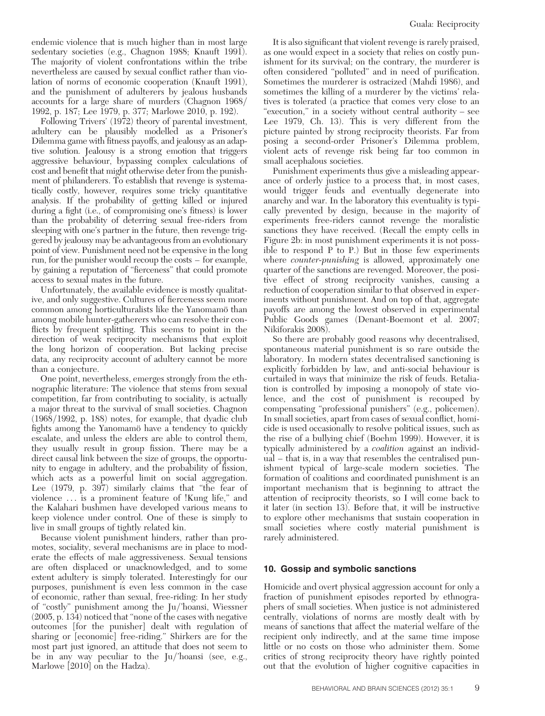endemic violence that is much higher than in most large sedentary societies (e.g., Chagnon 1988; Knauft 1991). The majority of violent confrontations within the tribe nevertheless are caused by sexual conflict rather than violation of norms of economic cooperation (Knauft 1991), and the punishment of adulterers by jealous husbands accounts for a large share of murders (Chagnon 1968/ 1992, p. 187; Lee 1979, p. 377; Marlowe 2010, p. 192).

Following Trivers' (1972) theory of parental investment, adultery can be plausibly modelled as a Prisoner's Dilemma game with fitness payoffs, and jealousy as an adaptive solution. Jealousy is a strong emotion that triggers aggressive behaviour, bypassing complex calculations of cost and benefit that might otherwise deter from the punishment of philanderers. To establish that revenge is systematically costly, however, requires some tricky quantitative analysis. If the probability of getting killed or injured during a fight (i.e., of compromising one's fitness) is lower than the probability of deterring sexual free-riders from sleeping with one's partner in the future, then revenge triggered by jealousy may be advantageous from an evolutionary point of view. Punishment need not be expensive in the long run, for the punisher would recoup the costs – for example, by gaining a reputation of "fierceness" that could promote access to sexual mates in the future.

Unfortunately, the available evidence is mostly qualitative, and only suggestive. Cultures of fierceness seem more common among horticulturalists like the Yanomamo than among mobile hunter-gatherers who can resolve their conflicts by frequent splitting. This seems to point in the direction of weak reciprocity mechanisms that exploit the long horizon of cooperation. But lacking precise data, any reciprocity account of adultery cannot be more than a conjecture.

One point, nevertheless, emerges strongly from the ethnographic literature: The violence that stems from sexual competition, far from contributing to sociality, is actually a major threat to the survival of small societies. Chagnon (1968/1992, p. 188) notes, for example, that dyadic club fights among the Yanomamö have a tendency to quickly escalate, and unless the elders are able to control them, they usually result in group fission. There may be a direct causal link between the size of groups, the opportunity to engage in adultery, and the probability of fission, which acts as a powerful limit on social aggregation. Lee (1979, p. 397) similarly claims that "the fear of violence ... is a prominent feature of !Kung life," and the Kalahari bushmen have developed various means to keep violence under control. One of these is simply to live in small groups of tightly related kin.

Because violent punishment hinders, rather than promotes, sociality, several mechanisms are in place to moderate the effects of male aggressiveness. Sexual tensions are often displaced or unacknowledged, and to some extent adultery is simply tolerated. Interestingly for our purposes, punishment is even less common in the case of economic, rather than sexual, free-riding: In her study of "costly" punishment among the Ju/'hoansi, Wiessner (2005, p. 134) noticed that "none of the cases with negative outcomes [for the punisher] dealt with regulation of sharing or [economic] free-riding." Shirkers are for the most part just ignored, an attitude that does not seem to be in any way peculiar to the Ju/'hoansi (see, e.g., Marlowe [2010] on the Hadza).

It is also significant that violent revenge is rarely praised, as one would expect in a society that relies on costly punishment for its survival; on the contrary, the murderer is often considered "polluted" and in need of purification. Sometimes the murderer is ostracized (Mahdi 1986), and sometimes the killing of a murderer by the victims' relatives is tolerated (a practice that comes very close to an "execution," in a society without central authority – see Lee 1979, Ch. 13). This is very different from the picture painted by strong reciprocity theorists. Far from posing a second-order Prisoner's Dilemma problem, violent acts of revenge risk being far too common in small acephalous societies.

Punishment experiments thus give a misleading appearance of orderly justice to a process that, in most cases, would trigger feuds and eventually degenerate into anarchy and war. In the laboratory this eventuality is typically prevented by design, because in the majority of experiments free-riders cannot revenge the moralistic sanctions they have received. (Recall the empty cells in Figure 2b: in most punishment experiments it is not possible to respond P to P.) But in those few experiments where *counter-punishing* is allowed, approximately one quarter of the sanctions are revenged. Moreover, the positive effect of strong reciprocity vanishes, causing a reduction of cooperation similar to that observed in experiments without punishment. And on top of that, aggregate payoffs are among the lowest observed in experimental Public Goods games (Denant-Boemont et al. 2007; Nikiforakis 2008).

So there are probably good reasons why decentralised, spontaneous material punishment is so rare outside the laboratory. In modern states decentralised sanctioning is explicitly forbidden by law, and anti-social behaviour is curtailed in ways that minimize the risk of feuds. Retaliation is controlled by imposing a monopoly of state violence, and the cost of punishment is recouped by compensating "professional punishers" (e.g., policemen). In small societies, apart from cases of sexual conflict, homicide is used occasionally to resolve political issues, such as the rise of a bullying chief (Boehm 1999). However, it is typically administered by a coalition against an individual – that is, in a way that resembles the centralised punishment typical of large-scale modern societies. The formation of coalitions and coordinated punishment is an important mechanism that is beginning to attract the attention of reciprocity theorists, so I will come back to it later (in section 13). Before that, it will be instructive to explore other mechanisms that sustain cooperation in small societies where costly material punishment is rarely administered.

## 10. Gossip and symbolic sanctions

Homicide and overt physical aggression account for only a fraction of punishment episodes reported by ethnographers of small societies. When justice is not administered centrally, violations of norms are mostly dealt with by means of sanctions that affect the material welfare of the recipient only indirectly, and at the same time impose little or no costs on those who administer them. Some critics of strong reciprocity theory have rightly pointed out that the evolution of higher cognitive capacities in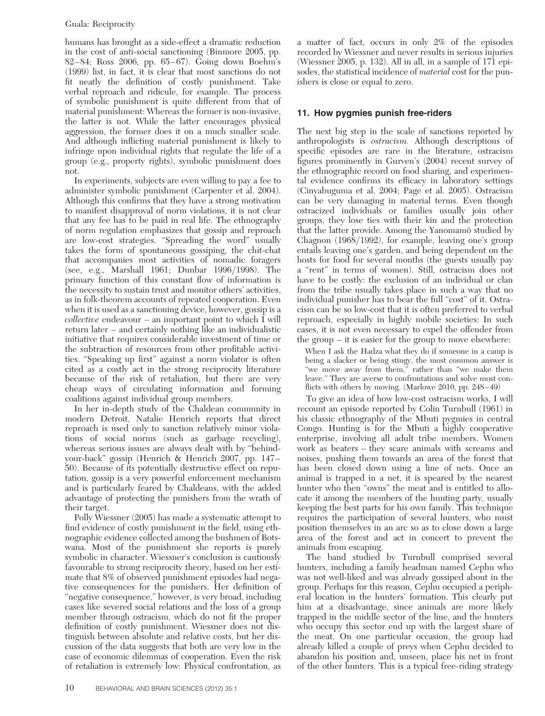humans has brought as a side-effect a dramatic reduction in the cost of anti-social sanctioning (Binmore 2005, pp. 82–84; Ross 2006, pp. 65–67). Going down Boehm's (1999) list, in fact, it is clear that most sanctions do not fit neatly the definition of costly punishment. Take verbal reproach and ridicule, for example. The process of symbolic punishment is quite different from that of material punishment: Whereas the former is non-invasive, the latter is not. While the latter encourages physical aggression, the former does it on a much smaller scale. And although inflicting material punishment is likely to infringe upon individual rights that regulate the life of a group (e.g., property rights), symbolic punishment does not.

In experiments, subjects are even willing to pay a fee to administer symbolic punishment (Carpenter et al. 2004). Although this confirms that they have a strong motivation to manifest disapproval of norm violations, it is not clear that any fee has to be paid in real life. The ethnography of norm regulation emphasizes that gossip and reproach are low-cost strategies. "Spreading the word" usually takes the form of spontaneous gossiping, the chit-chat that accompanies most activities of nomadic foragers (see, e.g., Marshall 1961; Dunbar 1996/1998). The primary function of this constant flow of information is the necessity to sustain trust and monitor others' activities, as in folk-theorem accounts of repeated cooperation. Even when it is used as a sanctioning device, however, gossip is a collective endeavour – an important point to which I will return later – and certainly nothing like an individualistic initiative that requires considerable investment of time or the subtraction of resources from other profitable activities. "Speaking up first" against a norm violator is often cited as a costly act in the strong reciprocity literature because of the risk of retaliation, but there are very cheap ways of circulating information and forming coalitions against individual group members.

In her in-depth study of the Chaldean community in modern Detroit, Natalie Henrich reports that direct reproach is used only to sanction relatively minor violations of social norms (such as garbage recycling), whereas serious issues are always dealt with by "behindyour-back" gossip (Henrich & Henrich 2007, pp. 147– 50). Because of its potentially destructive effect on reputation, gossip is a very powerful enforcement mechanism and is particularly feared by Chaldeans, with the added advantage of protecting the punishers from the wrath of their target.

Polly Wiessner (2005) has made a systematic attempt to find evidence of costly punishment in the field, using ethnographic evidence collected among the bushmen of Botswana. Most of the punishment she reports is purely symbolic in character. Wiessner's conclusion is cautiously favourable to strong reciprocity theory, based on her estimate that 8% of observed punishment episodes had negative consequences for the punishers. Her definition of "negative consequence," however, is very broad, including cases like severed social relations and the loss of a group member through ostracism, which do not fit the proper definition of costly punishment. Wiessner does not distinguish between absolute and relative costs, but her discussion of the data suggests that both are very low in the case of economic dilemmas of cooperation. Even the risk of retaliation is extremely low: Physical confrontation, as

a matter of fact, occurs in only 2% of the episodes recorded by Wiessner and never results in serious injuries (Wiessner 2005, p. 132). All in all, in a sample of 171 episodes, the statistical incidence of *material* cost for the punishers is close or equal to zero.

## 11. How pygmies punish free-riders

The next big step in the scale of sanctions reported by anthropologists is ostracism. Although descriptions of specific episodes are rare in the literature, ostracism figures prominently in Gurven's (2004) recent survey of the ethnographic record on food sharing, and experimental evidence confirms its efficacy in laboratory settings (Cinyabuguma et al. 2004; Page et al. 2005). Ostracism can be very damaging in material terms. Even though ostracized individuals or families usually join other groups, they lose ties with their kin and the protection that the latter provide. Among the Yanomamö studied by Chagnon (1968/1992), for example, leaving one's group entails leaving one's garden, and being dependent on the hosts for food for several months (the guests usually pay a "rent" in terms of women). Still, ostracism does not have to be costly: the exclusion of an individual or clan from the tribe usually takes place in such a way that no individual punisher has to bear the full "cost" of it. Ostracism can be so low-cost that it is often preferred to verbal reproach, especially in highly mobile societies: In such cases, it is not even necessary to expel the offender from the group – it is easier for the group to move elsewhere:

When I ask the Hadza what they do if someone in a camp is being a slacker or being stingy, the most common answer is "we move away from them," rather than "we make them leave." They are averse to confrontations and solve most conflicts with others by moving. (Marlowe 2010, pp. 248–49)

To give an idea of how low-cost ostracism works, I will recount an episode reported by Colin Turnbull (1961) in his classic ethnography of the Mbuti pygmies in central Congo. Hunting is for the Mbuti a highly cooperative enterprise, involving all adult tribe members. Women work as beaters – they scare animals with screams and noises, pushing them towards an area of the forest that has been closed down using a line of nets. Once an animal is trapped in a net, it is speared by the nearest hunter who then "owns" the meat and is entitled to allocate it among the members of the hunting party, usually keeping the best parts for his own family. This technique requires the participation of several hunters, who must position themselves in an arc so as to close down a large area of the forest and act in concert to prevent the animals from escaping.

The band studied by Turnbull comprised several hunters, including a family headman named Cephu who was not well-liked and was already gossiped about in the group. Perhaps for this reason, Cephu occupied a peripheral location in the hunters' formation. This clearly put him at a disadvantage, since animals are more likely trapped in the middle sector of the line, and the hunters who occupy this sector end up with the largest share of the meat. On one particular occasion, the group had already killed a couple of preys when Cephu decided to abandon his position and, unseen, place his net in front of the other hunters. This is a typical free-riding strategy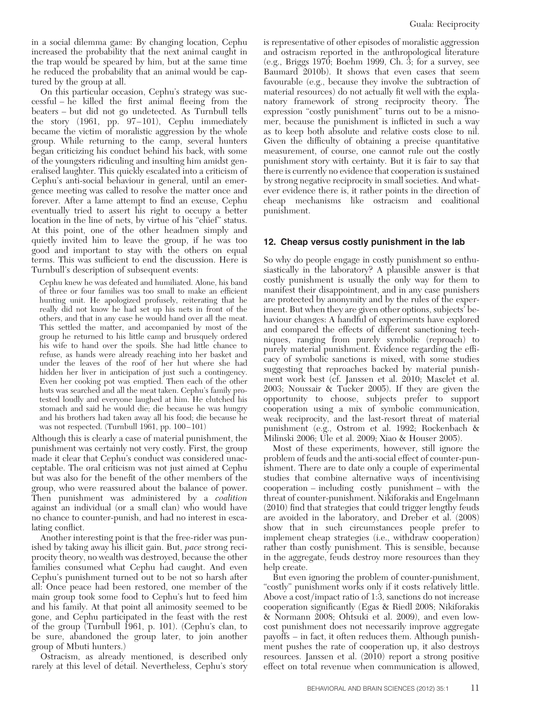in a social dilemma game: By changing location, Cephu increased the probability that the next animal caught in the trap would be speared by him, but at the same time he reduced the probability that an animal would be captured by the group at all.

On this particular occasion, Cephu's strategy was successful – he killed the first animal fleeing from the beaters – but did not go undetected. As Turnbull tells the story (1961, pp. 97–101), Cephu immediately became the victim of moralistic aggression by the whole group. While returning to the camp, several hunters began criticizing his conduct behind his back, with some of the youngsters ridiculing and insulting him amidst generalised laughter. This quickly escalated into a criticism of Cephu's anti-social behaviour in general, until an emergence meeting was called to resolve the matter once and forever. After a lame attempt to find an excuse, Cephu eventually tried to assert his right to occupy a better location in the line of nets, by virtue of his "chief" status. At this point, one of the other headmen simply and quietly invited him to leave the group, if he was too good and important to stay with the others on equal terms. This was sufficient to end the discussion. Here is Turnbull's description of subsequent events:

Cephu knew he was defeated and humiliated. Alone, his band of three or four families was too small to make an efficient hunting unit. He apologized profusely, reiterating that he really did not know he had set up his nets in front of the others, and that in any case he would hand over all the meat. This settled the matter, and accompanied by most of the group he returned to his little camp and brusquely ordered his wife to hand over the spoils. She had little chance to refuse, as hands were already reaching into her basket and under the leaves of the roof of her hut where she had hidden her liver in anticipation of just such a contingency. Even her cooking pot was emptied. Then each of the other huts was searched and all the meat taken. Cephu's family protested loudly and everyone laughed at him. He clutched his stomach and said he would die; die because he was hungry and his brothers had taken away all his food; die because he was not respected. (Turnbull 1961, pp. 100–101)

Although this is clearly a case of material punishment, the punishment was certainly not very costly. First, the group made it clear that Cephu's conduct was considered unacceptable. The oral criticism was not just aimed at Cephu but was also for the benefit of the other members of the group, who were reassured about the balance of power. Then punishment was administered by a *coalition* against an individual (or a small clan) who would have no chance to counter-punish, and had no interest in escalating conflict.

Another interesting point is that the free-rider was punished by taking away his illicit gain. But, pace strong reciprocity theory, no wealth was destroyed, because the other families consumed what Cephu had caught. And even Cephu's punishment turned out to be not so harsh after all: Once peace had been restored, one member of the main group took some food to Cephu's hut to feed him and his family. At that point all animosity seemed to be gone, and Cephu participated in the feast with the rest of the group (Turnbull 1961, p. 101). (Cephu's clan, to be sure, abandoned the group later, to join another group of Mbuti hunters.)

Ostracism, as already mentioned, is described only rarely at this level of detail. Nevertheless, Cephu's story is representative of other episodes of moralistic aggression and ostracism reported in the anthropological literature (e.g., Briggs  $1970$ ; Boehm 1999, Ch.  $\bar{3}$ ; for a survey, see Baumard 2010b). It shows that even cases that seem favourable (e.g., because they involve the subtraction of material resources) do not actually fit well with the explanatory framework of strong reciprocity theory. The expression "costly punishment" turns out to be a misnomer, because the punishment is inflicted in such a way as to keep both absolute and relative costs close to nil. Given the difficulty of obtaining a precise quantitative measurement, of course, one cannot rule out the costly punishment story with certainty. But it is fair to say that there is currently no evidence that cooperation is sustained by strong negative reciprocity in small societies. And whatever evidence there is, it rather points in the direction of cheap mechanisms like ostracism and coalitional punishment.

## 12. Cheap versus costly punishment in the lab

So why do people engage in costly punishment so enthusiastically in the laboratory? A plausible answer is that costly punishment is usually the only way for them to manifest their disappointment, and in any case punishers are protected by anonymity and by the rules of the experiment. But when they are given other options, subjects' behaviour changes: A handful of experiments have explored and compared the effects of different sanctioning techniques, ranging from purely symbolic (reproach) to purely material punishment. Evidence regarding the efficacy of symbolic sanctions is mixed, with some studies suggesting that reproaches backed by material punishment work best (cf. Janssen et al. 2010; Masclet et al. 2003; Noussair & Tucker 2005). If they are given the opportunity to choose, subjects prefer to support cooperation using a mix of symbolic communication, weak reciprocity, and the last-resort threat of material punishment (e.g., Ostrom et al. 1992; Rockenbach & Milinski 2006; Ule et al. 2009; Xiao & Houser 2005).

Most of these experiments, however, still ignore the problem of feuds and the anti-social effect of counter-punishment. There are to date only a couple of experimental studies that combine alternative ways of incentivising cooperation – including costly punishment – with the threat of counter-punishment. Nikiforakis and Engelmann (2010) find that strategies that could trigger lengthy feuds are avoided in the laboratory, and Dreber et al. (2008) show that in such circumstances people prefer to implement cheap strategies (i.e., withdraw cooperation) rather than costly punishment. This is sensible, because in the aggregate, feuds destroy more resources than they help create.

But even ignoring the problem of counter-punishment, "costly" punishment works only if it costs relatively little. Above a cost/impact ratio of 1:3, sanctions do not increase cooperation significantly (Egas & Riedl 2008; Nikiforakis & Normann 2008; Ohtsuki et al. 2009), and even lowcost punishment does not necessarily improve aggregate payoffs – in fact, it often reduces them. Although punishment pushes the rate of cooperation up, it also destroys resources. Janssen et al. (2010) report a strong positive effect on total revenue when communication is allowed,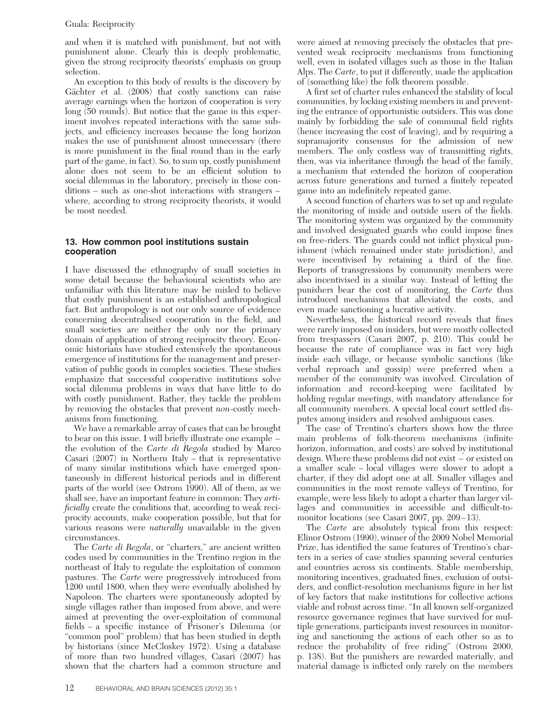and when it is matched with punishment, but not with punishment alone. Clearly this is deeply problematic, given the strong reciprocity theorists' emphasis on group selection.

An exception to this body of results is the discovery by Gächter et al. (2008) that costly sanctions can raise average earnings when the horizon of cooperation is very long (50 rounds). But notice that the game in this experiment involves repeated interactions with the same subjects, and efficiency increases because the long horizon makes the use of punishment almost unnecessary (there is more punishment in the final round than in the early part of the game, in fact). So, to sum up, costly punishment alone does not seem to be an efficient solution to social dilemmas in the laboratory, precisely in those conditions – such as one-shot interactions with strangers – where, according to strong reciprocity theorists, it would be most needed.

## 13. How common pool institutions sustain cooperation

I have discussed the ethnography of small societies in some detail because the behavioural scientists who are unfamiliar with this literature may be misled to believe that costly punishment is an established anthropological fact. But anthropology is not our only source of evidence concerning decentralised cooperation in the field, and small societies are neither the only nor the primary domain of application of strong reciprocity theory. Economic historians have studied extensively the spontaneous emergence of institutions for the management and preservation of public goods in complex societies. These studies emphasize that successful cooperative institutions solve social dilemma problems in ways that have little to do with costly punishment. Rather, they tackle the problem by removing the obstacles that prevent non-costly mechanisms from functioning.

We have a remarkable array of cases that can be brought to bear on this issue. I will briefly illustrate one example – the evolution of the Carte di Regola studied by Marco Casari (2007) in Northern Italy – that is representative of many similar institutions which have emerged spontaneously in different historical periods and in different parts of the world (see Ostrom 1990). All of them, as we shall see, have an important feature in common: They *arti*ficially create the conditions that, according to weak reciprocity accounts, make cooperation possible, but that for various reasons were naturally unavailable in the given circumstances.

The Carte di Regola, or "charters," are ancient written codes used by communities in the Trentino region in the northeast of Italy to regulate the exploitation of common pastures. The Carte were progressively introduced from 1200 until 1800, when they were eventually abolished by Napoleon. The charters were spontaneously adopted by single villages rather than imposed from above, and were aimed at preventing the over-exploitation of communal fields – a specific instance of Prisoner's Dilemma (or "common pool" problem) that has been studied in depth by historians (since McCloskey 1972). Using a database of more than two hundred villages, Casari (2007) has shown that the charters had a common structure and

were aimed at removing precisely the obstacles that prevented weak reciprocity mechanisms from functioning well, even in isolated villages such as those in the Italian Alps. The Carte, to put it differently, made the application of (something like) the folk theorem possible.

A first set of charter rules enhanced the stability of local communities, by locking existing members in and preventing the entrance of opportunistic outsiders. This was done mainly by forbidding the sale of communal field rights (hence increasing the cost of leaving), and by requiring a supramajority consensus for the admission of new members. The only costless way of transmitting rights, then, was via inheritance through the head of the family, a mechanism that extended the horizon of cooperation across future generations and turned a finitely repeated game into an indefinitely repeated game.

A second function of charters was to set up and regulate the monitoring of inside and outside users of the fields. The monitoring system was organized by the community and involved designated guards who could impose fines on free-riders. The guards could not inflict physical punishment (which remained under state jurisdiction), and were incentivised by retaining a third of the fine. Reports of transgressions by community members were also incentivised in a similar way. Instead of letting the punishers bear the cost of monitoring, the Carte thus introduced mechanisms that alleviated the costs, and even made sanctioning a lucrative activity.

Nevertheless, the historical record reveals that fines were rarely imposed on insiders, but were mostly collected from trespassers (Casari 2007, p. 210). This could be because the rate of compliance was in fact very high inside each village, or because symbolic sanctions (like verbal reproach and gossip) were preferred when a member of the community was involved. Circulation of information and record-keeping were facilitated by holding regular meetings, with mandatory attendance for all community members. A special local court settled disputes among insiders and resolved ambiguous cases.

The case of Trentino's charters shows how the three main problems of folk-theorem mechanisms (infinite horizon, information, and costs) are solved by institutional design. Where these problems did not exist – or existed on a smaller scale – local villages were slower to adopt a charter, if they did adopt one at all. Smaller villages and communities in the most remote valleys of Trentino, for example, were less likely to adopt a charter than larger villages and communities in accessible and difficult-tomonitor locations (see Casari 2007, pp. 209–13).

The *Carte* are absolutely typical from this respect: Elinor Ostrom (1990), winner of the 2009 Nobel Memorial Prize, has identified the same features of Trentino's charters in a series of case studies spanning several centuries and countries across six continents. Stable membership, monitoring incentives, graduated fines, exclusion of outsiders, and conflict-resolution mechanisms figure in her list of key factors that make institutions for collective actions viable and robust across time. "In all known self-organized resource governance regimes that have survived for multiple generations, participants invest resources in monitoring and sanctioning the actions of each other so as to reduce the probability of free riding" (Ostrom 2000, p. 138). But the punishers are rewarded materially, and material damage is inflicted only rarely on the members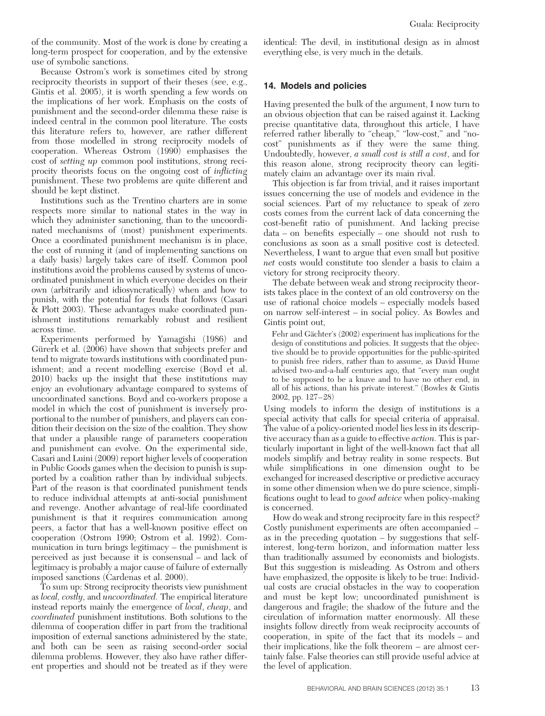of the community. Most of the work is done by creating a long-term prospect for cooperation, and by the extensive use of symbolic sanctions.

Because Ostrom's work is sometimes cited by strong reciprocity theorists in support of their theses (see, e.g., Gintis et al. 2005), it is worth spending a few words on the implications of her work. Emphasis on the costs of punishment and the second-order dilemma these raise is indeed central in the common pool literature. The costs this literature refers to, however, are rather different from those modelled in strong reciprocity models of cooperation. Whereas Ostrom (1990) emphasises the cost of setting up common pool institutions, strong reciprocity theorists focus on the ongoing cost of inflicting punishment. These two problems are quite different and should be kept distinct.

Institutions such as the Trentino charters are in some respects more similar to national states in the way in which they administer sanctioning, than to the uncoordinated mechanisms of (most) punishment experiments. Once a coordinated punishment mechanism is in place, the cost of running it (and of implementing sanctions on a daily basis) largely takes care of itself. Common pool institutions avoid the problems caused by systems of uncoordinated punishment in which everyone decides on their own (arbitrarily and idiosyncratically) when and how to punish, with the potential for feuds that follows (Casari & Plott 2003). These advantages make coordinated punishment institutions remarkably robust and resilient across time.

Experiments performed by Yamagishi (1986) and Gürerk et al.  $(2006)$  have shown that subjects prefer and tend to migrate towards institutions with coordinated punishment; and a recent modelling exercise (Boyd et al. 2010) backs up the insight that these institutions may enjoy an evolutionary advantage compared to systems of uncoordinated sanctions. Boyd and co-workers propose a model in which the cost of punishment is inversely proportional to the number of punishers, and players can condition their decision on the size of the coalition. They show that under a plausible range of parameters cooperation and punishment can evolve. On the experimental side, Casari and Luini (2009) report higher levels of cooperation in Public Goods games when the decision to punish is supported by a coalition rather than by individual subjects. Part of the reason is that coordinated punishment tends to reduce individual attempts at anti-social punishment and revenge. Another advantage of real-life coordinated punishment is that it requires communication among peers, a factor that has a well-known positive effect on cooperation (Ostrom 1990; Ostrom et al. 1992). Communication in turn brings legitimacy – the punishment is perceived as just because it is consensual – and lack of legitimacy is probably a major cause of failure of externally imposed sanctions (Cardenas et al. 2000).

To sum up: Strong reciprocity theorists view punishment as local, costly, and uncoordinated. The empirical literature instead reports mainly the emergence of *local*, *cheap*, and coordinated punishment institutions. Both solutions to the dilemma of cooperation differ in part from the traditional imposition of external sanctions administered by the state, and both can be seen as raising second-order social dilemma problems. However, they also have rather different properties and should not be treated as if they were

identical: The devil, in institutional design as in almost everything else, is very much in the details.

#### 14. Models and policies

Having presented the bulk of the argument, I now turn to an obvious objection that can be raised against it. Lacking precise quantitative data, throughout this article, I have referred rather liberally to "cheap," "low-cost," and "nocost" punishments as if they were the same thing. Undoubtedly, however, a small cost is still a cost, and for this reason alone, strong reciprocity theory can legitimately claim an advantage over its main rival.

This objection is far from trivial, and it raises important issues concerning the use of models and evidence in the social sciences. Part of my reluctance to speak of zero costs comes from the current lack of data concerning the cost-benefit ratio of punishment. And lacking precise data – on benefits especially – one should not rush to conclusions as soon as a small positive cost is detected. Nevertheless, I want to argue that even small but positive net costs would constitute too slender a basis to claim a victory for strong reciprocity theory.

The debate between weak and strong reciprocity theorists takes place in the context of an old controversy on the use of rational choice models – especially models based on narrow self-interest – in social policy. As Bowles and Gintis point out,

Fehr and Gächter's (2002) experiment has implications for the design of constitutions and policies. It suggests that the objective should be to provide opportunities for the public-spirited to punish free riders, rather than to assume, as David Hume advised two-and-a-half centuries ago, that "every man ought to be supposed to be a knave and to have no other end, in all of his actions, than his private interest." (Bowles & Gintis 2002, pp. 127–28)

Using models to inform the design of institutions is a special activity that calls for special criteria of appraisal. The value of a policy-oriented model lies less in its descriptive accuracy than as a guide to effective *action*. This is particularly important in light of the well-known fact that all models simplify and betray reality in some respects. But while simplifications in one dimension ought to be exchanged for increased descriptive or predictive accuracy in some other dimension when we do pure science, simplifications ought to lead to good advice when policy-making is concerned.

How do weak and strong reciprocity fare in this respect? Costly punishment experiments are often accompanied – as in the preceding quotation – by suggestions that selfinterest, long-term horizon, and information matter less than traditionally assumed by economists and biologists. But this suggestion is misleading. As Ostrom and others have emphasized, the opposite is likely to be true: Individual costs are crucial obstacles in the way to cooperation and must be kept low; uncoordinated punishment is dangerous and fragile; the shadow of the future and the circulation of information matter enormously. All these insights follow directly from weak reciprocity accounts of cooperation, in spite of the fact that its models – and their implications, like the folk theorem – are almost certainly false. False theories can still provide useful advice at the level of application.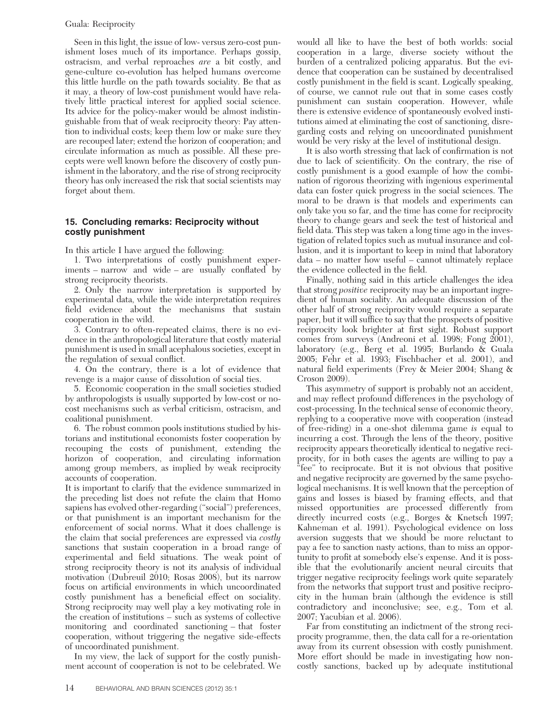## Guala: Reciprocity

Seen in this light, the issue of low- versus zero-cost punishment loses much of its importance. Perhaps gossip, ostracism, and verbal reproaches are a bit costly, and gene-culture co-evolution has helped humans overcome this little hurdle on the path towards sociality. Be that as it may, a theory of low-cost punishment would have relatively little practical interest for applied social science. Its advice for the policy-maker would be almost indistinguishable from that of weak reciprocity theory: Pay attention to individual costs; keep them low or make sure they are recouped later; extend the horizon of cooperation; and circulate information as much as possible. All these precepts were well known before the discovery of costly punishment in the laboratory, and the rise of strong reciprocity theory has only increased the risk that social scientists may forget about them.

## 15. Concluding remarks: Reciprocity without costly punishment

In this article I have argued the following:

1. Two interpretations of costly punishment experiments – narrow and wide – are usually conflated by strong reciprocity theorists.

2. Only the narrow interpretation is supported by experimental data, while the wide interpretation requires field evidence about the mechanisms that sustain cooperation in the wild.

3. Contrary to often-repeated claims, there is no evidence in the anthropological literature that costly material punishment is used in small acephalous societies, except in the regulation of sexual conflict.

4. On the contrary, there is a lot of evidence that revenge is a major cause of dissolution of social ties.

5. Economic cooperation in the small societies studied by anthropologists is usually supported by low-cost or nocost mechanisms such as verbal criticism, ostracism, and coalitional punishment.

6. The robust common pools institutions studied by historians and institutional economists foster cooperation by recouping the costs of punishment, extending the horizon of cooperation, and circulating information among group members, as implied by weak reciprocity accounts of cooperation.

It is important to clarify that the evidence summarized in the preceding list does not refute the claim that Homo sapiens has evolved other-regarding ("social") preferences, or that punishment is an important mechanism for the enforcement of social norms. What it does challenge is the claim that social preferences are expressed via costly sanctions that sustain cooperation in a broad range of experimental and field situations. The weak point of strong reciprocity theory is not its analysis of individual motivation (Dubreuil 2010; Rosas 2008), but its narrow focus on artificial environments in which uncoordinated costly punishment has a beneficial effect on sociality. Strong reciprocity may well play a key motivating role in the creation of institutions – such as systems of collective monitoring and coordinated sanctioning – that foster cooperation, without triggering the negative side-effects of uncoordinated punishment.

In my view, the lack of support for the costly punishment account of cooperation is not to be celebrated. We would all like to have the best of both worlds: social cooperation in a large, diverse society without the burden of a centralized policing apparatus. But the evidence that cooperation can be sustained by decentralised costly punishment in the field is scant. Logically speaking, of course, we cannot rule out that in some cases costly punishment can sustain cooperation. However, while there is extensive evidence of spontaneously evolved institutions aimed at eliminating the cost of sanctioning, disregarding costs and relying on uncoordinated punishment would be very risky at the level of institutional design.

It is also worth stressing that lack of confirmation is not due to lack of scientificity. On the contrary, the rise of costly punishment is a good example of how the combination of rigorous theorizing with ingenious experimental data can foster quick progress in the social sciences. The moral to be drawn is that models and experiments can only take you so far, and the time has come for reciprocity theory to change gears and seek the test of historical and field data. This step was taken a long time ago in the investigation of related topics such as mutual insurance and collusion, and it is important to keep in mind that laboratory data – no matter how useful – cannot ultimately replace the evidence collected in the field.

Finally, nothing said in this article challenges the idea that strong *positive* reciprocity may be an important ingredient of human sociality. An adequate discussion of the other half of strong reciprocity would require a separate paper, but it will suffice to say that the prospects of positive reciprocity look brighter at first sight. Robust support comes from surveys (Andreoni et al. 1998; Fong 2001), laboratory (e.g., Berg et al. 1995; Burlando & Guala 2005; Fehr et al. 1993; Fischbacher et al. 2001), and natural field experiments (Frey & Meier 2004; Shang & Croson 2009).

This asymmetry of support is probably not an accident, and may reflect profound differences in the psychology of cost-processing. In the technical sense of economic theory, replying to a cooperative move with cooperation (instead of free-riding) in a one-shot dilemma game is equal to incurring a cost. Through the lens of the theory, positive reciprocity appears theoretically identical to negative reciprocity, for in both cases the agents are willing to pay a "fee" to reciprocate. But it is not obvious that positive and negative reciprocity are governed by the same psychological mechanisms. It is well known that the perception of gains and losses is biased by framing effects, and that missed opportunities are processed differently from directly incurred costs (e.g., Borges & Knetsch 1997; Kahneman et al. 1991). Psychological evidence on loss aversion suggests that we should be more reluctant to pay a fee to sanction nasty actions, than to miss an opportunity to profit at somebody else's expense. And it is possible that the evolutionarily ancient neural circuits that trigger negative reciprocity feelings work quite separately from the networks that support trust and positive reciprocity in the human brain (although the evidence is still contradictory and inconclusive; see, e.g., Tom et al. 2007; Yacubian et al. 2006).

Far from constituting an indictment of the strong reciprocity programme, then, the data call for a re-orientation away from its current obsession with costly punishment. More effort should be made in investigating how noncostly sanctions, backed up by adequate institutional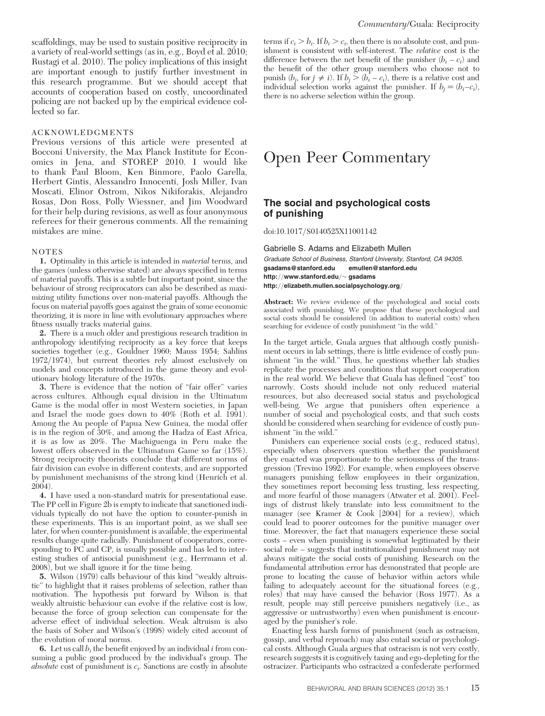scaffoldings, may be used to sustain positive reciprocity in a variety of real-world settings (as in, e.g., Boyd et al. 2010; Rustagi et al. 2010). The policy implications of this insight are important enough to justify further investment in this research programme. But we should accept that accounts of cooperation based on costly, uncoordinated policing are not backed up by the empirical evidence collected so far.

#### ACKNOWLEDGMENTS

Previous versions of this article were presented at Bocconi University, the Max Planck Institute for Economics in Jena, and STOREP 2010. I would like to thank Paul Bloom, Ken Binmore, Paolo Garella, Herbert Gintis, Alessandro Innocenti, Josh Miller, Ivan Moscati, Elinor Ostrom, Nikos Nikiforakis, Alejandro Rosas, Don Ross, Polly Wiessner, and Jim Woodward for their help during revisions, as well as four anonymous referees for their generous comments. All the remaining mistakes are mine.

#### NOTES

1. Optimality in this article is intended in material terms, and the games (unless otherwise stated) are always specified in terms of material payoffs. This is a subtle but important point, since the behaviour of strong reciprocators can also be described as maximizing utility functions over non-material payoffs. Although the focus on material payoffs goes against the grain of some economic theorizing, it is more in line with evolutionary approaches where fitness usually tracks material gains.

2. There is a much older and prestigious research tradition in anthropology identifying reciprocity as a key force that keeps societies together (e.g., Gouldner 1960; Mauss 1954; Sahlins 1972/1974), but current theories rely almost exclusively on models and concepts introduced in the game theory and evolutionary biology literature of the 1970s.

3. There is evidence that the notion of "fair offer" varies across cultures. Although equal division in the Ultimatum Game is the modal offer in most Western societies, in Japan and Israel the mode goes down to 40% (Roth et al. 1991). Among the Au people of Papua New Guinea, the modal offer is in the region of 30%, and among the Hadza of East Africa, it is as low as 20%. The Machiguenga in Peru make the lowest offers observed in the Ultimatum Game so far (15%). Strong reciprocity theorists conclude that different norms of fair division can evolve in different contexts, and are supported by punishment mechanisms of the strong kind (Henrich et al. 2004).

4. I have used a non-standard matrix for presentational ease. The PP cell in Figure 2b is empty to indicate that sanctioned individuals typically do not have the option to counter-punish in these experiments. This is an important point, as we shall see later, for when counter-punishment is available, the experimental results change quite radically. Punishment of cooperators, corresponding to PC and CP, is usually possible and has led to interesting studies of antisocial punishment (e.g., Herrmann et al. 2008), but we shall ignore it for the time being.

5. Wilson (1979) calls behaviour of this kind "weakly altruistic" to highlight that it raises problems of selection, rather than motivation. The hypothesis put forward by Wilson is that weakly altruistic behaviour can evolve if the relative cost is low, because the force of group selection can compensate for the adverse effect of individual selection. Weak altruism is also the basis of Sober and Wilson's (1998) widely cited account of the evolution of moral norms.

**6.** Let us call  $b_i$  the benefit enjoyed by an individual i from consuming a public good produced by the individual's group. The absolute cost of punishment is  $c_i$ . Sanctions are costly in absolute terms if  $c_i > b_i$ . If  $b_i > c_i$ , then there is no absolute cost, and punishment is consistent with self-interest. The relative cost is the difference between the net benefit of the punisher  $(b_i - c_i)$  and the benefit of the other group members who choose not to punish  $(b_j, \text{ for } j \neq i)$ . If  $b_j > (b_i - c_i)$ , there is a relative cost and individual selection works against the punisher. If  $b_i = (b_i - c_i)$ , there is no adverse selection within the group.

## Open Peer Commentary

## The social and psychological costs of punishing

doi:10.1017/S0140525X11001142

Gabrielle S. Adams and Elizabeth Mullen Graduate School of Business, Stanford University, Stanford, CA 94305. gsadams@stanford.edu emullen@stanford.edu http://www.stanford.edu/ $\sim$  gsadams http://elizabeth.mullen.socialpsychology.org/

Abstract: We review evidence of the psychological and social costs associated with punishing. We propose that these psychological and social costs should be considered (in addition to material costs) when searching for evidence of costly punishment "in the wild."

In the target article, Guala argues that although costly punishment occurs in lab settings, there is little evidence of costly punishment "in the wild." Thus, he questions whether lab studies replicate the processes and conditions that support cooperation in the real world. We believe that Guala has defined "cost" too narrowly. Costs should include not only reduced material resources, but also decreased social status and psychological well-being. We argue that punishers often experience a number of social and psychological costs, and that such costs should be considered when searching for evidence of costly punishment "in the wild."

Punishers can experience social costs (e.g., reduced status), especially when observers question whether the punishment they enacted was proportionate to the seriousness of the transgression (Trevino 1992). For example, when employees observe managers punishing fellow employees in their organization, they sometimes report becoming less trusting, less respecting, and more fearful of those managers (Atwater et al. 2001). Feelings of distrust likely translate into less commitment to the manager (see Kramer & Cook [2004] for a review), which could lead to poorer outcomes for the punitive manager over time. Moreover, the fact that managers experience these social costs – even when punishing is somewhat legitimated by their social role – suggests that institutionalized punishment may not always mitigate the social costs of punishing. Research on the fundamental attribution error has demonstrated that people are prone to locating the cause of behavior within actors while failing to adequately account for the situational forces (e.g., roles) that may have caused the behavior (Ross 1977). As a result, people may still perceive punishers negatively (i.e., as aggressive or untrustworthy) even when punishment is encouraged by the punisher's role.

Enacting less harsh forms of punishment (such as ostracism, gossip, and verbal reproach) may also entail social or psychological costs. Although Guala argues that ostracism is not very costly, research suggests it is cognitively taxing and ego-depleting for the ostracizer. Participants who ostracized a confederate performed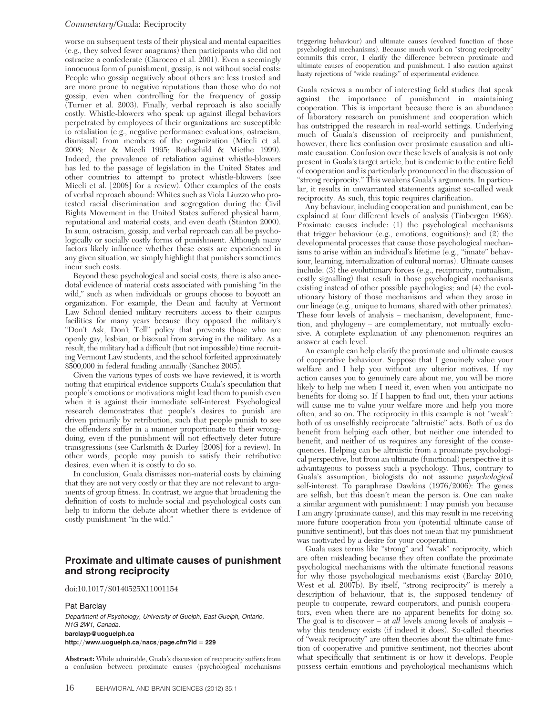worse on subsequent tests of their physical and mental capacities (e.g., they solved fewer anagrams) then participants who did not ostracize a confederate (Ciarocco et al. 2001). Even a seemingly innocuous form of punishment, gossip, is not without social costs: People who gossip negatively about others are less trusted and are more prone to negative reputations than those who do not gossip, even when controlling for the frequency of gossip (Turner et al. 2003). Finally, verbal reproach is also socially costly. Whistle-blowers who speak up against illegal behaviors perpetrated by employees of their organizations are susceptible to retaliation (e.g., negative performance evaluations, ostracism, dismissal) from members of the organization (Miceli et al. 2008; Near & Miceli 1995; Rothschild & Miethe 1999). Indeed, the prevalence of retaliation against whistle-blowers has led to the passage of legislation in the United States and other countries to attempt to protect whistle-blowers (see Miceli et al. [2008] for a review). Other examples of the costs of verbal reproach abound: Whites such as Viola Liuzzo who protested racial discrimination and segregation during the Civil Rights Movement in the United States suffered physical harm, reputational and material costs, and even death (Stanton 2000). In sum, ostracism, gossip, and verbal reproach can all be psychologically or socially costly forms of punishment. Although many factors likely influence whether these costs are experienced in any given situation, we simply highlight that punishers sometimes incur such costs.

Beyond these psychological and social costs, there is also anecdotal evidence of material costs associated with punishing "in the wild," such as when individuals or groups choose to boycott an organization. For example, the Dean and faculty at Vermont Law School denied military recruiters access to their campus facilities for many years because they opposed the military's "Don't Ask, Don't Tell" policy that prevents those who are openly gay, lesbian, or bisexual from serving in the military. As a result, the military had a difficult (but not impossible) time recruiting Vermont Law students, and the school forfeited approximately \$500,000 in federal funding annually (Sanchez 2005).

Given the various types of costs we have reviewed, it is worth noting that empirical evidence supports Guala's speculation that people's emotions or motivations might lead them to punish even when it is against their immediate self-interest. Psychological research demonstrates that people's desires to punish are driven primarily by retribution, such that people punish to see the offenders suffer in a manner proportionate to their wrongdoing, even if the punishment will not effectively deter future transgressions (see Carlsmith & Darley [2008] for a review). In other words, people may punish to satisfy their retributive desires, even when it is costly to do so.

In conclusion, Guala dismisses non-material costs by claiming that they are not very costly or that they are not relevant to arguments of group fitness. In contrast, we argue that broadening the definition of costs to include social and psychological costs can help to inform the debate about whether there is evidence of costly punishment "in the wild."

## Proximate and ultimate causes of punishment and strong reciprocity

#### doi:10.1017/S0140525X11001154

#### Pat Barclay

Department of Psychology, University of Guelph, East Guelph, Ontario, N1G 2W1, Canada. barclayp@uoguelph.ca  $http://www.uoguelph.ca/nacs/page.cfm?id = 229$ 

Abstract: While admirable, Guala's discussion of reciprocity suffers from a confusion between proximate causes (psychological mechanisms

triggering behaviour) and ultimate causes (evolved function of those psychological mechanisms). Because much work on "strong reciprocity" commits this error, I clarify the difference between proximate and ultimate causes of cooperation and punishment. I also caution against hasty rejections of "wide readings" of experimental evidence.

Guala reviews a number of interesting field studies that speak against the importance of punishment in maintaining cooperation. This is important because there is an abundance of laboratory research on punishment and cooperation which has outstripped the research in real-world settings. Underlying much of Guala's discussion of reciprocity and punishment, however, there lies confusion over proximate causation and ultimate causation. Confusion over these levels of analysis is not only present in Guala's target article, but is endemic to the entire field of cooperation and is particularly pronounced in the discussion of "strong reciprocity." This weakens Guala's arguments. In particular, it results in unwarranted statements against so-called weak reciprocity. As such, this topic requires clarification.

Any behaviour, including cooperation and punishment, can be explained at four different levels of analysis (Tinbergen 1968). Proximate causes include: (1) the psychological mechanisms that trigger behaviour (e.g., emotions, cognitions); and (2) the developmental processes that cause those psychological mechanisms to arise within an individual's lifetime (e.g., "innate" behaviour, learning, internalization of cultural norms). Ultimate causes include: (3) the evolutionary forces (e.g., reciprocity, mutualism, costly signalling) that result in those psychological mechanisms existing instead of other possible psychologies; and (4) the evolutionary history of those mechanisms and when they arose in our lineage (e.g., unique to humans, shared with other primates). These four levels of analysis – mechanism, development, function, and phylogeny – are complementary, not mutually exclusive. A complete explanation of any phenomenon requires an answer at each level.

An example can help clarify the proximate and ultimate causes of cooperative behaviour. Suppose that I genuinely value your welfare and I help you without any ulterior motives. If my action causes you to genuinely care about me, you will be more likely to help me when I need it, even when you anticipate no benefits for doing so. If I happen to find out, then your actions will cause me to value your welfare more and help you more often, and so on. The reciprocity in this example is not "weak": both of us unselfishly reciprocate "altruistic" acts. Both of us do benefit from helping each other, but neither one intended to benefit, and neither of us requires any foresight of the consequences. Helping can be altruistic from a proximate psychological perspective, but from an ultimate (functional) perspective it is advantageous to possess such a psychology. Thus, contrary to Guala's assumption, biologists do not assume psychological self-interest. To paraphrase Dawkins (1976/2006): The genes are selfish, but this doesn't mean the person is. One can make a similar argument with punishment: I may punish you because I am angry (proximate cause), and this may result in me receiving more future cooperation from you (potential ultimate cause of punitive sentiment), but this does not mean that my punishment was motivated by a desire for your cooperation.

Guala uses terms like "strong" and "weak" reciprocity, which are often misleading because they often conflate the proximate psychological mechanisms with the ultimate functional reasons for why those psychological mechanisms exist (Barclay 2010; West et al. 2007b). By itself, "strong reciprocity" is merely a description of behaviour, that is, the supposed tendency of people to cooperate, reward cooperators, and punish cooperators, even when there are no apparent benefits for doing so. The goal is to discover – at *all* levels among levels of analysis – why this tendency exists (if indeed it does). So-called theories of "weak reciprocity" are often theories about the ultimate function of cooperative and punitive sentiment, not theories about what specifically that sentiment is or how it develops. People possess certain emotions and psychological mechanisms which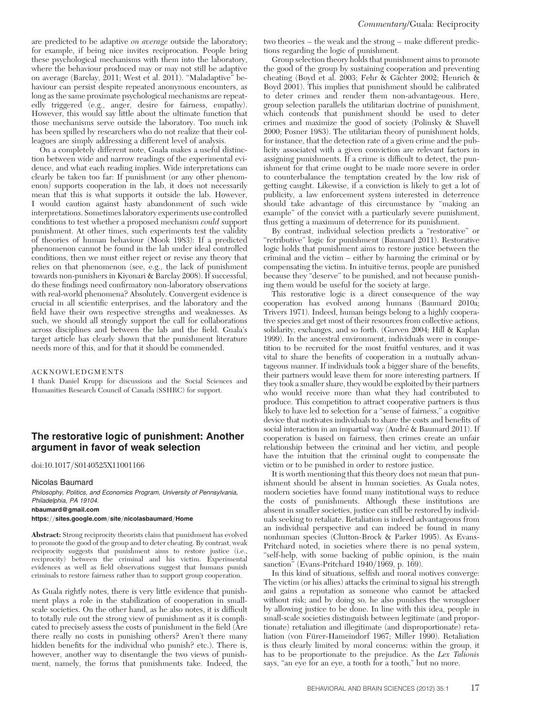are predicted to be adaptive on average outside the laboratory; for example, if being nice invites reciprocation. People bring these psychological mechanisms with them into the laboratory, where the behaviour produced may or may not still be adaptive on average (Barclay, 2011; West et al. 2011). "Maladaptive" behaviour can persist despite repeated anonymous encounters, as long as the same proximate psychological mechanisms are repeatedly triggered (e.g., anger, desire for fairness, empathy). However, this would say little about the ultimate function that those mechanisms serve outside the laboratory. Too much ink has been spilled by researchers who do not realize that their colleagues are simply addressing a different level of analysis.

On a completely different note, Guala makes a useful distinction between wide and narrow readings of the experimental evidence, and what each reading implies. Wide interpretations can clearly be taken too far: If punishment (or any other phenomenon) supports cooperation in the lab, it does not necessarily mean that this is what supports it outside the lab. However, I would caution against hasty abandonment of such wide interpretations. Sometimes laboratory experiments use controlled conditions to test whether a proposed mechanism could support punishment. At other times, such experiments test the validity of theories of human behaviour (Mook 1983): If a predicted phenomenon cannot be found in the lab under ideal controlled conditions, then we must either reject or revise any theory that relies on that phenomenon (see, e.g., the lack of punishment towards non-punishers in Kiyonari & Barclay 2008). If successful, do these findings need confirmatory non-laboratory observations with real-world phenomena? Absolutely. Convergent evidence is crucial in all scientific enterprises, and the laboratory and the field have their own respective strengths and weaknesses. As such, we should all strongly support the call for collaborations across disciplines and between the lab and the field. Guala's target article has clearly shown that the punishment literature needs more of this, and for that it should be commended.

#### ACKNOWLEDGMENTS

I thank Daniel Krupp for discussions and the Social Sciences and Humanities Research Council of Canada (SSHRC) for support.

## The restorative logic of punishment: Another argument in favor of weak selection

doi:10.1017/S0140525X11001166

#### Nicolas Baumard

Philosophy, Politics, and Economics Program, University of Pennsylvania, Philadelphia, PA 19104. nbaumard@gmail.com

https://sites.google.com/site/nicolasbaumard/Home

Abstract: Strong reciprocity theorists claim that punishment has evolved to promote the good of the group and to deter cheating. By contrast, weak reciprocity suggests that punishment aims to restore justice (i.e., reciprocity) between the criminal and his victim. Experimental evidences as well as field observations suggest that humans punish criminals to restore fairness rather than to support group cooperation.

As Guala rightly notes, there is very little evidence that punishment plays a role in the stabilization of cooperation in smallscale societies. On the other hand, as he also notes, it is difficult to totally rule out the strong view of punishment as it is complicated to precisely assess the costs of punishment in the field (Are there really no costs in punishing others? Aren't there many hidden benefits for the individual who punish? etc.). There is, however, another way to disentangle the two views of punishment, namely, the forms that punishments take. Indeed, the

two theories – the weak and the strong – make different predictions regarding the logic of punishment.

Group selection theory holds that punishment aims to promote the good of the group by sustaining cooperation and preventing cheating (Boyd et al. 2003; Fehr & Gächter 2002; Henrich & Boyd 2001). This implies that punishment should be calibrated to deter crimes and render them non-advantageous. Here, group selection parallels the utilitarian doctrine of punishment, which contends that punishment should be used to deter crimes and maximize the good of society (Polinsky & Shavell 2000; Posner 1983). The utilitarian theory of punishment holds, for instance, that the detection rate of a given crime and the publicity associated with a given conviction are relevant factors in assigning punishments. If a crime is difficult to detect, the punishment for that crime ought to be made more severe in order to counterbalance the temptation created by the low risk of getting caught. Likewise, if a conviction is likely to get a lot of publicity, a law enforcement system interested in deterrence should take advantage of this circumstance by "making an example" of the convict with a particularly severe punishment, thus getting a maximum of deterrence for its punishment.

By contrast, individual selection predicts a "restorative" or "retributive" logic for punishment (Baumard 2011). Restorative logic holds that punishment aims to restore justice between the criminal and the victim – either by harming the criminal or by compensating the victim. In intuitive terms, people are punished because they "deserve" to be punished, and not because punishing them would be useful for the society at large.

This restorative logic is a direct consequence of the way cooperation has evolved among humans (Baumard 2010a; Trivers 1971). Indeed, human beings belong to a highly cooperative species and get most of their resources from collective actions, solidarity, exchanges, and so forth. (Gurven 2004; Hill & Kaplan 1999). In the ancestral environment, individuals were in competition to be recruited for the most fruitful ventures, and it was vital to share the benefits of cooperation in a mutually advantageous manner. If individuals took a bigger share of the benefits, their partners would leave them for more interesting partners. If they took a smaller share, they would be exploited by their partners who would receive more than what they had contributed to produce. This competition to attract cooperative partners is thus likely to have led to selection for a "sense of fairness," a cognitive device that motivates individuals to share the costs and benefits of social interaction in an impartial way (André & Baumard 2011). If cooperation is based on fairness, then crimes create an unfair relationship between the criminal and her victim, and people have the intuition that the criminal ought to compensate the victim or to be punished in order to restore justice.

It is worth mentioning that this theory does not mean that punishment should be absent in human societies. As Guala notes, modern societies have found many institutional ways to reduce the costs of punishments. Although these institutions are absent in smaller societies, justice can still be restored by individuals seeking to retaliate. Retaliation is indeed advantageous from an individual perspective and can indeed be found in many nonhuman species (Clutton-Brock & Parker 1995). As Evans-Pritchard noted, in societies where there is no penal system, "self-help, with some backing of public opinion, is the main sanction" (Evans-Pritchard 1940/1969, p. 169).

In this kind of situations, selfish and moral motives converge: The victim (or his allies) attacks the criminal to signal his strength and gains a reputation as someone who cannot be attacked without risk; and by doing so, he also punishes the wrongdoer by allowing justice to be done. In line with this idea, people in small-scale societies distinguish between legitimate (and proportionate) retaliation and illegitimate (and disproportionate) retaliation (von Fürer-Hameindorf 1967; Miller 1990). Retaliation is thus clearly limited by moral concerns: within the group, it has to be proportionate to the prejudice. As the Lex Talionis says, "an eye for an eye, a tooth for a tooth," but no more.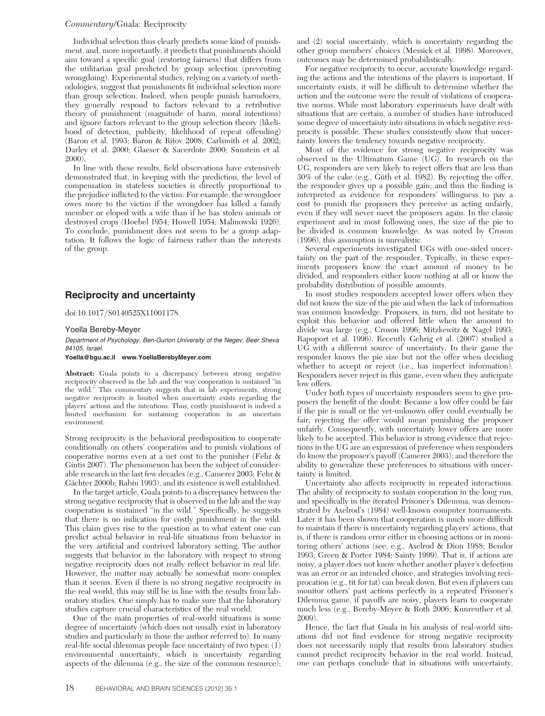Individual selection thus clearly predicts some kind of punishment, and, more importantly, it predicts that punishments should aim toward a specific goal (restoring fairness) that differs from the utilitarian goal predicted by group selection (preventing wrongdoing). Experimental studies, relying on a variety of methodologies, suggest that punishments fit individual selection more than group selection. Indeed, when people punish harmdoers, they generally respond to factors relevant to a retributive theory of punishment (magnitude of harm, moral intentions) and ignore factors relevant to the group selection theory (likelihood of detection, publicity, likelihood of repeat offending) (Baron et al. 1993; Baron & Ritov 2008; Carlsmith et al. 2002; Darley et al. 2000; Glaeser & Sacerdote 2000; Sunstein et al. 2000).

In line with these results, field observations have extensively demonstrated that, in keeping with the prediction, the level of compensation in stateless societies is directly proportional to the prejudice inflicted to the victim: For example, the wrongdoer owes more to the victim if the wrongdoer has killed a family member or eloped with a wife than if he has stolen animals or destroyed crops (Hoebel 1954; Howell 1954; Malinowski 1926). To conclude, punishment does not seem to be a group adaptation. It follows the logic of fairness rather than the interests of the group.

## Reciprocity and uncertainty

doi:10.1017/S0140525X11001178

#### Yoella Bereby-Meyer

Department of Psychology, Ben-Gurion University of the Negev, Beer Sheva 84105, Israel.

Yoella@bgu.ac.il www.YoellaBerebyMeyer.com

Abstract: Guala points to a discrepancy between strong negative reciprocity observed in the lab and the way cooperation is sustained "in the wild." This commentary suggests that in lab experiments, strong negative reciprocity is limited when uncertainty exists regarding the players' actions and the intentions. Thus, costly punishment is indeed a limited mechanism for sustaining cooperation in an uncertain environment.

Strong reciprocity is the behavioral predisposition to cooperate conditionally on others' cooperation and to punish violations of cooperative norms even at a net cost to the punisher (Fehr & Gintis 2007). The phenomenon has been the subject of considerable research in the last few decades (e.g., Camerer 2003; Fehr & Gächter 2000b; Rabin 1993), and its existence is well established.

In the target article, Guala points to a discrepancy between the strong negative reciprocity that is observed in the lab and the way cooperation is sustained "in the wild." Specifically, he suggests that there is no indication for costly punishment in the wild. This claim gives rise to the question as to what extent one can predict actual behavior in real-life situations from behavior in the very artificial and contrived laboratory setting. The author suggests that behavior in the laboratory with respect to strong negative reciprocity does not really reflect behavior in real life. However, the matter may actually be somewhat more complex than it seems. Even if there is no strong negative reciprocity in the real world, this may still be in line with the results from laboratory studies. One simply has to make sure that the laboratory studies capture crucial characteristics of the real world.

One of the main properties of real-world situations is some degree of uncertainty (which does not usually exist in laboratory studies and particularly in those the author referred to). In many real-life social dilemmas people face uncertainty of two types: (1) environmental uncertainty, which is uncertainty regarding aspects of the dilemma (e.g., the size of the common resource);

and (2) social uncertainty, which is uncertainty regarding the other group members' choices (Messick et al. 1998). Moreover, outcomes may be determined probabilistically.

For negative reciprocity to occur, accurate knowledge regarding the actions and the intentions of the players is important. If uncertainty exists, it will be difficult to determine whether the action and the outcome were the result of violations of cooperative norms. While most laboratory experiments have dealt with situations that are certain, a number of studies have introduced some degree of uncertainty into situations in which negative reciprocity is possible. These studies consistently show that uncertainty lowers the tendency towards negative reciprocity.

Most of the evidence for strong negative reciprocity was observed in the Ultimatum Game (UG). In research on the UG, responders are very likely to reject offers that are less than 30% of the cake (e.g., Güth et al. 1982). By rejecting the offer, the responder gives up a possible gain; and thus the finding is interpreted as evidence for responders' willingness to pay a cost to punish the proposers they perceive as acting unfairly, even if they will never meet the proposers again. In the classic experiment and in most following ones, the size of the pie to be divided is common knowledge. As was noted by Croson (1996), this assumption is unrealistic.

Several experiments investigated UGs with one-sided uncertainty on the part of the responder. Typically, in these experiments proposers know the exact amount of money to be divided, and responders either know nothing at all or know the probability distribution of possible amounts.

In most studies responders accepted lower offers when they did not know the size of the pie and when the lack of information was common knowledge. Proposers, in turn, did not hesitate to exploit this behavior and offered little when the amount to divide was large (e.g., Croson 1996; Mitzkewitz & Nagel 1993; Rapoport et al. 1996). Recently Gehrig et al. (2007) studied a UG with a different source of uncertainty. In their game the responder knows the pie size but not the offer when deciding whether to accept or reject (i.e., has imperfect information). Responders never reject in this game, even when they anticipate low offers.

Under both types of uncertainty responders seem to give proposers the benefit of the doubt: Because a low offer could be fair if the pie is small or the yet-unknown offer could eventually be fair, rejecting the offer would mean punishing the proposer unfairly. Consequently, with uncertainty lower offers are more likely to be accepted. This behavior is strong evidence that rejections in the UG are an expression of preference when responders do know the proposer's payoff (Camerer 2003); and therefore the ability to generalize these preferences to situations with uncertainty is limited.

Uncertainty also affects reciprocity in repeated interactions. The ability of reciprocity to sustain cooperation in the long run, and specifically in the iterated Prisoner's Dilemma, was demonstrated by Axelrod's (1984) well-known computer tournaments. Later it has been shown that cooperation is much more difficult to maintain if there is uncertainty regarding players' actions, that is, if there is random error either in choosing actions or in monitoring others' actions (see, e.g., Axelrod & Dion 1988; Bendor 1993; Green & Porter 1984; Sainty 1999). That is, if actions are noisy, a player does not know whether another player's defection was an error or an intended choice, and strategies involving reciprocation (e.g., tit for tat) can break down. But even if players can monitor others' past actions perfectly in a repeated Prisoner's Dilemma game, if payoffs are noisy, players learn to cooperate much less (e.g., Bereby-Meyer & Roth 2006; Kunreuther et al. 2009).

Hence, the fact that Guala in his analysis of real-world situations did not find evidence for strong negative reciprocity does not necessarily imply that results from laboratory studies cannot predict reciprocity behavior in the real world. Instead, one can perhaps conclude that in situations with uncertainty,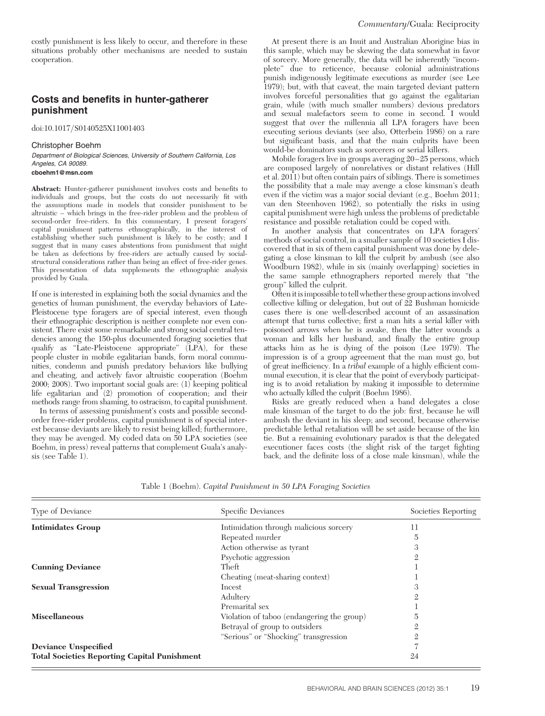costly punishment is less likely to occur, and therefore in these situations probably other mechanisms are needed to sustain cooperation.

## Costs and benefits in hunter-gatherer punishment

doi:10.1017/S0140525X11001403

#### Christopher Boehm

Department of Biological Sciences, University of Southern California, Los Angeles, CA 90089.

## cboehm1@msn.com

Abstract: Hunter-gatherer punishment involves costs and benefits to individuals and groups, but the costs do not necessarily fit with the assumptions made in models that consider punishment to be altruistic – which brings in the free-rider problem and the problem of second-order free-riders. In this commentary, I present foragers' capital punishment patterns ethnographically, in the interest of establishing whether such punishment is likely to be costly; and I suggest that in many cases abstentions from punishment that might be taken as defections by free-riders are actually caused by socialstructural considerations rather than being an effect of free-rider genes. This presentation of data supplements the ethnographic analysis provided by Guala.

If one is interested in explaining both the social dynamics and the genetics of human punishment, the everyday behaviors of Late-Pleistocene type foragers are of special interest, even though their ethnographic description is neither complete nor even consistent. There exist some remarkable and strong social central tendencies among the 150-plus documented foraging societies that qualify as "Late-Pleistocene appropriate" (LPA), for these people cluster in mobile egalitarian bands, form moral communities, condemn and punish predatory behaviors like bullying and cheating, and actively favor altruistic cooperation (Boehm 2000; 2008). Two important social goals are: (1) keeping political life egalitarian and (2) promotion of cooperation; and their methods range from shaming, to ostracism, to capital punishment.

In terms of assessing punishment's costs and possible secondorder free-rider problems, capital punishment is of special interest because deviants are likely to resist being killed; furthermore, they may be avenged. My coded data on 50 LPA societies (see Boehm, in press) reveal patterns that complement Guala's analysis (see Table 1).

At present there is an Inuit and Australian Aborigine bias in this sample, which may be skewing the data somewhat in favor of sorcery. More generally, the data will be inherently "incomplete" due to reticence, because colonial administrations punish indigenously legitimate executions as murder (see Lee 1979); but, with that caveat, the main targeted deviant pattern involves forceful personalities that go against the egalitarian grain, while (with much smaller numbers) devious predators and sexual malefactors seem to come in second. I would suggest that over the millennia all LPA foragers have been executing serious deviants (see also, Otterbein 1986) on a rare but significant basis, and that the main culprits have been would-be dominators such as sorcerers or serial killers.

Mobile foragers live in groups averaging 20–25 persons, which are composed largely of nonrelatives or distant relatives (Hill et al. 2011) but often contain pairs of siblings. There is sometimes the possibility that a male may avenge a close kinsman's death even if the victim was a major social deviant (e.g., Boehm 2011; van den Steenhoven 1962), so potentially the risks in using capital punishment were high unless the problems of predictable resistance and possible retaliation could be coped with.

In another analysis that concentrates on LPA foragers' methods of social control, in a smaller sample of 10 societies I discovered that in six of them capital punishment was done by delegating a close kinsman to kill the culprit by ambush (see also Woodburn 1982), while in six (mainly overlapping) societies in the same sample ethnographers reported merely that "the group" killed the culprit.

Often it is impossible to tell whether these group actions involved collective killing or delegation, but out of 22 Bushman homicide cases there is one well-described account of an assassination attempt that turns collective; first a man hits a serial killer with poisoned arrows when he is awake, then the latter wounds a woman and kills her husband, and finally the entire group attacks him as he is dying of the poison (Lee 1979). The impression is of a group agreement that the man must go, but of great inefficiency. In a tribal example of a highly efficient communal execution, it is clear that the point of everybody participating is to avoid retaliation by making it impossible to determine who actually killed the culprit (Boehm 1986).

Risks are greatly reduced when a band delegates a close male kinsman of the target to do the job: first, because he will ambush the deviant in his sleep; and second, because otherwise predictable lethal retaliation will be set aside because of the kin tie. But a remaining evolutionary paradox is that the delegated executioner faces costs (the slight risk of the target fighting back, and the definite loss of a close male kinsman), while the

| Type of Deviance                                    | Specific Deviances                         | Societies Reporting |
|-----------------------------------------------------|--------------------------------------------|---------------------|
| <b>Intimidates Group</b>                            | Intimidation through malicious sorcery     | 11                  |
|                                                     | Repeated murder                            | 5                   |
|                                                     | Action otherwise as tyrant                 | റ<br>٠D             |
|                                                     | Psychotic aggression                       |                     |
| <b>Cunning Deviance</b>                             | Theft                                      |                     |
|                                                     | Cheating (meat-sharing context)            |                     |
| <b>Sexual Transgression</b>                         | Incest                                     | ٠ź                  |
|                                                     | Adultery                                   |                     |
|                                                     | Premarital sex                             |                     |
| <b>Miscellaneous</b>                                | Violation of taboo (endangering the group) | 5                   |
|                                                     | Betrayal of group to outsiders             | 9                   |
|                                                     | "Serious" or "Shocking" transgression      | 2                   |
| <b>Deviance Unspecified</b>                         |                                            |                     |
| <b>Total Societies Reporting Capital Punishment</b> |                                            | 24                  |

Table 1 (Boehm). Capital Punishment in 50 LPA Foraging Societies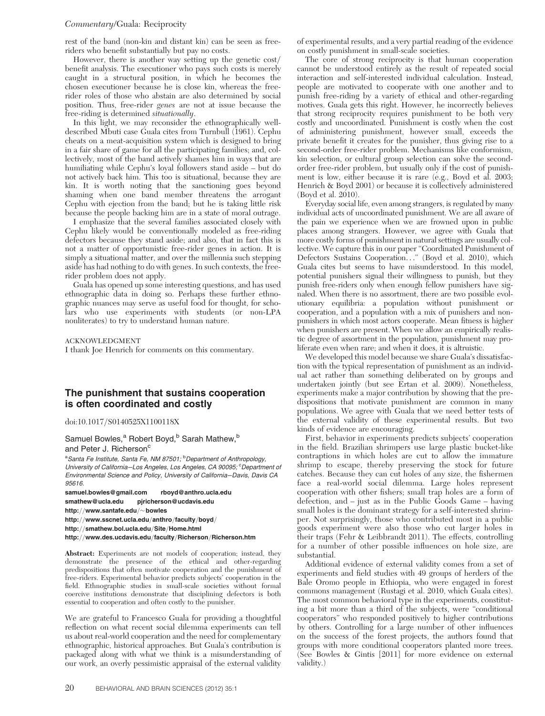rest of the band (non-kin and distant kin) can be seen as freeriders who benefit substantially but pay no costs.

However, there is another way setting up the genetic cost/ benefit analysis. The executioner who pays such costs is merely caught in a structural position, in which he becomes the chosen executioner because he is close kin, whereas the freerider roles of those who abstain are also determined by social position. Thus, free-rider genes are not at issue because the free-riding is determined situationally.

In this light, we may reconsider the ethnographically welldescribed Mbuti case Guala cites from Turnbull (1961). Cephu cheats on a meat-acquisition system which is designed to bring in a fair share of game for all the participating families; and, collectively, most of the band actively shames him in ways that are humiliating while Cephu's loyal followers stand aside – but do not actively back him. This too is situational, because they are kin. It is worth noting that the sanctioning goes beyond shaming when one band member threatens the arrogant Cephu with ejection from the band; but he is taking little risk because the people backing him are in a state of moral outrage.

I emphasize that the several families associated closely with Cephu likely would be conventionally modeled as free-riding defectors because they stand aside; and also, that in fact this is not a matter of opportunistic free-rider genes in action. It is simply a situational matter, and over the millennia such stepping aside has had nothing to do with genes. In such contexts, the freerider problem does not apply.

Guala has opened up some interesting questions, and has used ethnographic data in doing so. Perhaps these further ethnographic nuances may serve as useful food for thought, for scholars who use experiments with students (or non-LPA nonliterates) to try to understand human nature.

#### ACKNOWLEDGMENT

I thank Joe Henrich for comments on this commentary.

## The punishment that sustains cooperation is often coordinated and costly

doi:10.1017/S0140525X1100118X

Samuel Bowles,<sup>a</sup> Robert Boyd,<sup>b</sup> Sarah Mathew,<sup>b</sup> and Peter J. Richerson<sup>c</sup>

<sup>a</sup>Santa Fe Institute, Santa Fe, NM 87501; <sup>b</sup>Department of Anthropology, University of California-Los Angeles, Los Angeles, CA 90095; °Department of Environmental Science and Policy, University of California–Davis, Davis CA 95616.

```
samuel.bowles@gmail.com rboyd@anthro.ucla.edu
smathew@ucla.edu pjricherson@ucdavis.edu
http://www.santafe.edu/\simbowles
http://www.sscnet.ucla.edu/anthro/faculty/boyd/
http://smathew.bol.ucla.edu/Site/Home.html
```
http://www.des.ucdavis.edu/faculty/Richerson/Richerson.htm

Abstract: Experiments are not models of cooperation; instead, they demonstrate the presence of the ethical and other-regarding predispositions that often motivate cooperation and the punishment of free-riders. Experimental behavior predicts subjects' cooperation in the field. Ethnographic studies in small-scale societies without formal coercive institutions demonstrate that disciplining defectors is both essential to cooperation and often costly to the punisher.

We are grateful to Francesco Guala for providing a thoughtful reflection on what recent social dilemma experiments can tell us about real-world cooperation and the need for complementary ethnographic, historical approaches. But Guala's contribution is packaged along with what we think is a misunderstanding of our work, an overly pessimistic appraisal of the external validity

of experimental results, and a very partial reading of the evidence on costly punishment in small-scale societies.

The core of strong reciprocity is that human cooperation cannot be understood entirely as the result of repeated social interaction and self-interested individual calculation. Instead, people are motivated to cooperate with one another and to punish free-riding by a variety of ethical and other-regarding motives. Guala gets this right. However, he incorrectly believes that strong reciprocity requires punishment to be both very costly and uncoordinated. Punishment is costly when the cost of administering punishment, however small, exceeds the private benefit it creates for the punisher, thus giving rise to a second-order free-rider problem. Mechanisms like conformism, kin selection, or cultural group selection can solve the secondorder free-rider problem, but usually only if the cost of punishment is low, either because it is rare (e.g., Boyd et al. 2003; Henrich & Boyd 2001) or because it is collectively administered (Boyd et al. 2010).

Everyday social life, even among strangers, is regulated by many individual acts of uncoordinated punishment. We are all aware of the pain we experience when we are frowned upon in public places among strangers. However, we agree with Guala that more costly forms of punishment in natural settings are usually collective. We capture this in our paper "Coordinated Punishment of Defectors Sustains Cooperation..." (Boyd et al. 2010), which Guala cites but seems to have misunderstood. In this model, potential punishers signal their willingness to punish, but they punish free-riders only when enough fellow punishers have signaled. When there is no assortment, there are two possible evolutionary equilibria: a population without punishment or cooperation, and a population with a mix of punishers and nonpunishers in which most actors cooperate. Mean fitness is higher when punishers are present. When we allow an empirically realistic degree of assortment in the population, punishment may proliferate even when rare; and when it does, it is altruistic.

We developed this model because we share Guala's dissatisfaction with the typical representation of punishment as an individual act rather than something deliberated on by groups and undertaken jointly (but see Ertan et al. 2009). Nonetheless, experiments make a major contribution by showing that the predispositions that motivate punishment are common in many populations. We agree with Guala that we need better tests of the external validity of these experimental results. But two kinds of evidence are encouraging.

First, behavior in experiments predicts subjects' cooperation in the field. Brazilian shrimpers use large plastic bucket-like contraptions in which holes are cut to allow the immature shrimp to escape, thereby preserving the stock for future catches. Because they can cut holes of any size, the fishermen face a real-world social dilemma. Large holes represent cooperation with other fishers; small trap holes are a form of defection, and – just as in the Public Goods Game – having small holes is the dominant strategy for a self-interested shrimper. Not surprisingly, those who contributed most in a public goods experiment were also those who cut larger holes in their traps (Fehr & Leibbrandt 2011). The effects, controlling for a number of other possible influences on hole size, are substantial.

Additional evidence of external validity comes from a set of experiments and field studies with 49 groups of herders of the Bale Oromo people in Ethiopia, who were engaged in forest commons management (Rustagi et al. 2010, which Guala cites). The most common behavioral type in the experiments, constituting a bit more than a third of the subjects, were "conditional cooperators" who responded positively to higher contributions by others. Controlling for a large number of other influences on the success of the forest projects, the authors found that groups with more conditional cooperators planted more trees. (See Bowles & Gintis [2011] for more evidence on external validity.)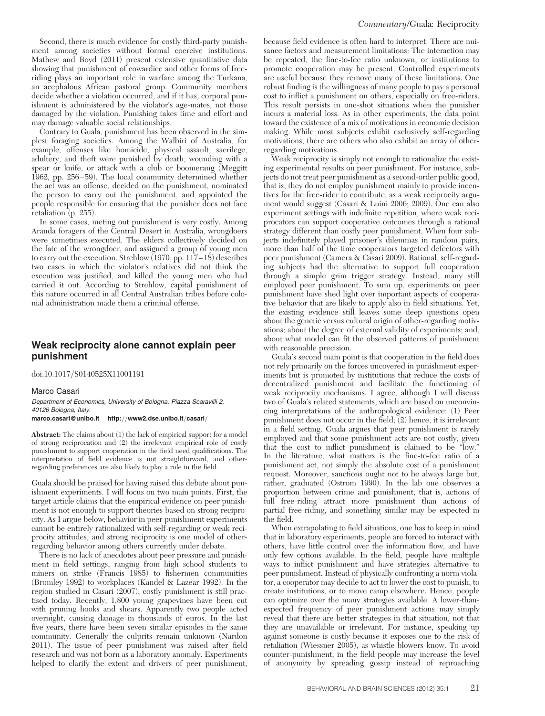Second, there is much evidence for costly third-party punishment among societies without formal coercive institutions. Mathew and Boyd (2011) present extensive quantitative data showing that punishment of cowardice and other forms of freeriding plays an important role in warfare among the Turkana, an acephalous African pastoral group. Community members decide whether a violation occurred, and if it has, corporal punishment is administered by the violator's age-mates, not those damaged by the violation. Punishing takes time and effort and may damage valuable social relationships.

Contrary to Guala, punishment has been observed in the simplest foraging societies. Among the Walbiri of Australia, for example, offenses like homicide, physical assault, sacrilege, adultery, and theft were punished by death, wounding with a spear or knife, or attack with a club or boomerang (Meggitt 1962, pp. 256–59). The local community determined whether the act was an offense, decided on the punishment, nominated the person to carry out the punishment, and appointed the people responsible for ensuring that the punisher does not face retaliation (p. 255).

In some cases, meting out punishment is very costly. Among Aranda foragers of the Central Desert in Australia, wrongdoers were sometimes executed. The elders collectively decided on the fate of the wrongdoer, and assigned a group of young men to carry out the execution. Strehlow (1970, pp. 117–18) describes two cases in which the violator's relatives did not think the execution was justified, and killed the young men who had carried it out. According to Strehlow, capital punishment of this nature occurred in all Central Australian tribes before colonial administration made them a criminal offense.

## Weak reciprocity alone cannot explain peer punishment

doi:10.1017/S0140525X11001191

#### Marco Casari

Department of Economics, University of Bologna, Piazza Scaravilli 2, 40126 Bologna, Italy.

#### marco.casari@unibo.it http://www2.dse.unibo.it/casari/

Abstract: The claims about (1) the lack of empirical support for a model of strong reciprocation and (2) the irrelevant empirical role of costly punishment to support cooperation in the field need qualifications. The interpretation of field evidence is not straightforward, and otherregarding preferences are also likely to play a role in the field.

Guala should be praised for having raised this debate about punishment experiments. I will focus on two main points. First, the target article claims that the empirical evidence on peer punishment is not enough to support theories based on strong reciprocity. As I argue below, behavior in peer punishment experiments cannot be entirely rationalized with self-regarding or weak reciprocity attitudes, and strong reciprocity is one model of otherregarding behavior among others currently under debate.

There is no lack of anecdotes about peer pressure and punishment in field settings, ranging from high school students to miners on strike (Francis 1985) to fishermen communities (Bromley 1992) to workplaces (Kandel & Lazear 1992). In the region studied in Casari (2007), costly punishment is still practised today. Recently, 1,800 young grapevines have been cut with pruning hooks and shears. Apparently two people acted overnight, causing damage in thousands of euros. In the last five years, there have been seven similar episodes in the same community. Generally the culprits remain unknown (Nardon 2011). The issue of peer punishment was raised after field research and was not born as a laboratory anomaly. Experiments helped to clarify the extent and drivers of peer punishment, because field evidence is often hard to interpret. There are nuisance factors and measurement limitations: The interaction may be repeated, the fine-to-fee ratio unknown, or institutions to promote cooperation may be present. Controlled experiments are useful because they remove many of these limitations. One robust finding is the willingness of many people to pay a personal cost to inflict a punishment on others, especially on free-riders. This result persists in one-shot situations when the punisher incurs a material loss. As in other experiments, the data point toward the existence of a mix of motivations in economic decision making. While most subjects exhibit exclusively self-regarding motivations, there are others who also exhibit an array of otherregarding motivations.

Weak reciprocity is simply not enough to rationalize the existing experimental results on peer punishment. For instance, subjects do not treat peer punishment as a second-order public good, that is, they do not employ punishment mainly to provide incentives for the free-rider to contribute, as a weak reciprocity argument would suggest (Casari & Luini 2006; 2009). One can also experiment settings with indefinite repetition, where weak reciprocators can support cooperative outcomes through a rational strategy different than costly peer punishment. When four subjects indefinitely played prisoner's dilemmas in random pairs, more than half of the time cooperators targeted defectors with peer punishment (Camera & Casari 2009). Rational, self-regarding subjects had the alternative to support full cooperation through a simple grim trigger strategy. Instead, many still employed peer punishment. To sum up, experiments on peer punishment have shed light over important aspects of cooperative behavior that are likely to apply also in field situations. Yet, the existing evidence still leaves some deep questions open about the genetic versus cultural origin of other-regarding motivations; about the degree of external validity of experiments; and, about what model can fit the observed patterns of punishment with reasonable precision.

Guala's second main point is that cooperation in the field does not rely primarily on the forces uncovered in punishment experiments but is promoted by institutions that reduce the costs of decentralized punishment and facilitate the functioning of weak reciprocity mechanisms. I agree, although I will discuss two of Guala's related statements, which are based on unconvincing interpretations of the anthropological evidence: (1) Peer punishment does not occur in the field; (2) hence, it is irrelevant in a field setting. Guala argues that peer punishment is rarely employed and that some punishment acts are not costly, given that the cost to inflict punishment is claimed to be "low." In the literature, what matters is the fine-to-fee ratio of a punishment act, not simply the absolute cost of a punishment request. Moreover, sanctions ought not to be always large but, rather, graduated (Ostrom 1990). In the lab one observes a proportion between crime and punishment, that is, actions of full free-riding attract more punishment than actions of partial free-riding, and something similar may be expected in the field.

When extrapolating to field situations, one has to keep in mind that in laboratory experiments, people are forced to interact with others, have little control over the information flow, and have only few options available. In the field, people have multiple ways to inflict punishment and have strategies alternative to peer punishment. Instead of physically confronting a norm violator, a cooperator may decide to act to lower the cost to punish, to create institutions, or to move camp elsewhere. Hence, people can optimize over the many strategies available. A lower-thanexpected frequency of peer punishment actions may simply reveal that there are better strategies in that situation, not that they are unavailable or irrelevant. For instance, speaking up against someone is costly because it exposes one to the risk of retaliation (Wiessner 2005), as whistle-blowers know. To avoid counter-punishment, in the field people may increase the level of anonymity by spreading gossip instead of reproaching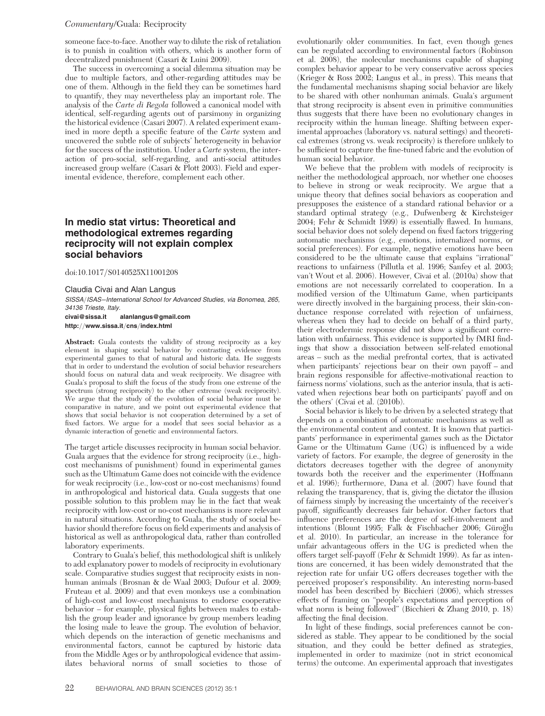someone face-to-face. Another way to dilute the risk of retaliation is to punish in coalition with others, which is another form of decentralized punishment (Casari & Luini 2009).

The success in overcoming a social dilemma situation may be due to multiple factors, and other-regarding attitudes may be one of them. Although in the field they can be sometimes hard to quantify, they may nevertheless play an important role. The analysis of the Carte di Regola followed a canonical model with identical, self-regarding agents out of parsimony in organizing the historical evidence (Casari 2007). A related experiment examined in more depth a specific feature of the Carte system and uncovered the subtle role of subjects' heterogeneity in behavior for the success of the institution. Under a Carte system, the interaction of pro-social, self-regarding, and anti-social attitudes increased group welfare (Casari & Plott 2003). Field and experimental evidence, therefore, complement each other.

## In medio stat virtus: Theoretical and methodological extremes regarding reciprocity will not explain complex social behaviors

doi:10.1017/S0140525X11001208

Claudia Civai and Alan Langus

SISSA/ISAS–International School for Advanced Studies, via Bonomea, 265, 34136 Trieste, Italy.

civai@sissa.it alanlangus@gmail.com http://www.sissa.it/cns/index.html

Abstract: Guala contests the validity of strong reciprocity as a key element in shaping social behavior by contrasting evidence from experimental games to that of natural and historic data. He suggests that in order to understand the evolution of social behavior researchers should focus on natural data and weak reciprocity. We disagree with Guala's proposal to shift the focus of the study from one extreme of the spectrum (strong reciprocity) to the other extreme (weak reciprocity). We argue that the study of the evolution of social behavior must be comparative in nature, and we point out experimental evidence that shows that social behavior is not cooperation determined by a set of fixed factors. We argue for a model that sees social behavior as a dynamic interaction of genetic and environmental factors.

The target article discusses reciprocity in human social behavior. Guala argues that the evidence for strong reciprocity (i.e., highcost mechanisms of punishment) found in experimental games such as the Ultimatum Game does not coincide with the evidence for weak reciprocity (i.e., low-cost or no-cost mechanisms) found in anthropological and historical data. Guala suggests that one possible solution to this problem may lie in the fact that weak reciprocity with low-cost or no-cost mechanisms is more relevant in natural situations. According to Guala, the study of social behavior should therefore focus on field experiments and analysis of historical as well as anthropological data, rather than controlled laboratory experiments.

Contrary to Guala's belief, this methodological shift is unlikely to add explanatory power to models of reciprocity in evolutionary scale. Comparative studies suggest that reciprocity exists in nonhuman animals (Brosnan & de Waal 2003; Dufour et al. 2009; Fruteau et al. 2009) and that even monkeys use a combination of high-cost and low-cost mechanisms to endorse cooperative behavior – for example, physical fights between males to establish the group leader and ignorance by group members leading the losing male to leave the group. The evolution of behavior, which depends on the interaction of genetic mechanisms and environmental factors, cannot be captured by historic data from the Middle Ages or by anthropological evidence that assimilates behavioral norms of small societies to those of

evolutionarily older communities. In fact, even though genes can be regulated according to environmental factors (Robinson et al. 2008), the molecular mechanisms capable of shaping complex behavior appear to be very conservative across species (Krieger & Ross 2002; Langus et al., in press). This means that the fundamental mechanisms shaping social behavior are likely to be shared with other nonhuman animals. Guala's argument that strong reciprocity is absent even in primitive communities thus suggests that there have been no evolutionary changes in reciprocity within the human lineage. Shifting between experimental approaches (laboratory vs. natural settings) and theoretical extremes (strong vs. weak reciprocity) is therefore unlikely to be sufficient to capture the fine-tuned fabric and the evolution of human social behavior.

We believe that the problem with models of reciprocity is neither the methodological approach, nor whether one chooses to believe in strong or weak reciprocity. We argue that a unique theory that defines social behaviors as cooperation and presupposes the existence of a standard rational behavior or a standard optimal strategy (e.g., Dufwenberg & Kirchsteiger 2004; Fehr & Schmidt 1999) is essentially flawed. In humans, social behavior does not solely depend on fixed factors triggering automatic mechanisms (e.g., emotions, internalized norms, or social preferences). For example, negative emotions have been considered to be the ultimate cause that explains "irrational" reactions to unfairness (Pillutla et al. 1996; Sanfey et al. 2003; van't Wout et al. 2006). However, Civai et al. (2010a) show that emotions are not necessarily correlated to cooperation. In a modified version of the Ultimatum Game, when participants were directly involved in the bargaining process, their skin-conductance response correlated with rejection of unfairness, whereas when they had to decide on behalf of a third party, their electrodermic response did not show a significant correlation with unfairness. This evidence is supported by fMRI findings that show a dissociation between self-related emotional areas – such as the medial prefrontal cortex, that is activated when participants' rejections bear on their own payoff – and brain regions responsible for affective-motivational reaction to fairness norms' violations, such as the anterior insula, that is activated when rejections bear both on participants' payoff and on the others' (Civai et al. (2010b).

Social behavior is likely to be driven by a selected strategy that depends on a combination of automatic mechanisms as well as the environmental content and context. It is known that participants' performance in experimental games such as the Dictator Game or the Ultimatum Game  $(U\breve{G})$  is influenced by a wide variety of factors. For example, the degree of generosity in the dictators decreases together with the degree of anonymity towards both the receiver and the experimenter (Hoffmann et al. 1996); furthermore, Dana et al. (2007) have found that relaxing the transparency, that is, giving the dictator the illusion of fairness simply by increasing the uncertainty of the receiver's payoff, significantly decreases fair behavior. Other factors that influence preferences are the degree of self-involvement and intentions (Blount 1995; Falk & Fischbacher 2006; Güroğlu et al. 2010). In particular, an increase in the tolerance for unfair advantageous offers in the UG is predicted when the offers target self-payoff (Fehr & Schmidt 1999). As far as intentions are concerned, it has been widely demonstrated that the rejection rate for unfair UG offers decreases together with the perceived proposer's responsibility. An interesting norm-based model has been described by Bicchieri (2006), which stresses effects of framing on "people's expectations and perception of what norm is being followed" (Bicchieri & Zhang 2010, p. 18) affecting the final decision.

In light of these findings, social preferences cannot be considered as stable. They appear to be conditioned by the social situation, and they could be better defined as strategies, implemented in order to maximize (not in strict economical terms) the outcome. An experimental approach that investigates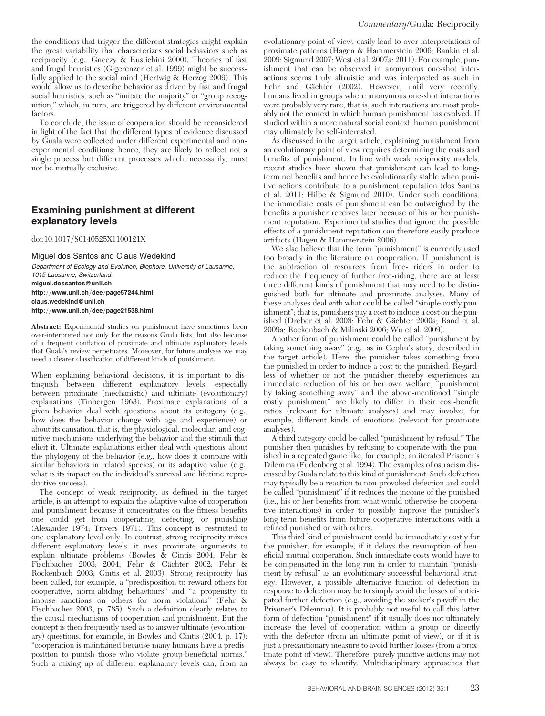the conditions that trigger the different strategies might explain the great variability that characterizes social behaviors such as reciprocity (e.g., Gneezy & Rustichini 2000). Theories of fast and frugal heuristics (Gigerenzer et al. 1999) might be successfully applied to the social mind (Hertwig & Herzog 2009). This would allow us to describe behavior as driven by fast and frugal social heuristics, such as "imitate the majority" or "group recognition," which, in turn, are triggered by different environmental factors.

To conclude, the issue of cooperation should be reconsidered in light of the fact that the different types of evidence discussed by Guala were collected under different experimental and nonexperimental conditions; hence, they are likely to reflect not a single process but different processes which, necessarily, must not be mutually exclusive.

## Examining punishment at different explanatory levels

doi:10.1017/S0140525X1100121X

Miguel dos Santos and Claus Wedekind Department of Ecology and Evolution, Biophore, University of Lausanne, 1015 Lausanne, Switzerland. miguel.dossantos@unil.ch http://www.unil.ch/dee/page57244.html claus.wedekind@unil.ch http://www.unil.ch/dee/page21538.html

Abstract: Experimental studies on punishment have sometimes been over-interpreted not only for the reasons Guala lists, but also because of a frequent conflation of proximate and ultimate explanatory levels that Guala's review perpetuates. Moreover, for future analyses we may need a clearer classification of different kinds of punishment.

When explaining behavioral decisions, it is important to distinguish between different explanatory levels, especially between proximate (mechanistic) and ultimate (evolutionary) explanations (Tinbergen 1963). Proximate explanations of a given behavior deal with questions about its ontogeny (e.g., how does the behavior change with age and experience) or about its causation, that is, the physiological, molecular, and cognitive mechanisms underlying the behavior and the stimuli that elicit it. Ultimate explanations either deal with questions about the phylogeny of the behavior (e.g., how does it compare with similar behaviors in related species) or its adaptive value (e.g., what is its impact on the individual's survival and lifetime reproductive success).

The concept of weak reciprocity, as defined in the target article, is an attempt to explain the adaptive value of cooperation and punishment because it concentrates on the fitness benefits one could get from cooperating, defecting, or punishing (Alexander 1974; Trivers 1971). This concept is restricted to one explanatory level only. In contrast, strong reciprocity mixes different explanatory levels: it uses proximate arguments to explain ultimate problems (Bowles & Gintis 2004; Fehr & Fischbacher 2003; 2004; Fehr & Gächter 2002; Fehr & Rockenbach 2003; Gintis et al. 2003). Strong reciprocity has been called, for example, a "predisposition to reward others for cooperative, norm-abiding behaviours" and "a propensity to impose sanctions on others for norm violations" (Fehr & Fischbacher 2003, p. 785). Such a definition clearly relates to the causal mechanisms of cooperation and punishment. But the concept is then frequently used as to answer ultimate (evolutionary) questions, for example, in Bowles and Gintis (2004, p. 17): "cooperation is maintained because many humans have a predisposition to punish those who violate group-beneficial norms." Such a mixing up of different explanatory levels can, from an

evolutionary point of view, easily lead to over-interpretations of proximate patterns (Hagen & Hammerstein 2006; Rankin et al. 2009; Sigmund 2007; West et al. 2007a; 2011). For example, punishment that can be observed in anonymous one-shot interactions seems truly altruistic and was interpreted as such in Fehr and Gächter (2002). However, until very recently, humans lived in groups where anonymous one-shot interactions were probably very rare, that is, such interactions are most probably not the context in which human punishment has evolved. If studied within a more natural social context, human punishment may ultimately be self-interested.

As discussed in the target article, explaining punishment from an evolutionary point of view requires determining the costs and benefits of punishment. In line with weak reciprocity models, recent studies have shown that punishment can lead to longterm net benefits and hence be evolutionarily stable when punitive actions contribute to a punishment reputation (dos Santos et al. 2011; Hilbe & Sigmund 2010). Under such conditions, the immediate costs of punishment can be outweighed by the benefits a punisher receives later because of his or her punishment reputation. Experimental studies that ignore the possible effects of a punishment reputation can therefore easily produce artifacts (Hagen & Hammerstein 2006).

We also believe that the term "punishment" is currently used too broadly in the literature on cooperation. If punishment is the subtraction of resources from free- riders in order to reduce the frequency of further free-riding, there are at least three different kinds of punishment that may need to be distinguished both for ultimate and proximate analyses. Many of these analyses deal with what could be called "simple costly punishment"; that is, punishers pay a cost to induce a cost on the punished (Dreber et al. 2008; Fehr & Gächter 2000a; Rand et al. 2009a; Rockenbach & Milinski 2006; Wu et al. 2009).

Another form of punishment could be called "punishment by taking something away" (e.g., as in Cephu's story, described in the target article). Here, the punisher takes something from the punished in order to induce a cost to the punished. Regardless of whether or not the punisher thereby experiences an immediate reduction of his or her own welfare, "punishment by taking something away" and the above-mentioned "simple costly punishment" are likely to differ in their cost-benefit ratios (relevant for ultimate analyses) and may involve, for example, different kinds of emotions (relevant for proximate analyses).

A third category could be called "punishment by refusal." The punisher then punishes by refusing to cooperate with the punished in a repeated game like, for example, an iterated Prisoner's Dilemma (Fudenberg et al. 1994). The examples of ostracism discussed by Guala relate to this kind of punishment. Such defection may typically be a reaction to non-provoked defection and could be called "punishment" if it reduces the income of the punished (i.e., his or her benefits from what would otherwise be cooperative interactions) in order to possibly improve the punisher's long-term benefits from future cooperative interactions with a refined punished or with others.

This third kind of punishment could be immediately costly for the punisher, for example, if it delays the resumption of beneficial mutual cooperation. Such immediate costs would have to be compensated in the long run in order to maintain "punishment by refusal" as an evolutionary successful behavioral strategy. However, a possible alternative function of defection in response to defection may be to simply avoid the losses of anticipated further defection (e.g., avoiding the sucker's payoff in the Prisoner's Dilemma). It is probably not useful to call this latter form of defection "punishment" if it usually does not ultimately increase the level of cooperation within a group or directly with the defector (from an ultimate point of view), or if it is just a precautionary measure to avoid further losses (from a proximate point of view). Therefore, purely punitive actions may not always be easy to identify. Multidisciplinary approaches that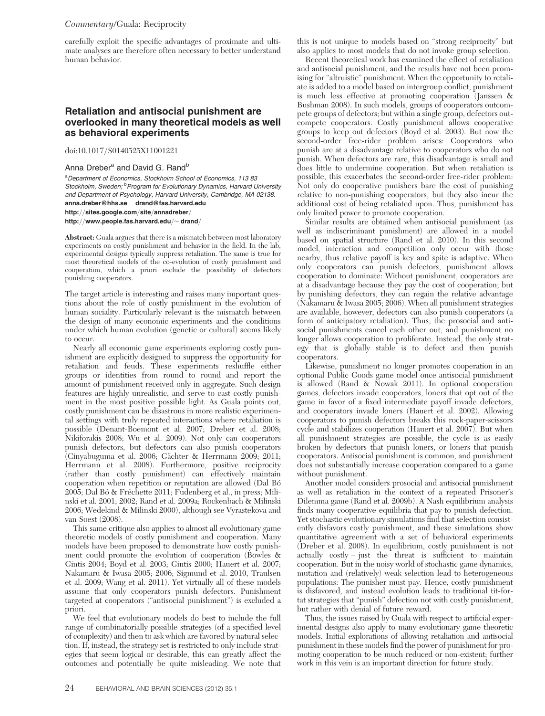carefully exploit the specific advantages of proximate and ultimate analyses are therefore often necessary to better understand human behavior.

## Retaliation and antisocial punishment are overlooked in many theoretical models as well as behavioral experiments

doi:10.1017/S0140525X11001221

Anna Dreber<sup>a</sup> and David G. Rand<sup>b</sup>

aDepartment of Economics, Stockholm School of Economics, 113 83 Stockholm, Sweden; <sup>b</sup> Program for Evolutionary Dynamics, Harvard University and Department of Psychology, Harvard University, Cambridge, MA 02138. anna.dreber@hhs.se drand@fas.harvard.edu http://sites.google.com/site/annadreber/ http://www.people.fas.harvard.edu/ $\sim$  drand/

Abstract: Guala argues that there is a mismatch between most laboratory experiments on costly punishment and behavior in the field. In the lab, experimental designs typically suppress retaliation. The same is true for most theoretical models of the co-evolution of costly punishment and cooperation, which a priori exclude the possibility of defectors punishing cooperators.

The target article is interesting and raises many important questions about the role of costly punishment in the evolution of human sociality. Particularly relevant is the mismatch between the design of many economic experiments and the conditions under which human evolution (genetic or cultural) seems likely to occur.

Nearly all economic game experiments exploring costly punishment are explicitly designed to suppress the opportunity for retaliation and feuds. These experiments reshuffle either groups or identities from round to round and report the amount of punishment received only in aggregate. Such design features are highly unrealistic, and serve to cast costly punishment in the most positive possible light. As Guala points out, costly punishment can be disastrous in more realistic experimental settings with truly repeated interactions where retaliation is possible (Denant-Boemont et al. 2007; Dreber et al. 2008; Nikiforakis 2008; Wu et al. 2009). Not only can cooperators punish defectors, but defectors can also punish cooperators (Cinyabuguma et al. 2006; Gächter & Herrmann 2009; 2011; Herrmann et al. 2008). Furthermore, positive reciprocity (rather than costly punishment) can effectively maintain cooperation when repetition or reputation are allowed (Dal Bo´ 2005; Dal Bó & Fréchette 2011; Fudenberg et al., in press; Milinski et al. 2001; 2002; Rand et al. 2009a; Rockenbach & Milinski 2006; Wedekind & Milinski 2000), although see Vyrastekova and van Soest (2008).

This same critique also applies to almost all evolutionary game theoretic models of costly punishment and cooperation. Many models have been proposed to demonstrate how costly punishment could promote the evolution of cooperation (Bowles & Gintis 2004; Boyd et al. 2003; Gintis 2000; Hauert et al. 2007; Nakamaru & Iwasa 2005; 2006; Sigmund et al. 2010, Traulsen et al. 2009; Wang et al. 2011). Yet virtually all of these models assume that only cooperators punish defectors. Punishment targeted at cooperators ("antisocial punishment") is excluded a priori.

We feel that evolutionary models do best to include the full range of combinatorially possible strategies (of a specified level of complexity) and then to ask which are favored by natural selection. If, instead, the strategy set is restricted to only include strategies that seem logical or desirable, this can greatly affect the outcomes and potentially be quite misleading. We note that this is not unique to models based on "strong reciprocity" but also applies to most models that do not invoke group selection.

Recent theoretical work has examined the effect of retaliation and antisocial punishment, and the results have not been promising for "altruistic" punishment. When the opportunity to retaliate is added to a model based on intergroup conflict, punishment is much less effective at promoting cooperation (Janssen & Bushman 2008). In such models, groups of cooperators outcompete groups of defectors; but within a single group, defectors outcompete cooperators. Costly punishment allows cooperative groups to keep out defectors (Boyd et al. 2003). But now the second-order free-rider problem arises: Cooperators who punish are at a disadvantage relative to cooperators who do not punish. When defectors are rare, this disadvantage is small and does little to undermine cooperation. But when retaliation is possible, this exacerbates the second-order free-rider problem: Not only do cooperative punishers bare the cost of punishing relative to non-punishing cooperators, but they also incur the additional cost of being retaliated upon. Thus, punishment has only limited power to promote cooperation.

Similar results are obtained when antisocial punishment (as well as indiscriminant punishment) are allowed in a model based on spatial structure (Rand et al. 2010). In this second model, interaction and competition only occur with those nearby, thus relative payoff is key and spite is adaptive. When only cooperators can punish defectors, punishment allows cooperation to dominate: Without punishment, cooperators are at a disadvantage because they pay the cost of cooperation; but by punishing defectors, they can regain the relative advantage (Nakamaru & Iwasa 2005; 2006). When all punishment strategies are available, however, defectors can also punish cooperators (a form of anticipatory retaliation). Thus, the prosocial and antisocial punishments cancel each other out, and punishment no longer allows cooperation to proliferate. Instead, the only strategy that is globally stable is to defect and then punish cooperators.

Likewise, punishment no longer promotes cooperation in an optional Public Goods game model once antisocial punishment is allowed (Rand & Nowak 2011). In optional cooperation games, defectors invade cooperators, loners that opt out of the game in favor of a fixed intermediate payoff invade defectors, and cooperators invade loners (Hauert et al. 2002). Allowing cooperators to punish defectors breaks this rock-paper-scissors cycle and stabilizes cooperation (Hauert et al. 2007). But when all punishment strategies are possible, the cycle is as easily broken by defectors that punish loners, or loners that punish cooperators. Antisocial punishment is common, and punishment does not substantially increase cooperation compared to a game without punishment.

Another model considers prosocial and antisocial punishment as well as retaliation in the context of a repeated Prisoner's Dilemma game (Rand et al. 2009b). A Nash equilibrium analysis finds many cooperative equilibria that pay to punish defection. Yet stochastic evolutionary simulations find that selection consistently disfavors costly punishment, and these simulations show quantitative agreement with a set of behavioral experiments (Dreber et al. 2008). In equilibrium, costly punishment is not actually costly – just the threat is sufficient to maintain cooperation. But in the noisy world of stochastic game dynamics, mutation and (relatively) weak selection lead to heterogeneous populations: The punisher must pay. Hence, costly punishment is disfavored, and instead evolution leads to traditional tit-fortat strategies that "punish" defection not with costly punishment, but rather with denial of future reward.

Thus, the issues raised by Guala with respect to artificial experimental designs also apply to many evolutionary game theoretic models. Initial explorations of allowing retaliation and antisocial punishment in these models find the power of punishment for promoting cooperation to be much reduced or non-existent; further work in this vein is an important direction for future study.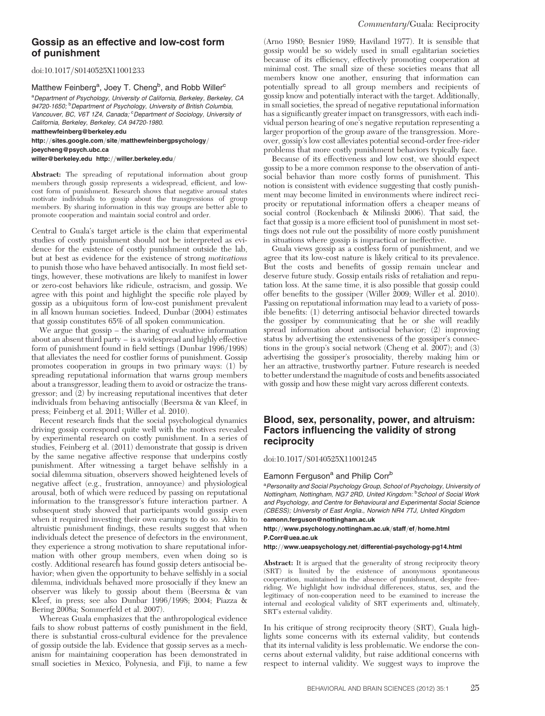## Gossip as an effective and low-cost form of punishment

doi:10.1017/S0140525X11001233

## Matthew Feinberg<sup>a</sup>, Joey T. Cheng<sup>b</sup>, and Robb Willer<sup>c</sup>

<sup>a</sup> Department of Psychology, University of California, Berkeley, Berkeley, CA 94720-1650; <sup>b</sup>Department of Psychology, University of British Columbia, Vancouver, BC, V6T 1Z4, Canada; <sup>c</sup>Department of Sociology, University of California, Berkeley, Berkeley, CA 94720-1980.

matthewfeinberg@berkeley.edu

http://sites.google.com/site/matthewfeinbergpsychology/ joeycheng@psych.ubc.ca willer@berkeley.edu http://willer.berkeley.edu/

Abstract: The spreading of reputational information about group members through gossip represents a widespread, efficient, and lowcost form of punishment. Research shows that negative arousal states motivate individuals to gossip about the transgressions of group members. By sharing information in this way groups are better able to promote cooperation and maintain social control and order.

Central to Guala's target article is the claim that experimental studies of costly punishment should not be interpreted as evidence for the existence of costly punishment outside the lab, but at best as evidence for the existence of strong motivations to punish those who have behaved antisocially. In most field settings, however, these motivations are likely to manifest in lower or zero-cost behaviors like ridicule, ostracism, and gossip. We agree with this point and highlight the specific role played by gossip as a ubiquitous form of low-cost punishment prevalent in all known human societies. Indeed, Dunbar (2004) estimates that gossip constitutes 65% of all spoken communication.

We argue that gossip – the sharing of evaluative information about an absent third party – is a widespread and highly effective form of punishment found in field settings (Dunbar 1996/1998) that alleviates the need for costlier forms of punishment. Gossip promotes cooperation in groups in two primary ways: (1) by spreading reputational information that warns group members about a transgressor, leading them to avoid or ostracize the transgressor; and (2) by increasing reputational incentives that deter individuals from behaving antisocially (Beersma & van Kleef, in press; Feinberg et al. 2011; Willer et al. 2010).

Recent research finds that the social psychological dynamics driving gossip correspond quite well with the motives revealed by experimental research on costly punishment. In a series of studies, Feinberg et al. (2011) demonstrate that gossip is driven by the same negative affective response that underpins costly punishment. After witnessing a target behave selfishly in a social dilemma situation, observers showed heightened levels of negative affect (e.g., frustration, annoyance) and physiological arousal, both of which were reduced by passing on reputational information to the transgressor's future interaction partner. A subsequent study showed that participants would gossip even when it required investing their own earnings to do so. Akin to altruistic punishment findings, these results suggest that when individuals detect the presence of defectors in the environment, they experience a strong motivation to share reputational information with other group members, even when doing so is costly. Additional research has found gossip deters antisocial behavior; when given the opportunity to behave selfishly in a social dilemma, individuals behaved more prosocially if they knew an observer was likely to gossip about them (Beersma & van Kleef, in press; see also Dunbar 1996/1998; 2004; Piazza & Bering 2008a; Sommerfeld et al. 2007).

Whereas Guala emphasizes that the anthropological evidence fails to show robust patterns of costly punishment in the field, there is substantial cross-cultural evidence for the prevalence of gossip outside the lab. Evidence that gossip serves as a mechanism for maintaining cooperation has been demonstrated in small societies in Mexico, Polynesia, and Fiji, to name a few (Arno 1980; Besnier 1989; Haviland 1977). It is sensible that gossip would be so widely used in small egalitarian societies because of its efficiency, effectively promoting cooperation at minimal cost. The small size of these societies means that all members know one another, ensuring that information can potentially spread to all group members and recipients of gossip know and potentially interact with the target. Additionally, in small societies, the spread of negative reputational information has a significantly greater impact on transgressors, with each individual person hearing of one's negative reputation representing a larger proportion of the group aware of the transgression. Moreover, gossip's low cost alleviates potential second-order free-rider problems that more costly punishment behaviors typically face.

Because of its effectiveness and low cost, we should expect gossip to be a more common response to the observation of antisocial behavior than more costly forms of punishment. This notion is consistent with evidence suggesting that costly punishment may become limited in environments where indirect reciprocity or reputational information offers a cheaper means of social control (Rockenbach & Milinski 2006). That said, the fact that gossip is a more efficient tool of punishment in most settings does not rule out the possibility of more costly punishment in situations where gossip is impractical or ineffective.

Guala views gossip as a costless form of punishment, and we agree that its low-cost nature is likely critical to its prevalence. But the costs and benefits of gossip remain unclear and deserve future study. Gossip entails risks of retaliation and reputation loss. At the same time, it is also possible that gossip could offer benefits to the gossiper (Willer 2009; Willer et al. 2010). Passing on reputational information may lead to a variety of possible benefits: (1) deterring antisocial behavior directed towards the gossiper by communicating that he or she will readily spread information about antisocial behavior; (2) improving status by advertising the extensiveness of the gossiper's connections in the group's social network (Cheng et al. 2007); and (3) advertising the gossiper's prosociality, thereby making him or her an attractive, trustworthy partner. Future research is needed to better understand the magnitude of costs and benefits associated with gossip and how these might vary across different contexts.

## Blood, sex, personality, power, and altruism: Factors influencing the validity of strong reciprocity

doi:10.1017/S0140525X11001245

Eamonn Ferguson<sup>a</sup> and Philip Corr<sup>b</sup>

a<br>Personality and Social Psychology Group, School of Psychology, University of Nottingham, Nottingham, NG7 2RD, United Kingdom: <sup>b</sup> School of Social Work and Psychology, and Centre for Behavioural and Experimental Social Science (CBESS); University of East Anglia., Norwich NR4 7TJ, United Kingdom eamonn.ferguson@nottingham.ac.uk

http://www.psychology.nottingham.ac.uk/staff/ef/home.html P.Corr@uea.ac.uk

http://www.ueapsychology.net/differential-psychology-pg14.html

Abstract: It is argued that the generality of strong reciprocity theory (SRT) is limited by the existence of anonymous spontaneous cooperation, maintained in the absence of punishment, despite freeriding. We highlight how individual differences, status, sex, and the legitimacy of non-cooperation need to be examined to increase the internal and ecological validity of SRT experiments and, ultimately, SRT's external validity.

In his critique of strong reciprocity theory (SRT), Guala highlights some concerns with its external validity, but contends that its internal validity is less problematic. We endorse the concerns about external validity, but raise additional concerns with respect to internal validity. We suggest ways to improve the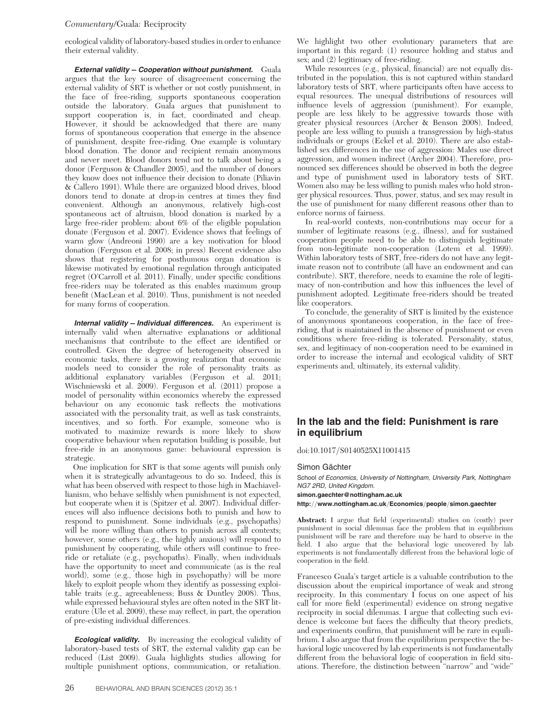ecological validity of laboratory-based studies in order to enhance their external validity.

**External validity - Cooperation without punishment.** Guala argues that the key source of disagreement concerning the external validity of SRT is whether or not costly punishment, in the face of free-riding, supports spontaneous cooperation outside the laboratory. Guala argues that punishment to support cooperation is, in fact, coordinated and cheap. However, it should be acknowledged that there are many forms of spontaneous cooperation that emerge in the absence of punishment, despite free-riding. One example is voluntary blood donation. The donor and recipient remain anonymous and never meet. Blood donors tend not to talk about being a donor (Ferguson & Chandler 2005), and the number of donors they know does not influence their decision to donate (Piliavin & Callero 1991). While there are organized blood drives, blood donors tend to donate at drop-in centres at times they find convenient. Although an anonymous, relatively high-cost spontaneous act of altruism, blood donation is marked by a large free-rider problem: about 6% of the eligible population donate (Ferguson et al. 2007). Evidence shows that feelings of warm glow (Andreoni 1990) are a key motivation for blood donation (Ferguson et al. 2008; in press) Recent evidence also shows that registering for posthumous organ donation is likewise motivated by emotional regulation through anticipated regret (O'Carroll et al. 2011). Finally, under specific conditions free-riders may be tolerated as this enables maximum group benefit (MacLean et al. 2010). Thus, punishment is not needed for many forms of cooperation.

Internal validity - Individual differences. An experiment is internally valid when alternative explanations or additional mechanisms that contribute to the effect are identified or controlled. Given the degree of heterogeneity observed in economic tasks, there is a growing realization that economic models need to consider the role of personality traits as additional explanatory variables (Ferguson et al. 2011; Wischniewski et al. 2009). Ferguson et al. (2011) propose a model of personality within economics whereby the expressed behaviour on any economic task reflects the motivations associated with the personality trait, as well as task constraints, incentives, and so forth. For example, someone who is motivated to maximize rewards is more likely to show cooperative behaviour when reputation building is possible, but free-ride in an anonymous game: behavioural expression is strategic.

One implication for SRT is that some agents will punish only when it is strategically advantageous to do so. Indeed, this is what has been observed with respect to those high in Machiavellianism, who behave selfishly when punishment is not expected, but cooperate when it is (Spitzer et al. 2007). Individual differences will also influence decisions both to punish and how to respond to punishment. Some individuals (e.g., psychopaths) will be more willing than others to punish across all contexts; however, some others (e.g., the highly anxious) will respond to punishment by cooperating, while others will continue to freeride or retaliate (e.g., psychopaths). Finally, when individuals have the opportunity to meet and communicate (as is the real world), some (e.g., those high in psychopathy) will be more likely to exploit people whom they identify as possessing exploitable traits (e.g., agreeableness; Buss & Duntley 2008). Thus, while expressed behavioural styles are often noted in the SRT literature (Ule et al. 2009), these may reflect, in part, the operation of pre-existing individual differences.

**Ecological validity.** By increasing the ecological validity of laboratory-based tests of SRT, the external validity gap can be reduced (List 2009). Guala highlights studies allowing for multiple punishment options, communication, or retaliation.

We highlight two other evolutionary parameters that are important in this regard: (1) resource holding and status and sex; and (2) legitimacy of free-riding.

While resources (e.g., physical, financial) are not equally distributed in the population, this is not captured within standard laboratory tests of SRT, where participants often have access to equal resources. The unequal distributions of resources will influence levels of aggression (punishment). For example, people are less likely to be aggressive towards those with greater physical resources (Archer & Benson 2008). Indeed, people are less willing to punish a transgression by high-status individuals or groups (Eckel et al. 2010). There are also established sex differences in the use of aggression: Males use direct aggression, and women indirect (Archer 2004). Therefore, pronounced sex differences should be observed in both the degree and type of punishment used in laboratory tests of SRT. Women also may be less willing to punish males who hold stronger physical resources. Thus, power, status, and sex may result in the use of punishment for many different reasons other than to enforce norms of fairness.

In real-world contexts, non-contributions may occur for a number of legitimate reasons (e.g., illness), and for sustained cooperation people need to be able to distinguish legitimate from non-legitimate non-cooperation (Lotem et al. 1999). Within laboratory tests of SRT, free-riders do not have any legitimate reason not to contribute (all have an endowment and can contribute). SRT, therefore, needs to examine the role of legitimacy of non-contribution and how this influences the level of punishment adopted. Legitimate free-riders should be treated like cooperators.

To conclude, the generality of SRT is limited by the existence of anonymous spontaneous cooperation, in the face of freeriding, that is maintained in the absence of punishment or even conditions where free-riding is tolerated. Personality, status, sex, and legitimacy of non-cooperation need to be examined in order to increase the internal and ecological validity of SRT experiments and, ultimately, its external validity.

## In the lab and the field: Punishment is rare in equilibrium

doi:10.1017/S0140525X11001415

#### Simon Gächter

School of Economics, University of Nottingham, University Park, Nottingham NG7 2RD, United Kingdom.

simon.gaechter@nottingham.ac.uk

http://www.nottingham.ac.uk/Economics/people/simon.gaechter

Abstract: I argue that field (experimental) studies on (costly) peer punishment in social dilemmas face the problem that in equilibrium punishment will be rare and therefore may be hard to observe in the field. I also argue that the behavioral logic uncovered by lab experiments is not fundamentally different from the behavioral logic of cooperation in the field.

Francesco Guala's target article is a valuable contribution to the discussion about the empirical importance of weak and strong reciprocity. In this commentary I focus on one aspect of his call for more field (experimental) evidence on strong negative reciprocity in social dilemmas. I argue that collecting such evidence is welcome but faces the difficulty that theory predicts, and experiments confirm, that punishment will be rare in equilibrium. I also argue that from the equilibrium perspective the behavioral logic uncovered by lab experiments is not fundamentally different from the behavioral logic of cooperation in field situations. Therefore, the distinction between "narrow" and "wide"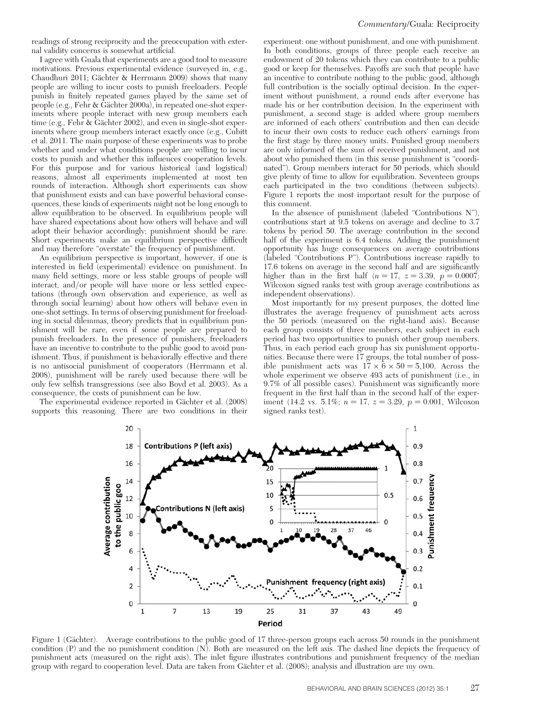readings of strong reciprocity and the preoccupation with external validity concerns is somewhat artificial.

I agree with Guala that experiments are a good tool to measure motivations. Previous experimental evidence (surveyed in, e.g., Chaudhuri 2011; Gächter & Herrmann 2009) shows that many people are willing to incur costs to punish freeloaders. People punish in finitely repeated games played by the same set of people (e.g., Fehr & Gächter 2000a), in repeated one-shot experiments where people interact with new group members each time (e.g., Fehr & Gächter 2002), and even in single-shot experiments where group members interact exactly once (e.g., Cubitt et al. 2011. The main purpose of these experiments was to probe whether and under what conditions people are willing to incur costs to punish and whether this influences cooperation levels. For this purpose and for various historical (and logistical) reasons, almost all experiments implemented at most ten rounds of interaction. Although short experiments can show that punishment exists and can have powerful behavioral consequences, these kinds of experiments might not be long enough to allow equilibration to be observed. In equilibrium people will have shared expectations about how others will behave and will adopt their behavior accordingly; punishment should be rare. Short experiments make an equilibrium perspective difficult and may therefore "overstate" the frequency of punishment.

An equilibrium perspective is important, however, if one is interested in field (experimental) evidence on punishment. In many field settings, more or less stable groups of people will interact, and/or people will have more or less settled expectations (through own observation and experience, as well as through social learning) about how others will behave even in one-shot settings. In terms of observing punishment for freeloading in social dilemmas, theory predicts that in equilibrium punishment will be rare, even if some people are prepared to punish freeloaders. In the presence of punishers, freeloaders have an incentive to contribute to the public good to avoid punishment. Thus, if punishment is behaviorally effective and there is no antisocial punishment of cooperators (Herrmann et al. 2008), punishment will be rarely used because there will be only few selfish transgressions (see also Boyd et al. 2003). As a consequence, the costs of punishment can be low.

The experimental evidence reported in Gächter et al. (2008) supports this reasoning. There are two conditions in their experiment: one without punishment, and one with punishment. In both conditions, groups of three people each receive an endowment of 20 tokens which they can contribute to a public good or keep for themselves. Payoffs are such that people have an incentive to contribute nothing to the public good, although full contribution is the socially optimal decision. In the experiment without punishment, a round ends after everyone has made his or her contribution decision. In the experiment with punishment, a second stage is added where group members are informed of each others' contribution and then can decide to incur their own costs to reduce each others' earnings from the first stage by three money units. Punished group members are only informed of the sum of received punishment, and not about who punished them (in this sense punishment is "coordinated"). Group members interact for 50 periods, which should give plenty of time to allow for equilibration. Seventeen groups each participated in the two conditions (between subjects). Figure 1 reports the most important result for the purpose of this comment.

In the absence of punishment (labeled "Contributions N"), contributions start at 9.5 tokens on average and decline to 3.7 tokens by period 50. The average contribution in the second half of the experiment is 6.4 tokens. Adding the punishment opportunity has huge consequences on average contributions (labeled "Contributions P"). Contributions increase rapidly to 17.6 tokens on average in the second half and are significantly higher than in the first half  $(n = 17, z = 3.39, p = 0.0007;$ Wilcoxon signed ranks test with group average contributions as independent observations).

Most importantly for my present purposes, the dotted line illustrates the average frequency of punishment acts across the 50 periods (measured on the right-hand axis). Because each group consists of three members, each subject in each period has two opportunities to punish other group members. Thus, in each period each group has six punishment opportunities. Because there were 17 groups, the total number of possible punishment acts was  $17 \times 6 \times 50 = 5,100$ . Across the whole experiment we observe 493 acts of punishment (i.e., in 9.7% of all possible cases). Punishment was significantly more frequent in the first half than in the second half of the experiment (14.2 vs. 5.1%;  $n = 17$ ,  $z = 3.29$ ,  $p = 0.001$ , Wilcoxon signed ranks test).



Figure 1 (Gächter). Average contributions to the public good of 17 three-person groups each across 50 rounds in the punishment condition (P) and the no punishment condition (N). Both are measured on the left axis. The dashed line depicts the frequency of punishment acts (measured on the right axis). The inlet figure illustrates contributions and punishment frequency of the median group with regard to cooperation level. Data are taken from Gächter et al. (2008); analysis and illustration are my own.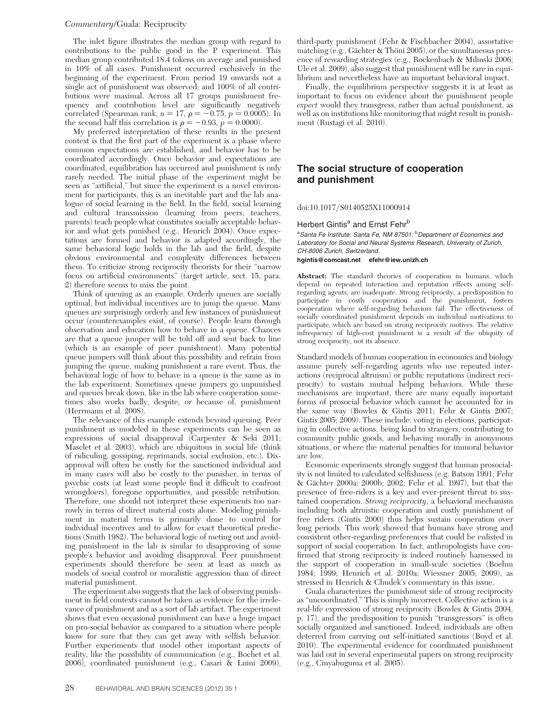The inlet figure illustrates the median group with regard to contributions to the public good in the P experiment. This median group contributed 18.4 tokens on average and punished in 10% of all cases. Punishment occurred exclusively in the beginning of the experiment. From period 19 onwards not a single act of punishment was observed; and 100% of all contributions were maximal. Across all 17 groups punishment frequency and contribution level are significantly negatively correlated (Spearman rank,  $n = 17$ ,  $\rho = -0.75$ ,  $p = 0.0005$ ). In the second half this correlation is  $\rho = -0.93$ ,  $p = 0.0000$ ).

My preferred interpretation of these results in the present context is that the first part of the experiment is a phase where common expectations are established, and behavior has to be coordinated accordingly. Once behavior and expectations are coordinated, equilibration has occurred and punishment is only rarely needed. The initial phase of the experiment might be seen as "artificial," but since the experiment is a novel environment for participants, this is an inevitable part and the lab analogue of social learning in the field. In the field, social learning and cultural transmission (learning from peers, teachers, parents) teach people what constitutes socially acceptable behavior and what gets punished (e.g., Henrich 2004). Once expectations are formed and behavior is adapted accordingly, the same behavioral logic holds in the lab and the field, despite obvious environmental and complexity differences between them. To criticize strong reciprocity theorists for their "narrow focus on artificial environments" (target article, sect. 15, para. 2) therefore seems to miss the point.

Think of queuing as an example. Orderly queues are socially optimal, but individual incentives are to jump the queue. Many queues are surprisingly orderly and few instances of punishment occur (counterexamples exist, of course). People learn through observation and education how to behave in a queue. Chances are that a queue jumper will be told off and sent back to line (which is an example of peer punishment). Many potential queue jumpers will think about this possibility and refrain from jumping the queue, making punishment a rare event. Thus, the behavioral logic of how to behave in a queue is the same as in the lab experiment. Sometimes queue jumpers go unpunished and queues break down, like in the lab where cooperation sometimes also works badly, despite, or because of, punishment (Herrmann et al. 2008).

The relevance of this example extends beyond queuing. Peer punishment as modeled in these experiments can be seen as expressions of social disapproval (Carpenter & Seki 2011; Masclet et al. 2003), which are ubiquitous in social life (think of ridiculing, gossiping, reprimands, social exclusion, etc.). Disapproval will often be costly for the sanctioned individual and in many cases will also be costly to the punisher, in terms of psychic costs (at least some people find it difficult to confront wrongdoers), foregone opportunities, and possible retribution. Therefore, one should not interpret these experiments too narrowly in terms of direct material costs alone. Modeling punishment in material terms is primarily done to control for individual incentives and to allow for exact theoretical predictions (Smith 1982). The behavioral logic of meting out and avoiding punishment in the lab is similar to disapproving of some people's behavior and avoiding disapproval. Peer punishment experiments should therefore be seen at least as much as models of social control or moralistic aggression than of direct material punishment.

The experiment also suggests that the lack of observing punishment in field contexts cannot be taken as evidence for the irrelevance of punishment and as a sort of lab artifact. The experiment shows that even occasional punishment can have a huge impact on pro-social behavior as compared to a situation where people know for sure that they can get away with selfish behavior. Further experiments that model other important aspects of reality, like the possibility of communication (e.g., Bochet et al. 2006), coordinated punishment (e.g., Casari & Luini 2009),

third-party punishment (Fehr & Fischbacher 2004), assortative matching (e.g., Gächter & Thöni 2005), or the simultaneous presence of rewarding strategies (e.g., Rockenbach & Milinski 2006; Ule et al. 2009), also suggest that punishment will be rare in equilibrium and nevertheless have an important behavioral impact.

Finally, the equilibrium perspective suggests it is at least as important to focus on evidence about the punishment people expect would they transgress, rather than actual punishment, as well as on institutions like monitoring that might result in punishment (Rustagi et al. 2010).

## The social structure of cooperation and punishment

#### doi:10.1017/S0140525X11000914

#### Herbert Gintis<sup>a</sup> and Ernst Fehr<sup>b</sup>

<sup>a</sup>Santa Fe Institute, Santa Fe, NM 87501; <sup>b</sup>Department of Economics and Laboratory for Social and Neural Systems Research, University of Zurich, CH-8006 Zurich, Switzerland. hgintis@comcast.net efehr@iew.unizh.ch

Abstract: The standard theories of cooperation in humans, which depend on repeated interaction and reputation effects among selfregarding agents, are inadequate. Strong reciprocity, a predisposition to participate in costly cooperation and the punishment, fosters cooperation where self-regarding behaviors fail. The effectiveness of socially coordinated punishment depends on individual motivations to participate, which are based on strong reciprocity motives. The relative infrequency of high-cost punishment is a result of the ubiquity of strong reciprocity, not its absence.

Standard models of human cooperation in economics and biology assume purely self-regarding agents who use repeated interactions (reciprocal altruism) or public reputations (indirect reciprocity) to sustain mutual helping behaviors. While these mechanisms are important, there are many equally important forms of prosocial behavior which cannot be accounted for in the same way (Bowles & Gintis 2011; Fehr & Gintis 2007; Gintis 2005; 2009). These include: voting in elections, participating in collective actions, being kind to strangers, contributing to community public goods, and behaving morally in anonymous situations, or where the material penalties for immoral behavior are low.

Economic experiments strongly suggest that human prosociality is not limited to calculated selfishness (e.g. Batson 1991; Fehr & Gächter 2000a; 2000b; 2002; Fehr et al. 1997), but that the presence of free-riders is a key and ever-present threat to sustained cooperation. Strong reciprocity, a behavioral mechanism including both altruistic cooperation and costly punishment of free riders (Gintis 2000) thus helps sustain cooperation over long periods. This work showed that humans have strong and consistent other-regarding preferences that could be enlisted in support of social cooperation. In fact, anthropologists have confirmed that strong reciprocity is indeed routinely harnessed in the support of cooperation in small-scale societies (Boehm 1984; 1999; Henrich et al. 2010a; Wiessner 2005; 2009), as stressed in Henrich & Chudek's commentary in this issue.

Guala characterizes the punishment side of strong reciprocity as "uncoordinated." This is simply incorrect. Collective action is a real-life expression of strong reciprocity (Bowles & Gintis 2004, p. 17), and the predisposition to punish "transgressors" is often socially organized and sanctioned. Indeed, individuals are often deterred from carrying out self-initiated sanctions (Boyd et al. 2010). The experimental evidence for coordinated punishment was laid out in several experimental papers on strong reciprocity (e.g., Cinyabuguma et al. 2005).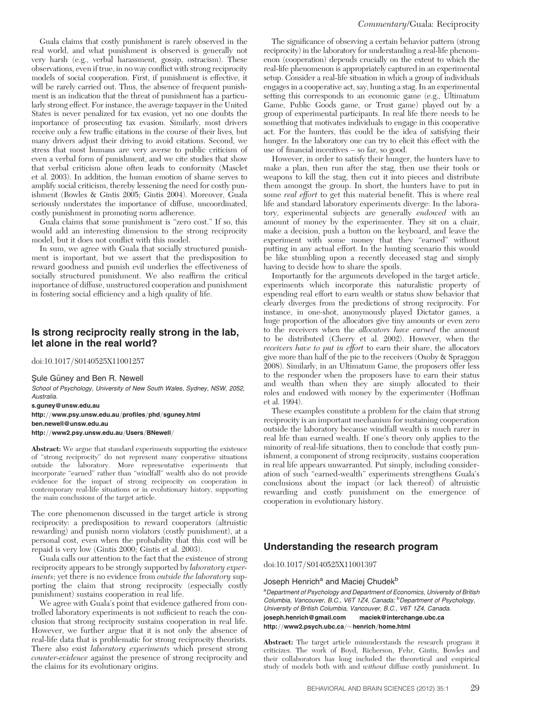Guala claims that costly punishment is rarely observed in the real world, and what punishment is observed is generally not very harsh (e.g., verbal harassment, gossip, ostracism). These observations, even if true, in no way conflict with strong reciprocity models of social cooperation. First, if punishment is effective, it will be rarely carried out. Thus, the absence of frequent punishment is an indication that the threat of punishment has a particularly strong effect. For instance, the average taxpayer in the United States is never penalized for tax evasion, yet no one doubts the importance of prosecuting tax evasion. Similarly, most drivers receive only a few traffic citations in the course of their lives, but many drivers adjust their driving to avoid citations. Second, we stress that most humans are very averse to public criticism of even a verbal form of punishment, and we cite studies that show that verbal criticism alone often leads to conformity (Masclet et al. 2003). In addition, the human emotion of shame serves to amplify social criticism, thereby lessening the need for costly punishment (Bowles & Gintis 2005; Gintis 2004). Moreover, Guala seriously understates the importance of diffuse, uncoordinated, costly punishment in promoting norm adherence.

Guala claims that some punishment is "zero cost." If so, this would add an interesting dimension to the strong reciprocity model, but it does not conflict with this model.

In sum, we agree with Guala that socially structured punishment is important, but we assert that the predisposition to reward goodness and punish evil underlies the effectiveness of socially structured punishment. We also reaffirm the critical importance of diffuse, unstructured cooperation and punishment in fostering social efficiency and a high quality of life.

## Is strong reciprocity really strong in the lab, let alone in the real world?

doi:10.1017/S0140525X11001257

Şule Güney and Ben R. Newell

School of Psychology, University of New South Wales, Sydney, NSW, 2052, Australia.

s.guney@unsw.edu.au

http://www.psy.unsw.edu.au/profiles/phd/sguney.html ben.newell@unsw.edu.au http://www2.psy.unsw.edu.au/Users/BNewell/

Abstract: We argue that standard experiments supporting the existence of "strong reciprocity" do not represent many cooperative situations outside the laboratory. More representative experiments that incorporate "earned" rather than "windfall" wealth also do not provide evidence for the impact of strong reciprocity on cooperation in contemporary real-life situations or in evolutionary history, supporting the main conclusions of the target article.

The core phenomenon discussed in the target article is strong reciprocity: a predisposition to reward cooperators (altruistic rewarding) and punish norm violators (costly punishment), at a personal cost, even when the probability that this cost will be repaid is very low (Gintis 2000; Gintis et al. 2003).

Guala calls our attention to the fact that the existence of strong reciprocity appears to be strongly supported by laboratory experiments; yet there is no evidence from outside the laboratory supporting the claim that strong reciprocity (especially costly punishment) sustains cooperation in real life.

We agree with Guala's point that evidence gathered from controlled laboratory experiments is not sufficient to reach the conclusion that strong reciprocity sustains cooperation in real life. However, we further argue that it is not only the absence of real-life data that is problematic for strong reciprocity theorists. There also exist *laboratory* experiments which present strong counter-evidence against the presence of strong reciprocity and the claims for its evolutionary origins.

The significance of observing a certain behavior pattern (strong reciprocity) in the laboratory for understanding a real-life phenomenon (cooperation) depends crucially on the extent to which the real-life phenomenon is appropriately captured in an experimental setup. Consider a real-life situation in which a group of individuals engages in a cooperative act, say, hunting a stag. In an experimental setting this corresponds to an economic game (e.g., Ultimatum Game, Public Goods game, or Trust game) played out by a group of experimental participants. In real life there needs to be something that motivates individuals to engage in this cooperative act. For the hunters, this could be the idea of satisfying their hunger. In the laboratory one can try to elicit this effect with the use of financial incentives – so far, so good.

However, in order to satisfy their hunger, the hunters have to make a plan, then run after the stag, then use their tools or weapons to kill the stag, then cut it into pieces and distribute them amongst the group. In short, the hunters have to put in some real effort to get this material benefit. This is where real life and standard laboratory experiments diverge: In the laboratory, experimental subjects are generally endowed with an amount of money by the experimenter. They sit on a chair, make a decision, push a button on the keyboard, and leave the experiment with some money that they "earned" without putting in any actual effort. In the hunting scenario this would be like stumbling upon a recently deceased stag and simply having to decide how to share the spoils.

Importantly for the arguments developed in the target article, experiments which incorporate this naturalistic property of expending real effort to earn wealth or status show behavior that clearly diverges from the predictions of strong reciprocity. For instance, in one-shot, anonymously played Dictator games, a huge proportion of the allocators give tiny amounts or even zero to the receivers when the allocators have earned the amount to be distributed (Cherry et al. 2002). However, when the receivers have to put in effort to earn their share, the allocators give more than half of the pie to the receivers (Oxoby & Spraggon 2008). Similarly, in an Ultimatum Game, the proposers offer less to the responder when the proposers have to earn their status and wealth than when they are simply allocated to their roles and endowed with money by the experimenter (Hoffman et al. 1994).

These examples constitute a problem for the claim that strong reciprocity is an important mechanism for sustaining cooperation outside the laboratory because windfall wealth is much rarer in real life than earned wealth. If one's theory only applies to the minority of real-life situations, then to conclude that costly punishment, a component of strong reciprocity, sustains cooperation in real life appears unwarranted. Put simply, including consideration of such "earned-wealth" experiments strengthens Guala's conclusions about the impact (or lack thereof) of altruistic rewarding and costly punishment on the emergence of cooperation in evolutionary history.

## Understanding the research program

doi:10.1017/S0140525X11001397

#### Joseph Henrich<sup>a</sup> and Maciej Chudek<sup>b</sup>

a Department of Psychology and Department of Economics, University of British Columbia, Vancouver, B.C., V6T 1Z4, Canada; <sup>b</sup>Department of Psychology, University of British Columbia, Vancouver, B.C., V6T 1Z4, Canada. joseph.henrich@gmail.com maciek@interchange.ubc.ca http://www2.psych.ubc.ca/ $\sim$ henrich/home.html

Abstract: The target article misunderstands the research program it criticizes. The work of Boyd, Richerson, Fehr, Gintis, Bowles and their collaborators has long included the theoretical and empirical study of models both with and without diffuse costly punishment. In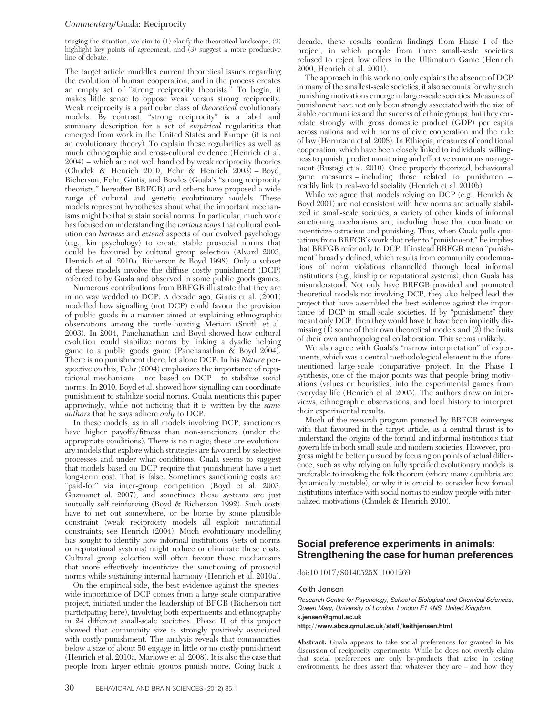triaging the situation, we aim to (1) clarify the theoretical landscape, (2) highlight key points of agreement, and (3) suggest a more productive line of debate.

The target article muddles current theoretical issues regarding the evolution of human cooperation, and in the process creates an empty set of "strong reciprocity theorists." To begin, it makes little sense to oppose weak versus strong reciprocity. Weak reciprocity is a particular class of theoretical evolutionary models. By contrast, "strong reciprocity" is a label and summary description for a set of *empirical* regularities that emerged from work in the United States and Europe (it is not an evolutionary theory). To explain these regularities as well as much ethnographic and cross-cultural evidence (Henrich et al. 2004) – which are not well handled by weak reciprocity theories (Chudek & Henrich 2010, Fehr & Henrich 2003) – Boyd, Richerson, Fehr, Gintis, and Bowles (Guala's "strong reciprocity theorists," hereafter BRFGB) and others have proposed a wide range of cultural and genetic evolutionary models. These models represent hypotheses about what the important mechanisms might be that sustain social norms. In particular, much work has focused on understanding the various ways that cultural evolution can harness and extend aspects of our evolved psychology (e.g., kin psychology) to create stable prosocial norms that could be favoured by cultural group selection (Alvard 2003, Henrich et al. 2010a, Richerson & Boyd 1998). Only a subset of these models involve the diffuse costly punishment (DCP) referred to by Guala and observed in some public goods games.

Numerous contributions from BRFGB illustrate that they are in no way wedded to DCP. A decade ago, Gintis et al. (2001) modelled how signalling (not DCP) could favour the provision of public goods in a manner aimed at explaining ethnographic observations among the turtle-hunting Meriam (Smith et al. 2003). In 2004, Panchanathan and Boyd showed how cultural evolution could stabilize norms by linking a dyadic helping game to a public goods game (Panchanathan & Boyd 2004). There is no punishment there, let alone DCP. In his *Nature* perspective on this, Fehr (2004) emphasizes the importance of reputational mechanisms – not based on DCP – to stabilize social norms. In 2010, Boyd et al. showed how signalling can coordinate punishment to stabilize social norms. Guala mentions this paper approvingly, while not noticing that it is written by the same authors that he says adhere only to DCP.

In these models, as in all models involving DCP, sanctioners have higher payoffs/fitness than non-sanctioners (under the appropriate conditions). There is no magic; these are evolutionary models that explore which strategies are favoured by selective processes and under what conditions. Guala seems to suggest that models based on DCP require that punishment have a net long-term cost. That is false. Sometimes sanctioning costs are "paid-for" via inter-group competition (Boyd et al. 2003, Guzmanet al. 2007), and sometimes these systems are just mutually self-reinforcing (Boyd & Richerson 1992). Such costs have to net out somewhere, or be borne by some plausible constraint (weak reciprocity models all exploit mutational constraints; see Henrich (2004). Much evolutionary modelling has sought to identify how informal institutions (sets of norms or reputational systems) might reduce or eliminate these costs. Cultural group selection will often favour those mechanisms that more effectively incentivize the sanctioning of prosocial norms while sustaining internal harmony (Henrich et al. 2010a).

On the empirical side, the best evidence against the specieswide importance of DCP comes from a large-scale comparative project, initiated under the leadership of BFGB (Richerson not participating here), involving both experiments and ethnography in 24 different small-scale societies. Phase II of this project showed that community size is strongly positively associated with costly punishment. The analysis reveals that communities below a size of about 50 engage in little or no costly punishment (Henrich et al. 2010a, Marlowe et al. 2008). It is also the case that people from larger ethnic groups punish more. Going back a

decade, these results confirm findings from Phase I of the project, in which people from three small-scale societies refused to reject low offers in the Ultimatum Game (Henrich 2000, Henrich et al. 2001).

The approach in this work not only explains the absence of DCP in many of the smallest-scale societies, it also accounts for why such punishing motivations emerge in larger-scale societies. Measures of punishment have not only been strongly associated with the size of stable communities and the success of ethnic groups, but they correlate strongly with gross domestic product (GDP) per capita across nations and with norms of civic cooperation and the rule of law (Herrmann et al. 2008). In Ethiopia, measures of conditional cooperation, which have been closely linked to individuals' willingness to punish, predict monitoring and effective commons management (Rustagi et al. 2010). Once properly theorized, behavioural game measures – including those related to punishment – readily link to real-world sociality (Henrich et al. 2010b).

While we agree that models relying on DCP (e.g., Henrich & Boyd 2001) are not consistent with how norms are actually stabilized in small-scale societies, a variety of other kinds of informal sanctioning mechanisms are, including those that coordinate or incentivize ostracism and punishing. Thus, when Guala pulls quotations from BRFGB's work that refer to "punishment," he implies that BRFGB refer only to DCP. If instead BRFGB mean "punishment" broadly defined, which results from community condemnations of norm violations channelled through local informal institutions (e.g., kinship or reputational systems), then Guala has misunderstood. Not only have BRFGB provided and promoted theoretical models not involving DCP, they also helped lead the project that have assembled the best evidence against the importance of DCP in small-scale societies. If by "punishment" they meant only DCP, then they would have to have been implicitly dismissing (1) some of their own theoretical models and (2) the fruits of their own anthropological collaboration. This seems unlikely.

We also agree with Guala's "narrow interpretation" of experiments, which was a central methodological element in the aforementioned large-scale comparative project. In the Phase I synthesis, one of the major points was that people bring motivations (values or heuristics) into the experimental games from everyday life (Henrich et al. 2005). The authors drew on interviews, ethnographic observations, and local history to interpret their experimental results.

Much of the research program pursued by BRFGB converges with that favoured in the target article, as a central thrust is to understand the origins of the formal and informal institutions that govern life in both small-scale and modern societies. However, progress might be better pursued by focusing on points of actual difference, such as why relying on fully specified evolutionary models is preferable to invoking the folk theorem (where many equilibria are dynamically unstable), or why it is crucial to consider how formal institutions interface with social norms to endow people with internalized motivations (Chudek & Henrich 2010).

## Social preference experiments in animals: Strengthening the case for human preferences

doi:10.1017/S0140525X11001269

#### Keith Jensen

Research Centre for Psychology, School of Biological and Chemical Sciences, Queen Mary, University of London, London E1 4NS, United Kingdom. k.jensen@qmul.ac.uk

http://www.sbcs.qmul.ac.uk/staff/keithjensen.html

Abstract: Guala appears to take social preferences for granted in his discussion of reciprocity experiments. While he does not overtly claim that social preferences are only by-products that arise in testing environments, he does assert that whatever they are – and how they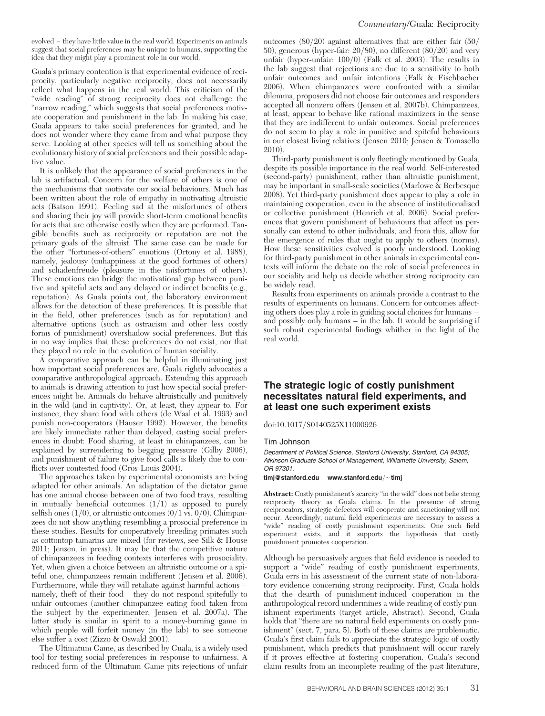evolved – they have little value in the real world. Experiments on animals suggest that social preferences may be unique to humans, supporting the idea that they might play a prominent role in our world.

Guala's primary contention is that experimental evidence of reciprocity, particularly negative reciprocity, does not necessarily reflect what happens in the real world. This criticism of the "wide reading" of strong reciprocity does not challenge the "narrow reading," which suggests that social preferences motivate cooperation and punishment in the lab. In making his case, Guala appears to take social preferences for granted, and he does not wonder where they came from and what purpose they serve. Looking at other species will tell us something about the evolutionary history of social preferences and their possible adaptive value.

It is unlikely that the appearance of social preferences in the lab is artifactual. Concern for the welfare of others is one of the mechanisms that motivate our social behaviours. Much has been written about the role of empathy in motivating altruistic acts (Batson 1991). Feeling sad at the misfortunes of others and sharing their joy will provide short-term emotional benefits for acts that are otherwise costly when they are performed. Tangible benefits such as reciprocity or reputation are not the primary goals of the altruist. The same case can be made for the other "fortunes-of-others" emotions (Ortony et al. 1988), namely, jealousy (unhappiness at the good fortunes of others) and schadenfreude (pleasure in the misfortunes of others). These emotions can bridge the motivational gap between punitive and spiteful acts and any delayed or indirect benefits (e.g., reputation). As Guala points out, the laboratory environment allows for the detection of these preferences. It is possible that in the field, other preferences (such as for reputation) and alternative options (such as ostracism and other less costly forms of punishment) overshadow social preferences. But this in no way implies that these preferences do not exist, nor that they played no role in the evolution of human sociality.

A comparative approach can be helpful in illuminating just how important social preferences are. Guala rightly advocates a comparative anthropological approach. Extending this approach to animals is drawing attention to just how special social preferences might be. Animals do behave altruistically and punitively in the wild (and in captivity). Or, at least, they appear to. For instance, they share food with others (de Waal et al. 1993) and punish non-cooperators (Hauser 1992). However, the benefits are likely immediate rather than delayed, casting social preferences in doubt: Food sharing, at least in chimpanzees, can be explained by surrendering to begging pressure (Gilby 2006), and punishment of failure to give food calls is likely due to conflicts over contested food (Gros-Louis 2004).

The approaches taken by experimental economists are being adapted for other animals. An adaptation of the dictator game has one animal choose between one of two food trays, resulting in mutually beneficial outcomes  $(1/1)$  as opposed to purely selfish ones  $(1/0)$ , or altruistic outcomes  $(0/1 \text{ vs. } 0/0)$ . Chimpanzees do not show anything resembling a prosocial preference in these studies. Results for cooperatively breeding primates such as cottontop tamarins are mixed (for reviews, see Silk & House 2011; Jensen, in press). It may be that the competitive nature of chimpanzees in feeding contexts interferes with prosociality. Yet, when given a choice between an altruistic outcome or a spiteful one, chimpanzees remain indifferent (Jensen et al. 2006). Furthermore, while they will retaliate against harmful actions – namely, theft of their food – they do not respond spitefully to unfair outcomes (another chimpanzee eating food taken from the subject by the experimenter; Jensen et al. 2007a). The latter study is similar in spirit to a money-burning game in which people will forfeit money (in the lab) to see someone else suffer a cost (Zizzo & Oswald 2001).

The Ultimatum Game, as described by Guala, is a widely used tool for testing social preferences in response to unfairness. A reduced form of the Ultimatum Game pits rejections of unfair outcomes (80/20) against alternatives that are either fair (50/ 50), generous (hyper-fair: 20/80), no different (80/20) and very unfair (hyper-unfair: 100/0) (Falk et al. 2003). The results in the lab suggest that rejections are due to a sensitivity to both unfair outcomes and unfair intentions (Falk & Fischbacher 2006). When chimpanzees were confronted with a similar dilemma, proposers did not choose fair outcomes and responders accepted all nonzero offers (Jensen et al. 2007b). Chimpanzees, at least, appear to behave like rational maximizers in the sense that they are indifferent to unfair outcomes. Social preferences do not seem to play a role in punitive and spiteful behaviours in our closest living relatives (Jensen 2010; Jensen & Tomasello 2010).

Third-party punishment is only fleetingly mentioned by Guala, despite its possible importance in the real world. Self-interested (second-party) punishment, rather than altruistic punishment, may be important in small-scale societies (Marlowe & Berbesque 2008). Yet third-party punishment does appear to play a role in maintaining cooperation, even in the absence of institutionalised or collective punishment (Henrich et al. 2006). Social preferences that govern punishment of behaviours that affect us personally can extend to other individuals, and from this, allow for the emergence of rules that ought to apply to others (norms). How these sensitivities evolved is poorly understood. Looking for third-party punishment in other animals in experimental contexts will inform the debate on the role of social preferences in our sociality and help us decide whether strong reciprocity can be widely read.

Results from experiments on animals provide a contrast to the results of experiments on humans. Concern for outcomes affecting others does play a role in guiding social choices for humans – and possibly only humans – in the lab. It would be surprising if such robust experimental findings whither in the light of the real world.

## The strategic logic of costly punishment necessitates natural field experiments, and at least one such experiment exists

doi:10.1017/S0140525X11000926

#### Tim Johnson

Department of Political Science, Stanford University, Stanford, CA 94305; Atkinson Graduate School of Management, Willamette University, Salem, OR 97301.

timj@stanford.edu www.stanford.edu $/\!\!\sim$ timj

Abstract: Costly punishment's scarcity "in the wild" does not belie strong reciprocity theory as Guala claims. In the presence of strong reciprocators, strategic defectors will cooperate and sanctioning will not occur. Accordingly, natural field experiments are necessary to assess a "wide" reading of costly punishment experiments. One such field experiment exists, and it supports the hypothesis that costly punishment promotes cooperation.

Although he persuasively argues that field evidence is needed to support a "wide" reading of costly punishment experiments, Guala errs in his assessment of the current state of non-laboratory evidence concerning strong reciprocity. First, Guala holds that the dearth of punishment-induced cooperation in the anthropological record undermines a wide reading of costly punishment experiments (target article, Abstract). Second, Guala holds that "there are no natural field experiments on costly punishment" (sect. 7, para. 5). Both of these claims are problematic. Guala's first claim fails to appreciate the strategic logic of costly punishment, which predicts that punishment will occur rarely if it proves effective at fostering cooperation. Guala's second claim results from an incomplete reading of the past literature,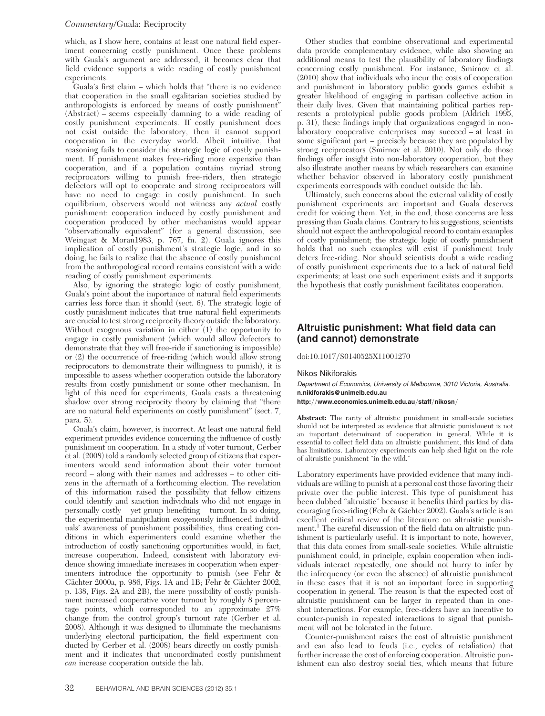which, as I show here, contains at least one natural field experiment concerning costly punishment. Once these problems with Guala's argument are addressed, it becomes clear that field evidence supports a wide reading of costly punishment experiments.

Guala's first claim – which holds that "there is no evidence that cooperation in the small egalitarian societies studied by anthropologists is enforced by means of costly punishment" (Abstract) – seems especially damning to a wide reading of costly punishment experiments. If costly punishment does not exist outside the laboratory, then it cannot support cooperation in the everyday world. Albeit intuitive, that reasoning fails to consider the strategic logic of costly punishment. If punishment makes free-riding more expensive than cooperation, and if a population contains myriad strong reciprocators willing to punish free-riders, then strategic defectors will opt to cooperate and strong reciprocators will have no need to engage in costly punishment. In such equilibrium, observers would not witness any *actual* costly punishment: cooperation induced by costly punishment and cooperation produced by other mechanisms would appear "observationally equivalent" (for a general discussion, see Weingast & Moran1983, p. 767, fn. 2). Guala ignores this implication of costly punishment's strategic logic, and in so doing, he fails to realize that the absence of costly punishment from the anthropological record remains consistent with a wide reading of costly punishment experiments.

Also, by ignoring the strategic logic of costly punishment, Guala's point about the importance of natural field experiments carries less force than it should (sect. 6). The strategic logic of costly punishment indicates that true natural field experiments are crucial to test strong reciprocity theory outside the laboratory. Without exogenous variation in either (1) the opportunity to engage in costly punishment (which would allow defectors to demonstrate that they will free-ride if sanctioning is impossible) or (2) the occurrence of free-riding (which would allow strong reciprocators to demonstrate their willingness to punish), it is impossible to assess whether cooperation outside the laboratory results from costly punishment or some other mechanism. In light of this need for experiments, Guala casts a threatening shadow over strong reciprocity theory by claiming that "there are no natural field experiments on costly punishment" (sect. 7, para. 5).

Guala's claim, however, is incorrect. At least one natural field experiment provides evidence concerning the influence of costly punishment on cooperation. In a study of voter turnout, Gerber et al. (2008) told a randomly selected group of citizens that experimenters would send information about their voter turnout record – along with their names and addresses – to other citizens in the aftermath of a forthcoming election. The revelation of this information raised the possibility that fellow citizens could identify and sanction individuals who did not engage in personally costly – yet group benefiting – turnout. In so doing, the experimental manipulation exogenously influenced individuals' awareness of punishment possibilities, thus creating conditions in which experimenters could examine whether the introduction of costly sanctioning opportunities would, in fact, increase cooperation. Indeed, consistent with laboratory evidence showing immediate increases in cooperation when experimenters introduce the opportunity to punish (see Fehr & Gächter 2000a, p. 986, Figs. 1A and 1B; Fehr & Gächter 2002, p. 138, Figs. 2A and 2B), the mere possibility of costly punishment increased cooperative voter turnout by roughly 8 percentage points, which corresponded to an approximate 27% change from the control group's turnout rate (Gerber et al. 2008). Although it was designed to illuminate the mechanisms underlying electoral participation, the field experiment conducted by Gerber et al. (2008) bears directly on costly punishment and it indicates that uncoordinated costly punishment can increase cooperation outside the lab.

Other studies that combine observational and experimental data provide complementary evidence, while also showing an additional means to test the plausibility of laboratory findings concerning costly punishment. For instance, Smirnov et al. (2010) show that individuals who incur the costs of cooperation and punishment in laboratory public goods games exhibit a greater likelihood of engaging in partisan collective action in their daily lives. Given that maintaining political parties represents a prototypical public goods problem (Aldrich 1995, p. 31), these findings imply that organizations engaged in nonlaboratory cooperative enterprises may succeed – at least in some significant part – precisely because they are populated by strong reciprocators (Smirnov et al. 2010). Not only do those findings offer insight into non-laboratory cooperation, but they also illustrate another means by which researchers can examine whether behavior observed in laboratory costly punishment experiments corresponds with conduct outside the lab.

Ultimately, such concerns about the external validity of costly punishment experiments are important and Guala deserves credit for voicing them. Yet, in the end, those concerns are less pressing than Guala claims. Contrary to his suggestions, scientists should not expect the anthropological record to contain examples of costly punishment; the strategic logic of costly punishment holds that no such examples will exist if punishment truly deters free-riding. Nor should scientists doubt a wide reading of costly punishment experiments due to a lack of natural field experiments; at least one such experiment exists and it supports the hypothesis that costly punishment facilitates cooperation.

## Altruistic punishment: What field data can (and cannot) demonstrate

doi:10.1017/S0140525X11001270

#### Nikos Nikiforakis

Department of Economics, University of Melbourne, 3010 Victoria, Australia. n.nikiforakis@unimelb.edu.au

#### http://www.economics.unimelb.edu.au/staff/nikosn/

Abstract: The rarity of altruistic punishment in small-scale societies should not be interpreted as evidence that altruistic punishment is not an important determinant of cooperation in general. While it is essential to collect field data on altruistic punishment, this kind of data has limitations. Laboratory experiments can help shed light on the role of altruistic punishment "in the wild."

Laboratory experiments have provided evidence that many individuals are willing to punish at a personal cost those favoring their private over the public interest. This type of punishment has been dubbed "altruistic" because it benefits third parties by discouraging free-riding (Fehr & Gächter 2002). Guala's article is an excellent critical review of the literature on altruistic punishment.<sup>1</sup> The careful discussion of the field data on altruistic punishment is particularly useful. It is important to note, however, that this data comes from small-scale societies. While altruistic punishment could, in principle, explain cooperation when individuals interact repeatedly, one should not hurry to infer by the infrequency (or even the absence) of altruistic punishment in these cases that it is not an important force in supporting cooperation in general. The reason is that the expected cost of altruistic punishment can be larger in repeated than in oneshot interactions. For example, free-riders have an incentive to counter-punish in repeated interactions to signal that punishment will not be tolerated in the future.

Counter-punishment raises the cost of altruistic punishment and can also lead to feuds (i.e., cycles of retaliation) that further increase the cost of enforcing cooperation. Altruistic punishment can also destroy social ties, which means that future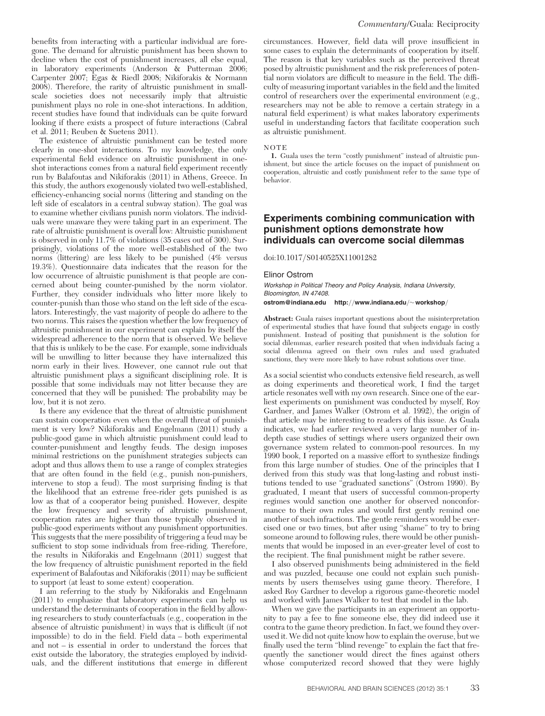benefits from interacting with a particular individual are foregone. The demand for altruistic punishment has been shown to decline when the cost of punishment increases, all else equal, in laboratory experiments (Anderson & Putterman 2006; Carpenter 2007; Egas & Riedl 2008; Nikiforakis & Normann 2008). Therefore, the rarity of altruistic punishment in smallscale societies does not necessarily imply that altruistic punishment plays no role in one-shot interactions. In addition, recent studies have found that individuals can be quite forward looking if there exists a prospect of future interactions (Cabral et al. 2011; Reuben & Suetens 2011).

The existence of altruistic punishment can be tested more clearly in one-shot interactions. To my knowledge, the only experimental field evidence on altruistic punishment in oneshot interactions comes from a natural field experiment recently run by Balafoutas and Nikiforakis (2011) in Athens, Greece. In this study, the authors exogenously violated two well-established, efficiency-enhancing social norms (littering and standing on the left side of escalators in a central subway station). The goal was to examine whether civilians punish norm violators. The individuals were unaware they were taking part in an experiment. The rate of altruistic punishment is overall low: Altruistic punishment is observed in only 11.7% of violations (35 cases out of 300). Surprisingly, violations of the more well-established of the two norms (littering) are less likely to be punished (4% versus 19.3%). Questionnaire data indicates that the reason for the low occurrence of altruistic punishment is that people are concerned about being counter-punished by the norm violator. Further, they consider individuals who litter more likely to counter-punish than those who stand on the left side of the escalators. Interestingly, the vast majority of people do adhere to the two norms. This raises the question whether the low frequency of altruistic punishment in our experiment can explain by itself the widespread adherence to the norm that is observed. We believe that this is unlikely to be the case. For example, some individuals will be unwilling to litter because they have internalized this norm early in their lives. However, one cannot rule out that altruistic punishment plays a significant disciplining role. It is possible that some individuals may not litter because they are concerned that they will be punished: The probability may be low, but it is not zero.

Is there any evidence that the threat of altruistic punishment can sustain cooperation even when the overall threat of punishment is very low? Nikiforakis and Engelmann (2011) study a public-good game in which altruistic punishment could lead to counter-punishment and lengthy feuds. The design imposes minimal restrictions on the punishment strategies subjects can adopt and thus allows them to use a range of complex strategies that are often found in the field (e.g., punish non-punishers, intervene to stop a feud). The most surprising finding is that the likelihood that an extreme free-rider gets punished is as low as that of a cooperator being punished. However, despite the low frequency and severity of altruistic punishment, cooperation rates are higher than those typically observed in public-good experiments without any punishment opportunities. This suggests that the mere possibility of triggering a feud may be sufficient to stop some individuals from free-riding. Therefore, the results in Nikiforakis and Engelmann (2011) suggest that the low frequency of altruistic punishment reported in the field experiment of Balafoutas and Nikiforakis (2011) may be sufficient to support (at least to some extent) cooperation.

I am referring to the study by Nikiforakis and Engelmann (2011) to emphasize that laboratory experiments can help us understand the determinants of cooperation in the field by allowing researchers to study counterfactuals (e.g., cooperation in the absence of altruistic punishment) in ways that is difficult (if not impossible) to do in the field. Field data – both experimental and not – is essential in order to understand the forces that exist outside the laboratory, the strategies employed by individuals, and the different institutions that emerge in different circumstances. However, field data will prove insufficient in some cases to explain the determinants of cooperation by itself. The reason is that key variables such as the perceived threat posed by altruistic punishment and the risk preferences of potential norm violators are difficult to measure in the field. The difficulty of measuring important variables in the field and the limited control of researchers over the experimental environment (e.g., researchers may not be able to remove a certain strategy in a natural field experiment) is what makes laboratory experiments useful in understanding factors that facilitate cooperation such as altruistic punishment.

NOTE

1. Guala uses the term "costly punishment" instead of altruistic punishment, but since the article focuses on the impact of punishment on cooperation, altruistic and costly punishment refer to the same type of behavior.

## Experiments combining communication with punishment options demonstrate how individuals can overcome social dilemmas

doi:10.1017/S0140525X11001282

Elinor Ostrom

Workshop in Political Theory and Policy Analysis, Indiana University, Bloomington, IN 47408. ostrom@indiana.edu http://www.indiana.edu/ $\sim$ workshop/

Abstract: Guala raises important questions about the misinterpretation of experimental studies that have found that subjects engage in costly punishment. Instead of positing that punishment is the solution for social dilemmas, earlier research posited that when individuals facing a social dilemma agreed on their own rules and used graduated sanctions, they were more likely to have robust solutions over time.

As a social scientist who conducts extensive field research, as well as doing experiments and theoretical work, I find the target article resonates well with my own research. Since one of the earliest experiments on punishment was conducted by myself, Roy Gardner, and James Walker (Ostrom et al. 1992), the origin of that article may be interesting to readers of this issue. As Guala indicates, we had earlier reviewed a very large number of indepth case studies of settings where users organized their own governance system related to common-pool resources. In my 1990 book, I reported on a massive effort to synthesize findings from this large number of studies. One of the principles that I derived from this study was that long-lasting and robust institutions tended to use "graduated sanctions" (Ostrom 1990). By graduated, I meant that users of successful common-property regimes would sanction one another for observed nonconformance to their own rules and would first gently remind one another of such infractions. The gentle reminders would be exercised one or two times, but after using "shame" to try to bring someone around to following rules, there would be other punishments that would be imposed in an ever-greater level of cost to the recipient. The final punishment might be rather severe.

I also observed punishments being administered in the field and was puzzled, because one could not explain such punishments by users themselves using game theory. Therefore, I asked Roy Gardner to develop a rigorous game-theoretic model and worked with James Walker to test that model in the lab.

When we gave the participants in an experiment an opportunity to pay a fee to fine someone else, they did indeed use it contra to the game theory prediction. In fact, we found they overused it. We did not quite know how to explain the overuse, but we finally used the term "blind revenge" to explain the fact that frequently the sanctioner would direct the fines against others whose computerized record showed that they were highly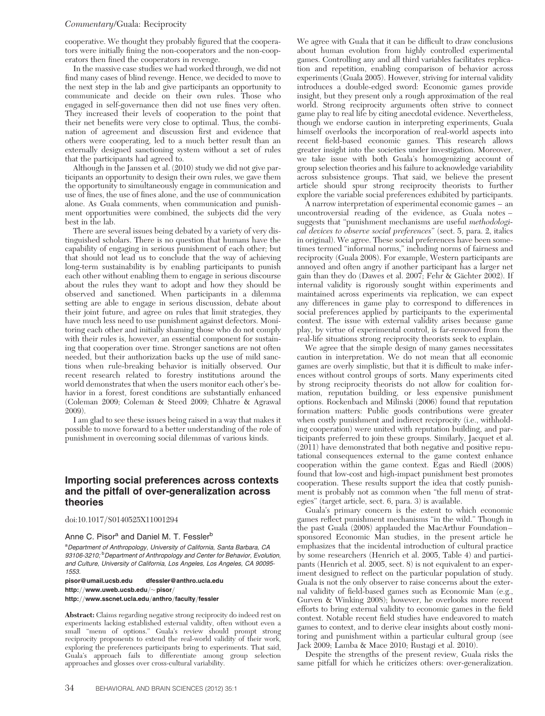cooperative. We thought they probably figured that the cooperators were initially fining the non-cooperators and the non-cooperators then fined the cooperators in revenge.

In the massive case studies we had worked through, we did not find many cases of blind revenge. Hence, we decided to move to the next step in the lab and give participants an opportunity to communicate and decide on their own rules. Those who engaged in self-governance then did not use fines very often. They increased their levels of cooperation to the point that their net benefits were very close to optimal. Thus, the combination of agreement and discussion first and evidence that others were cooperating, led to a much better result than an externally designed sanctioning system without a set of rules that the participants had agreed to.

Although in the Janssen et al. (2010) study we did not give participants an opportunity to design their own rules, we gave them the opportunity to simultaneously engage in communication and use of fines, the use of fines alone, and the use of communication alone. As Guala comments, when communication and punishment opportunities were combined, the subjects did the very best in the lab.

There are several issues being debated by a variety of very distinguished scholars. There is no question that humans have the capability of engaging in serious punishment of each other; but that should not lead us to conclude that the way of achieving long-term sustainability is by enabling participants to punish each other without enabling them to engage in serious discourse about the rules they want to adopt and how they should be observed and sanctioned. When participants in a dilemma setting are able to engage in serious discussion, debate about their joint future, and agree on rules that limit strategies, they have much less need to use punishment against defectors. Monitoring each other and initially shaming those who do not comply with their rules is, however, an essential component for sustaining that cooperation over time. Stronger sanctions are not often needed, but their authorization backs up the use of mild sanctions when rule-breaking behavior is initially observed. Our recent research related to forestry institutions around the world demonstrates that when the users monitor each other's behavior in a forest, forest conditions are substantially enhanced (Coleman 2009; Coleman & Steed 2009; Chhatre & Agrawal 2009).

I am glad to see these issues being raised in a way that makes it possible to move forward to a better understanding of the role of punishment in overcoming social dilemmas of various kinds.

## Importing social preferences across contexts and the pitfall of over-generalization across theories

doi:10.1017/S0140525X11001294

Anne C. Pisor<sup>a</sup> and Daniel M. T. Fessler<sup>b</sup>

<sup>a</sup>Department of Anthropology, University of California, Santa Barbara, CA 93106-3210; <sup>b</sup>Department of Anthropology and Center for Behavior, Evolution, and Culture, University of California, Los Angeles, Los Angeles, CA 90095- 1553.

pisor@umail.ucsb.edu dfessler@anthro.ucla.edu http://www.uweb.ucsb.edu/ $\sim$ pisor/

http://www.sscnet.ucla.edu/anthro/faculty/fessler

Abstract: Claims regarding negative strong reciprocity do indeed rest on experiments lacking established external validity, often without even a small "menu of options." Guala's review should prompt strong reciprocity proponents to extend the real-world validity of their work, exploring the preferences participants bring to experiments. That said, Guala's approach fails to differentiate among group selection approaches and glosses over cross-cultural variability.

We agree with Guala that it can be difficult to draw conclusions about human evolution from highly controlled experimental games. Controlling any and all third variables facilitates replication and repetition, enabling comparison of behavior across experiments (Guala 2005). However, striving for internal validity introduces a double-edged sword: Economic games provide insight, but they present only a rough approximation of the real world. Strong reciprocity arguments often strive to connect game play to real life by citing anecdotal evidence. Nevertheless, though we endorse caution in interpreting experiments, Guala himself overlooks the incorporation of real-world aspects into recent field-based economic games. This research allows greater insight into the societies under investigation. Moreover, we take issue with both Guala's homogenizing account of group selection theories and his failure to acknowledge variability across subsistence groups. That said, we believe the present article should spur strong reciprocity theorists to further explore the variable social preferences exhibited by participants.

A narrow interpretation of experimental economic games – an uncontroversial reading of the evidence, as Guala notes – suggests that "punishment mechanisms are useful methodological devices to observe social preferences" (sect. 5, para. 2, italics in original). We agree. These social preferences have been sometimes termed "informal norms," including norms of fairness and reciprocity (Guala 2008). For example, Western participants are annoyed and often angry if another participant has a larger net gain than they do (Dawes et al. 2007; Fehr & Gächter 2002). If internal validity is rigorously sought within experiments and maintained across experiments via replication, we can expect any differences in game play to correspond to differences in social preferences applied by participants to the experimental context. The issue with external validity arises because game play, by virtue of experimental control, is far-removed from the real-life situations strong reciprocity theorists seek to explain.

We agree that the simple design of many games necessitates caution in interpretation. We do not mean that all economic games are overly simplistic, but that it is difficult to make inferences without control groups of sorts. Many experiments cited by strong reciprocity theorists do not allow for coalition formation, reputation building, or less expensive punishment options. Rockenbach and Milinski (2006) found that reputation formation matters: Public goods contributions were greater when costly punishment and indirect reciprocity (i.e., withholding cooperation) were united with reputation building, and participants preferred to join these groups. Similarly, Jacquet et al. (2011) have demonstrated that both negative and positive reputational consequences external to the game context enhance cooperation within the game context. Egas and Riedl (2008) found that low-cost and high-impact punishment best promotes cooperation. These results support the idea that costly punishment is probably not as common when "the full menu of strategies" (target article, sect. 6, para. 3) is available.

Guala's primary concern is the extent to which economic games reflect punishment mechanisms "in the wild." Though in the past Guala (2008) applauded the MacArthur Foundation– sponsored Economic Man studies, in the present article he emphasizes that the incidental introduction of cultural practice by some researchers (Henrich et al. 2005, Table 4) and participants (Henrich et al. 2005, sect. 8) is not equivalent to an experiment designed to reflect on the particular population of study. Guala is not the only observer to raise concerns about the external validity of field-based games such as Economic Man (e.g., Gurven & Winking 2008); however, he overlooks more recent efforts to bring external validity to economic games in the field context. Notable recent field studies have endeavored to match games to context, and to derive clear insights about costly monitoring and punishment within a particular cultural group (see Jack 2009; Lamba & Mace 2010; Rustagi et al. 2010).

Despite the strengths of the present review, Guala risks the same pitfall for which he criticizes others: over-generalization.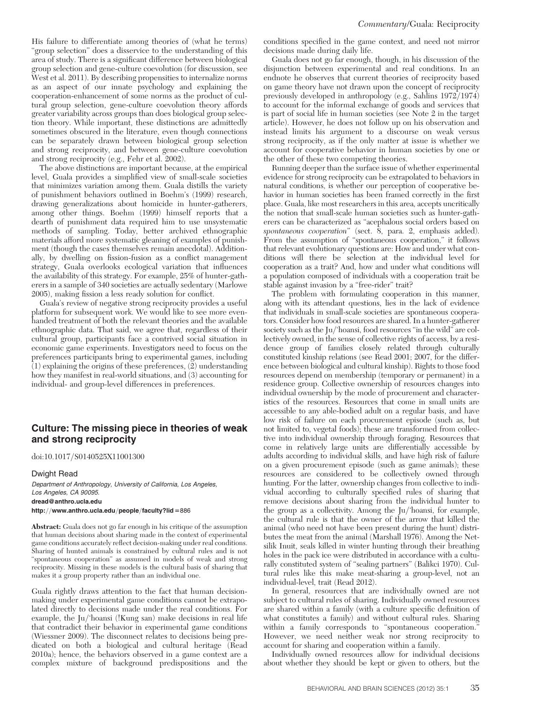His failure to differentiate among theories of (what he terms) "group selection" does a disservice to the understanding of this area of study. There is a significant difference between biological group selection and gene-culture coevolution (for discussion, see West et al. 2011). By describing propensities to internalize norms as an aspect of our innate psychology and explaining the cooperation-enhancement of some norms as the product of cultural group selection, gene-culture coevolution theory affords greater variability across groups than does biological group selection theory. While important, these distinctions are admittedly sometimes obscured in the literature, even though connections can be separately drawn between biological group selection and strong reciprocity, and between gene-culture coevolution and strong reciprocity (e.g., Fehr et al. 2002).

The above distinctions are important because, at the empirical level, Guala provides a simplified view of small-scale societies that minimizes variation among them. Guala distills the variety of punishment behaviors outlined in Boehm's (1999) research, drawing generalizations about homicide in hunter-gatherers, among other things. Boehm (1999) himself reports that a dearth of punishment data required him to use unsystematic methods of sampling. Today, better archived ethnographic materials afford more systematic gleaning of examples of punishment (though the cases themselves remain anecdotal). Additionally, by dwelling on fission-fusion as a conflict management strategy, Guala overlooks ecological variation that influences the availability of this strategy. For example, 25% of hunter-gatherers in a sample of 340 societies are actually sedentary (Marlowe 2005), making fission a less ready solution for conflict.

Guala's review of negative strong reciprocity provides a useful platform for subsequent work. We would like to see more evenhanded treatment of both the relevant theories and the available ethnographic data. That said, we agree that, regardless of their cultural group, participants face a contrived social situation in economic game experiments. Investigators need to focus on the preferences participants bring to experimental games, including  $(1)$  explaining the origins of these preferences,  $(2)$  understanding how they manifest in real-world situations, and (3) accounting for individual- and group-level differences in preferences.

## Culture: The missing piece in theories of weak and strong reciprocity

#### doi:10.1017/S0140525X11001300

#### Dwight Read

Department of Anthropology, University of California, Los Angeles, Los Angeles, CA 90095. dread@anthro.ucla.edu http://www.anthro.ucla.edu/people/faculty?lid=886

Abstract: Guala does not go far enough in his critique of the assumption that human decisions about sharing made in the context of experimental game conditions accurately reflect decision-making under real conditions. Sharing of hunted animals is constrained by cultural rules and is not "spontaneous cooperation" as assumed in models of weak and strong reciprocity. Missing in these models is the cultural basis of sharing that makes it a group property rather than an individual one.

Guala rightly draws attention to the fact that human decisionmaking under experimental game conditions cannot be extrapolated directly to decisions made under the real conditions. For example, the Ju/'hoansi (!Kung san) make decisions in real life that contradict their behavior in experimental game conditions (Wiessner 2009). The disconnect relates to decisions being predicated on both a biological and cultural heritage (Read 2010a); hence, the behaviors observed in a game context are a complex mixture of background predispositions and the conditions specified in the game context, and need not mirror decisions made during daily life.

Guala does not go far enough, though, in his discussion of the disjunction between experimental and real conditions. In an endnote he observes that current theories of reciprocity based on game theory have not drawn upon the concept of reciprocity previously developed in anthropology (e.g., Sahlins 1972/1974) to account for the informal exchange of goods and services that is part of social life in human societies (see Note 2 in the target article). However, he does not follow up on his observation and instead limits his argument to a discourse on weak versus strong reciprocity, as if the only matter at issue is whether we account for cooperative behavior in human societies by one or the other of these two competing theories.

Running deeper than the surface issue of whether experimental evidence for strong reciprocity can be extrapolated to behaviors in natural conditions, is whether our perception of cooperative behavior in human societies has been framed correctly in the first place. Guala, like most researchers in this area, accepts uncritically the notion that small-scale human societies such as hunter-gatherers can be characterized as "acephalous social orders based on spontaneous cooperation" (sect. 8, para. 2, emphasis added). From the assumption of "spontaneous cooperation," it follows that relevant evolutionary questions are: How and under what conditions will there be selection at the individual level for cooperation as a trait? And, how and under what conditions will a population composed of individuals with a cooperation trait be stable against invasion by a "free-rider" trait?

The problem with formulating cooperation in this manner, along with its attendant questions, lies in the lack of evidence that individuals in small-scale societies are spontaneous cooperators. Consider how food resources are shared. In a hunter-gatherer society such as the Ju/'hoansi, food resources "in the wild" are collectively owned, in the sense of collective rights of access, by a residence group of families closely related through culturally constituted kinship relations (see Read 2001; 2007, for the difference between biological and cultural kinship). Rights to those food resources depend on membership (temporary or permanent) in a residence group. Collective ownership of resources changes into individual ownership by the mode of procurement and characteristics of the resources. Resources that come in small units are accessible to any able-bodied adult on a regular basis, and have low risk of failure on each procurement episode (such as, but not limited to, vegetal foods); these are transformed from collective into individual ownership through foraging. Resources that come in relatively large units are differentially accessible by adults according to individual skills, and have high risk of failure on a given procurement episode (such as game animals); these resources are considered to be collectively owned through hunting. For the latter, ownership changes from collective to individual according to culturally specified rules of sharing that remove decisions about sharing from the individual hunter to the group as a collectivity. Among the Ju/'hoansi, for example, the cultural rule is that the owner of the arrow that killed the animal (who need not have been present during the hunt) distributes the meat from the animal (Marshall 1976). Among the Netsilik Inuit, seals killed in winter hunting through their breathing holes in the pack ice were distributed in accordance with a culturally constituted system of "sealing partners" (Balikci 1970). Cultural rules like this make meat-sharing a group-level, not an individual-level, trait (Read 2012).

In general, resources that are individually owned are not subject to cultural rules of sharing. Individually owned resources are shared within a family (with a culture specific definition of what constitutes a family) and without cultural rules. Sharing within a family corresponds to "spontaneous cooperation." However, we need neither weak nor strong reciprocity to account for sharing and cooperation within a family.

Individually owned resources allow for individual decisions about whether they should be kept or given to others, but the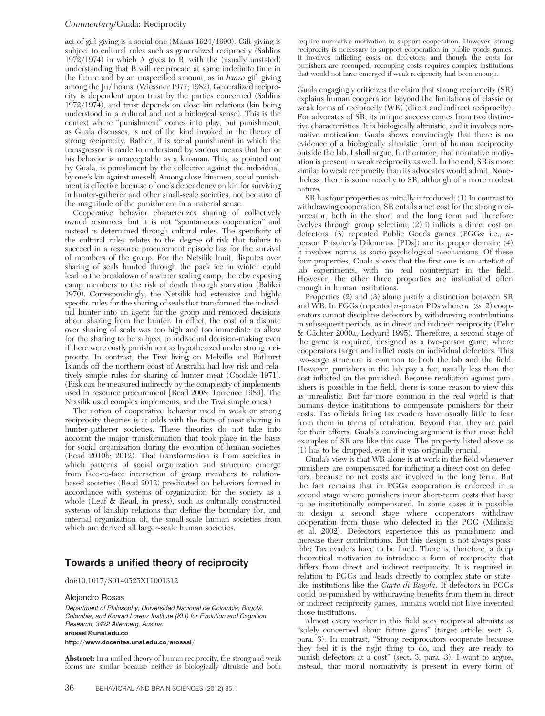act of gift giving is a social one (Mauss 1924/1990). Gift-giving is subject to cultural rules such as generalized reciprocity (Sahlins 1972/1974) in which A gives to B, with the (usually unstated) understanding that B will reciprocate at some indefinite time in the future and by an unspecified amount, as in hxaro gift giving among the Ju/'hoansi (Wiessner 1977; 1982). Generalized reciprocity is dependent upon trust by the parties concerned (Sahlins 1972/1974), and trust depends on close kin relations (kin being understood in a cultural and not a biological sense). This is the context where "punishment" comes into play, but punishment, as Guala discusses, is not of the kind invoked in the theory of strong reciprocity. Rather, it is social punishment in which the transgressor is made to understand by various means that her or his behavior is unacceptable as a kinsman. This, as pointed out by Guala, is punishment by the collective against the individual, by one's kin against oneself. Among close kinsmen, social punishment is effective because of one's dependency on kin for surviving in hunter-gatherer and other small-scale societies, not because of the magnitude of the punishment in a material sense.

Cooperative behavior characterizes sharing of collectively owned resources, but it is not "spontaneous cooperation" and instead is determined through cultural rules. The specificity of the cultural rules relates to the degree of risk that failure to succeed in a resource procurement episode has for the survival of members of the group. For the Netsilik Inuit, disputes over sharing of seals hunted through the pack ice in winter could lead to the breakdown of a winter sealing camp, thereby exposing camp members to the risk of death through starvation (Balikci 1970). Correspondingly, the Netsilik had extensive and highly specific rules for the sharing of seals that transformed the individual hunter into an agent for the group and removed decisions about sharing from the hunter. In effect, the cost of a dispute over sharing of seals was too high and too immediate to allow for the sharing to be subject to individual decision-making even if there were costly punishment as hypothesized under strong reciprocity. In contrast, the Tiwi living on Melville and Bathurst Islands off the northern coast of Australia had low risk and relatively simple rules for sharing of hunter meat (Goodale 1971). (Risk can be measured indirectly by the complexity of implements used in resource procurement [Read 2008; Torrence 1989]. The Netsilik used complex implements, and the Tiwi simple ones.)

The notion of cooperative behavior used in weak or strong reciprocity theories is at odds with the facts of meat-sharing in hunter-gatherer societies. These theories do not take into account the major transformation that took place in the basis for social organization during the evolution of human societies (Read 2010b; 2012). That transformation is from societies in which patterns of social organization and structure emerge from face-to-face interaction of group members to relationbased societies (Read 2012) predicated on behaviors formed in accordance with systems of organization for the society as a whole (Leaf & Read, in press), such as culturally constructed systems of kinship relations that define the boundary for, and internal organization of, the small-scale human societies from which are derived all larger-scale human societies.

## Towards a unified theory of reciprocity

doi:10.1017/S0140525X11001312

#### Alejandro Rosas

Department of Philosophy, Universidad Nacional de Colombia, Bogotá, Colombia, and Konrad Lorenz Institute (KLI) for Evolution and Cognition Research, 3422 Altenberg, Austria.

arosasl@unal.edu.co

http://www.docentes.unal.edu.co/arosasl/

Abstract: In a unified theory of human reciprocity, the strong and weak forms are similar because neither is biologically altruistic and both require normative motivation to support cooperation. However, strong reciprocity is necessary to support cooperation in public goods games. It involves inflicting costs on defectors; and though the costs for punishers are recouped, recouping costs requires complex institutions that would not have emerged if weak reciprocity had been enough.

Guala engagingly criticizes the claim that strong reciprocity (SR) explains human cooperation beyond the limitations of classic or weak forms of reciprocity (WR) (direct and indirect reciprocity). For advocates of SR, its unique success comes from two distinctive characteristics: It is biologically altruistic, and it involves normative motivation. Guala shows convincingly that there is no evidence of a biologically altruistic form of human reciprocity outside the lab. I shall argue, furthermore, that normative motivation is present in weak reciprocity as well. In the end, SR is more similar to weak reciprocity than its advocates would admit. Nonetheless, there is some novelty to SR, although of a more modest nature.

SR has four properties as initially introduced: (1) In contrast to withdrawing cooperation, SR entails a net cost for the strong reciprocator, both in the short and the long term and therefore evolves through group selection; (2) it inflicts a direct cost on defectors; (3) repeated Public Goods games (PGGs; i.e., nperson Prisoner's Dilemmas [PDs]) are its proper domain; (4) it involves norms as socio-psychological mechanisms. Of these four properties, Guala shows that the first one is an artefact of lab experiments, with no real counterpart in the field. However, the other three properties are instantiated often enough in human institutions.

Properties (2) and (3) alone justify a distinction between SR and WR. In PGGs (repeated *n*-person PDs where  $n \gg 2$ ) cooperators cannot discipline defectors by withdrawing contributions in subsequent periods, as in direct and indirect reciprocity (Fehr & Gächter 2000a; Ledyard 1995). Therefore, a second stage of the game is required, designed as a two-person game, where cooperators target and inflict costs on individual defectors. This two-stage structure is common to both the lab and the field. However, punishers in the lab pay a fee, usually less than the cost inflicted on the punished. Because retaliation against punishers is possible in the field, there is some reason to view this as unrealistic. But far more common in the real world is that humans device institutions to compensate punishers for their costs. Tax officials fining tax evaders have usually little to fear from them in terms of retaliation. Beyond that, they are paid for their efforts. Guala's convincing argument is that most field examples of SR are like this case. The property listed above as (1) has to be dropped, even if it was originally crucial.

Guala's view is that WR alone is at work in the field whenever punishers are compensated for inflicting a direct cost on defectors, because no net costs are involved in the long term. But the fact remains that in PGGs cooperation is enforced in a second stage where punishers incur short-term costs that have to be institutionally compensated. In some cases it is possible to design a second stage where cooperators withdraw cooperation from those who defected in the PGG (Milinski et al. 2002). Defectors experience this as punishment and increase their contributions. But this design is not always possible: Tax evaders have to be fined. There is, therefore, a deep theoretical motivation to introduce a form of reciprocity that differs from direct and indirect reciprocity. It is required in relation to PGGs and leads directly to complex state or statelike institutions like the Carte di Regola. If defectors in PGGs could be punished by withdrawing benefits from them in direct or indirect reciprocity games, humans would not have invented those institutions.

Almost every worker in this field sees reciprocal altruists as "solely concerned about future gains" (target article, sect. 3, para. 3). In contrast, "Strong reciprocators cooperate because they feel it is the right thing to do, and they are ready to punish defectors at a cost" (sect. 3, para. 3). I want to argue, instead, that moral normativity is present in every form of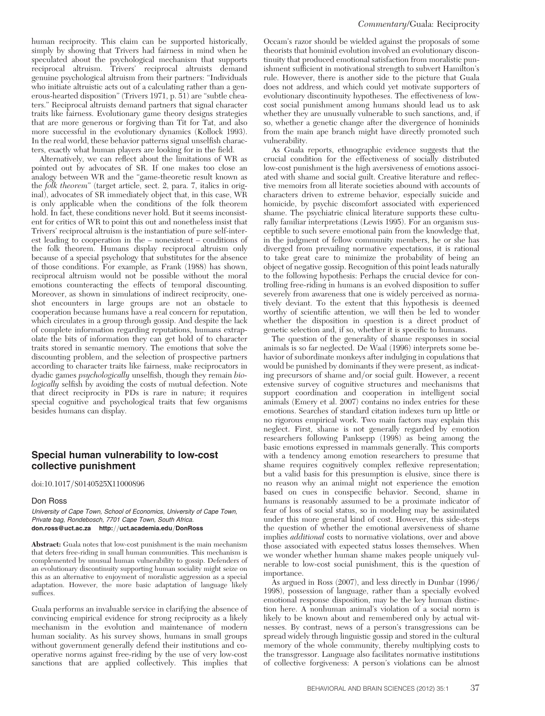human reciprocity. This claim can be supported historically, simply by showing that Trivers had fairness in mind when he speculated about the psychological mechanism that supports reciprocal altruism. Trivers' reciprocal altruists demand genuine psychological altruism from their partners: "Individuals who initiate altruistic acts out of a calculating rather than a generous-hearted disposition" (Trivers 1971, p. 51) are "subtle cheaters." Reciprocal altruists demand partners that signal character traits like fairness. Evolutionary game theory designs strategies that are more generous or forgiving than Tit for Tat, and also more successful in the evolutionary dynamics (Kollock 1993). In the real world, these behavior patterns signal unselfish characters, exactly what human players are looking for in the field.

Alternatively, we can reflect about the limitations of WR as pointed out by advocates of SR. If one makes too close an analogy between WR and the "game-theoretic result known as the folk theorem" (target article, sect. 2, para. 7, italics in original), advocates of SR immediately object that, in this case, WR is only applicable when the conditions of the folk theorem hold. In fact, these conditions never hold. But it seems inconsistent for critics of WR to point this out and nonetheless insist that Trivers' reciprocal altruism is the instantiation of pure self-interest leading to cooperation in the – nonexistent – conditions of the folk theorem. Humans display reciprocal altruism only because of a special psychology that substitutes for the absence of those conditions. For example, as Frank (1988) has shown, reciprocal altruism would not be possible without the moral emotions counteracting the effects of temporal discounting. Moreover, as shown in simulations of indirect reciprocity, oneshot encounters in large groups are not an obstacle to cooperation because humans have a real concern for reputation, which circulates in a group through gossip. And despite the lack of complete information regarding reputations, humans extrapolate the bits of information they can get hold of to character traits stored in semantic memory. The emotions that solve the discounting problem, and the selection of prospective partners according to character traits like fairness, make reciprocators in dyadic games psychologically unselfish, though they remain biologically selfish by avoiding the costs of mutual defection. Note that direct reciprocity in PDs is rare in nature; it requires special cognitive and psychological traits that few organisms besides humans can display.

## Special human vulnerability to low-cost collective punishment

doi:10.1017/S0140525X11000896

#### Don Ross

University of Cape Town, School of Economics, University of Cape Town, Private bag, Rondebosch, 7701 Cape Town, South Africa. don.ross@uct.ac.za http://uct.academia.edu/DonRoss

Abstract: Guala notes that low-cost punishment is the main mechanism that deters free-riding in small human communities. This mechanism is complemented by unusual human vulnerability to gossip. Defenders of an evolutionary discontinuity supporting human sociality might seize on this as an alternative to enjoyment of moralistic aggression as a special adaptation. However, the more basic adaptation of language likely suffices.

Guala performs an invaluable service in clarifying the absence of convincing empirical evidence for strong reciprocity as a likely mechanism in the evolution and maintenance of modern human sociality. As his survey shows, humans in small groups without government generally defend their institutions and cooperative norms against free-riding by the use of very low-cost sanctions that are applied collectively. This implies that Occam's razor should be wielded against the proposals of some theorists that hominid evolution involved an evolutionary discontinuity that produced emotional satisfaction from moralistic punishment sufficient in motivational strength to subvert Hamilton's rule. However, there is another side to the picture that Guala does not address, and which could yet motivate supporters of evolutionary discontinuity hypotheses. The effectiveness of lowcost social punishment among humans should lead us to ask whether they are unusually vulnerable to such sanctions, and, if so, whether a genetic change after the divergence of hominids from the main ape branch might have directly promoted such vulnerability.

As Guala reports, ethnographic evidence suggests that the crucial condition for the effectiveness of socially distributed low-cost punishment is the high aversiveness of emotions associated with shame and social guilt. Creative literature and reflective memoirs from all literate societies abound with accounts of characters driven to extreme behavior, especially suicide and homicide, by psychic discomfort associated with experienced shame. The psychiatric clinical literature supports these culturally familiar interpretations (Lewis 1995). For an organism susceptible to such severe emotional pain from the knowledge that, in the judgment of fellow community members, he or she has diverged from prevailing normative expectations, it is rational to take great care to minimize the probability of being an object of negative gossip. Recognition of this point leads naturally to the following hypothesis: Perhaps the crucial device for controlling free-riding in humans is an evolved disposition to suffer severely from awareness that one is widely perceived as normatively deviant. To the extent that this hypothesis is deemed worthy of scientific attention, we will then be led to wonder whether the disposition in question is a direct product of genetic selection and, if so, whether it is specific to humans.

The question of the generality of shame responses in social animals is so far neglected. De Waal (1996) interprets some behavior of subordinate monkeys after indulging in copulations that would be punished by dominants if they were present, as indicating precursors of shame and/or social guilt. However, a recent extensive survey of cognitive structures and mechanisms that support coordination and cooperation in intelligent social animals (Emery et al. 2007) contains no index entries for these emotions. Searches of standard citation indexes turn up little or no rigorous empirical work. Two main factors may explain this neglect. First, shame is not generally regarded by emotion researchers following Panksepp (1998) as being among the basic emotions expressed in mammals generally. This comports with a tendency among emotion researchers to presume that shame requires cognitively complex reflexive representation; but a valid basis for this presumption is elusive, since there is no reason why an animal might not experience the emotion based on cues in conspecific behavior. Second, shame in humans is reasonably assumed to be a proximate indicator of fear of loss of social status, so in modeling may be assimilated under this more general kind of cost. However, this side-steps the question of whether the emotional aversiveness of shame implies additional costs to normative violations, over and above those associated with expected status losses themselves. When we wonder whether human shame makes people uniquely vulnerable to low-cost social punishment, this is the question of importance.

As argued in Ross (2007), and less directly in Dunbar (1996/ 1998), possession of language, rather than a specially evolved emotional response disposition, may be the key human distinction here. A nonhuman animal's violation of a social norm is likely to be known about and remembered only by actual witnesses. By contrast, news of a person's transgressions can be spread widely through linguistic gossip and stored in the cultural memory of the whole community, thereby multiplying costs to the transgressor. Language also facilitates normative institutions of collective forgiveness: A person's violations can be almost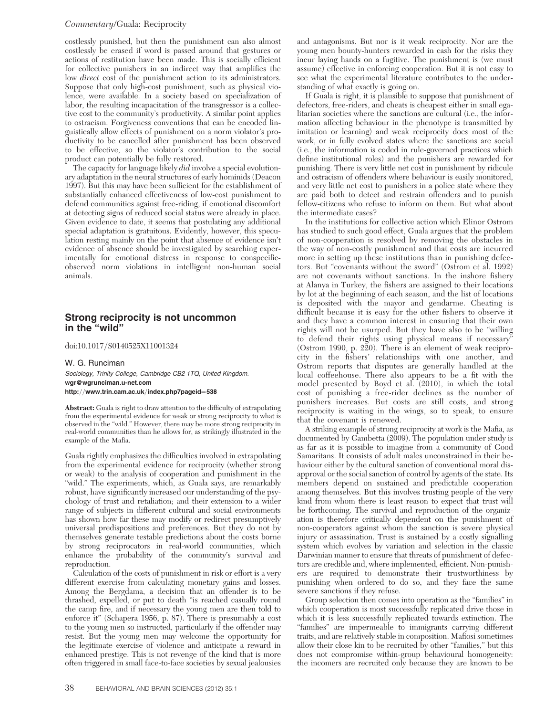costlessly punished, but then the punishment can also almost costlessly be erased if word is passed around that gestures or actions of restitution have been made. This is socially efficient for collective punishers in an indirect way that amplifies the low *direct* cost of the punishment action to its administrators. Suppose that only high-cost punishment, such as physical violence, were available. In a society based on specialization of labor, the resulting incapacitation of the transgressor is a collective cost to the community's productivity. A similar point applies to ostracism. Forgiveness conventions that can be encoded linguistically allow effects of punishment on a norm violator's productivity to be cancelled after punishment has been observed to be effective, so the violator's contribution to the social product can potentially be fully restored.

The capacity for language likely  $did$  involve a special evolutionary adaptation in the neural structures of early hominids (Deacon 1997). But this may have been sufficient for the establishment of substantially enhanced effectiveness of low-cost punishment to defend communities against free-riding, if emotional discomfort at detecting signs of reduced social status were already in place. Given evidence to date, it seems that postulating any additional special adaptation is gratuitous. Evidently, however, this speculation resting mainly on the point that absence of evidence isn't evidence of absence should be investigated by searching experimentally for emotional distress in response to conspecificobserved norm violations in intelligent non-human social animals.

## Strong reciprocity is not uncommon in the "wild"

doi:10.1017/S0140525X11001324

W. G. Runciman Sociology, Trinity College, Cambridge CB2 1TQ, United Kingdom. wgr@wgrunciman.u-net.com http://www.trin.cam.ac.uk/index.php7pageid=538

Abstract: Guala is right to draw attention to the difficulty of extrapolating from the experimental evidence for weak or strong reciprocity to what is observed in the "wild." However, there may be more strong reciprocity in real-world communities than he allows for, as strikingly illustrated in the example of the Mafia.

Guala rightly emphasizes the difficulties involved in extrapolating from the experimental evidence for reciprocity (whether strong or weak) to the analysis of cooperation and punishment in the "wild." The experiments, which, as Guala says, are remarkably robust, have significantly increased our understanding of the psychology of trust and retaliation; and their extension to a wider range of subjects in different cultural and social environments has shown how far these may modify or redirect presumptively universal predispositions and preferences. But they do not by themselves generate testable predictions about the costs borne by strong reciprocators in real-world communities, which enhance the probability of the community's survival and reproduction.

Calculation of the costs of punishment in risk or effort is a very different exercise from calculating monetary gains and losses. Among the Bergdama, a decision that an offender is to be thrashed, expelled, or put to death "is reached casually round the camp fire, and if necessary the young men are then told to enforce it" (Schapera 1956, p. 87). There is presumably a cost to the young men so instructed, particularly if the offender may resist. But the young men may welcome the opportunity for the legitimate exercise of violence and anticipate a reward in enhanced prestige. This is not revenge of the kind that is more often triggered in small face-to-face societies by sexual jealousies

and antagonisms. But nor is it weak reciprocity. Nor are the young men bounty-hunters rewarded in cash for the risks they incur laying hands on a fugitive. The punishment is (we must assume) effective in enforcing cooperation. But it is not easy to see what the experimental literature contributes to the understanding of what exactly is going on.

If Guala is right, it is plausible to suppose that punishment of defectors, free-riders, and cheats is cheapest either in small egalitarian societies where the sanctions are cultural (i.e., the information affecting behaviour in the phenotype is transmitted by imitation or learning) and weak reciprocity does most of the work, or in fully evolved states where the sanctions are social (i.e., the information is coded in rule-governed practices which define institutional roles) and the punishers are rewarded for punishing. There is very little net cost in punishment by ridicule and ostracism of offenders where behaviour is easily monitored, and very little net cost to punishers in a police state where they are paid both to detect and restrain offenders and to punish fellow-citizens who refuse to inform on them. But what about the intermediate cases?

In the institutions for collective action which Elinor Ostrom has studied to such good effect, Guala argues that the problem of non-cooperation is resolved by removing the obstacles in the way of non-costly punishment and that costs are incurred more in setting up these institutions than in punishing defectors. But "covenants without the sword" (Ostrom et al. 1992) are not covenants without sanctions. In the inshore fishery at Alanya in Turkey, the fishers are assigned to their locations by lot at the beginning of each season, and the list of locations is deposited with the mayor and gendarme. Cheating is difficult because it is easy for the other fishers to observe it and they have a common interest in ensuring that their own rights will not be usurped. But they have also to be "willing to defend their rights using physical means if necessary" (Ostrom 1990, p. 220). There is an element of weak reciprocity in the fishers' relationships with one another, and Ostrom reports that disputes are generally handled at the local coffeehouse. There also appears to be a fit with the model presented by Boyd et al. (2010), in which the total cost of punishing a free-rider declines as the number of punishers increases. But costs are still costs, and strong reciprocity is waiting in the wings, so to speak, to ensure that the covenant is renewed.

A striking example of strong reciprocity at work is the Mafia, as documented by Gambetta (2009). The population under study is as far as it is possible to imagine from a community of Good Samaritans. It consists of adult males unconstrained in their behaviour either by the cultural sanction of conventional moral disapproval or the social sanction of control by agents of the state. Its members depend on sustained and predictable cooperation among themselves. But this involves trusting people of the very kind from whom there is least reason to expect that trust will be forthcoming. The survival and reproduction of the organization is therefore critically dependent on the punishment of non-cooperators against whom the sanction is severe physical injury or assassination. Trust is sustained by a costly signalling system which evolves by variation and selection in the classic Darwinian manner to ensure that threats of punishment of defectors are credible and, where implemented, efficient. Non-punishers are required to demonstrate their trustworthiness by punishing when ordered to do so, and they face the same severe sanctions if they refuse.

Group selection then comes into operation as the "families" in which cooperation is most successfully replicated drive those in which it is less successfully replicated towards extinction. The "families" are impermeable to immigrants carrying different traits, and are relatively stable in composition. Mafiosi sometimes allow their close kin to be recruited by other "families," but this does not compromise within-group behavioural homogeneity: the incomers are recruited only because they are known to be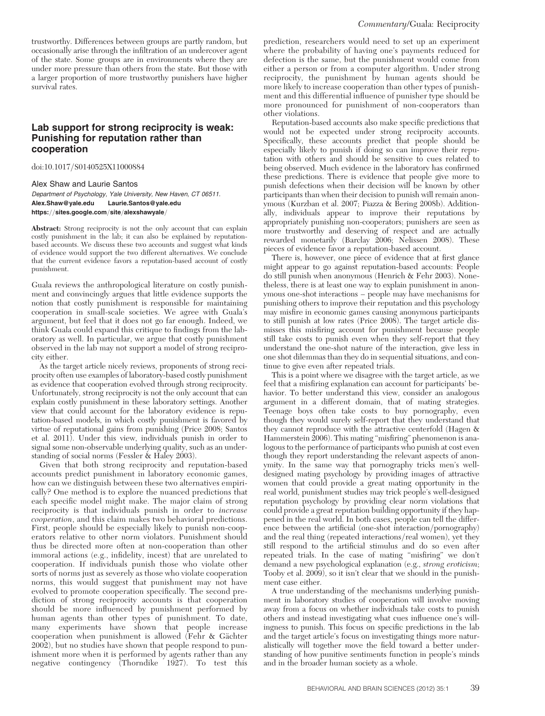trustworthy. Differences between groups are partly random, but occasionally arise through the infiltration of an undercover agent of the state. Some groups are in environments where they are under more pressure than others from the state. But those with a larger proportion of more trustworthy punishers have higher survival rates.

## Lab support for strong reciprocity is weak: Punishing for reputation rather than cooperation

doi:10.1017/S0140525X11000884

Alex Shaw and Laurie Santos

Department of Psychology, Yale University, New Haven, CT 06511. Alex.Shaw@yale.edu Laurie.Santos@yale.edu https://sites.google.com/site/alexshawyale/

Abstract: Strong reciprocity is not the only account that can explain costly punishment in the lab; it can also be explained by reputationbased accounts. We discuss these two accounts and suggest what kinds of evidence would support the two different alternatives. We conclude that the current evidence favors a reputation-based account of costly punishment.

Guala reviews the anthropological literature on costly punishment and convincingly argues that little evidence supports the notion that costly punishment is responsible for maintaining cooperation in small-scale societies. We agree with Guala's argument, but feel that it does not go far enough. Indeed, we think Guala could expand this critique to findings from the laboratory as well. In particular, we argue that costly punishment observed in the lab may not support a model of strong reciprocity either.

As the target article nicely reviews, proponents of strong reciprocity often use examples of laboratory-based costly punishment as evidence that cooperation evolved through strong reciprocity. Unfortunately, strong reciprocity is not the only account that can explain costly punishment in these laboratory settings. Another view that could account for the laboratory evidence is reputation-based models, in which costly punishment is favored by virtue of reputational gains from punishing (Price 2008; Santos et al. 2011). Under this view, individuals punish in order to signal some non-observable underlying quality, such as an understanding of social norms (Fessler & Haley 2003).

Given that both strong reciprocity and reputation-based accounts predict punishment in laboratory economic games, how can we distinguish between these two alternatives empirically? One method is to explore the nuanced predictions that each specific model might make. The major claim of strong reciprocity is that individuals punish in order to increase cooperation, and this claim makes two behavioral predictions. First, people should be especially likely to punish non-cooperators relative to other norm violators. Punishment should thus be directed more often at non-cooperation than other immoral actions (e.g., infidelity, incest) that are unrelated to cooperation. If individuals punish those who violate other sorts of norms just as severely as those who violate cooperation norms, this would suggest that punishment may not have evolved to promote cooperation specifically. The second prediction of strong reciprocity accounts is that cooperation should be more influenced by punishment performed by human agents than other types of punishment. To date, many experiments have shown that people increase cooperation when punishment is allowed (Fehr & Gachter 2002), but no studies have shown that people respond to punishment more when it is performed by agents rather than any negative contingency (Thorndike 1927). To test this

prediction, researchers would need to set up an experiment where the probability of having one's payments reduced for defection is the same, but the punishment would come from either a person or from a computer algorithm. Under strong reciprocity, the punishment by human agents should be more likely to increase cooperation than other types of punishment and this differential influence of punisher type should be more pronounced for punishment of non-cooperators than other violations.

Reputation-based accounts also make specific predictions that would not be expected under strong reciprocity accounts. Specifically, these accounts predict that people should be especially likely to punish if doing so can improve their reputation with others and should be sensitive to cues related to being observed. Much evidence in the laboratory has confirmed these predictions. There is evidence that people give more to punish defections when their decision will be known by other participants than when their decision to punish will remain anonymous (Kurzban et al. 2007; Piazza & Bering 2008b). Additionally, individuals appear to improve their reputations by appropriately punishing non-cooperators; punishers are seen as more trustworthy and deserving of respect and are actually rewarded monetarily (Barclay 2006; Nelissen 2008). These pieces of evidence favor a reputation-based account.

There is, however, one piece of evidence that at first glance might appear to go against reputation-based accounts: People do still punish when anonymous (Henrich & Fehr 2003). Nonetheless, there is at least one way to explain punishment in anonymous one-shot interactions – people may have mechanisms for punishing others to improve their reputation and this psychology may misfire in economic games causing anonymous participants to still punish at low rates (Price 2008). The target article dismisses this misfiring account for punishment because people still take costs to punish even when they self-report that they understand the one-shot nature of the interaction, give less in one shot dilemmas than they do in sequential situations, and continue to give even after repeated trials.

This is a point where we disagree with the target article, as we feel that a misfiring explanation can account for participants' behavior. To better understand this view, consider an analogous argument in a different domain, that of mating strategies. Teenage boys often take costs to buy pornography, even though they would surely self-report that they understand that they cannot reproduce with the attractive centerfold (Hagen & Hammerstein 2006). This mating "misfiring" phenomenon is analogous to the performance of participants who punish at cost even though they report understanding the relevant aspects of anonymity. In the same way that pornography tricks men's welldesigned mating psychology by providing images of attractive women that could provide a great mating opportunity in the real world, punishment studies may trick people's well-designed reputation psychology by providing clear norm violations that could provide a great reputation building opportunity if they happened in the real world. In both cases, people can tell the difference between the artificial (one-shot interaction/pornography) and the real thing (repeated interactions/real women), yet they still respond to the artificial stimulus and do so even after repeated trials. In the case of mating "misfiring" we don't demand a new psychological explanation (e.g., strong eroticism; Tooby et al. 2009), so it isn't clear that we should in the punishment case either.

A true understanding of the mechanisms underlying punishment in laboratory studies of cooperation will involve moving away from a focus on whether individuals take costs to punish others and instead investigating what cues influence one's willingness to punish. This focus on specific predictions in the lab and the target article's focus on investigating things more naturalistically will together move the field toward a better understanding of how punitive sentiments function in people's minds and in the broader human society as a whole.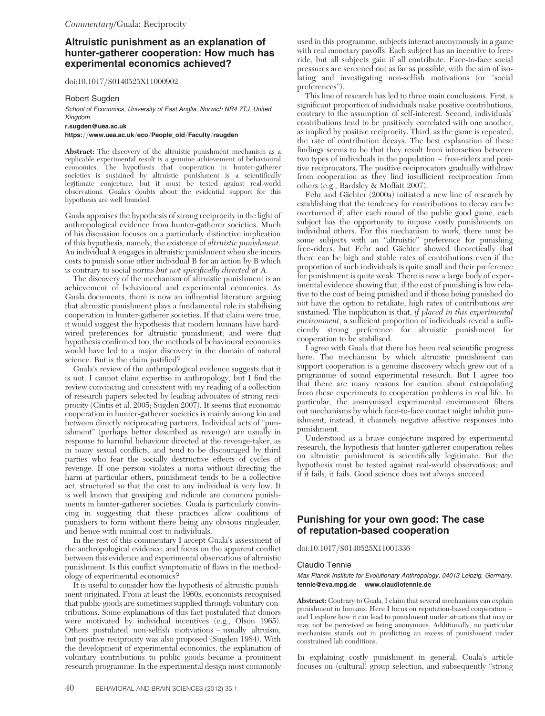## Altruistic punishment as an explanation of hunter-gatherer cooperation: How much has experimental economics achieved?

doi:10.1017/S0140525X11000902

Robert Sugden

School of Economics, University of East Anglia, Norwich NR4 7TJ, United Kingdom.

r.sugden@uea.ac.uk

https://www.uea.ac.uk/eco/People\_old/Faculty/rsugden

Abstract: The discovery of the altruistic punishment mechanism as a replicable experimental result is a genuine achievement of behavioural economics. The hypothesis that cooperation in hunter-gatherer societies is sustained by altruistic punishment is a scientifically legitimate conjecture, but it must be tested against real-world observations. Guala's doubts about the evidential support for this hypothesis are well founded.

Guala appraises the hypothesis of strong reciprocity in the light of anthropological evidence from hunter-gatherer societies. Much of his discussion focuses on a particularly distinctive implication of this hypothesis, namely, the existence of altruistic punishment. An individual A engages in altruistic punishment when she incurs costs to punish some other individual B for an action by B which is contrary to social norms but not specifically directed at A.

The discovery of the mechanism of altruistic punishment is an achievement of behavioural and experimental economics. As Guala documents, there is now an influential literature arguing that altruistic punishment plays a fundamental role in stabilising cooperation in hunter-gatherer societies. If that claim were true, it would suggest the hypothesis that modern humans have hardwired preferences for altruistic punishment; and were that hypothesis confirmed too, the methods of behavioural economics would have led to a major discovery in the domain of natural science. But is the claim justified?

Guala's review of the anthropological evidence suggests that it is not. I cannot claim expertise in anthropology, but I find the review convincing and consistent with my reading of a collection of research papers selected by leading advocates of strong reciprocity (Gintis et al. 2005; Sugden 2007). It seems that economic cooperation in hunter-gatherer societies is mainly among kin and between directly reciprocating partners. Individual acts of "punishment" (perhaps better described as revenge) are usually in response to harmful behaviour directed at the revenge-taker, as in many sexual conflicts, and tend to be discouraged by third parties who fear the socially destructive effects of cycles of revenge. If one person violates a norm without directing the harm at particular others, punishment tends to be a collective act, structured so that the cost to any individual is very low. It is well known that gossiping and ridicule are common punishments in hunter-gatherer societies. Guala is particularly convincing in suggesting that these practices allow coalitions of punishers to form without there being any obvious ringleader, and hence with minimal cost to individuals.

In the rest of this commentary I accept Guala's assessment of the anthropological evidence, and focus on the apparent conflict between this evidence and experimental observations of altruistic punishment. Is this conflict symptomatic of flaws in the methodology of experimental economics?

It is useful to consider how the hypothesis of altruistic punishment originated. From at least the 1960s, economists recognised that public goods are sometimes supplied through voluntary contributions. Some explanations of this fact postulated that donors were motivated by individual incentives (e.g., Olson 1965). Others postulated non-selfish motivations – usually altruism, but positive reciprocity was also proposed (Sugden 1984). With the development of experimental economics, the explanation of voluntary contributions to public goods became a prominent research programme. In the experimental design most commonly

used in this programme, subjects interact anonymously in a game with real monetary payoffs. Each subject has an incentive to freeride, but all subjects gain if all contribute. Face-to-face social pressures are screened out as far as possible, with the aim of isolating and investigating non-selfish motivations (or "social preferences").

This line of research has led to three main conclusions. First, a significant proportion of individuals make positive contributions, contrary to the assumption of self-interest. Second, individuals' contributions tend to be positively correlated with one another, as implied by positive reciprocity. Third, as the game is repeated, the rate of contribution decays. The best explanation of these findings seems to be that they result from interaction between two types of individuals in the population – free-riders and positive reciprocators. The positive reciprocators gradually withdraw from cooperation as they find insufficient reciprocation from others (e.g., Bardsley & Moffatt 2007).

Fehr and Gächter (2000a) initiated a new line of research by establishing that the tendency for contributions to decay can be overturned if, after each round of the public good game, each subject has the opportunity to impose costly punishments on individual others. For this mechanism to work, there must be some subjects with an "altruistic" preference for punishing free-riders, but Fehr and Gächter showed theoretically that there can be high and stable rates of contributions even if the proportion of such individuals is quite small and their preference for punishment is quite weak. There is now a large body of experimental evidence showing that, if the cost of punishing is low relative to the cost of being punished and if those being punished do not have the option to retaliate, high rates of contributions are sustained. The implication is that, if placed in this experimental environment, a sufficient proportion of individuals reveal a sufficiently strong preference for altruistic punishment for cooperation to be stabilised.

I agree with Guala that there has been real scientific progress here. The mechanism by which altruistic punishment can support cooperation is a genuine discovery which grew out of a programme of sound experimental research. But I agree too that there are many reasons for caution about extrapolating from these experiments to cooperation problems in real life. In particular, the anonymised experimental environment filters out mechanisms by which face-to-face contact might inhibit punishment; instead, it channels negative affective responses into punishment.

Understood as a brave conjecture inspired by experimental research, the hypothesis that hunter-gatherer cooperation relies on altruistic punishment is scientifically legitimate. But the hypothesis must be tested against real-world observations; and if it fails, it fails. Good science does not always succeed.

## Punishing for your own good: The case of reputation-based cooperation

doi:10.1017/S0140525X11001336

#### Claudio Tennie

Max Planck Institute for Evolutionary Anthropology, 04013 Leipzig, Germany. tennie@eva.mpg.de www.claudiotennie.de

Abstract: Contrary to Guala, I claim that several mechanisms can explain punishment in humans. Here I focus on reputation-based cooperation – and I explore how it can lead to punishment under situations that may or may not be perceived as being anonymous. Additionally, no particular mechanism stands out in predicting an excess of punishment under constrained lab conditions.

In explaining costly punishment in general, Guala's article focuses on (cultural) group selection, and subsequently "strong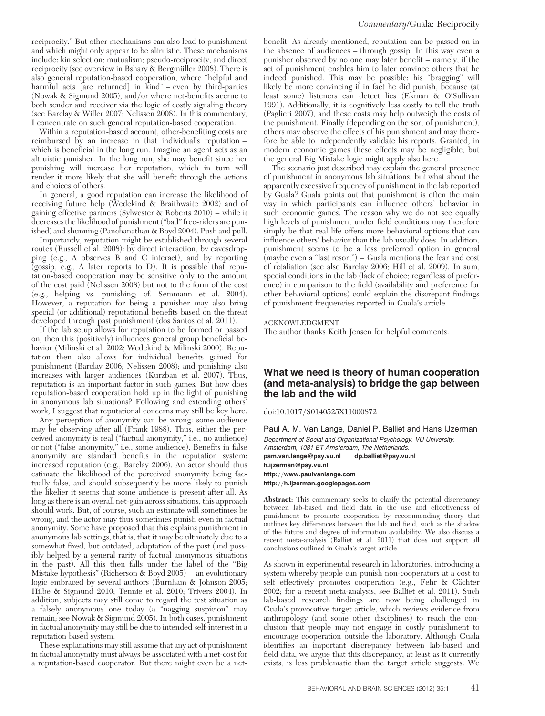reciprocity." But other mechanisms can also lead to punishment and which might only appear to be altruistic. These mechanisms include: kin selection; mutualism; pseudo-reciprocity, and direct reciprocity (see overview in Bshary  $\&$  Bergmüller 2008). There is also general reputation-based cooperation, where "helpful and harmful acts [are returned] in kind" – even by third-parties (Nowak & Sigmund 2005), and/or where net-benefits accrue to both sender and receiver via the logic of costly signaling theory (see Barclay & Willer 2007; Nelissen 2008). In this commentary, I concentrate on such general reputation-based cooperation.

Within a reputation-based account, other-benefiting costs are reimbursed by an increase in that individual's reputation – which is beneficial in the long run. Imagine an agent acts as an altruistic punisher. In the long run, she may benefit since her punishing will increase her reputation, which in turn will render it more likely that she will benefit through the actions and choices of others.

In general, a good reputation can increase the likelihood of receiving future help (Wedekind & Braithwaite 2002) and of gaining effective partners (Sylwester & Roberts 2010) – while it decreases the likelihood of punishment ("bad" free-riders are punished) and shunning (Panchanathan & Boyd 2004). Push and pull.

Importantly, reputation might be established through several routes (Russell et al. 2008): by direct interaction, by eavesdropping (e.g., A observes B and C interact), and by reporting (gossip, e.g., A later reports to D). It is possible that reputation-based cooperation may be sensitive only to the amount of the cost paid (Nelissen 2008) but not to the form of the cost (e.g., helping vs. punishing; cf. Semmann et al. 2004). However, a reputation for being a punisher may also bring special (or additional) reputational benefits based on the threat developed through past punishment (dos Santos et al. 2011).

If the lab setup allows for reputation to be formed or passed on, then this (positively) influences general group beneficial behavior (Milinski et al. 2002; Wedekind & Milinski 2000). Reputation then also allows for individual benefits gained for punishment (Barclay 2006; Nelissen 2008); and punishing also increases with larger audiences (Kurzban et al. 2007). Thus, reputation is an important factor in such games. But how does reputation-based cooperation hold up in the light of punishing in anonymous lab situations? Following and extending others' work, I suggest that reputational concerns may still be key here.

Any perception of anonymity can be wrong: some audience may be observing after all (Frank 1988). Thus, either the perceived anonymity is real ("factual anonymity," i.e., no audience) or not ("false anonymity," i.e., some audience). Benefits in false anonymity are standard benefits in the reputation system: increased reputation (e.g., Barclay 2006). An actor should thus estimate the likelihood of the perceived anonymity being factually false, and should subsequently be more likely to punish the likelier it seems that some audience is present after all. As long as there is an overall net-gain across situations, this approach should work. But, of course, such an estimate will sometimes be wrong, and the actor may thus sometimes punish even in factual anonymity. Some have proposed that this explains punishment in anonymous lab settings, that is, that it may be ultimately due to a somewhat fixed, but outdated, adaptation of the past (and possibly helped by a general rarity of factual anonymous situations in the past). All this then falls under the label of the "Big Mistake hypothesis" (Richerson & Boyd 2005) – an evolutionary logic embraced by several authors (Burnham & Johnson 2005; Hilbe & Sigmund 2010; Tennie et al. 2010; Trivers 2004). In addition, subjects may still come to regard the test situation as a falsely anonymous one today (a "nagging suspicion" may remain; see Nowak & Sigmund 2005). In both cases, punishment in factual anonymity may still be due to intended self-interest in a reputation based system.

These explanations may still assume that any act of punishment in factual anonymity must always be associated with a net-cost for a reputation-based cooperator. But there might even be a netbenefit. As already mentioned, reputation can be passed on in the absence of audiences – through gossip. In this way even a punisher observed by no one may later benefit – namely, if the act of punishment enables him to later convince others that he indeed punished. This may be possible: his "bragging" will likely be more convincing if in fact he did punish, because (at least some) listeners can detect lies (Ekman & O'Sullivan 1991). Additionally, it is cognitively less costly to tell the truth (Paglieri 2007), and these costs may help outweigh the costs of the punishment. Finally (depending on the sort of punishment), others may observe the effects of his punishment and may therefore be able to independently validate his reports. Granted, in modern economic games these effects may be negligible, but the general Big Mistake logic might apply also here.

The scenario just described may explain the general presence of punishment in anonymous lab situations, but what about the apparently excessive frequency of punishment in the lab reported by Guala? Guala points out that punishment is often the main way in which participants can influence others' behavior in such economic games. The reason why we do not see equally high levels of punishment under field conditions may therefore simply be that real life offers more behavioral options that can influence others' behavior than the lab usually does. In addition, punishment seems to be a less preferred option in general (maybe even a "last resort") – Guala mentions the fear and cost of retaliation (see also Barclay 2006; Hill et al. 2009). In sum, special conditions in the lab (lack of choice; regardless of preference) in comparison to the field (availability and preference for other behavioral options) could explain the discrepant findings of punishment frequencies reported in Guala's article.

### ACKNOWLEDGMENT

The author thanks Keith Jensen for helpful comments.

## What we need is theory of human cooperation (and meta-analysis) to bridge the gap between the lab and the wild

doi:10.1017/S0140525X11000872

Paul A. M. Van Lange, Daniel P. Balliet and Hans IJzerman Department of Social and Organizational Psychology, VU University, Amsterdam, 1081 BT Amsterdam, The Netherlands. pam.van.lange@psy.vu.nl dp.balliet@psy.vu.nl h.ijzerman@psy.vu.nl http://www.paulvanlange.com http://h.ijzerman.googlepages.com

Abstract: This commentary seeks to clarify the potential discrepancy between lab-based and field data in the use and effectiveness of punishment to promote cooperation by recommending theory that outlines key differences between the lab and field, such as the shadow of the future and degree of information availability. We also discuss a recent meta-analysis (Balliet et al. 2011) that does not support all conclusions outlined in Guala's target article.

As shown in experimental research in laboratories, introducing a system whereby people can punish non-cooperators at a cost to self effectively promotes cooperation (e.g., Fehr & Gächter 2002; for a recent meta-analysis, see Balliet et al. 2011). Such lab-based research findings are now being challenged in Guala's provocative target article, which reviews evidence from anthropology (and some other disciplines) to reach the conclusion that people may not engage in costly punishment to encourage cooperation outside the laboratory. Although Guala identifies an important discrepancy between lab-based and field data, we argue that this discrepancy, at least as it currently exists, is less problematic than the target article suggests. We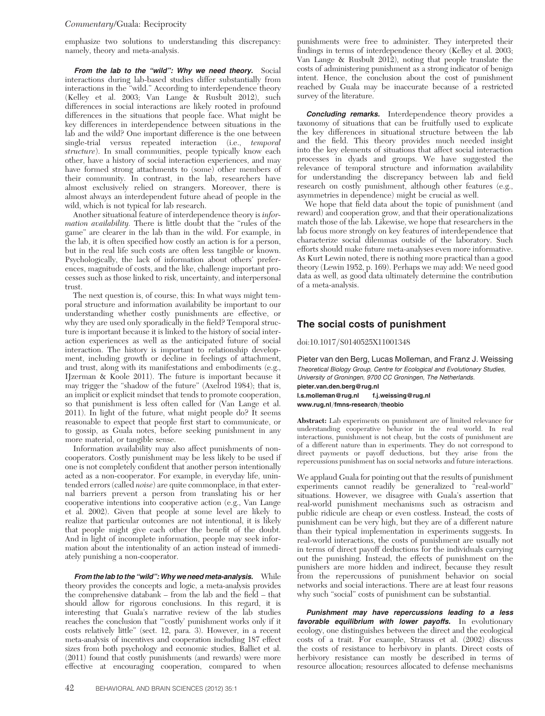emphasize two solutions to understanding this discrepancy: namely, theory and meta-analysis.

From the lab to the "wild": Why we need theory. Social interactions during lab-based studies differ substantially from interactions in the "wild." According to interdependence theory (Kelley et al. 2003; Van Lange & Rusbult 2012), such differences in social interactions are likely rooted in profound differences in the situations that people face. What might be key differences in interdependence between situations in the lab and the wild? One important difference is the one between single-trial versus repeated interaction (i.e., temporal structure). In small communities, people typically know each other, have a history of social interaction experiences, and may have formed strong attachments to (some) other members of their community. In contrast, in the lab, researchers have almost exclusively relied on strangers. Moreover, there is almost always an interdependent future ahead of people in the wild, which is not typical for lab research.

Another situational feature of interdependence theory is information availability. There is little doubt that the "rules of the game" are clearer in the lab than in the wild. For example, in the lab, it is often specified how costly an action is for a person, but in the real life such costs are often less tangible or known. Psychologically, the lack of information about others' preferences, magnitude of costs, and the like, challenge important processes such as those linked to risk, uncertainty, and interpersonal trust.

The next question is, of course, this: In what ways might temporal structure and information availability be important to our understanding whether costly punishments are effective, or why they are used only sporadically in the field? Temporal structure is important because it is linked to the history of social interaction experiences as well as the anticipated future of social interaction. The history is important to relationship development, including growth or decline in feelings of attachment, and trust, along with its manifestations and embodiments (e.g., IJzerman & Koole 2011). The future is important because it may trigger the "shadow of the future" (Axelrod 1984); that is, an implicit or explicit mindset that tends to promote cooperation, so that punishment is less often called for (Van Lange et al. 2011). In light of the future, what might people do? It seems reasonable to expect that people first start to communicate, or to gossip, as Guala notes, before seeking punishment in any more material, or tangible sense.

Information availability may also affect punishments of noncooperators. Costly punishment may be less likely to be used if one is not completely confident that another person intentionally acted as a non-cooperator. For example, in everyday life, unintended errors (called noise) are quite commonplace, in that external barriers prevent a person from translating his or her cooperative intentions into cooperative action (e.g., Van Lange et al. 2002). Given that people at some level are likely to realize that particular outcomes are not intentional, it is likely that people might give each other the benefit of the doubt. And in light of incomplete information, people may seek information about the intentionality of an action instead of immediately punishing a non-cooperator.

From the lab to the "wild": Why we need meta-analysis. While theory provides the concepts and logic, a meta-analysis provides the comprehensive databank – from the lab and the field – that should allow for rigorous conclusions. In this regard, it is interesting that Guala's narrative review of the lab studies reaches the conclusion that "'costly' punishment works only if it costs relatively little" (sect. 12, para. 3). However, in a recent meta-analysis of incentives and cooperation including 187 effect sizes from both psychology and economic studies, Balliet et al. (2011) found that costly punishments (and rewards) were more effective at encouraging cooperation, compared to when

punishments were free to administer. They interpreted their findings in terms of interdependence theory (Kelley et al. 2003; Van Lange & Rusbult 2012), noting that people translate the costs of administering punishment as a strong indicator of benign intent. Hence, the conclusion about the cost of punishment reached by Guala may be inaccurate because of a restricted survey of the literature.

**Concluding remarks.** Interdependence theory provides a taxonomy of situations that can be fruitfully used to explicate the key differences in situational structure between the lab and the field. This theory provides much needed insight into the key elements of situations that affect social interaction processes in dyads and groups. We have suggested the relevance of temporal structure and information availability for understanding the discrepancy between lab and field research on costly punishment, although other features (e.g., asymmetries in dependence) might be crucial as well.

We hope that field data about the topic of punishment (and reward) and cooperation grow, and that their operationalizations match those of the lab. Likewise, we hope that researchers in the lab focus more strongly on key features of interdependence that characterize social dilemmas outside of the laboratory. Such efforts should make future meta-analyses even more informative. As Kurt Lewin noted, there is nothing more practical than a good theory (Lewin 1952, p. 169). Perhaps we may add: We need good data as well, as good data ultimately determine the contribution of a meta-analysis.

## The social costs of punishment

doi:10.1017/S0140525X11001348

Pieter van den Berg, Lucas Molleman, and Franz J. Weissing Theoretical Biology Group, Centre for Ecological and Evolutionary Studies, University of Groningen, 9700 CC Groningen, The Netherlands.

pieter.van.den.berg@rug.nl l.s.molleman@rug.nl f.j.weissing@rug.nl www.rug.nl/fmns-research/theobio

Abstract: Lab experiments on punishment are of limited relevance for understanding cooperative behavior in the real world. In real interactions, punishment is not cheap, but the costs of punishment are of a different nature than in experiments. They do not correspond to direct payments or payoff deductions, but they arise from the repercussions punishment has on social networks and future interactions.

We applaud Guala for pointing out that the results of punishment experiments cannot readily be generalized to "real-world" situations. However, we disagree with Guala's assertion that real-world punishment mechanisms such as ostracism and public ridicule are cheap or even costless. Instead, the costs of punishment can be very high, but they are of a different nature than their typical implementation in experiments suggests. In real-world interactions, the costs of punishment are usually not in terms of direct payoff deductions for the individuals carrying out the punishing. Instead, the effects of punishment on the punishers are more hidden and indirect, because they result from the repercussions of punishment behavior on social networks and social interactions. There are at least four reasons why such "social" costs of punishment can be substantial.

Punishment may have repercussions leading to a less favorable equilibrium with lower payoffs. In evolutionary ecology, one distinguishes between the direct and the ecological costs of a trait. For example, Strauss et al. (2002) discuss the costs of resistance to herbivory in plants. Direct costs of herbivory resistance can mostly be described in terms of resource allocation; resources allocated to defense mechanisms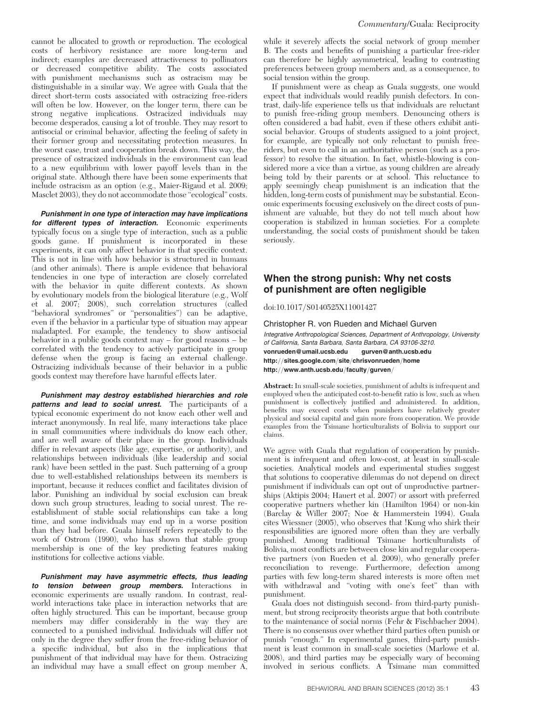cannot be allocated to growth or reproduction. The ecological costs of herbivory resistance are more long-term and indirect; examples are decreased attractiveness to pollinators or decreased competitive ability. The costs associated with punishment mechanisms such as ostracism may be distinguishable in a similar way. We agree with Guala that the direct short-term costs associated with ostracizing free-riders will often be low. However, on the longer term, there can be strong negative implications. Ostracized individuals may become desperados, causing a lot of trouble. They may resort to antisocial or criminal behavior, affecting the feeling of safety in their former group and necessitating protection measures. In the worst case, trust and cooperation break down. This way, the presence of ostracized individuals in the environment can lead to a new equilibrium with lower payoff levels than in the original state. Although there have been some experiments that include ostracism as an option (e.g., Maier-Rigaud et al. 2009; Masclet 2003), they do not accommodate those "ecological" costs.

Punishment in one type of interaction may have implications for different types of interaction. Economic experiments typically focus on a single type of interaction, such as a public goods game. If punishment is incorporated in these experiments, it can only affect behavior in that specific context. This is not in line with how behavior is structured in humans (and other animals). There is ample evidence that behavioral tendencies in one type of interaction are closely correlated with the behavior in quite different contexts. As shown by evolutionary models from the biological literature (e.g., Wolf et al. 2007; 2008), such correlation structures (called "behavioral syndromes" or "personalities") can be adaptive, even if the behavior in a particular type of situation may appear maladapted. For example, the tendency to show antisocial behavior in a public goods context may – for good reasons – be correlated with the tendency to actively participate in group defense when the group is facing an external challenge. Ostracizing individuals because of their behavior in a public goods context may therefore have harmful effects later.

Punishment may destroy established hierarchies and role patterns and lead to social unrest. The participants of a typical economic experiment do not know each other well and interact anonymously. In real life, many interactions take place in small communities where individuals do know each other, and are well aware of their place in the group. Individuals differ in relevant aspects (like age, expertise, or authority), and relationships between individuals (like leadership and social rank) have been settled in the past. Such patterning of a group due to well-established relationships between its members is important, because it reduces conflict and facilitates division of labor. Punishing an individual by social exclusion can break down such group structures, leading to social unrest. The reestablishment of stable social relationships can take a long time, and some individuals may end up in a worse position than they had before. Guala himself refers repeatedly to the work of Ostrom (1990), who has shown that stable group membership is one of the key predicting features making institutions for collective actions viable.

Punishment may have asymmetric effects, thus leading to tension between group members. Interactions in economic experiments are usually random. In contrast, realworld interactions take place in interaction networks that are often highly structured. This can be important, because group members may differ considerably in the way they are connected to a punished individual. Individuals will differ not only in the degree they suffer from the free-riding behavior of a specific individual, but also in the implications that punishment of that individual may have for them. Ostracizing an individual may have a small effect on group member A,

while it severely affects the social network of group member B. The costs and benefits of punishing a particular free-rider can therefore be highly asymmetrical, leading to contrasting preferences between group members and, as a consequence, to social tension within the group.

If punishment were as cheap as Guala suggests, one would expect that individuals would readily punish defectors. In contrast, daily-life experience tells us that individuals are reluctant to punish free-riding group members. Denouncing others is often considered a bad habit, even if these others exhibit antisocial behavior. Groups of students assigned to a joint project, for example, are typically not only reluctant to punish freeriders, but even to call in an authoritative person (such as a professor) to resolve the situation. In fact, whistle-blowing is considered more a vice than a virtue, as young children are already being told by their parents or at school. This reluctance to apply seemingly cheap punishment is an indication that the hidden, long-term costs of punishment may be substantial. Economic experiments focusing exclusively on the direct costs of punishment are valuable, but they do not tell much about how cooperation is stabilized in human societies. For a complete understanding, the social costs of punishment should be taken seriously.

## When the strong punish: Why net costs of punishment are often negligible

doi:10.1017/S0140525X11001427

Christopher R. von Rueden and Michael Gurven Integrative Anthropological Sciences, Department of Anthropology, University of California, Santa Barbara, Santa Barbara, CA 93106-3210. vonrueden@umail.ucsb.edu gurven@anth.ucsb.edu http://sites.google.com/site/chrisvonrueden/home http://www.anth.ucsb.edu/faculty/gurven/

Abstract: In small-scale societies, punishment of adults is infrequent and employed when the anticipated cost-to-benefit ratio is low, such as when punishment is collectively justified and administered. In addition, benefits may exceed costs when punishers have relatively greater physical and social capital and gain more from cooperation. We provide examples from the Tsimane horticulturalists of Bolivia to support our claims.

We agree with Guala that regulation of cooperation by punishment is infrequent and often low-cost, at least in small-scale societies. Analytical models and experimental studies suggest that solutions to cooperative dilemmas do not depend on direct punishment if individuals can opt out of unproductive partnerships (Aktipis 2004; Hauert et al. 2007) or assort with preferred cooperative partners whether kin (Hamilton 1964) or non-kin (Barclay & Willer 2007; Noe & Hammerstein 1994). Guala cites Wiessner (2005), who observes that !Kung who shirk their responsibilities are ignored more often than they are verbally punished. Among traditional Tsimane horticulturalists of Bolivia, most conflicts are between close kin and regular cooperative partners (von Rueden et al. 2009), who generally prefer reconciliation to revenge. Furthermore, defection among parties with few long-term shared interests is more often met with withdrawal and "voting with one's feet" than with punishment.

Guala does not distinguish second- from third-party punishment, but strong reciprocity theorists argue that both contribute to the maintenance of social norms (Fehr & Fischbacher 2004). There is no consensus over whether third parties often punish or punish "enough." In experimental games, third-party punishment is least common in small-scale societies (Marlowe et al. 2008), and third parties may be especially wary of becoming involved in serious conflicts. A Tsimane man committed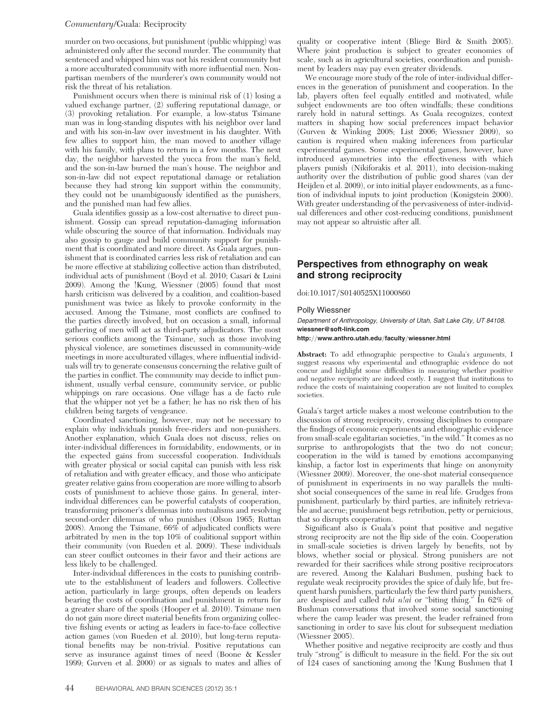murder on two occasions, but punishment (public whipping) was administered only after the second murder. The community that sentenced and whipped him was not his resident community but a more acculturated community with more influential men. Nonpartisan members of the murderer's own community would not risk the threat of his retaliation.

Punishment occurs when there is minimal risk of (1) losing a valued exchange partner, (2) suffering reputational damage, or (3) provoking retaliation. For example, a low-status Tsimane man was in long-standing disputes with his neighbor over land and with his son-in-law over investment in his daughter. With few allies to support him, the man moved to another village with his family, with plans to return in a few months. The next day, the neighbor harvested the yucca from the man's field, and the son-in-law burned the man's house. The neighbor and son-in-law did not expect reputational damage or retaliation because they had strong kin support within the community, they could not be unambiguously identified as the punishers, and the punished man had few allies.

Guala identifies gossip as a low-cost alternative to direct punishment. Gossip can spread reputation-damaging information while obscuring the source of that information. Individuals may also gossip to gauge and build community support for punishment that is coordinated and more direct. As Guala argues, punishment that is coordinated carries less risk of retaliation and can be more effective at stabilizing collective action than distributed, individual acts of punishment (Boyd et al. 2010; Casari & Luini 2009). Among the !Kung, Wiessner (2005) found that most harsh criticism was delivered by a coalition, and coalition-based punishment was twice as likely to provoke conformity in the accused. Among the Tsimane, most conflicts are confined to the parties directly involved, but on occasion a small, informal gathering of men will act as third-party adjudicators. The most serious conflicts among the Tsimane, such as those involving physical violence, are sometimes discussed in community-wide meetings in more acculturated villages, where influential individuals will try to generate consensus concerning the relative guilt of the parties in conflict. The community may decide to inflict punishment, usually verbal censure, community service, or public whippings on rare occasions. One village has a de facto rule that the whipper not yet be a father; he has no risk then of his children being targets of vengeance.

Coordinated sanctioning, however, may not be necessary to explain why individuals punish free-riders and non-punishers. Another explanation, which Guala does not discuss, relies on inter-individual differences in formidability, endowments, or in the expected gains from successful cooperation. Individuals with greater physical or social capital can punish with less risk of retaliation and with greater efficacy, and those who anticipate greater relative gains from cooperation are more willing to absorb costs of punishment to achieve those gains. In general, interindividual differences can be powerful catalysts of cooperation, transforming prisoner's dilemmas into mutualisms and resolving second-order dilemmas of who punishes (Olson 1965; Ruttan 2008). Among the Tsimane,  $66\%$  of adjudicated conflicts were arbitrated by men in the top 10% of coalitional support within their community (von Rueden et al. 2009). These individuals can steer conflict outcomes in their favor and their actions are less likely to be challenged.

Inter-individual differences in the costs to punishing contribute to the establishment of leaders and followers. Collective action, particularly in large groups, often depends on leaders bearing the costs of coordination and punishment in return for a greater share of the spoils (Hooper et al. 2010). Tsimane men do not gain more direct material benefits from organizing collective fishing events or acting as leaders in face-to-face collective action games (von Rueden et al. 2010), but long-term reputational benefits may be non-trivial. Positive reputations can serve as insurance against times of need (Boone & Kessler 1999; Gurven et al. 2000) or as signals to mates and allies of

quality or cooperative intent (Bliege Bird & Smith 2005). Where joint production is subject to greater economies of scale, such as in agricultural societies, coordination and punishment by leaders may pay even greater dividends.

We encourage more study of the role of inter-individual differences in the generation of punishment and cooperation. In the lab, players often feel equally entitled and motivated, while subject endowments are too often windfalls; these conditions rarely hold in natural settings. As Guala recognizes, context matters in shaping how social preferences impact behavior (Gurven & Winking 2008; List 2006; Wiessner 2009), so caution is required when making inferences from particular experimental games. Some experimental games, however, have introduced asymmetries into the effectiveness with which players punish (Nikiforakis et al. 2011), into decision-making authority over the distribution of public good shares (van der Heijden et al. 2009), or into initial player endowments, as a function of individual inputs to joint production (Konigstein 2000). With greater understanding of the pervasiveness of inter-individual differences and other cost-reducing conditions, punishment may not appear so altruistic after all.

## Perspectives from ethnography on weak and strong reciprocity

doi:10.1017/S0140525X11000860

#### Polly Wiessner

Department of Anthropology, University of Utah, Salt Lake City, UT 84108. wiessner@soft-link.com

#### http://www.anthro.utah.edu/faculty/wiessner.html

Abstract: To add ethnographic perspective to Guala's arguments, I suggest reasons why experimental and ethnographic evidence do not concur and highlight some difficulties in measuring whether positive and negative reciprocity are indeed costly. I suggest that institutions to reduce the costs of maintaining cooperation are not limited to complex societies.

Guala's target article makes a most welcome contribution to the discussion of strong reciprocity, crossing disciplines to compare the findings of economic experiments and ethnographic evidence from small-scale egalitarian societies, "in the wild." It comes as no surprise to anthropologists that the two do not concur; cooperation in the wild is tamed by emotions accompanying kinship, a factor lost in experiments that hinge on anonymity (Wiessner 2009). Moreover, the one-shot material consequence of punishment in experiments in no way parallels the multishot social consequences of the same in real life. Grudges from punishment, particularly by third parties, are infinitely retrievable and accrue; punishment begs retribution, petty or pernicious, that so disrupts cooperation.

Significant also is Guala's point that positive and negative strong reciprocity are not the flip side of the coin. Cooperation in small-scale societies is driven largely by benefits, not by blows, whether social or physical. Strong punishers are not rewarded for their sacrifices while strong positive reciprocators are revered. Among the Kalahari Bushmen, pushing back to regulate weak reciprocity provides the spice of daily life, but frequent harsh punishers, particularly the few third party punishers, are despised and called *tshi n!ai* or "biting thing." In 62% of Bushman conversations that involved some social sanctioning where the camp leader was present, the leader refrained from sanctioning in order to save his clout for subsequent mediation (Wiessner 2005).

Whether positive and negative reciprocity are costly and thus truly "strong" is difficult to measure in the field. For the six out of 124 cases of sanctioning among the !Kung Bushmen that I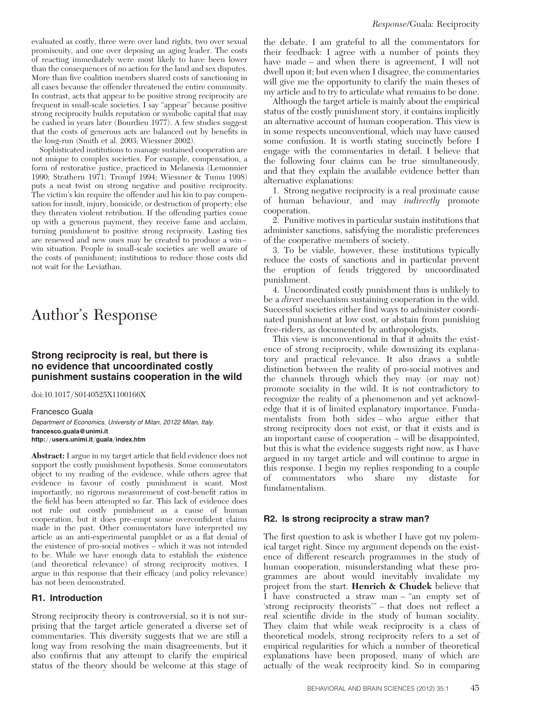evaluated as costly, three were over land rights, two over sexual promiscuity, and one over deposing an aging leader. The costs of reacting immediately were most likely to have been lower than the consequences of no action for the land and sex disputes. More than five coalition members shared costs of sanctioning in all cases because the offender threatened the entire community. In contrast, acts that appear to be positive strong reciprocity are frequent in small-scale societies. I say "appear" because positive strong reciprocity builds reputation or symbolic capital that may be cashed in years later (Bourdieu 1977). A few studies suggest that the costs of generous acts are balanced out by benefits in the long-run (Smith et al. 2003; Wiessner 2002).

Sophisticated institutions to manage sustained cooperation are not unique to complex societies. For example, compensation, a form of restorative justice, practiced in Melanesia (Lemonnier 1990; Strathern 1971; Trompf 1994; Wiessner & Tumu 1998) puts a neat twist on strong negative and positive reciprocity. The victim's kin require the offender and his kin to pay compensation for insult, injury, homicide, or destruction of property; else they threaten violent retribution. If the offending parties come up with a generous payment, they receive fame and acclaim, turning punishment to positive strong reciprocity. Lasting ties are renewed and new ones may be created to produce a win– win situation. People in small-scale societies are well aware of the costs of punishment; institutions to reduce those costs did not wait for the Leviathan.

# Author's Response

## Strong reciprocity is real, but there is no evidence that uncoordinated costly punishment sustains cooperation in the wild

doi:10.1017/S0140525X1100166X

Francesco Guala Department of Economics, University of Milan, 20122 Milan, Italy. francesco.guala@unimi.it http://users.unimi.it/guala/index.htm

Abstract: I argue in my target article that field evidence does not support the costly punishment hypothesis. Some commentators object to my reading of the evidence, while others agree that evidence in favour of costly punishment is scant. Most importantly, no rigorous measurement of cost-benefit ratios in the field has been attempted so far. This lack of evidence does not rule out costly punishment as a cause of human cooperation, but it does pre-empt some overconfident claims made in the past. Other commentators have interpreted my article as an anti-experimental pamphlet or as a flat denial of the existence of pro-social motives – which it was not intended to be. While we have enough data to establish the existence (and theoretical relevance) of strong reciprocity motives, I argue in this response that their efficacy (and policy relevance) has not been demonstrated.

## R1. Introduction

Strong reciprocity theory is controversial, so it is not surprising that the target article generated a diverse set of commentaries. This diversity suggests that we are still a long way from resolving the main disagreements, but it also confirms that any attempt to clarify the empirical status of the theory should be welcome at this stage of the debate. I am grateful to all the commentators for their feedback: I agree with a number of points they have made – and when there is agreement, I will not dwell upon it; but even when I disagree, the commentaries will give me the opportunity to clarify the main theses of my article and to try to articulate what remains to be done.

Although the target article is mainly about the empirical status of the costly punishment story, it contains implicitly an alternative account of human cooperation. This view is in some respects unconventional, which may have caused some confusion. It is worth stating succinctly before I engage with the commentaries in detail. I believe that the following four claims can be true simultaneously, and that they explain the available evidence better than alternative explanations:

1. Strong negative reciprocity is a real proximate cause of human behaviour, and may indirectly promote cooperation.

2. Punitive motives in particular sustain institutions that administer sanctions, satisfying the moralistic preferences of the cooperative members of society.

3. To be viable, however, these institutions typically reduce the costs of sanctions and in particular prevent the eruption of feuds triggered by uncoordinated punishment.

4. Uncoordinated costly punishment thus is unlikely to be a direct mechanism sustaining cooperation in the wild. Successful societies either find ways to administer coordinated punishment at low cost, or abstain from punishing free-riders, as documented by anthropologists.

This view is unconventional in that it admits the existence of strong reciprocity, while downsizing its explanatory and practical relevance. It also draws a subtle distinction between the reality of pro-social motives and the channels through which they may (or may not) promote sociality in the wild. It is not contradictory to recognize the reality of a phenomenon and yet acknowledge that it is of limited explanatory importance. Fundamentalists from both sides – who argue either that strong reciprocity does not exist, or that it exists and is an important cause of cooperation – will be disappointed, but this is what the evidence suggests right now, as I have argued in my target article and will continue to argue in this response. I begin my replies responding to a couple of commentators who share my distaste for fundamentalism.

#### R2. Is strong reciprocity a straw man?

The first question to ask is whether I have got my polemical target right. Since my argument depends on the existence of different research programmes in the study of human cooperation, misunderstanding what these programmes are about would inevitably invalidate my project from the start. Henrich & Chudek believe that I have constructed a straw man – "an empty set of 'strong reciprocity theorists'" – that does not reflect a real scientific divide in the study of human sociality. They claim that while weak reciprocity is a class of theoretical models, strong reciprocity refers to a set of empirical regularities for which a number of theoretical explanations have been proposed, many of which are actually of the weak reciprocity kind. So in comparing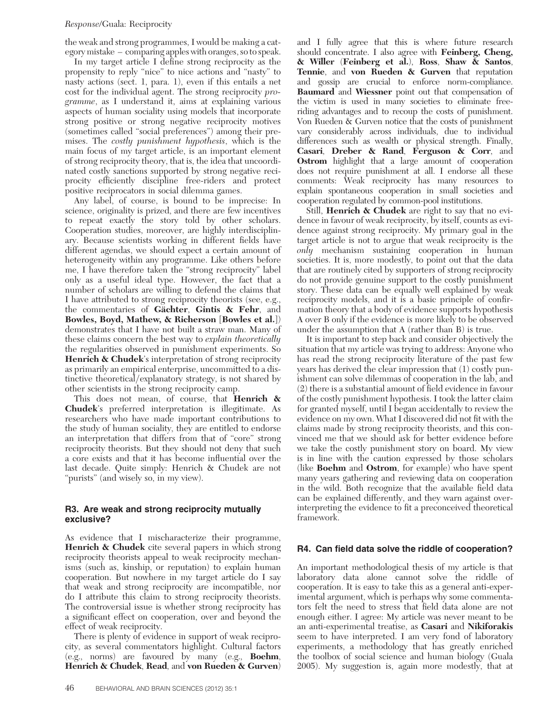#### Response/Guala: Reciprocity

the weak and strong programmes, I would be making a category mistake – comparing apples with oranges, so to speak.

In my target article I define strong reciprocity as the propensity to reply "nice" to nice actions and "nasty" to nasty actions (sect. 1, para. 1), even if this entails a net cost for the individual agent. The strong reciprocity programme, as I understand it, aims at explaining various aspects of human sociality using models that incorporate strong positive or strong negative reciprocity motives (sometimes called "social preferences") among their premises. The costly punishment hypothesis, which is the main focus of my target article, is an important element of strong reciprocity theory, that is, the idea that uncoordinated costly sanctions supported by strong negative reciprocity efficiently discipline free-riders and protect positive reciprocators in social dilemma games.

Any label, of course, is bound to be imprecise: In science, originality is prized, and there are few incentives to repeat exactly the story told by other scholars. Cooperation studies, moreover, are highly interdisciplinary. Because scientists working in different fields have different agendas, we should expect a certain amount of heterogeneity within any programme. Like others before me, I have therefore taken the "strong reciprocity" label only as a useful ideal type. However, the fact that a number of scholars are willing to defend the claims that I have attributed to strong reciprocity theorists (see, e.g., the commentaries of **Gachter**, **Gintis & Fehr**, and Bowles, Boyd, Mathew, & Richerson [Bowles et al.]) demonstrates that I have not built a straw man. Many of these claims concern the best way to explain theoretically the regularities observed in punishment experiments. So **Henrich & Chudek's interpretation of strong reciprocity** as primarily an empirical enterprise, uncommitted to a distinctive theoretical/explanatory strategy, is not shared by other scientists in the strong reciprocity camp.

This does not mean, of course, that **Henrich &** Chudek's preferred interpretation is illegitimate. As researchers who have made important contributions to the study of human sociality, they are entitled to endorse an interpretation that differs from that of "core" strong reciprocity theorists. But they should not deny that such a core exists and that it has become influential over the last decade. Quite simply: Henrich & Chudek are not "purists" (and wisely so, in my view).

## R3. Are weak and strong reciprocity mutually exclusive?

As evidence that I mischaracterize their programme, Henrich & Chudek cite several papers in which strong reciprocity theorists appeal to weak reciprocity mechanisms (such as, kinship, or reputation) to explain human cooperation. But nowhere in my target article do I say that weak and strong reciprocity are incompatible, nor do I attribute this claim to strong reciprocity theorists. The controversial issue is whether strong reciprocity has a significant effect on cooperation, over and beyond the effect of weak reciprocity.

There is plenty of evidence in support of weak reciprocity, as several commentators highlight. Cultural factors (e.g., norms) are favoured by many (e.g., Boehm, Henrich & Chudek, Read, and von Rueden & Gurven)

and I fully agree that this is where future research should concentrate. I also agree with **Feinberg**, **Cheng**, & Willer (Feinberg et al.), Ross, Shaw & Santos, Tennie, and von Rueden & Gurven that reputation and gossip are crucial to enforce norm-compliance. **Baumard** and **Wiessner** point out that compensation of the victim is used in many societies to eliminate freeriding advantages and to recoup the costs of punishment. Von Rueden & Gurven notice that the costs of punishment vary considerably across individuals, due to individual differences such as wealth or physical strength. Finally, Casari, Dreber & Rand, Ferguson & Corr, and **Ostrom** highlight that a large amount of cooperation does not require punishment at all. I endorse all these comments: Weak reciprocity has many resources to explain spontaneous cooperation in small societies and cooperation regulated by common-pool institutions.

Still, Henrich & Chudek are right to say that no evidence in favour of weak reciprocity, by itself, counts as evidence against strong reciprocity. My primary goal in the target article is not to argue that weak reciprocity is the only mechanism sustaining cooperation in human societies. It is, more modestly, to point out that the data that are routinely cited by supporters of strong reciprocity do not provide genuine support to the costly punishment story. These data can be equally well explained by weak reciprocity models, and it is a basic principle of confirmation theory that a body of evidence supports hypothesis A over B only if the evidence is more likely to be observed under the assumption that A (rather than B) is true.

It is important to step back and consider objectively the situation that my article was trying to address: Anyone who has read the strong reciprocity literature of the past few years has derived the clear impression that (1) costly punishment can solve dilemmas of cooperation in the lab, and (2) there is a substantial amount of field evidence in favour of the costly punishment hypothesis. I took the latter claim for granted myself, until I began accidentally to review the evidence on my own. What I discovered did not fit with the claims made by strong reciprocity theorists, and this convinced me that we should ask for better evidence before we take the costly punishment story on board. My view is in line with the caution expressed by those scholars (like **Boehm** and **Ostrom**, for example) who have spent many years gathering and reviewing data on cooperation in the wild. Both recognize that the available field data can be explained differently, and they warn against overinterpreting the evidence to fit a preconceived theoretical framework.

## R4. Can field data solve the riddle of cooperation?

An important methodological thesis of my article is that laboratory data alone cannot solve the riddle of cooperation. It is easy to take this as a general anti-experimental argument, which is perhaps why some commentators felt the need to stress that field data alone are not enough either. I agree: My article was never meant to be an anti-experimental treatise, as Casari and Nikiforakis seem to have interpreted. I am very fond of laboratory experiments, a methodology that has greatly enriched the toolbox of social science and human biology (Guala 2005). My suggestion is, again more modestly, that at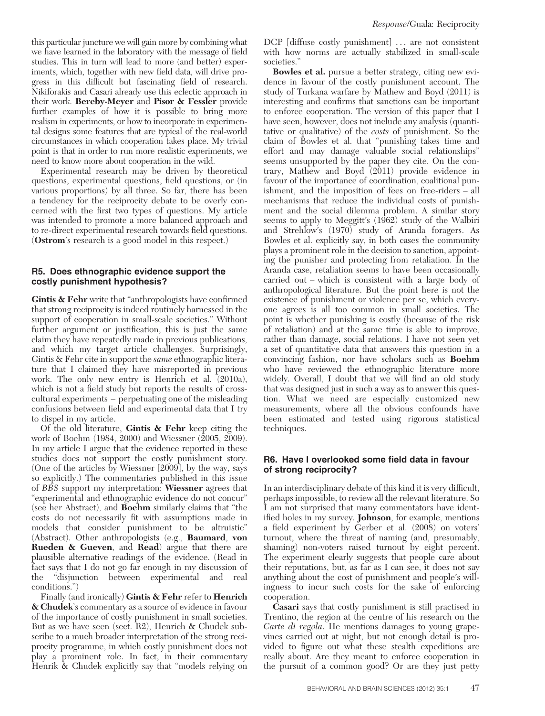this particular juncture we will gain more by combining what we have learned in the laboratory with the message of field studies. This in turn will lead to more (and better) experiments, which, together with new field data, will drive progress in this difficult but fascinating field of research. Nikiforakis and Casari already use this eclectic approach in their work. Bereby-Meyer and Pisor & Fessler provide further examples of how it is possible to bring more realism in experiments, or how to incorporate in experimental designs some features that are typical of the real-world circumstances in which cooperation takes place. My trivial point is that in order to run more realistic experiments, we need to know more about cooperation in the wild.

Experimental research may be driven by theoretical questions, experimental questions, field questions, or (in various proportions) by all three. So far, there has been a tendency for the reciprocity debate to be overly concerned with the first two types of questions. My article was intended to promote a more balanced approach and to re-direct experimental research towards field questions. (Ostrom's research is a good model in this respect.)

## R5. Does ethnographic evidence support the costly punishment hypothesis?

Gintis & Fehr write that "anthropologists have confirmed that strong reciprocity is indeed routinely harnessed in the support of cooperation in small-scale societies." Without further argument or justification, this is just the same claim they have repeatedly made in previous publications, and which my target article challenges. Surprisingly, Gintis & Fehr cite in support the same ethnographic literature that I claimed they have misreported in previous work. The only new entry is Henrich et al. (2010a), which is not a field study but reports the results of crosscultural experiments – perpetuating one of the misleading confusions between field and experimental data that I try to dispel in my article.

Of the old literature, **Gintis & Fehr** keep citing the work of Boehm (1984, 2000) and Wiessner (2005, 2009). In my article I argue that the evidence reported in these studies does not support the costly punishment story. (One of the articles by Wiessner [2009], by the way, says so explicitly.) The commentaries published in this issue of BBS support my interpretation: Wiessner agrees that "experimental and ethnographic evidence do not concur" (see her Abstract), and Boehm similarly claims that "the costs do not necessarily fit with assumptions made in models that consider punishment to be altruistic" (Abstract). Other anthropologists (e.g., Baumard, von Rueden & Gueven, and Read) argue that there are plausible alternative readings of the evidence. (Read in fact says that I do not go far enough in my discussion of the "disjunction between experimental and real conditions.")

Finally (and ironically) Gintis & Fehr refer to Henrich & Chudek's commentary as a source of evidence in favour of the importance of costly punishment in small societies. But as we have seen (sect. R2), Henrich & Chudek subscribe to a much broader interpretation of the strong reciprocity programme, in which costly punishment does not play a prominent role. In fact, in their commentary Henrik & Chudek explicitly say that "models relying on

DCP [diffuse costly punishment] ... are not consistent with how norms are actually stabilized in small-scale societies."

Bowles et al. pursue a better strategy, citing new evidence in favour of the costly punishment account. The study of Turkana warfare by Mathew and Boyd (2011) is interesting and confirms that sanctions can be important to enforce cooperation. The version of this paper that I have seen, however, does not include any analysis (quantitative or qualitative) of the costs of punishment. So the claim of Bowles et al. that "punishing takes time and effort and may damage valuable social relationships" seems unsupported by the paper they cite. On the contrary, Mathew and Boyd (2011) provide evidence in favour of the importance of coordination, coalitional punishment, and the imposition of fees on free-riders – all mechanisms that reduce the individual costs of punishment and the social dilemma problem. A similar story seems to apply to Meggitt's (1962) study of the Walbiri and Strehlow's (1970) study of Aranda foragers. As Bowles et al. explicitly say, in both cases the community plays a prominent role in the decision to sanction, appointing the punisher and protecting from retaliation. In the Aranda case, retaliation seems to have been occasionally carried out – which is consistent with a large body of anthropological literature. But the point here is not the existence of punishment or violence per se, which everyone agrees is all too common in small societies. The point is whether punishing is costly (because of the risk of retaliation) and at the same time is able to improve, rather than damage, social relations. I have not seen yet a set of quantitative data that answers this question in a convincing fashion, nor have scholars such as Boehm who have reviewed the ethnographic literature more widely. Overall, I doubt that we will find an old study that was designed just in such a way as to answer this question. What we need are especially customized new measurements, where all the obvious confounds have been estimated and tested using rigorous statistical techniques.

#### R6. Have I overlooked some field data in favour of strong reciprocity?

In an interdisciplinary debate of this kind it is very difficult, perhaps impossible, to review all the relevant literature. So I am not surprised that many commentators have identified holes in my survey. Johnson, for example, mentions a field experiment by Gerber et al. (2008) on voters' turnout, where the threat of naming (and, presumably, shaming) non-voters raised turnout by eight percent. The experiment clearly suggests that people care about their reputations, but, as far as I can see, it does not say anything about the cost of punishment and people's willingness to incur such costs for the sake of enforcing cooperation.

Casari says that costly punishment is still practised in Trentino, the region at the centre of his research on the Carte di regola. He mentions damages to young grapevines carried out at night, but not enough detail is provided to figure out what these stealth expeditions are really about. Are they meant to enforce cooperation in the pursuit of a common good? Or are they just petty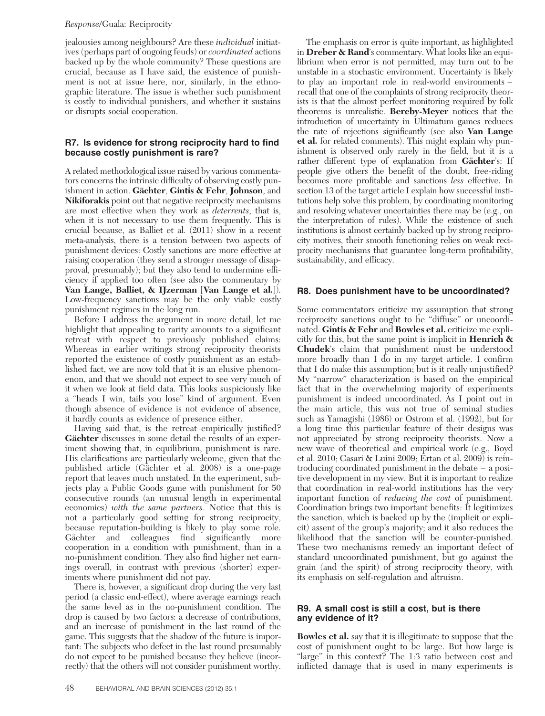## Response/Guala: Reciprocity

jealousies among neighbours? Are these individual initiatives (perhaps part of ongoing feuds) or coordinated actions backed up by the whole community? These questions are crucial, because as I have said, the existence of punishment is not at issue here, nor, similarly, in the ethnographic literature. The issue is whether such punishment is costly to individual punishers, and whether it sustains or disrupts social cooperation.

## R7. Is evidence for strong reciprocity hard to find because costly punishment is rare?

A related methodological issue raised by various commentators concerns the intrinsic difficulty of observing costly punishment in action. Gächter, Gintis & Fehr, Johnson, and Nikiforakis point out that negative reciprocity mechanisms are most effective when they work as deterrents, that is, when it is not necessary to use them frequently. This is crucial because, as Balliet et al. (2011) show in a recent meta-analysis, there is a tension between two aspects of punishment devices: Costly sanctions are more effective at raising cooperation (they send a stronger message of disapproval, presumably); but they also tend to undermine efficiency if applied too often (see also the commentary by Van Lange, Balliet, & IJzerman [Van Lange et al.]). Low-frequency sanctions may be the only viable costly punishment regimes in the long run.

Before I address the argument in more detail, let me highlight that appealing to rarity amounts to a significant retreat with respect to previously published claims: Whereas in earlier writings strong reciprocity theorists reported the existence of costly punishment as an established fact, we are now told that it is an elusive phenomenon, and that we should not expect to see very much of it when we look at field data. This looks suspiciously like a "heads I win, tails you lose" kind of argument. Even though absence of evidence is not evidence of absence, it hardly counts as evidence of presence either.

Having said that, is the retreat empirically justified? **Gächter** discusses in some detail the results of an experiment showing that, in equilibrium, punishment is rare. His clarifications are particularly welcome, given that the published article (Gächter et al. 2008) is a one-page report that leaves much unstated. In the experiment, subjects play a Public Goods game with punishment for 50 consecutive rounds (an unusual length in experimental economics) with the same partners. Notice that this is not a particularly good setting for strong reciprocity, because reputation-building is likely to play some role. Gächter and colleagues find significantly more cooperation in a condition with punishment, than in a no-punishment condition. They also find higher net earnings overall, in contrast with previous (shorter) experiments where punishment did not pay.

There is, however, a significant drop during the very last period (a classic end-effect), where average earnings reach the same level as in the no-punishment condition. The drop is caused by two factors: a decrease of contributions, and an increase of punishment in the last round of the game. This suggests that the shadow of the future is important: The subjects who defect in the last round presumably do not expect to be punished because they believe (incorrectly) that the others will not consider punishment worthy.

The emphasis on error is quite important, as highlighted in Dreber & Rand's commentary. What looks like an equilibrium when error is not permitted, may turn out to be unstable in a stochastic environment. Uncertainty is likely to play an important role in real-world environments – recall that one of the complaints of strong reciprocity theorists is that the almost perfect monitoring required by folk theorems is unrealistic. **Bereby-Meyer** notices that the introduction of uncertainty in Ultimatum games reduces the rate of rejections significantly (see also **Van Lange** et al. for related comments). This might explain why punishment is observed only rarely in the field, but it is a rather different type of explanation from Gächter's: If people give others the benefit of the doubt, free-riding becomes more profitable and sanctions less effective. In section 13 of the target article I explain how successful institutions help solve this problem, by coordinating monitoring and resolving whatever uncertainties there may be (e.g., on the interpretation of rules). While the existence of such institutions is almost certainly backed up by strong reciprocity motives, their smooth functioning relies on weak reciprocity mechanisms that guarantee long-term profitability, sustainability, and efficacy.

## R8. Does punishment have to be uncoordinated?

Some commentators criticize my assumption that strong reciprocity sanctions ought to be "diffuse" or uncoordinated. Gintis & Fehr and Bowles et al. criticize me explicitly for this, but the same point is implicit in **Henrich**  $\&$ Chudek's claim that punishment must be understood more broadly than I do in my target article. I confirm that I do make this assumption; but is it really unjustified? My "narrow" characterization is based on the empirical fact that in the overwhelming majority of experiments punishment is indeed uncoordinated. As I point out in the main article, this was not true of seminal studies such as Yamagishi (1986) or Ostrom et al. (1992), but for a long time this particular feature of their designs was not appreciated by strong reciprocity theorists. Now a new wave of theoretical and empirical work (e.g., Boyd et al. 2010; Casari & Luini 2009; Ertan et al. 2009) is reintroducing coordinated punishment in the debate – a positive development in my view. But it is important to realize that coordination in real-world institutions has the very important function of reducing the cost of punishment. Coordination brings two important benefits: It legitimizes the sanction, which is backed up by the (implicit or explicit) assent of the group's majority; and it also reduces the likelihood that the sanction will be counter-punished. These two mechanisms remedy an important defect of standard uncoordinated punishment, but go against the grain (and the spirit) of strong reciprocity theory, with its emphasis on self-regulation and altruism.

## R9. A small cost is still a cost, but is there any evidence of it?

Bowles et al. say that it is illegitimate to suppose that the cost of punishment ought to be large. But how large is "large" in this context? The 1:3 ratio between cost and inflicted damage that is used in many experiments is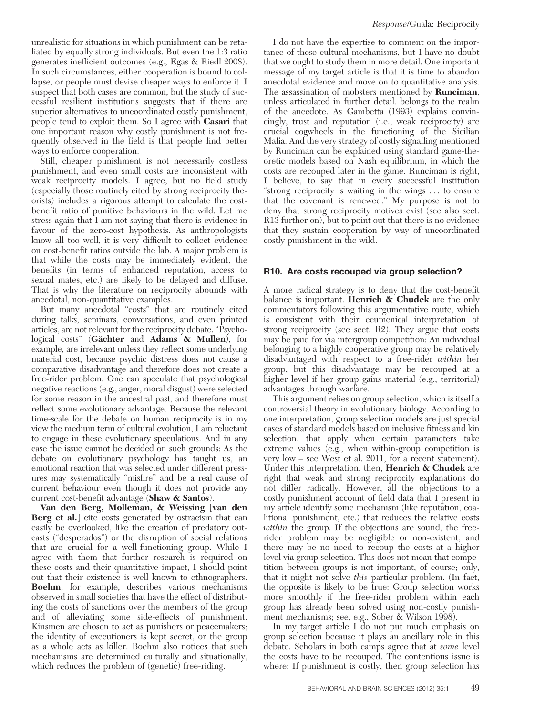unrealistic for situations in which punishment can be retaliated by equally strong individuals. But even the 1:3 ratio generates inefficient outcomes (e.g., Egas & Riedl 2008). In such circumstances, either cooperation is bound to collapse, or people must devise cheaper ways to enforce it. I suspect that both cases are common, but the study of successful resilient institutions suggests that if there are superior alternatives to uncoordinated costly punishment, people tend to exploit them. So I agree with Casari that one important reason why costly punishment is not frequently observed in the field is that people find better ways to enforce cooperation.

Still, cheaper punishment is not necessarily costless punishment, and even small costs are inconsistent with weak reciprocity models. I agree, but no field study (especially those routinely cited by strong reciprocity theorists) includes a rigorous attempt to calculate the costbenefit ratio of punitive behaviours in the wild. Let me stress again that I am not saying that there is evidence in favour of the zero-cost hypothesis. As anthropologists know all too well, it is very difficult to collect evidence on cost-benefit ratios outside the lab. A major problem is that while the costs may be immediately evident, the benefits (in terms of enhanced reputation, access to sexual mates, etc.) are likely to be delayed and diffuse. That is why the literature on reciprocity abounds with anecdotal, non-quantitative examples.

But many anecdotal "costs" that are routinely cited during talks, seminars, conversations, and even printed articles, are not relevant for the reciprocity debate. "Psychological costs" (Gächter and Adams & Mullen), for example, are irrelevant unless they reflect some underlying material cost, because psychic distress does not cause a comparative disadvantage and therefore does not create a free-rider problem. One can speculate that psychological negative reactions (e.g., anger, moral disgust) were selected for some reason in the ancestral past, and therefore must reflect some evolutionary advantage. Because the relevant time-scale for the debate on human reciprocity is in my view the medium term of cultural evolution, I am reluctant to engage in these evolutionary speculations. And in any case the issue cannot be decided on such grounds: As the debate on evolutionary psychology has taught us, an emotional reaction that was selected under different pressures may systematically "misfire" and be a real cause of current behaviour even though it does not provide any current cost-benefit advantage (Shaw & Santos).

Van den Berg, Molleman, & Weissing [van den Berg et al.] cite costs generated by ostracism that can easily be overlooked, like the creation of predatory outcasts ("desperados") or the disruption of social relations that are crucial for a well-functioning group. While I agree with them that further research is required on these costs and their quantitative impact, I should point out that their existence is well known to ethnographers. Boehm, for example, describes various mechanisms observed in small societies that have the effect of distributing the costs of sanctions over the members of the group and of alleviating some side-effects of punishment. Kinsmen are chosen to act as punishers or peacemakers; the identity of executioners is kept secret, or the group as a whole acts as killer. Boehm also notices that such mechanisms are determined culturally and situationally, which reduces the problem of (genetic) free-riding.

I do not have the expertise to comment on the importance of these cultural mechanisms, but I have no doubt that we ought to study them in more detail. One important message of my target article is that it is time to abandon anecdotal evidence and move on to quantitative analysis. The assassination of mobsters mentioned by **Runciman**, unless articulated in further detail, belongs to the realm of the anecdote. As Gambetta (1993) explains convincingly, trust and reputation (i.e., weak reciprocity) are crucial cogwheels in the functioning of the Sicilian Mafia. And the very strategy of costly signalling mentioned by Runciman can be explained using standard game-theoretic models based on Nash equilibrium, in which the costs are recouped later in the game. Runciman is right, I believe, to say that in every successful institution "strong reciprocity is waiting in the wings ... to ensure that the covenant is renewed." My purpose is not to deny that strong reciprocity motives exist (see also sect. R13 further on), but to point out that there is no evidence that they sustain cooperation by way of uncoordinated costly punishment in the wild.

## R10. Are costs recouped via group selection?

A more radical strategy is to deny that the cost-benefit balance is important. Henrich  $\&$  Chudek are the only commentators following this argumentative route, which is consistent with their ecumenical interpretation of strong reciprocity (see sect. R2). They argue that costs may be paid for via intergroup competition: An individual belonging to a highly cooperative group may be relatively disadvantaged with respect to a free-rider within her group, but this disadvantage may be recouped at a higher level if her group gains material (e.g., territorial) advantages through warfare.

This argument relies on group selection, which is itself a controversial theory in evolutionary biology. According to one interpretation, group selection models are just special cases of standard models based on inclusive fitness and kin selection, that apply when certain parameters take extreme values (e.g., when within-group competition is very low – see West et al. 2011, for a recent statement). Under this interpretation, then, Henrich & Chudek are right that weak and strong reciprocity explanations do not differ radically. However, all the objections to a costly punishment account of field data that I present in my article identify some mechanism (like reputation, coalitional punishment, etc.) that reduces the relative costs within the group. If the objections are sound, the freerider problem may be negligible or non-existent, and there may be no need to recoup the costs at a higher level via group selection. This does not mean that competition between groups is not important, of course; only, that it might not solve this particular problem. (In fact, the opposite is likely to be true: Group selection works more smoothly if the free-rider problem within each group has already been solved using non-costly punishment mechanisms; see, e.g., Sober & Wilson 1998).

In my target article I do not put much emphasis on group selection because it plays an ancillary role in this debate. Scholars in both camps agree that at some level the costs have to be recouped. The contentious issue is where: If punishment is costly, then group selection has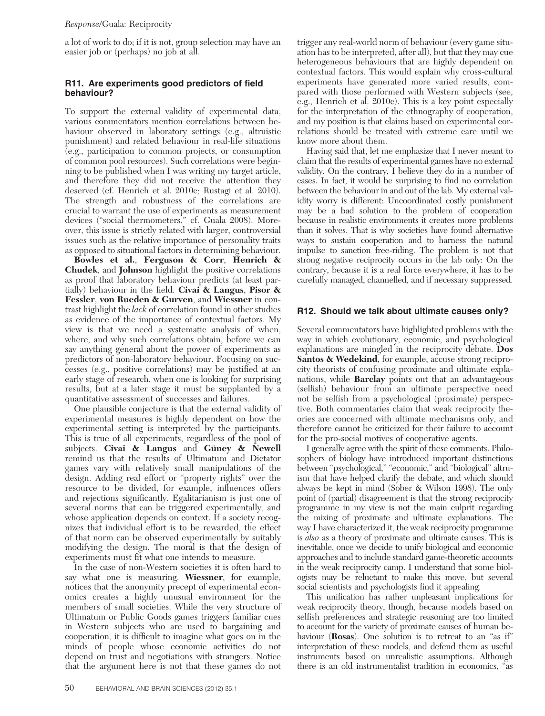a lot of work to do; if it is not, group selection may have an easier job or (perhaps) no job at all.

## R11. Are experiments good predictors of field behaviour?

To support the external validity of experimental data, various commentators mention correlations between behaviour observed in laboratory settings (e.g., altruistic punishment) and related behaviour in real-life situations (e.g., participation to common projects, or consumption of common pool resources). Such correlations were beginning to be published when I was writing my target article, and therefore they did not receive the attention they deserved (cf. Henrich et al. 2010c; Rustagi et al. 2010). The strength and robustness of the correlations are crucial to warrant the use of experiments as measurement devices ("social thermometers," cf. Guala 2008). Moreover, this issue is strictly related with larger, controversial issues such as the relative importance of personality traits as opposed to situational factors in determining behaviour.

Bowles et al., Ferguson & Corr, Henrich & Chudek, and Johnson highlight the positive correlations as proof that laboratory behaviour predicts (at least partially) behaviour in the field. Civai  $\&$  Langus, Pisor  $\&$ Fessler, von Rueden & Gurven, and Wiessner in contrast highlight the *lack* of correlation found in other studies as evidence of the importance of contextual factors. My view is that we need a systematic analysis of when, where, and why such correlations obtain, before we can say anything general about the power of experiments as predictors of non-laboratory behaviour. Focusing on successes (e.g., positive correlations) may be justified at an early stage of research, when one is looking for surprising results, but at a later stage it must be supplanted by a quantitative assessment of successes and failures.

One plausible conjecture is that the external validity of experimental measures is highly dependent on how the experimental setting is interpreted by the participants. This is true of all experiments, regardless of the pool of subjects. Civai  $\&$  Langus and Güney  $\&$  Newell remind us that the results of Ultimatum and Dictator games vary with relatively small manipulations of the design. Adding real effort or "property rights" over the resource to be divided, for example, influences offers and rejections significantly. Egalitarianism is just one of several norms that can be triggered experimentally, and whose application depends on context. If a society recognizes that individual effort is to be rewarded, the effect of that norm can be observed experimentally by suitably modifying the design. The moral is that the design of experiments must fit what one intends to measure.

In the case of non-Western societies it is often hard to say what one is measuring. Wiessner, for example, notices that the anonymity precept of experimental economics creates a highly unusual environment for the members of small societies. While the very structure of Ultimatum or Public Goods games triggers familiar cues in Western subjects who are used to bargaining and cooperation, it is difficult to imagine what goes on in the minds of people whose economic activities do not depend on trust and negotiations with strangers. Notice that the argument here is not that these games do not

trigger any real-world norm of behaviour (every game situation has to be interpreted, after all), but that they may cue heterogeneous behaviours that are highly dependent on contextual factors. This would explain why cross-cultural experiments have generated more varied results, compared with those performed with Western subjects (see, e.g., Henrich et al. 2010c). This is a key point especially for the interpretation of the ethnography of cooperation, and my position is that claims based on experimental correlations should be treated with extreme care until we know more about them.

Having said that, let me emphasize that I never meant to claim that the results of experimental games have no external validity. On the contrary, I believe they do in a number of cases. In fact, it would be surprising to find no correlation between the behaviour in and out of the lab. My external validity worry is different: Uncoordinated costly punishment may be a bad solution to the problem of cooperation because in realistic environments it creates more problems than it solves. That is why societies have found alternative ways to sustain cooperation and to harness the natural impulse to sanction free-riding. The problem is not that strong negative reciprocity occurs in the lab only: On the contrary, because it is a real force everywhere, it has to be carefully managed, channelled, and if necessary suppressed.

## R12. Should we talk about ultimate causes only?

Several commentators have highlighted problems with the way in which evolutionary, economic, and psychological explanations are mingled in the reciprocity debate. Dos Santos & Wedekind, for example, accuse strong reciprocity theorists of confusing proximate and ultimate explanations, while **Barclay** points out that an advantageous (selfish) behaviour from an ultimate perspective need not be selfish from a psychological (proximate) perspective. Both commentaries claim that weak reciprocity theories are concerned with ultimate mechanisms only, and therefore cannot be criticized for their failure to account for the pro-social motives of cooperative agents.

I generally agree with the spirit of these comments. Philosophers of biology have introduced important distinctions between "psychological," "economic," and "biological" altruism that have helped clarify the debate, and which should always be kept in mind (Sober & Wilson 1998). The only point of (partial) disagreement is that the strong reciprocity programme in my view is not the main culprit regarding the mixing of proximate and ultimate explanations. The way I have characterized it, the weak reciprocity programme is also as a theory of proximate and ultimate causes. This is inevitable, once we decide to unify biological and economic approaches and to include standard game-theoretic accounts in the weak reciprocity camp. I understand that some biologists may be reluctant to make this move, but several social scientists and psychologists find it appealing.

This unification has rather unpleasant implications for weak reciprocity theory, though, because models based on selfish preferences and strategic reasoning are too limited to account for the variety of proximate causes of human behaviour (**Rosas**). One solution is to retreat to an "as if" interpretation of these models, and defend them as useful instruments based on unrealistic assumptions. Although there is an old instrumentalist tradition in economics, "as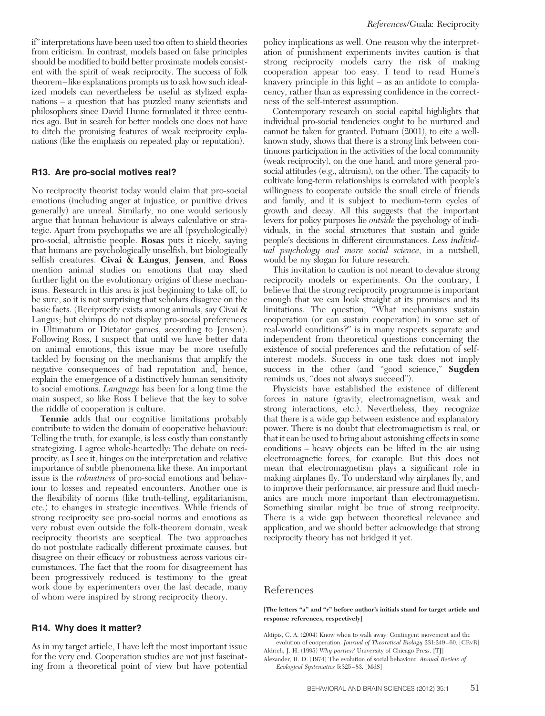if" interpretations have been used too often to shield theories from criticism. In contrast, models based on false principles should be modified to build better proximate models consistent with the spirit of weak reciprocity. The success of folk theorem–like explanations prompts us to ask how such idealized models can nevertheless be useful as stylized explanations – a question that has puzzled many scientists and philosophers since David Hume formulated it three centuries ago. But in search for better models one does not have to ditch the promising features of weak reciprocity explanations (like the emphasis on repeated play or reputation).

#### R13. Are pro-social motives real?

No reciprocity theorist today would claim that pro-social emotions (including anger at injustice, or punitive drives generally) are unreal. Similarly, no one would seriously argue that human behaviour is always calculative or strategic. Apart from psychopaths we are all (psychologically) pro-social, altruistic people. Rosas puts it nicely, saying that humans are psychologically unselfish, but biologically selfish creatures. Civai & Langus, Jensen, and Ross mention animal studies on emotions that may shed further light on the evolutionary origins of these mechanisms. Research in this area is just beginning to take off, to be sure, so it is not surprising that scholars disagree on the basic facts. (Reciprocity exists among animals, say Civai & Langus; but chimps do not display pro-social preferences in Ultimatum or Dictator games, according to Jensen). Following Ross, I suspect that until we have better data on animal emotions, this issue may be more usefully tackled by focusing on the mechanisms that amplify the negative consequences of bad reputation and, hence, explain the emergence of a distinctively human sensitivity to social emotions. Language has been for a long time the main suspect, so like Ross I believe that the key to solve the riddle of cooperation is culture.

Tennie adds that our cognitive limitations probably contribute to widen the domain of cooperative behaviour: Telling the truth, for example, is less costly than constantly strategizing. I agree whole-heartedly: The debate on reciprocity, as I see it, hinges on the interpretation and relative importance of subtle phenomena like these. An important issue is the robustness of pro-social emotions and behaviour to losses and repeated encounters. Another one is the flexibility of norms (like truth-telling, egalitarianism, etc.) to changes in strategic incentives. While friends of strong reciprocity see pro-social norms and emotions as very robust even outside the folk-theorem domain, weak reciprocity theorists are sceptical. The two approaches do not postulate radically different proximate causes, but disagree on their efficacy or robustness across various circumstances. The fact that the room for disagreement has been progressively reduced is testimony to the great work done by experimenters over the last decade, many of whom were inspired by strong reciprocity theory.

#### R14. Why does it matter?

As in my target article, I have left the most important issue for the very end. Cooperation studies are not just fascinating from a theoretical point of view but have potential policy implications as well. One reason why the interpretation of punishment experiments invites caution is that strong reciprocity models carry the risk of making cooperation appear too easy. I tend to read Hume's knavery principle in this light – as an antidote to complacency, rather than as expressing confidence in the correctness of the self-interest assumption.

Contemporary research on social capital highlights that individual pro-social tendencies ought to be nurtured and cannot be taken for granted. Putnam (2001), to cite a wellknown study, shows that there is a strong link between continuous participation in the activities of the local community (weak reciprocity), on the one hand, and more general prosocial attitudes (e.g., altruism), on the other. The capacity to cultivate long-term relationships is correlated with people's willingness to cooperate outside the small circle of friends and family, and it is subject to medium-term cycles of growth and decay. All this suggests that the important levers for policy purposes lie outside the psychology of individuals, in the social structures that sustain and guide people's decisions in different circumstances. Less individual psychology and more social science, in a nutshell, would be my slogan for future research.

This invitation to caution is not meant to devalue strong reciprocity models or experiments. On the contrary, I believe that the strong reciprocity programme is important enough that we can look straight at its promises and its limitations. The question, "What mechanisms sustain cooperation (or can sustain cooperation) in some set of real-world conditions?" is in many respects separate and independent from theoretical questions concerning the existence of social preferences and the refutation of selfinterest models. Success in one task does not imply success in the other (and "good science," **Sugden** reminds us, "does not always succeed").

Physicists have established the existence of different forces in nature (gravity, electromagnetism, weak and strong interactions, etc.). Nevertheless, they recognize that there is a wide gap between existence and explanatory power. There is no doubt that electromagnetism is real, or that it can be used to bring about astonishing effects in some conditions – heavy objects can be lifted in the air using electromagnetic forces, for example. But this does not mean that electromagnetism plays a significant role in making airplanes fly. To understand why airplanes fly, and to improve their performance, air pressure and fluid mechanics are much more important than electromagnetism. Something similar might be true of strong reciprocity. There is a wide gap between theoretical relevance and application, and we should better acknowledge that strong reciprocity theory has not bridged it yet.

#### References

#### [The letters "a" and "r" before author's initials stand for target article and response references, respectively]

Aktipis, C. A. (2004) Know when to walk away: Contingent movement and the evolution of cooperation. Journal of Theoretical Biology 231:249-60. [CRvR] Aldrich, J. H. (1995) Why parties? University of Chicago Press. [TJ]

Alexander, R. D. (1974) The evolution of social behaviour. Annual Review of Ecological Systematics 5:325–83. [MdS]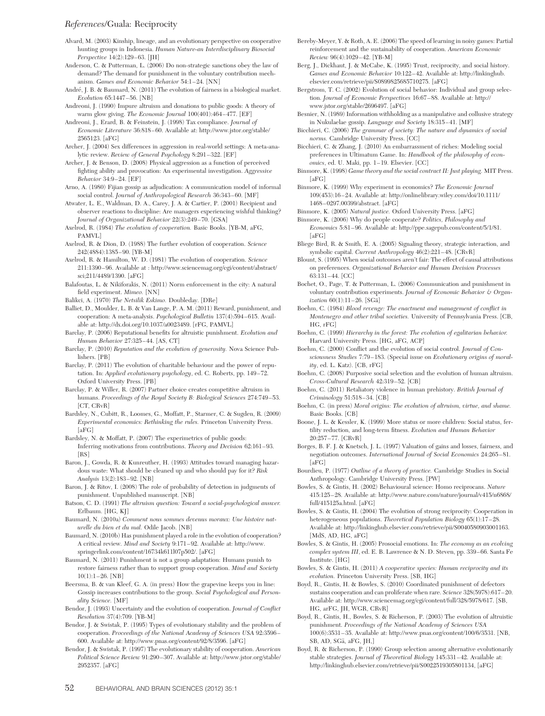#### References/Guala: Reciprocity

- Alvard, M. (2003) Kinship, lineage, and an evolutionary perspective on cooperative hunting groups in Indonesia. Human Nature-an Interdisciplinary Biosocial Perspective 14(2):129–63. [JH]
- Anderson, C. & Putterman, L. (2006) Do non-strategic sanctions obey the law of demand? The demand for punishment in the voluntary contribution mechanism. Games and Economic Behavior 54:1–24. [NN]
- André, J. B. & Baumard, N. (2011) The evolution of fairness in a biological market. Evolution 65:1447–56. [NB]
- Andreoni, J. (1990) Impure altruism and donations to public goods: A theory of warm glow giving. The Economic Journal 100(401):464–477. [EF]
- Andreoni, J., Erard, B. & Feinstein, J. (1998) Tax compliance. Journal of Economic Literature 36:818–60. Available at: http://www.jstor.org/stable/ 2565123. [aFG]
- Archer, J. (2004) Sex differences in aggression in real-world settings: A meta-analytic review. Review of General Psychology 8:291–322. [EF]
- Archer, J. & Benson, D. (2008) Physical aggression as a function of perceived fighting ability and provocation: An experimental investigation. Aggressive Behavior 34:9–24. [EF]
- Arno, A. (1980) Fijian gossip as adjudication: A communication model of informal social control. Journal of Anthropological Research 36:343–60. [MF]
- Atwater, L. E., Waldman, D. A., Carey, J. A. & Cartier, P. (2001) Recipient and observer reactions to discipline: Are managers experiencing wishful thinking? Journal of Organizational Behavior 22(3):249–70. [GSA]
- Axelrod, R. (1984) The evolution of cooperation. Basic Books. [YB-M, aFG, PAMVL]
- Axelrod, R. & Dion, D. (1988) The further evolution of cooperation. Science 242(4884):1385–90. [YB-M]
- Axelrod, R. & Hamilton, W. D. (1981) The evolution of cooperation. Science 211:1390–96. Available at : http://www.sciencemag.org/cgi/content/abstract/ sci;211/4489/1390. [aFG]
- Balafoutas, L. & Nikiforakis, N. (2011) Norm enforcement in the city: A natural field experiment. Mimeo. [NN]
- Balikci, A. (1970) The Netsilik Eskimo. Doubleday. [DRe]
- Balliet, D., Moulder, L. B. & Van Lange, P. A. M. (2011) Reward, punishment, and cooperation: A meta-analysis. Psychological Bulletin 137(4):594–615. Available at: http://dx.doi.org/10.1037/a0023489. [rFG, PAMVL]
- Barclay, P. (2006) Reputational benefits for altruistic punishment. Evolution and Human Behavior 27:325–44. [AS, CT]
- Barclay, P. (2010) Reputation and the evolution of generosity. Nova Science Publishers. [PB]
- Barclay, P. (2011) The evolution of charitable behaviour and the power of reputation. In: Applied evolutionary psychology, ed. C. Roberts, pp. 149–72. Oxford University Press. [PB]
- Barclay, P. & Willer, R. (2007) Partner choice creates competitive altruism in humans. Proceedings of the Royal Society B: Biological Sciences 274:749–53. [CT, CRvR]
- Bardsley, N., Cubitt, R., Loomes, G., Moffatt, P., Starmer, C. & Sugden, R. (2009) Experimental economics: Rethinking the rules. Princeton University Press.  $[aFG]$
- Bardsley, N. & Moffatt, P. (2007) The experimetrics of public goods: Inferring motivations from contributions. Theory and Decision 62:161–93. [RS]
- Baron, J., Gowda, R. & Kunreuther, H. (1993) Attitudes toward managing hazardous waste: What should be cleaned up and who should pay for it? Risk Analysis 13(2):183–92. [NB]
- Baron, J. & Ritov, I. (2008) The role of probability of detection in judgments of punishment. Unpublished manuscript. [NB]
- Batson, C. D. (1991) The altruism question: Toward a social-psychological answer. Erlbaum. [HG, KJ]
- Baumard, N. (2010a) Comment nous sommes devenus moraux: Une histoire naturelle du bien et du mal. Odile Jacob. [NB]
- Baumard, N. (2010b) Has punishment played a role in the evolution of cooperation? A critical review. Mind and Society 9:171–92. Available at: http://www. springerlink.com/content/16734k611l07p502/. [aFG]
- Baumard, N. (2011) Punishment is not a group adaptation: Humans punish to restore fairness rather than to support group cooperation. Mind and Society 10(1):1–26. [NB]
- Beersma, B. & van Kleef, G. A. (in press) How the grapevine keeps you in line: Gossip increases contributions to the group. Social Psychological and Personality Science. [MF]
- Bendor, J. (1993) Uncertainty and the evolution of cooperation. Journal of Conflict Resolution 37(4):709. [YB-M]
- Bendor, J. & Swistak, P. (1995) Types of evolutionary stability and the problem of cooperation. Proceedings of the National Academy of Sciences USA 92:3596– 600. Available at: http://www.pnas.org/content/92/8/3596. [aFG]
- Bendor, J. & Swistak, P. (1997) The evolutionary stability of cooperation. American Political Science Review 91:290–307. Available at: http://www.jstor.org/stable/ 2952357. [aFG]
- Bereby-Meyer, Y. & Roth, A. E. (2006) The speed of learning in noisy games: Partial reinforcement and the sustainability of cooperation. American Economic Review 96(4):1029–42. [YB-M]
- Berg, J., Dickhaut, J. & McCabe, K. (1995) Trust, reciprocity, and social history. Games and Economic Behavior 10:122–42. Available at: http://linkinghub. elsevier.com/retrieve/pii/S0899825685710275. [aFG]
- Bergstrom, T. C. (2002) Evolution of social behavior: Individual and group selection. Journal of Economic Perspectives 16:67–88. Available at: http:// www.jstor.org/stable/2696497. [aFG]
- Besnier, N. (1989) Information withholding as a manipulative and collusive strategy in Nukulaelae gossip. Language and Society 18:315–41. [MF]
- Bicchieri, C. (2006) The grammar of society: The nature and dynamics of social norms. Cambridge University Press. [CC]
- Bicchieri, C. & Zhang, J. (2010) An embarrassment of riches: Modeling social preferences in Ultimatum Game. In: Handbook of the philosophy of economics, ed. U. Maki, pp. 1–19. Elsevier. [CC]
- Binmore, K. (1998) Game theory and the social contract II: Just playing. MIT Press. [aFG]
- Binmore, K. (1999) Why experiment in economics? The Economic Journal 109(453):16–24. Available at: http://onlinelibrary.wiley.com/doi/10.1111/ 1468–0297.00399/abstract. [aFG]
- Binmore, K. (2005) Natural justice. Oxford University Press. [aFG]
- Binmore, K. (2006) Why do people cooperate? Politics, Philosophy and Economics 5:81–96. Available at: http://ppe.sagepub.com/content/5/1/81. [aFG]
- Bliege Bird, R. & Smith, E. A. (2005) Signaling theory, strategic interaction, and symbolic capital. Current Anthropology 46(2):221–48. [CRvR]
- Blount, S. (1995) When social outcomes aren't fair: The effect of causal attributions on preferences. Organizational Behavior and Human Decision Processes 63:131–44. [CC]
- Bochet, O., Page, T. & Putterman, L. (2006) Communication and punishment in voluntary contribution experiments. Journal of Economic Behavior & Organ $ization 60(1):11-26.$  [SGä]
- Boehm, C. (1984) Blood revenge: The enactment and management of conflict in Montenegro and other tribal societies. University of Pennsylvania Press. [CB, HG, rFG]
- Boehm, C. (1999) Hierarchy in the forest: The evolution of egalitarian behavior. Harvard University Press. [HG, aFG, ACP]
- Boehm, C. (2000) Conflict and the evolution of social control. Journal of Consciousness Studies 7:79–183. (Special issue on Evolutionary origins of morality, ed. L. Katz). [CB, rFG]
- Boehm, C. (2008) Purposive social selection and the evolution of human altruism. Cross-Cultural Research 42:319–52. [CB]
- Boehm, C. (2011) Retaliatory violence in human prehistory. British Journal of Criminology 51:518–34. [CB]
- Boehm, C. (in press) Moral origins: The evolution of altruism, virtue, and shame. Basic Books. [CB]
- Boone, J. L. & Kessler, K. (1999) More status or more children: Social status, fertility reduction, and long-term fitness. Evolution and Human Behavior 20:257–77. [CRvR]
- Borges, B. F. J. & Knetsch, J. L. (1997) Valuation of gains and losses, fairness, and negotiation outcomes. International Journal of Social Economics 24:265–81. [aFG]
- Bourdieu, P. (1977) Outline of a theory of practice. Cambridge Studies in Social Anthropology. Cambridge University Press. [PW]
- Bowles, S. & Gintis, H. (2002) Behavioural science: Homo reciprocans. Nature 415:125–28. Available at: http://www.nature.com/nature/journal/v415/n6868/ full/415125a.html. [aFG]
- Bowles, S. & Gintis, H. (2004) The evolution of strong reciprocity: Cooperation in heterogeneous populations. Theoretical Population Biology 65(1):17–28. Available at: http://linkinghub.elsevier.com/retrieve/pii/S0040580903001163. [MdS, AD, HG, aFG]
- Bowles, S. & Gintis, H. (2005) Prosocial emotions. In: The economy as an evolving complex system III, ed. E. B. Lawrence & N. D. Steven, pp. 339–66. Santa Fe Institute. [HG]
- Bowles, S. & Gintis, H. (2011) A cooperative species: Human reciprocity and its evolution. Princeton University Press. [SB, HG]
- Boyd, R., Gintis, H. & Bowles, S. (2010) Coordinated punishment of defectors sustains cooperation and can proliferate when rare. Science 328(5978):617–20. Available at: http://www.sciencemag.org/cgi/content/full/328/5978/617. [SB, HG, arFG, JH, WGR, CRvR]
- Boyd, R., Gintis, H., Bowles, S. & Richerson, P. (2003) The evolution of altruistic punishment. Proceedings of the National Academy of Sciences USA 100(6):3531–35. Available at: http://www.pnas.org/content/100/6/3531. [NB, SB, AD, SGä, aFG, JH,]
- Boyd, R. & Richerson, P. (1990) Group selection among alternative evolutionarily stable strategies. Journal of Theoretical Biology 145:331–42. Available at: http://linkinghub.elsevier.com/retrieve/pii/S0022519305801134, [aFG]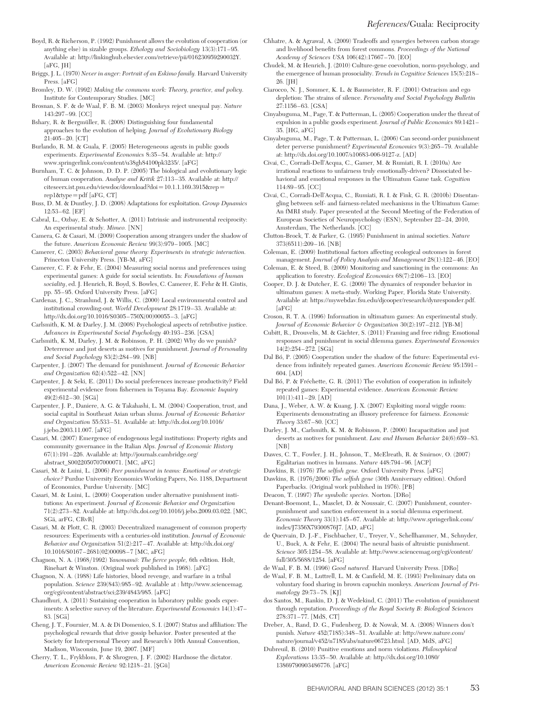- Boyd, R. & Richerson, P. (1992) Punishment allows the evolution of cooperation (or anything else) in sizable groups. Ethology and Sociobiology 13(3):171–95. Available at: http://linkinghub.elsevier.com/retrieve/pii/016230959290032Y. [aFG, JH]
- Briggs, J. L. (1970) Never in anger: Portrait of an Eskimo family. Harvard University Press. [aFG]
- Bromley, D. W. (1992) Making the commons work: Theory, practice, and policy. Institute for Contemporary Studies. [MC]
- Brosnan, S. F. & de Waal, F. B. M. (2003) Monkeys reject unequal pay. Nature 143:297–99. [CC]
- Bshary, R. & Bergmüller, R. (2008) Distinguishing four fundamental approaches to the evolution of helping. Journal of Evolutionary Biology 21:405–20. [CT]
- Burlando, R. M. & Guala, F. (2005) Heterogeneous agents in public goods experiments. Experimental Economics 8:35–54. Available at: http:// www.springerlink.com/content/u38gh84100pk3235/. [aFG]
- Burnham, T. C. & Johnson, D. D. P. (2005) The biological and evolutionary logic of human cooperation. Analyse and Kritik 27:113–35. Available at: http:// citeseerx.ist.psu.edu/viewdoc/download?doi=10.1.1.169.3915&rep=  $rep1$ &type = pdf [aFG, CT]
- Buss, D. M. & Duntley, J. D. (2008) Adaptations for exploitation. Group Dynamics 12:53–62. [EF]
- Cabral, L., Ozbay, E. & Schotter, A. (2011) Intrinsic and instrumental reciprocity: An experimental study. Mimeo. [NN]
- Camera, G. & Casari, M. (2009) Cooperation among strangers under the shadow of the future. American Economic Review 99(3):979–1005. [MC]
- Camerer, C. (2003) Behavioral game theory: Experiments in strategic interaction. Princeton University Press. [YB-M, aFG]
- Camerer, C. F. & Fehr, E. (2004) Measuring social norms and preferences using experimental games: A guide for social scientists. In: Foundations of human sociality, ed. J. Henrich, R. Boyd, S. Bowles, C. Camerer, E. Fehr & H. Gintis, pp. 55–95. Oxford University Press. [aFG]
- Cardenas, J. C., Stranlund, J. & Willis, C. (2000) Local environmental control and institutional crowding-out. World Development 28:1719–33. Available at: http://dx.doi.org/10.1016/S0305–750X(00)00055–3. [aFG]
- Carlsmith, K. M. & Darley, J. M. (2008) Psychological aspects of retributive justice. Advances in Experimental Social Psychology 40:193–236. [GSA]
- Carlsmith, K. M, Darley, J. M. & Robinson, P. H. (2002) Why do we punish? Deterrence and just deserts as motives for punishment. Journal of Personality and Social Psychology 83(2):284–99. [NB]
- Carpenter, J. (2007) The demand for punishment. Journal of Economic Behavior and Organization 62(4):522–42. [NN]
- Carpenter, J. & Seki, E. (2011) Do social preferences increase productivity? Field experimental evidence from fishermen in Toyama Bay. Economic Inquiry 49(2):612-30. [SGä]
- Carpenter, J. P., Daniere, A. G. & Takahashi, L. M. (2004) Cooperation, trust, and social capital in Southeast Asian urban slums. Journal of Economic Behavior and Organization 55:533–51. Available at: http://dx.doi.org/10.1016/ j.jebo.2003.11.007. [aFG]
- Casari, M. (2007) Emergence of endogenous legal institutions: Property rights and community governance in the Italian Alps. Journal of Economic History 67(1):191–226. Available at: http://journals.cambridge.org/ abstract\_S0022050707000071. [MC, aFG]
- Casari, M. & Luini, L. (2006) Peer punishment in teams: Emotional or strategic choice? Purdue University Economics Working Papers, No. 1188, Department of Economics, Purdue University. [MC]
- Casari, M. & Luini, L. (2009) Cooperation under alternative punishment institutions: An experiment. Journal of Economic Behavior and Organization 71(2):273–82. Available at: http://dx.doi.org/10.1016/j.jebo.2009.03.022. [MC, SGä, arFG, CRvR]
- Casari, M. & Plott, C. R. (2003) Decentralized management of common property resources: Experiments with a centuries-old institution. Journal of Economic Behavior and Organization 51(2):217–47. Available at: http://dx.doi.org/ 10.1016/S0167–2681(02)00098–7 [MC, aFG]
- Chagnon, N. A. (1968/1992) Yanomamö: The fierce people, 6th edition. Holt, Rinehart & Winston. (Original work published in 1968). [aFG]
- Chagnon, N. A. (1988) Life histories, blood revenge, and warfare in a tribal population. Science 239(843):985–92. Available at : http://www.sciencemag. org/cgi/content/abstract/sci;239/4843/985. [aFG]
- Chaudhuri, A. (2011) Sustaining cooperation in laboratory public goods experiments: A selective survey of the literature. Experimental Economics 14(1):47– 83. [SGa¨]
- Cheng, J. T., Fournier, M. A. & Di Domenico, S. I. (2007) Status and affiliation: The psychological rewards that drive gossip behavior. Poster presented at the Society for Interpersonal Theory and Research's 10th Annual Convention, Madison, Wisconsin, June 19, 2007. [MF]
- Cherry, T. L., Frykblom, P. & Shrogren, J. F. (2002) Hardnose the dictator. American Economic Review 92:1218-21. [ŞGü]
- Chhatre, A. & Agrawal, A. (2009) Tradeoffs and synergies between carbon storage and livelihood benefits from forest commons. Proceedings of the National Academy of Sciences USA 106(42):17667–70. [EO]
- Chudek, M. & Henrich, J. (2010) Culture-gene coevolution, norm-psychology, and the emergence of human prosociality. Trends in Cognitive Sciences 15(5):218– 26. [JH]
- Ciarocco, N. J., Sommer, K. L. & Baumeister, R. F. (2001) Ostracism and ego depletion: The strains of silence. Personality and Social Psychology Bulletin 27:1156–63. [GSA]
- Cinyabuguma, M., Page, T. & Putterman, L. (2005) Cooperation under the threat of expulsion in a public goods experiment. Journal of Public Economics 89:1421– 35. [HG, aFG]
- Cinyabuguma, M., Page, T. & Putterman, L. (2006) Can second-order punishment deter perverse punishment? Experimental Economics 9(3):265–79. Available at: http://dx.doi.org/10.1007/s10683-006-9127-z. [AD]
- Civai, C., Corradi-Dell'Acqua, C., Gamer, M. & Rumiati, R. I. (2010a) Are irrational reactions to unfairness truly emotionally-driven? Dissociated behavioral and emotional responses in the Ultimatum Game task. Cognition 114:89–95. [CC]
- Civai, C., Corradi-Dell'Acqua, C., Rumiati, R. I. & Fink, G. R. (2010b) Disentangling between self- and fairness-related mechanisms in the Ultimatum Game: An fMRI study. Paper presented at the Second Meeting of the Federation of European Societies of Neuropsychology (ESN), September 22–24, 2010, Amsterdam, The Netherlands. [CC]
- Clutton-Brock, T. & Parker, G. (1995) Punishment in animal societies. Nature 373(6511):209–16. [NB]
- Coleman, E. (2009) Institutional factors affecting ecological outcomes in forest management. Journal of Policy Analysis and Management 28(1):122–46. [EO]
- Coleman, E. & Steed, B. (2009) Monitoring and sanctioning in the commons: An application to forestry. Ecological Economics 68(7):2106–13. [EO]
- Cooper, D. J. & Dutcher, E. G. (2009) The dynamics of responder behavior in ultimatum games: A meta-study. Working Paper, Florida State University. Available at: https://mywebdav.fsu.edu/djcooper/research/dynresponder.pdf. [aFG]
- Croson, R. T. A. (1996) Information in ultimatum games: An experimental study. Journal of Economic Behavior & Organization 30(2):197–212. [YB-M]
- Cubitt, R., Drouvelis, M. & Gächter, S. (2011) Framing and free riding: Emotional responses and punishment in social dilemma games. Experimental Economics  $14(2):254-272.$  [SGa]
- Dal Bó, P. (2005) Cooperation under the shadow of the future: Experimental evidence from infinitely repeated games. American Economic Review 95:1591– 604. [AD]
- Dal Bó, P. & Fréchette, G. R. (2011) The evolution of cooperation in infinitely repeated games: Experimental evidence. American Economic Review 101(1):411–29. [AD]
- Dana, J., Weber, A. W. & Kuang, J. X. (2007) Exploiting moral wiggle room: Experiments demonstrating an illusory preference for fairness. Economic Theory 33:67–80. [CC]
- Darley, J. M., Carlsmith, K. M. & Robinson, P. (2000) Incapacitation and just deserts as motives for punishment. Law and Human Behavior 24(6):659–83. [NB]
- Dawes, C. T., Fowler, J. H., Johnson, T., McElreath, R. & Smirnov, O. (2007) Egalitarian motives in humans. Nature 448:794–96. [ACP]
- Dawkins, R. (1976) The selfish gene. Oxford University Press. [aFG]
- Dawkins, R. (1976/2006) The selfish gene (30th Anniversary edition). Oxford Paperbacks. (Original work published in 1976). [PB]
- Deacon, T. (1997) The symbolic species. Norton. [DRo]
- Denant-Boemont, L., Masclet, D. & Noussair, C. (2007) Punishment, counterpunishment and sanction enforcement in a social dilemma experiment. Economic Theory 33(1):145–67. Available at: http://www.springerlink.com/ index/J7356X79300876J7. [AD, aFG]
- de Quervain, D. J.-F., Fischbacher, U., Treyer, V., Schellhammer, M., Schnyder, U., Buck, A. & Fehr, E. (2004) The neural basis of altruistic punishment. Science 305:1254–58. Available at: http://www.sciencemag.org/cgi/content/ full/305/5688/1254. [aFG]
- de Waal, F. B. M. (1996) Good natured. Harvard University Press. [DRo]
- de Waal, F. B. M., Luttrell, L. M. & Canfield, M. E. (1993) Preliminary data on voluntary food sharing in brown capuchin monkeys. American Journal of Primatology 29:73–78. [KJ]
- dos Santos, M., Rankin, D. J. & Wedekind, C. (2011) The evolution of punishment through reputation. Proceedings of the Royal Society B: Biological Sciences 278:371–77. [MdS, CT]
- Dreber, A., Rand, D. G., Fudenberg, D. & Nowak, M. A. (2008) Winners don't punish. Nature 452(7185):348–51. Available at: http://www.nature.com/ nature/journal/v452/n7185/abs/nature06723.html. [AD, MdS, aFG]
- Dubreuil, B. (2010) Punitive emotions and norm violations. Philosophical Explorations 13:35–50. Available at: http://dx.doi.org/10.1080/ 13869790903486776. [aFG]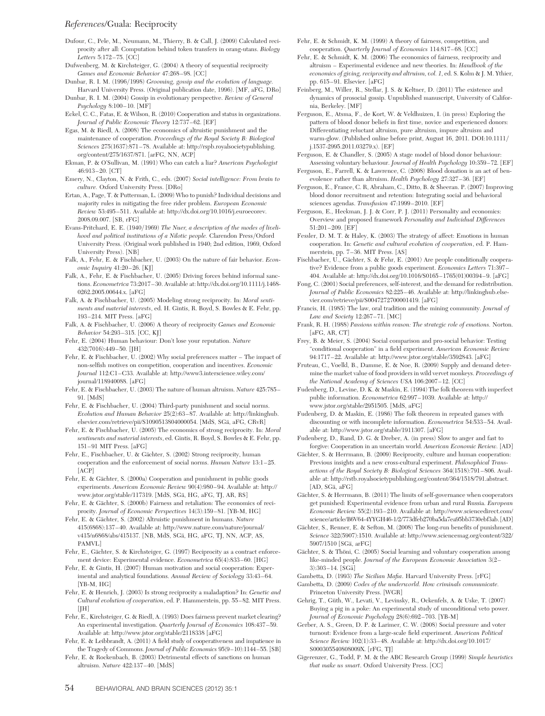## References/Guala: Reciprocity

- Dufour, C., Pele, M., Neumann, M., Thierry, B. & Call, J. (2009) Calculated reciprocity after all: Computation behind token transfers in orang-utans. Biology Letters 5:172–75. [CC]
- Dufwenberg, M. & Kirchsteiger, G. (2004) A theory of sequential reciprocity Games and Economic Behavior 47:268–98. [CC]

Dunbar, R. I. M. (1996/1998) Grooming, gossip and the evolution of language. Harvard University Press. (Original publication date, 1996). [MF, aFG, DRo]

Dunbar, R. I. M. (2004) Gossip in evolutionary perspective. Review of General  $Psychology 8:100-10. [MF]$ 

Eckel, C. C., Fatas, E. & Wilson, R. (2010) Cooperation and status in organizations. Journal of Public Economic Theory 12:737–62. [EF]

Egas, M. & Riedl, A. (2008) The economics of altruistic punishment and the maintenance of cooperation. Proceedings of the Royal Society B: Biological Sciences 275(1637):871–78. Available at: http://rspb.royalsocietypublishing. org/content/275/1637/871. [arFG, NN, ACP]

- Ekman, P. & O'Sullivan, M. (1991) Who can catch a liar? American Psychologist 46:913–20. [CT]
- Emery, N., Clayton, N. & Frith, C., eds. (2007) Social intelligence: From brain to culture. Oxford University Press. [DRo]
- Ertan, A., Page, T. & Putterman, L. (2009) Who to punish? Individual decisions and majority rules in mitigating the free rider problem. European Economic Review 53:495–511. Available at: http://dx.doi.org/10.1016/j.euroecorev. 2008.09.007. [SB, rFG]

Evans-Pritchard, E. E. (1940/1969) The Nuer, a description of the modes of livelihood and political institutions of a Nilotic people. Clarendon Press/Oxford University Press. (Original work published in 1940; 2nd edition, 1969, Oxford University Press). [NB]

- Falk, A., Fehr, E. & Fischbacher, U. (2003) On the nature of fair behavior. Economic Inquiry 41:20–26. [KJ]
- Falk, A., Fehr, E. & Fischbacher, U. (2005) Driving forces behind informal sanctions. Econometrica 73:2017–30. Available at: http://dx.doi.org/10.1111/j.1468- 0262.2005.00644.x. [aFG]
- Falk, A. & Fischbacher, U. (2005) Modeling strong reciprocity. In: Moral sentiments and material interests, ed. H. Gintis, R. Boyd, S. Bowles & E. Fehr, pp. 193–214. MIT Press. [aFG]
- Falk, A. & Fischbacher, U. (2006) A theory of reciprocity Games and Economic Behavior 54:293–315. [CC, KJ]
- Fehr, E. (2004) Human behaviour: Don't lose your reputation. Nature 432(7016):449–50. [JH]
- Fehr, E. & Fischbacher, U. (2002) Why social preferences matter The impact of non-selfish motives on competition, cooperation and incentives. Economic Journal 112:C1–C33. Available at: http://www3.interscience.wiley.com/ journal/118940088. [aFG]
- Fehr, E. & Fischbacher, U. (2003) The nature of human altruism. Nature 425:785– 91. [MdS]
- Fehr, E. & Fischbacher, U. (2004) Third-party punishment and social norms. Evolution and Human Behavior 25(2):63–87. Available at: http://linkinghub. elsevier.com/retrieve/pii/S1090513804000054. [MdS, SGä, aFG, CRvR]
- Fehr, E. & Fischbacher, U. (2005) The economics of strong reciprocity. In: Moral sentiments and material interests, ed. Gintis, R. Boyd, S. Bowles & E. Fehr, pp. 151–91 MIT Press. [aFG]
- Fehr, E., Fischbacher, U. & Gächter, S. (2002) Strong reciprocity, human cooperation and the enforcement of social norms. Human Nature 13:1–25. [ACP]
- Fehr, E. & Gächter, S. (2000a) Cooperation and punishment in public goods experiments. American Economic Review 90(4):980–94. Available at: http:// www.jstor.org/stable/117319. [MdS, SGä, HG, aFG, TJ, AR, RS]
- Fehr, E. & Gächter, S. (2000b) Fairness and retaliation: The economics of reciprocity. Journal of Economic Perspectives 14(3):159–81. [YB-M, HG]

Fehr, E. & Gächter, S. (2002) Altruistic punishment in humans. Nature 415(6868):137–40. Available at: http://www.nature.com/nature/journal/ v415/n6868/abs/415137. [NB, MdS, SGä, HG, aFG, TJ, NN, ACP, AS, PAMVL]

Fehr, E., Gächter, S. & Kirchsteiger, G. (1997) Reciprocity as a contract enforcement device: Experimental evidence. Econometrica 65(4):833–60. [HG]

- Fehr, E. & Gintis, H. (2007) Human motivation and social cooperation: Experimental and analytical foundations. Annual Review of Sociology 33:43–64.  $[YB-M, HG]$
- Fehr, E. & Henrich, J. (2003) Is strong reciprocity a maladaption? In: Genetic and Cultural evolution of cooperation, ed. P. Hammerstein, pp. 55–82. MIT Press.  $[$  $[$  $[$  $]$  $[$  $]$  $[$  $]$  $[$  $]$  $[$  $]$  $[$  $]$  $[$  $]$  $[$  $]$  $[$  $]$  $[$  $]$  $[$  $]$  $[$  $]$  $[$  $]$  $[$  $]$  $[$  $]$  $[$  $]$  $[$  $]$  $[$  $]$  $[$  $]$  $[$  $]$  $[$  $]$  $[$  $]$  $[$  $]$  $[$  $]$  $[$  $]$  $[$  $]$  $[$  $]$  $[$  $]$  $[$  $]$  $[$  $]$  $[$  $]$  $[$  $]$  $[$  $]$  $[$  $]$  $[$  $]$  $[$  $]$
- Fehr, E., Kirchsteiger, G. & Riedl, A. (1993) Does fairness prevent market clearing? An experimental investigation. Quarterly Journal of Economics 108:437-59. Available at: http://www.jstor.org/stable/2118338 [aFG]
- Fehr, E. & Leibbrandt, A. (2011) A field study of cooperativeness and impatience in the Tragedy of Commons. Journal of Public Economics 95(9-10):1144-55. [SB]
- Fehr, E. & Rockenbach, B. (2003) Detrimental effects of sanctions on human altruism. Nature 422:137–40. [MdS]
- Fehr, E. & Schmidt, K. M. (1999) A theory of fairness, competition, and cooperation. Quarterly Journal of Economics 114:817–68. [CC]
- Fehr, E. & Schmidt, K. M. (2006) The economics of fairness, reciprocity and altruism – Experimental evidence and new theories. In: Handbook of the economics of giving, reciprocity and altruism, vol. 1, ed. S. Kolm & J. M. Ythier, pp. 615–91. Elsevier. [aFG]
- Feinberg, M., Willer, R., Stellar, J. S. & Keltner, D. (2011) The existence and dynamics of prosocial gossip. Unpublished manuscript, University of California, Berkeley. [MF]
- Ferguson, E., Atsma, F., de Kort, W. & Veldhuizen, I. (in press) Exploring the pattern of blood donor beliefs in first time, novice and experienced donors: Differentiating reluctant altruism, pure altruism, impure altruism and warm-glow. (Published online before print, August 16, 2011. DOI:10.1111/ j.1537-2995.2011.03279.x). [EF]
- Ferguson, E. & Chandler, S. (2005) A stage model of blood donor behaviour: Assessing voluntary behaviour. Journal of Health Psychology 10:359–72. [EF]
- Ferguson, E., Farrell, K. & Lawrence, C. (2008) Blood donation is an act of benevolence rather than altruism. Health Psychology 27:327–36. [EF]
- Ferguson, E., France, C. R, Abraham, C., Ditto, B. & Sheeran. P. (2007) Improving blood donor recruitment and retention: Integrating social and behavioral sciences agendas. Transfusion 47:1999-2010. [EF]
- Ferguson, E., Heckman, J. J. & Corr, P. J. (2011) Personality and economics: Overview and proposed framework Personality and Individual Differences 51:201–209. [EF]
- Fessler, D. M. T. & Haley, K. (2003) The strategy of affect: Emotions in human cooperation. In: Genetic and cultural evolution of cooperation, ed. P. Hammerstein, pp. 7–36. MIT Press. [AS]
- Fischbacher, U., Gächter, S. & Fehr, E. (2001) Are people conditionally cooperative? Evidence from a public goods experiment. Economics Letters 71:397– 404. Available at: http://dx.doi.org/10.1016/S0165–1765(01)00394–9. [aFG]
- Fong, C. (2001) Social preferences, self-interest, and the demand for redistribution. Journal of Public Economics 82:225–46. Available at: http://linkinghub.elsevier.com/retrieve/pii/S0047272700001419. [aFG]
- Francis, H. (1985) The law, oral tradition and the mining community. Journal of Law and Society 12:267–71. [MC]
- Frank, R. H. (1988) Passions within reason: The strategic role of emotions. Norton. [aFG, AR, CT]
- Frey, B. & Meier, S. (2004) Social comparison and pro-social behavior: Testing "conditional cooperation" in a field experiment. American Economic Review 94:1717–22. Available at: http://www.jstor.org/stable/3592843. [aFG]
- Fruteau, C., Voelkl, B., Damme, E. & Noe, R. (2009) Supply and demand determine the market value of food providers in wild vervet monkeys. Proceedings of the National Academy of Sciences USA 106:2007–12. [CC]
- Fudenberg, D., Levine, D. K. & Maskin, E. (1994) The folk theorem with imperfect public information. Econometrica 62:997–1039. Available at: http:// www.jstor.org/stable/2951505. [MdS, aFG]
- Fudenberg, D. & Maskin, E. (1986) The folk theorem in repeated games with discounting or with incomplete information. Econometrica 54:533–54. Available at: http://www.jstor.org/stable/1911307. [aFG]
- Fudenberg, D., Rand, D. G. & Dreber, A. (in press) Slow to anger and fast to forgive: Cooperation in an uncertain world. American Economic Review. [AD]
- Gächter, S. & Herrmann, B. (2009) Reciprocity, culture and human cooperation: Previous insights and a new cross-cultural experiment. Philosophical Transactions of the Royal Society B: Biological Sciences 364(1518):791–806. Available at: http://rstb.royalsocietypublishing.org/content/364/1518/791.abstract. [AD, SGä, aFG]
- Gächter, S. & Herrmann, B. (2011) The limits of self-governance when cooperators get punished: Experimental evidence from urban and rural Russia. European Economic Review 55(2):193–210. Available at: http://www.sciencedirect.com/ science/article/B6V64-4YYGH46-1/2/773dfeb270ba5da7ea95bb3730ebf3ab.[AD]
- Gächter, S., Renner, E. & Sefton, M. (2008) The long-run benefits of punishment. Science 322(5907):1510. Available at: http://www.sciencemag.org/content/322/ 5907/1510 [SGä, arFG]
- Gächter, S. & Thöni, C. (2005) Social learning and voluntary cooperation among like-minded people. Journal of the European Economic Association 3(2– 3):303-14. [SGä]
- Gambetta, D. (1993) The Sicilian Mafia. Harvard University Press. [rFG]
- Gambetta, D. (2009) Codes of the underworld. How criminals communicate. Princeton University Press. [WGR]
- Gehrig, T., Güth, W., Levati, V., Levinsky, R., Ockenfels, A. & Uske, T. (2007) Buying a pig in a poke: An experimental study of unconditional veto power. Journal of Economic Psychology 28(6):692–703. [YB-M]
- Gerber, A. S., Green, D. P. & Larimer, C. W. (2008) Social pressure and voter turnout: Evidence from a large-scale field experiment. American Political Science Review 102(1):33–48. Available at: http://dx.doi.org/10.1017/ S000305540808009X. [rFG, TJ]
- Gigerenzer, G., Todd, P. M. & the ABC Research Group (1999) Simple heuristics that make us smart. Oxford University Press. [CC]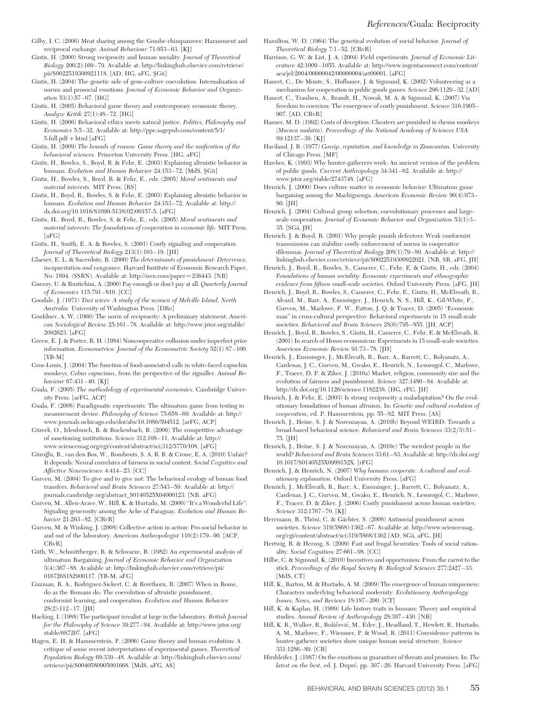Gilby, I. C. (2006) Meat sharing among the Gombe chimpanzees: Harassment and reciprocal exchange. Animal Behaviour 71:953–63. [KJ]

Gintis, H. (2000) Strong reciprocity and human sociality. Journal of Theoretical Biology 206(2):169–79. Available at: http://linkinghub.elsevier.com/retrieve/ pii/S0022519300921118. [AD, HG, aFG, ŞGü]

Gintis, H. (2004) The genetic side of gene-culture coevolution: Internalization of norms and prosocial emotions. Journal of Economic Behavior and Organization 53(1):57–67. [HG]

- Gintis, H. (2005) Behavioral game theory and contemporary economic theory. Analyze Kritik 27(1):48–72. [HG]
- Gintis, H. (2006) Behavioral ethics meets natural justice. Politics, Philosophy and Economics 5:5–32. Available at: http://ppe.sagepub.com/content/5/1/  $5.$ full.pdf + html  $[aFG]$
- Gintis, H. (2009) The bounds of reason: Game theory and the unification of the behavioral sciences. Princeton University Press. [HG, aFG]
- Gintis, H., Bowles, S., Boyd, R. & Fehr, E. (2003) Explaining altruistic behavior in humans. Evolution and Human Behavior 24:153-72. [MdS, ŞGü]
- Gintis, H., Bowles, S., Boyd, R. & Fehr, E., eds. (2005) Moral sentiments and material interests. MIT Press. [RS]
- Gintis, H., Boyd, R., Bowles, S. & Fehr, E. (2003) Explaining altruistic behavior in humans. Evolution and Human Behavior 24:153–72. Available at: http:// dx.doi.org/10.1016/S1090-5138(02)00157-5. [aFG]
- Gintis, H., Boyd, R., Bowles, S. & Fehr, E., eds. (2005) Moral sentiments and material interests: The foundations of cooperation in economic life. MIT Press. [aFG]
- Gintis, H., Smith, E. A. & Bowles, S. (2001) Costly signaling and cooperation. Journal of Theoretical Biology 213(1):103–19. [JH]
- Glaeser, E. L. & Sacerdote, B. (2000) The determinants of punishment: Deterrence, incapacitation and vengeance. Harvard Institute of Economic Research Paper, No. 1894. (SSRN). Available at: http://ssrn.com/paper = 236443. [NB]
- Gneezy, U. & Rustichini, A. (2000) Pay enough or don't pay at all. Quarterly Journal of Economics 115:791–810. [CC]
- Goodale, J. (1971) Tiwi wives: A study of the women of Melville Island, North Australia. University of Washington Press. [DRe]
- Gouldner, A. W. (1960) The norm of reciprocity: A preliminary statement. American Sociological Review 25:161–78. Available at: http://www.jstor.org/stable/ 2092623. [aFG]
- Green, E. J. & Porter, R. H. (1984) Noncooperative collusion under imperfect price information. Econometrica: Journal of the Econometric Society 52(1) 87–100. [YB-M]
- Gros-Louis, J. (2004) The function of food-associated calls in white-faced capuchin monkeys, Cebus capucinus, from the perspective of the signaller. Animal Behaviour 67:431–40. [KJ]
- Guala, F. (2005) The methodology of experimental economics. Cambridge University Press. [arFG, ACP]
- Guala, F. (2008) Paradigmatic experiments: The ultimatum game from testing to measurement device. Philosophy of Science 75:658–69. Available at: http:// www.journals.uchicago.edu/doi/abs/10.1086/594512. [arFG, ACP]
- Gürerk, O., Irlenbusch, B. & Rockenbach, B. (2006) The competitive advantage of sanctioning institutions. Science 312:108–11. Available at: http:// www.sciencemag.org/cgi/content/abstract/sci;312/5770/108. [aFG]
- Güroğlu, B., van den Bos, W., Rombouts, S. A. R. B. & Crone, E. A. (2010) Unfair? It depends: Neural correlates of fairness in social context. Social Cognitive and Affective Neuroscience 4:414–23. [CC]
- Gurven, M. (2004) To give and to give not: The behavioral ecology of human food transfers. Behavioral and Brain Sciences 27:543–59. Available at: http:// journals.cambridge.org/abstract\_S0140525X04000123. [NB, aFG]
- Gurven, M., Allen-Arave, W., Hill, K. & Hurtado, M. (2000) "It's a Wonderful Life": Signaling generosity among the Ache of Paraguay. Evolution and Human Behavior 21:263–82. [CRvR]
- Gurven, M. & Winking, J. (2008) Collective action in action: Pro-social behavior in and out of the laboratory. American Anthropologist 110(2):179–90. [ACP, CRvR]
- Güth, W., Schmittberger, R. & Schwarze, B. (1982) An experimental analysis of ultimatum Bargaining. Journal of Economic Behavior and Organization 3(4):367–88. Available at: http://linkinghub.elsevier.com/retrieve/pii/ 0167268182900117. [YB-M, aFG]
- Guzman, R. A., Rodriguez-Sickert, C. & Rowthorn, R. (2007) When in Rome, do as the Romans do: The coevolution of altruistic punishment, conformist learning, and cooperation. Evolution and Human Behavior 28(2):112–17. [JH]
- Hacking, I. (1988) The participant irrealist at large in the laboratory. British Journal for the Philosophy of Science 39:277–94. Available at: http://www.jstor.org/ stable/687207. [aFG]
- Hagen, E. H. & Hammerstein, P. (2006) Game theory and human evolution: A critique of some recent interpretations of experimental games. Theoretical Population Biology 69:339–48. Available at: http://linkinghub.elsevier.com/ retrieve/pii/S0040580905001668. [MdS, aFG, AS]
- Hamilton, W. D. (1964) The genetical evolution of social behavior. Journal of Theoretical Biology 7:1–52. [CRvR]
- Harrison, G. W. & List, J. A. (2004) Field experiments. Journal of Economic Literature 42:1009–1055. Available at: http://www.ingentaconnect.com/content/ aea/jel/2004/00000042/00000004/art00001. [aFG]
- Hauert, C., De Monte, S., Hofbauer, J. & Sigmund, K. (2002) Volunteering as a mechanism for cooperation in public goods games. Science 296:1129–32. [AD]
- Hauert, C., Traulsen, A., Brandt, H., Nowak, M. A. & Sigmund, K. (2007) Via freedom to coercion: The emergence of costly punishment. Science 316:1905– 907. [AD, CRvR]
- Hauser, M. D. (1992) Costs of deception: Cheaters are punished in rhesus monkeys (Macaca mulatta). Proceedings of the National Academy of Sciences USA 89:12137–39. [KJ]
- Haviland, J. B. (1977) Gossip, reputation, and knowledge in Zinacantan. University of Chicago Press. [MF]
- Hawkes, K. (1993) Why hunter-gatherers work: An ancient version of the problem of public goods. Current Anthropology 34:341–62. Available at: http:// www.jstor.org/stable/2743748. [aFG]
- Henrich, J. (2000) Does culture matter in economic behavior: Ultimatum game bargaining among the Machiguenga. American Economic Review 90(4):973– 80. [JH]
- Henrich, J. (2004) Cultural group selection, coevolutionary processes and largescale cooperation. Journal of Economic Behavior and Organization 53(1):3– 35. [SGä, JH]
- Henrich, J. & Boyd, R. (2001) Why people punish defectors: Weak conformist transmission can stabilize costly enforcement of norms in cooperative dilemmas. Journal of Theoretical Biology 208(1):79–89. Available at: http:// linkinghub.elsevier.com/retrieve/pii/S0022519300922021. [NB, SB, aFG, JH]
- Henrich, J., Boyd, R., Bowles, S., Camerer, C., Fehr, E. & Gintis, H., eds. (2004) Foundations of human sociality: Economic experiments and ethnographic evidence from fifteen small-scale societies. Oxford University Press. [aFG, JH]
- Henrich, J., Boyd, R., Bowles, S., Camerer, C., Fehr, E., Gintis, H., McElreath, R., Alvard, M., Barr, A., Ensminger, J., Henrich, N. S., Hill, K., Gil-White, F., Gurven, M., Marlowe, F. W., Patton, J. Q. & Tracer, D. (2005) "Economic man" in cross-cultural perspective: Behavioral experiments in 15 small-scale societies. Behavioral and Brain Sciences 28(6):795–855. [JH, ACP]
- Henrich, J., Boyd, R., Bowles, S., Gintis, H., Camerer, C., Fehr, E. & McElreath, R. (2001) In search of Homo economicus: Experiments in 15 small-scale societies. American Economic Review 91:73–78. [JH]
- Henrich, J., Ensminger, J., McElreath, R., Barr, A., Barrett, C., Bolyanatz, A., Cardenas, J. C., Gurven, M., Gwako, E., Henrich, N., Lesorogol, C., Marlowe, F., Tracer, D. P. & Ziker, J. (2010a) Market, religion, community size and the evolution of fairness and punishment. Science 327:1480–84. Available at: http://dx.doi.org/10.1126/science.1182238. [HG, rFG, JH]
- Henrich, J. & Fehr, E. (2003) Is strong reciprocity a maladaptation? On the evolutionary foundations of human altruism. In: Genetic and cultural evolution of cooperation, ed. P. Hammerstein, pp. 55–82. MIT Press. [AS]
- Henrich, J., Heine, S. J. & Norenzayan, A. (2010b) Beyond WEIRD: Towards a broad-based behavioral science. Behavioral and Brain Sciences 33(2/3):51– 75. [JH]
- Henrich, J., Heine, S. J. & Norenzayan, A. (2010c) The weirdest people in the world? Behavioral and Brain Sciences 33:61–83. Available at: http://dx.doi.org/ 10.1017/S0140525X0999152X. [rFG]
- Henrich, J. & Henrich, N. (2007) Why humans cooperate: A cultural and evolutionary explanation. Oxford University Press. [aFG]
- Henrich, J., McElreath, R., Barr, A., Ensminger, J., Barrett, C., Bolyanatz, A., Cardenas, J. C., Gurven, M., Gwako, E., Henrich, N., Lesorogol, C., Marlowe, F., Tracer, D. & Ziker, J. (2006) Costly punishment across human societies. Science 312:1767–70. [KJ]
- Herrmann, B., Thöni, C. & Gächter, S. (2008) Antisocial punishment across societies. Science 319(5868):1362–67. Available at: http://www.sciencemag. org/cgi/content/abstract/sci;319/5868/1362 [AD, SGä, aFG, JH]
- Hertwig, R. & Herzog, S. (2009) Fast and frugal heuristics: Tools of social rationality. Social Cognition 27:661–98. [CC]
- Hilbe, C. & Sigmund, K. (2010) Incentives and opportunism: From the carrot to the stick. Proceedings of the Royal Society B: Biological Sciences 277:2427–33. [MdS, CT]
- Hill, K., Barton, M. & Hurtado, A. M. (2009) The emergence of human uniqueness: Characters underlying behavioral modernity. Evolutionary Anthropology: Issues, News, and Reviews 18:187–200. [CT]
- Hill, K. & Kaplan, H. (1999) Life history traits in humans: Theory and empirical studies. Annual Review of Anthropology 28:397–430. [NB]
- Hill, K. R., Walker, R., Božičević, M., Eder, J., Headland, T., Hewlett, B., Hurtado, A. M., Marlowe, F., Wiessner, P. & Wood, B. (2011) Coresidence patterns in hunter-gatherer societies show unique human social structure. Science 331:1286–89. [CB]
- Hirshleifer, J. (1987) On the emotions as guarantors of threats and promises. In: The latest on the best, ed. J. Dupré, pp. 307-26. Harvard University Press. [aFG]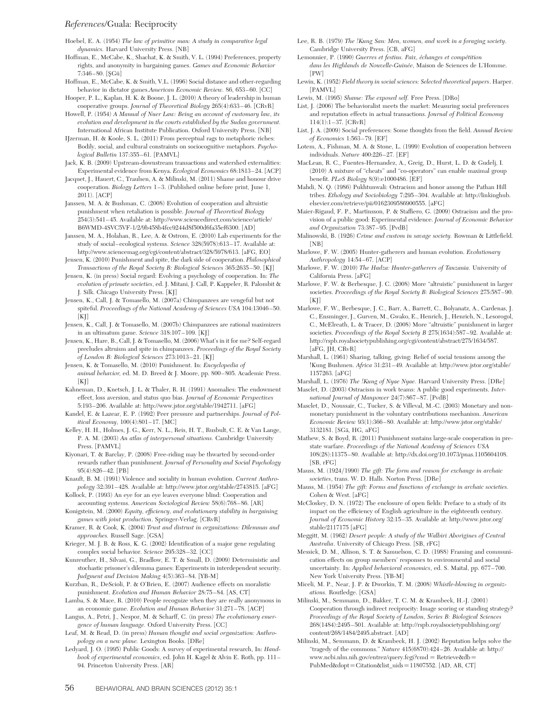#### References/Guala: Reciprocity

- Hoebel, E. A. (1954) The law of primitive man: A study in comparative legal dynamics. Harvard University Press. [NB]
- Hoffman, E., McCabe, K., Shachat, K. & Smith, V. L. (1994) Preferences, property rights, and anonymity in bargaining games. Games and Economic Behavior 7:346-80. [ŞGü]
- Hoffman, E., McCabe, K. & Smith, V.L. (1996) Social distance and other-regarding behavior in dictator games.American Economic Review. 86, 653–60. [CC]
- Hooper, P. L., Kaplan, H. K. & Boone, J. L. (2010) A theory of leadership in human cooperative groups. Journal of Theoretical Biology 265(4):633–46. [CRvR]
- Howell, P. (1954) A Manual of Nuer Law: Being an account of customary law, its evolution and development in the courts established by the Sudan government. International African Institute Publication. Oxford University Press. [NB]
- IJzerman, H. & Koole, S. L. (2011) From perceptual rags to metaphoric riches: Bodily, social, and cultural constraints on sociocognitive metaphors. Psychological Bulletin 137:355–61. [PAMVL]
- Jack, K. B. (2009) Upstream-downstream transactions and watershed externalities: Experimental evidence from Kenya. Ecological Economics 68:1813–24. [ACP]
- Jacquet, J., Hauert, C., Traulsen, A. & Milinski, M. (2011) Shame and honour drive cooperation. Biology Letters 1–3. (Published online before print, June 1, 2011). [ACP]
- Janssen, M. A. & Bushman, C. (2008) Evolution of cooperation and altruistic punishment when retaliation is possible. Journal of Theoretical Biology 254(3):541–45. Available at: http://www.sciencedirect.com/science/article/ B6WMD-4SVC5VF-1/2/9b458b4fcc9244d8f500d6fa35ef6300. [AD]

Janssen, M. A., Holahan, R., Lee, A. & Ostrom, E. (2010) Lab experiments for the study of social–ecological systems. Science 328(5978):613–17. Available at: http://www.sciencemag.org/cgi/content/abstract/328/5978/613. [aFG, EO]

Jensen, K. (2010) Punishment and spite, the dark side of cooperation. Philosophical Transactions of the Royal Society B: Biological Sciences 365:2635–50. [KJ]

- Jensen, K. (in press) Social regard: Evolving a psychology of cooperation. In: The evolution of primate societies, ed. J. Mitani, J. Call, P. Kappeler, R. Palombit & J. Silk. Chicago University Press. [KJ]
- Jensen, K., Call, J. & Tomasello, M. (2007a) Chimpanzees are vengeful but not spiteful. Proceedings of the National Academy of Sciences USA 104:13046–50.  $[K]$
- Jensen, K., Call, J. & Tomasello, M. (2007b) Chimpanzees are rational maximizers in an ultimatum game. Science 318:107–109. [KJ]
- Jensen, K., Hare, B., Call, J. & Tomasello, M. (2006) What's in it for me? Self-regard precludes altruism and spite in chimpanzees. Proceedings of the Royal Society of London B: Biological Sciences 273:1013–21. [KJ]
- Jensen, K. & Tomasello, M. (2010) Punishment. In: Encyclopedia of animal behavior, ed. M. D. Breed & J. Moore, pp. 800–805. Academic Press.  $[K]$
- Kahneman, D., Knetsch, J. L. & Thaler, R. H. (1991) Anomalies: The endowment effect, loss aversion, and status quo bias. Journal of Economic Perspectives 5:193–206. Available at: http://www.jstor.org/stable/1942711. [aFG]
- Kandel, E. & Lazear, E. P. (1992) Peer pressure and partnerships. Journal of Political Economy, 100(4):801–17. [MC]
- Kelley, H. H., Holmes, J. G., Kerr, N. L., Reis, H. T., Rusbult, C. E. & Van Lange, P. A. M. (2003) An atlas of interpersonal situations. Cambridge University Press. [PAMVL]
- Kiyonari, T. & Barclay, P. (2008) Free-riding may be thwarted by second-order rewards rather than punishment. Journal of Personality and Social Psychology 95(4):826–42. [PB]

Knauft, B. M. (1991) Violence and sociality in human evolution. Current Anthropology 32:391–428. Available at: http://www.jstor.org/stable/2743815. [aFG]

Kollock, P. (1993) An eye for an eye leaves everyone blind: Cooperation and accounting systems. American Sociological Review 58(6):768–86. [AR]

Konigstein, M. (2000) Equity, efficiency, and evolutionary stability in bargaining games with joint production. Springer-Verlag. [CRvR]

Kramer, R. & Cook, K. (2004) Trust and distrust in organizations: Dilemmas and approaches. Russell Sage. [GSA]

Krieger, M. J. B. & Ross, K. G. (2002) Identification of a major gene regulating complex social behavior. Science 295:328–32. [CC]

Kunreuther, H., Silvasi, G., Bradlow, E. T. & Small, D. (2009) Deterministic and stochastic prisoner's dilemma games: Experiments in interdependent security. Judgment and Decision Making 4(5):363–84. [YB-M]

Kurzban, R., DeScioli, P. & O'Brien, E. (2007) Audience effects on moralistic punishment. Evolution and Human Behavior 28:75–84. [AS, CT]

Lamba, S. & Mace, R. (2010) People recognize when they are really anonymous in an economic game. Evolution and Human Behavior 31:271–78. [ACP]

Langus, A., Petri, J., Nespor, M. & Scharff, C. (in press) The evolutionary emergence of human language. Oxford University Press. [CC]

Leaf, M. & Read, D. (in press) Human thought and social organization: Anthropology on a new plane. Lexington Books. [DRe]

Ledyard, J. O. (1995) Public Goods: A survey of experimental research, In: Handbook of experimental economics, ed. John H. Kagel & Alvin E. Roth, pp. 111– 94. Princeton University Press. [AR]

- Lee, R. B. (1979) The !Kung San: Men, women, and work in a foraging society. Cambridge University Press. [CB, aFG]
- Lemonnier, P. (1990) Guerres et festins. Paix, échanges et compétition dans les Highlands de Nouvelle-Guinée, Maison de Sciences de L'Homme. [PW]
- Lewin, K. (1952) Field theory in social sciences: Selected theoretical papers. Harper. [PAMVL]
- Lewis, M. (1995) Shame: The exposed self. Free Press. [DRo]
- List, J. (2006) The behavioralist meets the market: Measuring social preferences and reputation effects in actual transactions. Journal of Political Economy 114(1):1–37. [CRvR]
- List, J. A. (2009) Social preferences: Some thoughts from the field. Annual Review of Economics 1:563–79. [EF]
- Lotem, A., Fishman, M. A. & Stone, L. (1999) Evolution of cooperation between individuals. Nature 400:226–27. [EF]
- MacLean, R. C., Fuentes-Hernandez, A., Greig, D., Hurst, L. D. & Gudelj, I. (2010) A mixture of "cheats" and "co-operators" can enable maximal group benefit. PLoS Biology 8(9):e1000486. [EF]
- Mahdi, N. Q. (1986) Pukhtunwali: Ostracism and honor among the Pathan Hill tribes. Ethology and Sociobiology 7:295–304. Available at: http://linkinghub. elsevier.com/retrieve/pii/0162309586900555. [aFG]
- Maier-Rigaud, F. P., Martinsson, P. & Staffiero, G. (2009) Ostracism and the provision of a public good: Experimental evidence. Journal of Economic Behavior and Organization 73:387–95. [PvdB]
- Malinowski, B. (1926) Crime and custom in savage society. Rowman & Littlefield.  $|NB|$
- Marlowe, F. W. (2005) Hunter-gatherers and human evolution. Evolutionary Anthropology 14:54–67. [ACP]
- Marlowe, F. W. (2010) The Hadza: Hunter-gatherers of Tanzania. University of California Press. [aFG]
- Marlowe, F. W. & Berbesque, J. C. (2008) More "altruistic" punishment in larger societies. Proceedings of the Royal Society B: Biological Sciences 275:587–90.  $[K]$
- Marlowe, F. W., Berbesque, J. C., Barr, A., Barrett, C., Bolyanatz, A., Cardenas, J. C., Ensminger, J., Gurven, M., Gwako, E., Henrich, J., Henrich, N., Lesorogol, C., McElreath, L. & Tracer, D. (2008) More "altruistic" punishment in larger societies. Proceedings of the Royal Society B 275(1634):587–92. Available at: http://rspb.royalsocietypublishing.org/cgi/content/abstract/275/1634/587. [aFG, JH, CRvR]
- Marshall, L. (1961) Sharing, talking, giving: Relief of social tensions among the !Kung Bushmen. Africa 31:231–49. Available at: http://www.jstor.org/stable/ 1157263. [aFG]

Marshall, L. (1976) The !Kung of Nyae Nyae. Harvard University Press. [DRe]

Masclet, D. (2003) Ostracism in work teams: A public good experiments. International Journal of Manpower 24(7):867–87. [PvdB]

- Masclet, D., Noussair, C., Tucker, S. & Villeval, M.-C. (2003) Monetary and nonmonetary punishment in the voluntary contributions mechanism. American Economic Review 93(1):366–80. Available at: http://www.jstor.org/stable/ 3132181. [SGä, HG, aFG]
- Mathew, S. & Boyd, R. (2011) Punishment sustains large-scale cooperation in prestate warfare. Proceedings of the National Academy of Sciences USA 108(28):11375–80. Available at: http://dx.doi.org/10.1073/pnas.1105604108. [SB, rFG]
- Mauss, M. (1924/1990) The gift: The form and reason for exchange in archaic societies, trans. W. D. Halls. Norton Press. [DRe]
- Mauss, M. (1954) The gift: Forms and functions of exchange in archaic societies. Cohen & West. [aFG]
- McCloskey, D. N. (1972) The enclosure of open fields: Preface to a study of its impact on the efficiency of English agriculture in the eighteenth century. Journal of Economic History 32:15–35. Available at: http://www.jstor.org/ stable/2117175 [aFG]
- Meggitt, M. (1962) Desert people: A study of the Walbiri Aborigines of Central Australia. University of Chicago Press. [SB, rFG]
- Messick, D. M., Allison, S. T. & Samuelson, C. D. (1988) Framing and communication effects on group members' responses to environmental and social uncertainty. In: Applied behavioral economics, ed. S. Maital, pp. 677–700. New York University Press. [YB-M]
- Miceli, M. P., Near, J. P. & Dworkin, T. M. (2008) Whistle-blowing in organizations. Routledge. [GSA]
- Milinski, M., Semmann, D., Bakker, T. C. M. & Krambeck, H.-J. (2001) Cooperation through indirect reciprocity: Image scoring or standing strategy? Proceedings of the Royal Society of London, Series B: Biological Sciences 268(1484):2495–501. Available at: http://rspb.royalsocietypublishing.org/ content/268/1484/2495.abstract. [AD]
- Milinski, M., Semmann, D. & Krambeck, H. J. (2002) Reputation helps solve the "tragedy of the commons." Nature 415(6870):424–26. Available at: http:// www.ncbi.nlm.nih.gov/entrez/query.fcgi?cmd ¼ Retrieve&db¼ PubMed&dopt=Citation&list\_uids=11807552. [AD, AR, CT]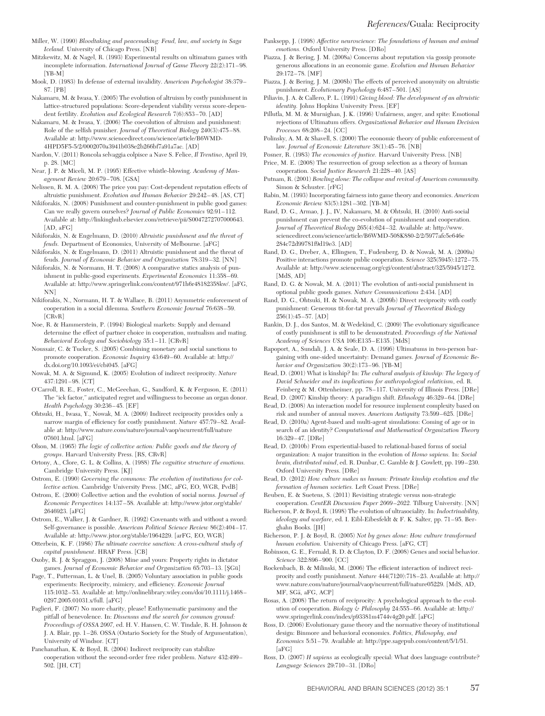- Miller, W. (1990) Bloodtaking and peacemaking: Feud, law, and society in Saga Iceland. University of Chicago Press. [NB]
- Mitzkewitz, M. & Nagel, R. (1993) Experimental results on ultimatum games with incomplete information. International Journal of Game Theory 22(2):171–98. [YB-M]
- Mook, D. (1983) In defense of external invalidity. American Psychologist 38:379– 87. [PB]
- Nakamaru, M. & Iwasa, Y. (2005) The evolution of altruism by costly punishment in lattice-structured populations: Score-dependent viability versus score-dependent fertility. Evolution and Ecological Research 7(6):853-70. [AD]
- Nakamaru, M. & Iwasa, Y. (2006) The coevolution of altruism and punishment: Role of the selfish punisher. Journal of Theoretical Biology 240(3):475–88. Available at: http://www.sciencedirect.com/science/article/B6WMD-4HPD5F5-5/2/0002070a3941b038e2b266bf7a91a7ac. [AD]
- Nardon, V. (2011) Roncola selvaggia colpisce a Nave S. Felice, Il Trentino, April 19, p. 28. [MC]
- Near, J. P. & Miceli, M. P. (1995) Effective whistle-blowing. Academy of Management Review 20:679–708. [GSA]
- Nelissen, R. M. A. (2008) The price you pay: Cost-dependent reputation effects of altruistic punishment. Evolution and Human Behavior 29:242–48. [AS, CT]
- Nikiforakis, N. (2008) Punishment and counter-punishment in public good games: Can we really govern ourselves? Journal of Public Economics 92:91–112. Available at: http://linkinghub.elsevier.com/retrieve/pii/S0047272707000643.  $[AD, aFG]$
- Nikiforakis, N. & Engelmann, D. (2010) Altruistic punishment and the threat of feuds. Department of Economics, University of Melbourne. [aFG]
- Nikiforakis, N. & Engelmann, D. (2011) Altruistic punishment and the threat of feuds. Journal of Economic Behavior and Organization 78:319–32. [NN]
- Nikiforakis, N. & Normann, H. T. (2008) A comparative statics analysis of punishment in public-good experiments. Experimental Economics 11:358–69. Available at: http://www.springerlink.com/content/971h6r48182358kw/. [aFG, NN]
- Nikiforakis, N., Normann, H. T. & Wallace, B. (2011) Asymmetric enforcement of cooperation in a social dilemma. Southern Economic Journal 76:638–59. [CRvR]
- Noe, R. & Hammerstein, P. (1994) Biological markets: Supply and demand determine the effect of partner choice in cooperation, mutualism and mating. Behavioral Ecology and Sociobiology 35:1–11. [CRvR]
- Noussair, C. & Tucker, S. (2005) Combining monetary and social sanctions to promote cooperation. Economic Inquiry 43:649–60. Available at: http:// dx.doi.org/10.1093/ei/cbi045. [aFG]
- Nowak, M. A. & Sigmund, K. (2005) Evolution of indirect reciprocity. Nature 437:1291–98. [CT]
- O'Carroll, R. E., Foster, C., McGeechan, G., Sandford, K. & Ferguson, E. (2011) The "ick factor," anticipated regret and willingness to become an organ donor. Health Psychology 30:236–45. [EF]
- Ohtsuki, H., Iwasa, Y., Nowak, M. A. (2009) Indirect reciprocity provides only a narrow margin of efficiency for costly punishment. Nature 457:79–82. Available at: http://www.nature.com/nature/journal/vaop/ncurrent/full/nature 07601.html. [aFG]
- Olson, M. (1965) The logic of collective action: Public goods and the theory of groups. Harvard University Press. [RS, CRvR]
- Ortony, A., Clore, G. L. & Collins, A. (1988) The cognitive structure of emotions. Cambridge University Press. [KJ]
- Ostrom, E. (1990) Governing the commons: The evolution of institutions for collective action. Cambridge University Press. [MC, aFG, EO, WGR, PvdB]
- Ostrom, E. (2000) Collective action and the evolution of social norms. Journal of Economic Perspectives 14:137–58. Available at: http://www.jstor.org/stable/ 2646923. [aFG]
- Ostrom, E., Walker, J. & Gardner, R. (1992) Covenants with and without a sword: Self-governance is possible. American Political Science Review 86(2):404–17. Available at: http://www.jstor.org/stable/1964229. [arFG, EO, WGR]
- Otterbein, K. F. (1986) The ultimate coercive sanction: A cross-cultural study of capital punishment. HRAF Press. [CB]
- Oxoby, R. J. & Spraggon, J. (2008) Mine and yours: Property rights in dictator games. Journal of Economic Behavior and Organization 65:703-13. [ŞGü]
- Page, T., Putterman, L. & Unel, B. (2005) Voluntary association in public goods experiments: Reciprocity, mimicry, and efficiency. Economic Journal 115:1032–53. Available at: http://onlinelibrary.wiley.com/doi/10.1111/j.1468– 0297.2005.01031.x/full. [aFG]
- Paglieri, F. (2007) No more charity, please! Enthymematic parsimony and the pitfall of benevolence. In: Dissensus and the search for common ground: Proceedings of OSSA 2007, ed. H. V. Hansen, C. W. Tindale, R. H. Johnson & J. A. Blair, pp. 1–26. OSSA (Ontario Society for the Study of Argumentation), University of Windsor. [CT]
- Panchanathan, K. & Boyd, R. (2004) Indirect reciprocity can stabilize cooperation without the second-order free rider problem. Nature 432:499– 502. [JH, CT]
- Panksepp, J. (1998) Affective neuroscience: The foundations of human and animal emotions. Oxford University Press. [DRo]
- Piazza, J. & Bering, J. M. (2008a) Concerns about reputation via gossip promote generous allocations in an economic game. Evolution and Human Behavior 29:172–78. [MF]
- Piazza, J. & Bering, J. M. (2008b) The effects of perceived anonymity on altruistic punishment. Evolutionary Psychology 6:487–501. [AS]
- Piliavin, J. A. & Callero, P. L. (1991) Giving blood: The development of an altruistic identity. Johns Hopkins University Press. [EF]
- Pillutla, M. M. & Murnighan, J. K. (1996) Unfairness, anger, and spite: Emotional rejections of Ultimatum offers. Organizational Behavior and Human Decision Processes 68:208–24. [CC]
- Polinsky, A. M. & Shavell, S. (2000) The economic theory of public enforcement of law. Journal of Economic Literature 38(1):45–76. [NB]
- Posner, R. (1983) The economics of justice. Harvard University Press. [NB] Price, M. E. (2008) The resurrection of group selection as a theory of human
- cooperation. Social Justice Research 21:228–40. [AS]
- Putnam, R. (2001) Bowling alone: The collapse and revival of American community. Simon & Schuster. [rFG]
- Rabin, M. (1993) Incorporating fairness into game theory and economics. American Economic Review 83(5):1281–302. [YB-M]
- Rand, D. G., Armao, J. J., IV, Nakamaru, M. & Ohtsuki, H. (2010) Anti-social punishment can prevent the co-evolution of punishment and cooperation. Journal of Theoretical Biology 265(4):624–32. Available at: http://www. sciencedirect.com/science/article/B6WMD-508K880-2/2/5977afc5e646e 284c72d99781f9d19e3. [AD]
- Rand, D. G., Dreber, A., Ellingsen, T., Fudenberg, D. & Nowak, M. A. (2009a) Positive interactions promote public cooperation. Science 325(5945):1272–75. Available at: http://www.sciencemag.org/cgi/content/abstract/325/5945/1272. [MdS, AD]
- Rand, D. G. & Nowak, M. A. (2011) The evolution of anti-social punishment in optional public goods games. Nature Communications 2:434. [AD]
- Rand, D. G., Ohtsuki, H. & Nowak, M. A. (2009b) Direct reciprocity with costly punishment: Generous tit-for-tat prevails Journal of Theoretical Biology 256(1):45–57. [AD]
- Rankin, D. J., dos Santos, M. & Wedekind, C. (2009) The evolutionary significance of costly punishment is still to be demonstrated. Proceedings of the National Academy of Sciences USA 106:E135–E135. [MdS]
- Rapoport, A., Sundali, J. A. & Seale, D. A. (1996) Ultimatums in two-person bargaining with one-sided uncertainty: Demand games. Journal of Economic Behavior and Organization 30(2):173–96. [YB-M]
- Read, D. (2001) What is kinship? In: The cultural analysis of kinship: The legacy of David Schneider and its implications for anthropological relativism, ed. R. Feinberg & M. Ottenheimer, pp. 78–117. University of Illinois Press. [DRe]
- Read, D. (2007) Kinship theory: A paradigm shift. Ethnology 46:329–64. [DRe] Read, D. (2008) An interaction model for resource implement complexity based on
- risk and number of annual moves. American Antiquity 73:599–625. [DRe]
- Read, D. (2010a) Agent-based and multi-agent simulations: Coming of age or in search of an identity? Computational and Mathematical Organization Theory 16:329–47. [DRe]
- Read, D. (2010b) From experiential-based to relational-based forms of social organization: A major transition in the evolution of Homo sapiens. In: Social brain, distributed mind, ed. R. Dunbar, C. Gamble & J. Gowlett, pp. 199–230. Oxford University Press. [DRe]
- Read, D. (2012) How culture makes us human: Primate kinship evolution and the formation of human societies. Left Coast Press. [DRe]
- Reuben, E. & Suetens, S. (2011) Revisiting strategic versus non-strategic cooperation. CentER Discussion Paper 2009-2022. Tilburg University. [NN]
- Richerson, P. & Boyd, R. (1998) The evolution of ultrasociality. In: Indoctrinability, ideology and warfare, ed. I. Eibl-Eibesfeldt & F. K. Salter, pp. 71–95. Berghahn Books. [JH]
- Richerson, P. J. & Boyd, R. (2005) Not by genes alone: How culture transformed human evolution. University of Chicago Press. [aFG, CT]
- Robinson, G. E., Fernald, R. D. & Clayton, D. F. (2008) Genes and social behavior. Science 322:896–900. [CC]
- Rockenbach, B. & Milinski, M. (2006) The efficient interaction of indirect reciprocity and costly punishment. Nature 444(7120):718–23. Available at: http:// www.nature.com/nature/journal/vaop/ncurrent/full/nature05229. [MdS, AD, MF, SGä, aFG, ACP]
- Rosas, A. (2008) The return of reciprocity: A psychological approach to the evolution of cooperation. Biology & Philosophy 24:555–66. Available at: http:// www.springerlink.com/index/p93381m4744v4g20.pdf. [aFG]
- Ross, D. (2006) Evolutionary game theory and the normative theory of institutional design: Binmore and behavioral economics. Politics, Philosophy, and Economics 5:51–79. Available at: http://ppe.sagepub.com/content/5/1/51. [aFG]
- Ross, D. (2007) H sapiens as ecologically special: What does language contribute? Language Sciences 29:710–31. [DRo]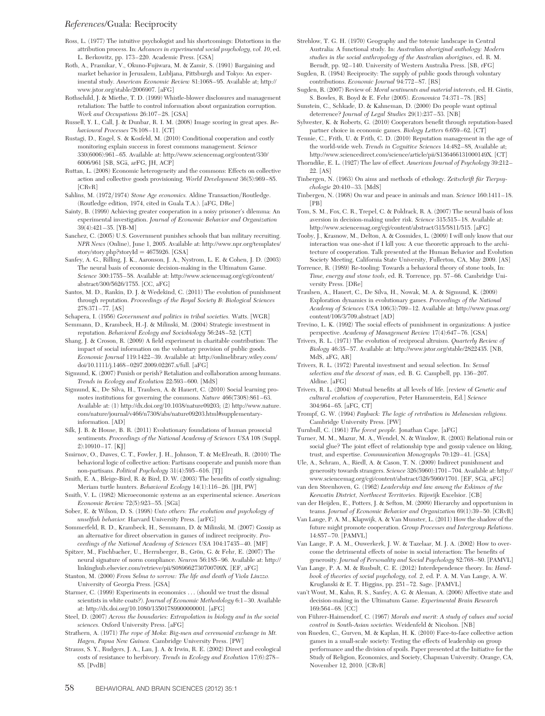#### References/Guala: Reciprocity

- Ross, L. (1977) The intuitive psychologist and his shortcomings: Distortions in the attribution process. In: Advances in experimental social psychology, vol. 10, ed. L. Berkowitz, pp. 173–220. Academic Press. [GSA]
- Roth, A., Prasnikar, V., Okuno-Fujiwara, M. & Zamir, S. (1991) Bargaining and market behavior in Jerusalem, Lubljana, Pittsburgh and Tokyo: An experimental study. American Economic Review 81:1068–95. Available at; http:// www.jstor.org/stable/2006907. [aFG]
- Rothschild, J. & Miethe, T. D. (1999) Whistle-blower disclosures and management retaliation: The battle to control information about organization corruption. Work and Occupations 26:107–28. [GSA]
- Russell, Y. I., Call, J. & Dunbar, R. I. M. (2008) Image scoring in great apes. Behavioural Processes 78:108–11. [CT]
- Rustagi, D., Engel, S. & Kosfeld, M. (2010) Conditional cooperation and costly monitoring explain success in forest commons management. Science 330(6006):961–65. Available at: http://www.sciencemag.org/content/330/ 6006/961 [SB, SGa¨, arFG, JH, ACP]
- Ruttan, L. (2008) Economic heterogeneity and the commons: Effects on collective action and collective goods provisioning. World Development 36(5):969–85. [CRvR]
- Sahlins, M. (1972/1974) Stone Age economics. Aldine Transaction/Routledge. (Routledge edition, 1974, cited in Guala T.A.). [aFG, DRe]
- Sainty, B. (1999) Achieving greater cooperation in a noisy prisoner's dilemma: An experimental investigation. Journal of Economic Behavior and Organization 39(4):421–35. [YB-M]
- Sanchez, C. (2005) U.S. Government punishes schools that ban military recruiting. NPR News (Online), June 1, 2005. Available at: http://www.npr.org/templates/  $story/story.php?storyId = 4675926. [GSA]$
- Sanfey, A. G., Rilling, J. K., Aaronson, J. A., Nystrom, L. E. & Cohen, J. D. (2003) The neural basis of economic decision-making in the Ultimatum Game. Science 300:1755–58. Available at: http://www.sciencemag.org/cgi/content/ abstract/300/5626/1755. [CC, aFG]
- Santos, M. D., Rankin, D. J. & Wedekind, C. (2011) The evolution of punishment through reputation. Proceedings of the Royal Society B: Biological Sciences 278:371–77. [AS]
- Schapera, I. (1956) Government and politics in tribal societies. Watts. [WGR]
- Semmann, D., Krambeck, H.-J. & Milinski, M. (2004) Strategic investment in reputation. Behavioral Ecology and Sociobiology 56:248–52. [CT]
- Shang, J. & Croson, R. (2009) A field experiment in charitable contribution: The impact of social information on the voluntary provision of public goods. Economic Journal 119:1422–39. Available at: http://onlinelibrary.wiley.com/ doi/10.1111/j.1468–0297.2009.02267.x/full. [aFG]
- Sigmund, K. (2007) Punish or perish? Retaliation and collaboration among humans. Trends in Ecology and Evolution 22:593–600. [MdS]
- Sigmund, K., De Silva, H., Traulsen, A. & Hauert, C. (2010) Social learning promotes institutions for governing the commons. Nature 466(7308):861–63. Available at: (1) http://dx.doi.org/10.1038/nature09203; (2) http://www.nature. com/nature/journal/v466/n7308/abs/nature09203.html#supplementaryinformation. [AD]
- Silk, J. B. & House, B. R. (2011) Evolutionary foundations of human prosocial sentiments. Proceedings of the National Academy of Sciences USA 108 (Suppl. 2):10910–17. [KJ]
- Smirnov, O., Dawes, C. T., Fowler, J. H., Johnson, T. & McElreath, R. (2010) The behavioral logic of collective action: Partisans cooperate and punish more than non-partisans. Political Psychology 31(4):595–616. [TJ]
- Smith, E. A., Bleige-Bird, R. & Bird, D. W. (2003) The benefits of costly signaling: Meriam turtle hunters. Behavioral Ecology 14(1):116–26. [JH, PW]
- Smith, V. L. (1982) Microeconomic systems as an experimental science. American Economic Review 72(5):923-55. [SGä]
- Sober, E. & Wilson, D. S. (1998) Unto others: The evolution and psychology of unselfish behavior. Harvard University Press. [arFG]
- Sommerfeld, R. D., Krambeck, H., Semmann, D. & Milinski, M. (2007) Gossip as an alternative for direct observation in games of indirect reciprocity. Proceedings of the National Academy of Sciences USA 104:17435–40. [MF]
- $\rm Spitzer,\,M.,\,Fischbacher,\,U.,\,Herrnberger,\,B.,\,Grön,\,G.$  & Fehr, E.  $(2007)$  The neural signature of norm compliance. Neuron 56:185–96. Available at: http:// linkinghub.elsevier.com/retrieve/pii/S089662730700709X. [EF, aFG]
- Stanton, M. (2000) From Selma to sorrow: The life and death of Viola Liuzzo. University of Georgia Press. [GSA]
- Starmer, C. (1999) Experiments in economics ... (should we trust the dismal scientists in white coats?). Journal of Economic Methodology 6:1–30. Available at: http://dx.doi.org/10.1080/13501789900000001. [aFG]
- Steel, D. (2007) Across the boundaries: Extrapolation in biology and in the social sciences. Oxford University Press. [aFG]
- Strathern, A. (1971) The rope of Moka: Big-men and ceremonial exchange in Mt. Hagen, Papua New Guinea. Cambridge University Press. [PW]
- Strauss, S. Y., Rudgers, J. A., Lau, J. A. & Irwin, R. E. (2002) Direct and ecological costs of resistance to herbivory. Trends in Ecology and Evolution 17(6):278– 85. [PvdB]
- Strehlow, T. G. H. (1970) Geography and the totemic landscape in Central Australia: A functional study. In: Australian aboriginal anthology: Modern studies in the social anthropology of the Australian aborigines, ed. R. M. Berndt, pp. 92–140. University of Western Australia Press. [SB, rFG]
- Sugden, R. (1984) Reciprocity: The supply of public goods through voluntary contributions. Economic Journal 94:772–87. [RS]
- Sugden, R. (2007) Review of: Moral sentiments and material interests, ed. H. Gintis, S. Bowles, R. Boyd & E. Fehr (2005). Economica 74:371–78. [RS]
- Sunstein, C., Schkade, D. & Kahneman, D. (2000) Do people want optimal deterrence? Journal of Legal Studies 29(1):237–53. [NB]
- Sylwester, K. & Roberts, G. (2010) Cooperators benefit through reputation-based partner choice in economic games. Biology Letters 6:659–62. [CT]
- Tennie, C., Frith, U. & Frith, C. D. (2010) Reputation management in the age of the world-wide web. Trends in Cognitive Sciences 14:482–88, Available at; http://www.sciencedirect.com/science/article/pii/S136466131000149X. [CT]
- Thorndike, E. L. (1927) The law of effect. American Journal of Psychology 39:212– 22. [AS]
- Tinbergen, N. (1963) On aims and methods of ethology. Zeitschrift für Tierpsychologie 20:410–33. [MdS]
- Tinbergen, N. (1968) On war and peace in animals and man. Science 160:1411–18. [PB]
- Tom, S. M., Fox, C. R., Trepel, C. & Poldrack, R. A. (2007) The neural basis of loss aversion in decision-making under risk. Science 315:515–18. Available at: http://www.sciencemag.org/cgi/content/abstract/315/5811/515. [aFG]
- Tooby, J., Krasnow, M., Delton, A. & Cosmides, L. (2009) I will only know that our interaction was one-shot if I kill you: A cue theoretic approach to the architecture of cooperation. Talk presented at the Human Behavior and Evolution Society Meeting, California State University, Fullerton, CA, May 2009. [AS]
- Torrence, R. (1989) Re-tooling: Towards a behavioral theory of stone tools, In: Time, energy and stone tools, ed. R. Torrence, pp. 57–66. Cambridge University Press. [DRe]
- Traulsen, A., Hauert, C., De Silva, H., Nowak, M. A. & Sigmund, K. (2009) Exploration dynamics in evolutionary games. Proceedings of the National Academy of Sciences USA 106(3):709–12. Available at: http://www.pnas.org/ content/106/3/709.abstract [AD]
- Trevino, L. K. (1992) The social effects of punishment in organizations: A justice perspective. Academy of Management Review 17(4):647–76. [GSA]
- Trivers, R. L. (1971) The evolution of reciprocal altruism. Quarterly Review of Biology 46:35–57. Available at: http://www.jstor.org/stable/2822435. [NB, MdS, aFG, AR]
- Trivers, R. L. (1972) Parental investment and sexual selection. In: Sexual selection and the descent of man, ed. B. G. Campbell, pp. 136–207. Aldine. [aFG]
- Trivers, R. L. (2004) Mutual benefits at all levels of life. [review of Genetic and cultural evolution of cooperation, Peter Hammerstein, Ed.] Science 304:964–65. [aFG, CT]
- Trompf, G. W. (1994) Payback: The logic of retribution in Melanesian religions. Cambridge University Press. [PW]
- Turnbull, C. (1961) The forest people. Jonathan Cape. [aFG]
- Turner, M. M., Mazur, M. A., Wendel, N. & Winslow, R. (2003) Relational ruin or social glue? The joint effect of relationship type and gossip valence on liking, trust, and expertise. Communication Monographs 70:129–41. [GSA]
- Ule, A., Schram, A., Riedl, A. & Cason, T. N. (2009) Indirect punishment and generosity towards strangers. Science 326(5960):1701–704. Available at: http:// www.sciencemag.org/cgi/content/abstract/326/5960/1701. [EF, SGä, aFG]
- van den Steenhoven, G. (1962) Leadership and law among the Eskimos of the Keewatin District, Northwest Territories. Rijswijk Excelsior. [CB]
- van der Heijden, E., Potters, J. & Sefton, M. (2009) Hierarchy and opportunism in teams. Journal of Economic Behavior and Organization 69(1):39–50. [CRvR]
- Van Lange, P. A. M., Klapwijk, A. & Van Munster, L. (2011) How the shadow of the future might promote cooperation. Group Processes and Intergroup Relations. 14:857–70. [PAMVL]
- Van Lange, P. A. M., Ouwerkerk, J. W. & Tazelaar, M. J. A. (2002) How to overcome the detrimental effects of noise in social interaction: The benefits of generosity. Journal of Personality and Social Psychology 82:768–80. [PAMVL]
- Van Lange, P. A. M. & Rusbult, C. E. (2012) Interdependence theory. In: Handbook of theories of social psychology, vol. 2, ed. P. A. M. Van Lange, A. W. Kruglanski & E. T. Higgins, pp. 251–72. Sage. [PAMVL]
- van't Wout, M., Kahn, R. S., Sanfey, A. G. & Aleman, A. (2006) Affective state and decision-making in the Ultimatum Game. Experimental Brain Research 169:564–68. [CC]
- von Führer-Haimendorf, C. (1967) Morals and merit: A study of values and social control in South-Asian societies. Weidenfeld & Nicolson. [NB]
- von Rueden, C., Gurven, M. & Kaplan, H. K. (2010) Face-to-face collective action games in a small-scale society: Testing the effects of leadership on group performance and the division of spoils. Paper presented at the Initiative for the Study of Religion, Economics, and Society, Chapman University. Orange, CA, November 12, 2010. [CRvR]